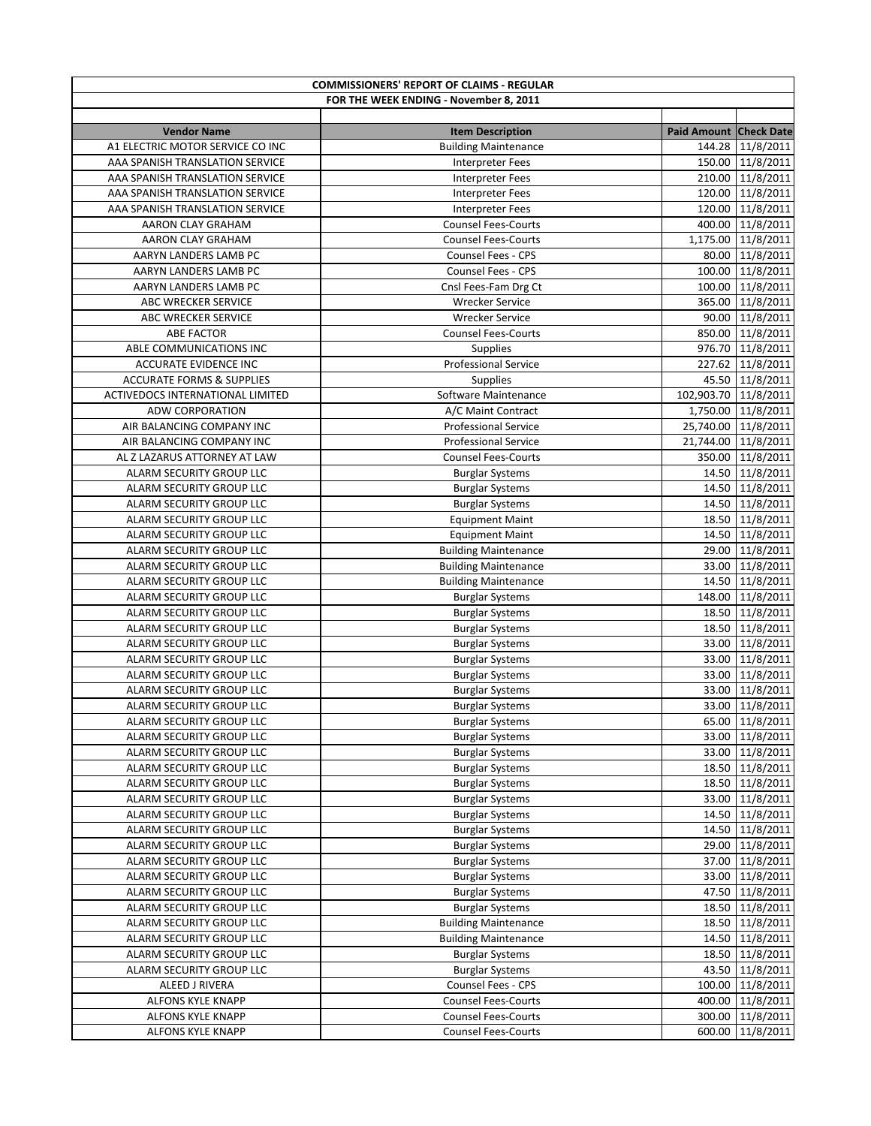| <b>COMMISSIONERS' REPORT OF CLAIMS - REGULAR</b> |                                                  |                        |                                      |  |
|--------------------------------------------------|--------------------------------------------------|------------------------|--------------------------------------|--|
| FOR THE WEEK ENDING - November 8, 2011           |                                                  |                        |                                      |  |
|                                                  |                                                  |                        |                                      |  |
| <b>Vendor Name</b>                               | <b>Item Description</b>                          | Paid Amount Check Date |                                      |  |
| A1 ELECTRIC MOTOR SERVICE CO INC                 | <b>Building Maintenance</b>                      |                        | 144.28 11/8/2011                     |  |
| AAA SPANISH TRANSLATION SERVICE                  | <b>Interpreter Fees</b>                          |                        | 150.00 11/8/2011                     |  |
| AAA SPANISH TRANSLATION SERVICE                  | <b>Interpreter Fees</b>                          |                        | 210.00 11/8/2011                     |  |
| AAA SPANISH TRANSLATION SERVICE                  | Interpreter Fees                                 |                        | 120.00 11/8/2011                     |  |
| AAA SPANISH TRANSLATION SERVICE                  | <b>Interpreter Fees</b>                          |                        | 120.00 11/8/2011                     |  |
| AARON CLAY GRAHAM                                | <b>Counsel Fees-Courts</b>                       |                        | 400.00 11/8/2011                     |  |
| AARON CLAY GRAHAM                                | <b>Counsel Fees-Courts</b>                       |                        | 1,175.00 11/8/2011                   |  |
| AARYN LANDERS LAMB PC                            | Counsel Fees - CPS                               |                        | 80.00 11/8/2011                      |  |
| AARYN LANDERS LAMB PC                            | Counsel Fees - CPS                               |                        | 100.00 11/8/2011                     |  |
| AARYN LANDERS LAMB PC<br>ABC WRECKER SERVICE     | Cnsl Fees-Fam Drg Ct<br><b>Wrecker Service</b>   |                        | 100.00 11/8/2011<br>365.00 11/8/2011 |  |
| ABC WRECKER SERVICE                              | <b>Wrecker Service</b>                           |                        | 90.00 11/8/2011                      |  |
| <b>ABE FACTOR</b>                                | <b>Counsel Fees-Courts</b>                       |                        | 850.00 11/8/2011                     |  |
| ABLE COMMUNICATIONS INC                          | <b>Supplies</b>                                  |                        | 976.70 11/8/2011                     |  |
| <b>ACCURATE EVIDENCE INC</b>                     | <b>Professional Service</b>                      |                        | 227.62 11/8/2011                     |  |
| <b>ACCURATE FORMS &amp; SUPPLIES</b>             | <b>Supplies</b>                                  |                        | 45.50 11/8/2011                      |  |
| ACTIVEDOCS INTERNATIONAL LIMITED                 | Software Maintenance                             | 102,903.70 11/8/2011   |                                      |  |
| ADW CORPORATION                                  | A/C Maint Contract                               |                        | 1,750.00 11/8/2011                   |  |
| AIR BALANCING COMPANY INC                        | <b>Professional Service</b>                      |                        | 25,740.00 11/8/2011                  |  |
| AIR BALANCING COMPANY INC                        | <b>Professional Service</b>                      |                        | 21,744.00 11/8/2011                  |  |
| AL Z LAZARUS ATTORNEY AT LAW                     | <b>Counsel Fees-Courts</b>                       |                        | 350.00 11/8/2011                     |  |
| ALARM SECURITY GROUP LLC                         | <b>Burglar Systems</b>                           |                        | 14.50 11/8/2011                      |  |
| ALARM SECURITY GROUP LLC                         | <b>Burglar Systems</b>                           |                        | 14.50 11/8/2011                      |  |
| ALARM SECURITY GROUP LLC                         | <b>Burglar Systems</b>                           |                        | 14.50 11/8/2011                      |  |
| ALARM SECURITY GROUP LLC                         | <b>Equipment Maint</b>                           |                        | 18.50 11/8/2011                      |  |
| ALARM SECURITY GROUP LLC                         | <b>Equipment Maint</b>                           |                        | 14.50 11/8/2011                      |  |
| ALARM SECURITY GROUP LLC                         | <b>Building Maintenance</b>                      |                        | 29.00 11/8/2011                      |  |
| ALARM SECURITY GROUP LLC                         | <b>Building Maintenance</b>                      |                        | 33.00 11/8/2011                      |  |
| ALARM SECURITY GROUP LLC                         | <b>Building Maintenance</b>                      |                        | 14.50 11/8/2011                      |  |
| ALARM SECURITY GROUP LLC                         | <b>Burglar Systems</b>                           |                        | 148.00 11/8/2011                     |  |
| ALARM SECURITY GROUP LLC                         | <b>Burglar Systems</b>                           |                        | 18.50 11/8/2011                      |  |
| ALARM SECURITY GROUP LLC                         | <b>Burglar Systems</b>                           |                        | 18.50 11/8/2011                      |  |
| ALARM SECURITY GROUP LLC                         | <b>Burglar Systems</b>                           |                        | 33.00 11/8/2011                      |  |
| ALARM SECURITY GROUP LLC                         | <b>Burglar Systems</b>                           |                        | 33.00 11/8/2011                      |  |
| ALARM SECURITY GROUP LLC                         | <b>Burglar Systems</b>                           |                        | 33.00 11/8/2011                      |  |
| ALARM SECURITY GROUP LLC                         | <b>Burglar Systems</b>                           |                        | 33.00 11/8/2011                      |  |
| ALARM SECURITY GROUP LLC                         | <b>Burglar Systems</b>                           |                        | 33.00 11/8/2011                      |  |
| ALARM SECURITY GROUP LLC                         | <b>Burglar Systems</b>                           |                        | 65.00 11/8/2011                      |  |
| ALARM SECURITY GROUP LLC                         | <b>Burglar Systems</b>                           |                        | 33.00 11/8/2011                      |  |
| ALARM SECURITY GROUP LLC                         | <b>Burglar Systems</b>                           |                        | 33.00 11/8/2011                      |  |
| ALARM SECURITY GROUP LLC                         | <b>Burglar Systems</b>                           |                        | 18.50 11/8/2011                      |  |
| ALARM SECURITY GROUP LLC                         | <b>Burglar Systems</b>                           |                        | 18.50 11/8/2011                      |  |
| ALARM SECURITY GROUP LLC                         | <b>Burglar Systems</b>                           |                        | 33.00 11/8/2011                      |  |
| ALARM SECURITY GROUP LLC                         | <b>Burglar Systems</b>                           |                        | 14.50 11/8/2011                      |  |
| ALARM SECURITY GROUP LLC                         | <b>Burglar Systems</b>                           |                        | 14.50 11/8/2011                      |  |
| ALARM SECURITY GROUP LLC                         | <b>Burglar Systems</b>                           |                        | 29.00 11/8/2011                      |  |
| ALARM SECURITY GROUP LLC                         | <b>Burglar Systems</b>                           |                        | 37.00 11/8/2011                      |  |
| ALARM SECURITY GROUP LLC                         | <b>Burglar Systems</b>                           |                        | 33.00 11/8/2011                      |  |
| ALARM SECURITY GROUP LLC                         | <b>Burglar Systems</b>                           |                        | 47.50 11/8/2011                      |  |
| ALARM SECURITY GROUP LLC                         | <b>Burglar Systems</b>                           |                        | 18.50 11/8/2011                      |  |
| ALARM SECURITY GROUP LLC                         | <b>Building Maintenance</b>                      |                        | 18.50 11/8/2011                      |  |
| ALARM SECURITY GROUP LLC                         | <b>Building Maintenance</b>                      |                        | 14.50 11/8/2011                      |  |
| ALARM SECURITY GROUP LLC                         | <b>Burglar Systems</b>                           |                        | 18.50 11/8/2011                      |  |
| ALARM SECURITY GROUP LLC                         | <b>Burglar Systems</b>                           |                        | 43.50 11/8/2011                      |  |
| ALEED J RIVERA<br>ALFONS KYLE KNAPP              | Counsel Fees - CPS<br><b>Counsel Fees-Courts</b> |                        | 100.00 11/8/2011                     |  |
| ALFONS KYLE KNAPP                                | <b>Counsel Fees-Courts</b>                       |                        | 400.00 11/8/2011                     |  |
|                                                  | <b>Counsel Fees-Courts</b>                       |                        | 300.00 11/8/2011                     |  |
| ALFONS KYLE KNAPP                                |                                                  |                        | 600.00 11/8/2011                     |  |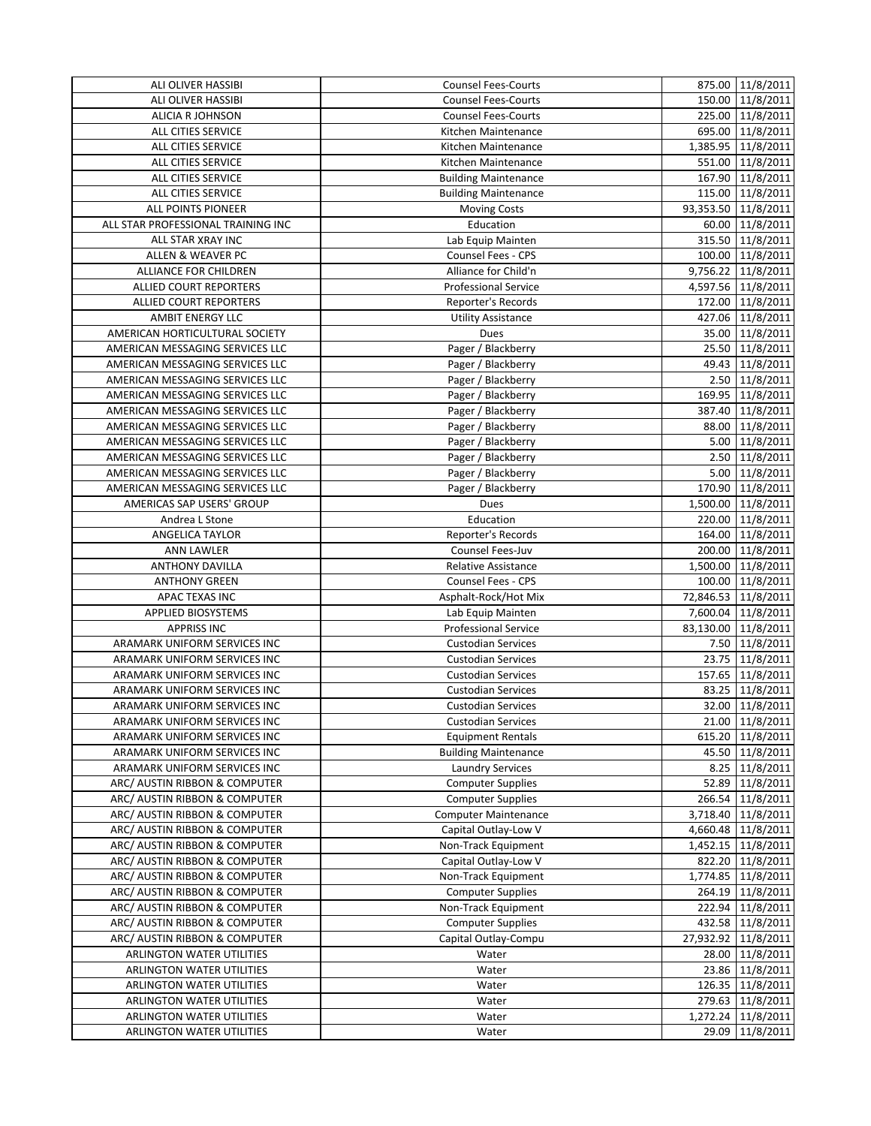| ALI OLIVER HASSIBI                 | <b>Counsel Fees-Courts</b>  |       | 875.00 11/8/2011    |
|------------------------------------|-----------------------------|-------|---------------------|
| ALI OLIVER HASSIBI                 | <b>Counsel Fees-Courts</b>  |       | 150.00 11/8/2011    |
| <b>ALICIA R JOHNSON</b>            | <b>Counsel Fees-Courts</b>  |       | 225.00 11/8/2011    |
| ALL CITIES SERVICE                 | Kitchen Maintenance         |       | 695.00 11/8/2011    |
| ALL CITIES SERVICE                 | Kitchen Maintenance         |       | 1,385.95 11/8/2011  |
| ALL CITIES SERVICE                 | Kitchen Maintenance         |       | 551.00 11/8/2011    |
| ALL CITIES SERVICE                 | <b>Building Maintenance</b> |       | 167.90 11/8/2011    |
| ALL CITIES SERVICE                 | <b>Building Maintenance</b> |       | 115.00 11/8/2011    |
| ALL POINTS PIONEER                 | <b>Moving Costs</b>         |       | 93,353.50 11/8/2011 |
| ALL STAR PROFESSIONAL TRAINING INC | Education                   |       | 60.00 11/8/2011     |
| ALL STAR XRAY INC                  | Lab Equip Mainten           |       | 315.50 11/8/2011    |
| ALLEN & WEAVER PC                  | Counsel Fees - CPS          |       | 100.00 11/8/2011    |
| <b>ALLIANCE FOR CHILDREN</b>       | Alliance for Child'n        |       | 9,756.22 11/8/2011  |
| <b>ALLIED COURT REPORTERS</b>      | <b>Professional Service</b> |       | 4,597.56 11/8/2011  |
| <b>ALLIED COURT REPORTERS</b>      | Reporter's Records          |       | 172.00 11/8/2011    |
| <b>AMBIT ENERGY LLC</b>            | <b>Utility Assistance</b>   |       | 427.06 11/8/2011    |
| AMERICAN HORTICULTURAL SOCIETY     | Dues                        |       | 35.00 11/8/2011     |
| AMERICAN MESSAGING SERVICES LLC    | Pager / Blackberry          |       | 25.50 11/8/2011     |
| AMERICAN MESSAGING SERVICES LLC    | Pager / Blackberry          |       | 49.43 11/8/2011     |
| AMERICAN MESSAGING SERVICES LLC    | Pager / Blackberry          |       | 2.50 11/8/2011      |
| AMERICAN MESSAGING SERVICES LLC    | Pager / Blackberry          |       | 169.95 11/8/2011    |
| AMERICAN MESSAGING SERVICES LLC    | Pager / Blackberry          |       | 387.40 11/8/2011    |
| AMERICAN MESSAGING SERVICES LLC    | Pager / Blackberry          |       | 88.00 11/8/2011     |
| AMERICAN MESSAGING SERVICES LLC    | Pager / Blackberry          |       | 5.00 11/8/2011      |
| AMERICAN MESSAGING SERVICES LLC    | Pager / Blackberry          |       | 2.50 11/8/2011      |
| AMERICAN MESSAGING SERVICES LLC    | Pager / Blackberry          |       | 5.00 11/8/2011      |
| AMERICAN MESSAGING SERVICES LLC    | Pager / Blackberry          |       | 170.90 11/8/2011    |
| AMERICAS SAP USERS' GROUP          | Dues                        |       | 1,500.00 11/8/2011  |
| Andrea L Stone                     | Education                   |       | 220.00 11/8/2011    |
| ANGELICA TAYLOR                    | Reporter's Records          |       | 164.00 11/8/2011    |
| <b>ANN LAWLER</b>                  | Counsel Fees-Juv            |       | 200.00 11/8/2011    |
| <b>ANTHONY DAVILLA</b>             | Relative Assistance         |       | 1,500.00 11/8/2011  |
| <b>ANTHONY GREEN</b>               | Counsel Fees - CPS          |       | 100.00 11/8/2011    |
| APAC TEXAS INC                     | Asphalt-Rock/Hot Mix        |       | 72,846.53 11/8/2011 |
| <b>APPLIED BIOSYSTEMS</b>          | Lab Equip Mainten           |       | 7,600.04 11/8/2011  |
| <b>APPRISS INC</b>                 | <b>Professional Service</b> |       | 83,130.00 11/8/2011 |
| ARAMARK UNIFORM SERVICES INC       | <b>Custodian Services</b>   |       | 7.50 11/8/2011      |
| ARAMARK UNIFORM SERVICES INC       | <b>Custodian Services</b>   |       | 23.75 11/8/2011     |
| ARAMARK UNIFORM SERVICES INC       | <b>Custodian Services</b>   |       | 157.65 11/8/2011    |
| ARAMARK UNIFORM SERVICES INC       | <b>Custodian Services</b>   |       | 83.25 11/8/2011     |
| ARAMARK UNIFORM SERVICES INC       | <b>Custodian Services</b>   |       | 32.00 11/8/2011     |
| ARAMARK UNIFORM SERVICES INC       | <b>Custodian Services</b>   |       | 21.00 11/8/2011     |
| ARAMARK UNIFORM SERVICES INC       | <b>Equipment Rentals</b>    |       | 615.20 11/8/2011    |
| ARAMARK UNIFORM SERVICES INC       | <b>Building Maintenance</b> |       | 45.50 11/8/2011     |
| ARAMARK UNIFORM SERVICES INC       | <b>Laundry Services</b>     |       | 8.25 11/8/2011      |
| ARC/ AUSTIN RIBBON & COMPUTER      | <b>Computer Supplies</b>    |       | 52.89 11/8/2011     |
| ARC/ AUSTIN RIBBON & COMPUTER      | <b>Computer Supplies</b>    |       | 266.54 11/8/2011    |
| ARC/ AUSTIN RIBBON & COMPUTER      | <b>Computer Maintenance</b> |       | 3,718.40 11/8/2011  |
| ARC/ AUSTIN RIBBON & COMPUTER      | Capital Outlay-Low V        |       | 4,660.48 11/8/2011  |
| ARC/ AUSTIN RIBBON & COMPUTER      | Non-Track Equipment         |       | 1,452.15 11/8/2011  |
| ARC/ AUSTIN RIBBON & COMPUTER      | Capital Outlay-Low V        |       | 822.20 11/8/2011    |
| ARC/ AUSTIN RIBBON & COMPUTER      | Non-Track Equipment         |       | 1,774.85 11/8/2011  |
| ARC/ AUSTIN RIBBON & COMPUTER      | <b>Computer Supplies</b>    |       | 264.19 11/8/2011    |
| ARC/ AUSTIN RIBBON & COMPUTER      | Non-Track Equipment         |       | 222.94 11/8/2011    |
| ARC/ AUSTIN RIBBON & COMPUTER      | <b>Computer Supplies</b>    |       | 432.58 11/8/2011    |
| ARC/ AUSTIN RIBBON & COMPUTER      | Capital Outlay-Compu        |       | 27,932.92 11/8/2011 |
| <b>ARLINGTON WATER UTILITIES</b>   | Water                       |       | 28.00 11/8/2011     |
| ARLINGTON WATER UTILITIES          | Water                       |       | 23.86 11/8/2011     |
| ARLINGTON WATER UTILITIES          | Water                       |       | 126.35 11/8/2011    |
| ARLINGTON WATER UTILITIES          | Water                       |       | 279.63 11/8/2011    |
| ARLINGTON WATER UTILITIES          | Water                       |       | 1,272.24 11/8/2011  |
| <b>ARLINGTON WATER UTILITIES</b>   | Water                       | 29.09 | 11/8/2011           |
|                                    |                             |       |                     |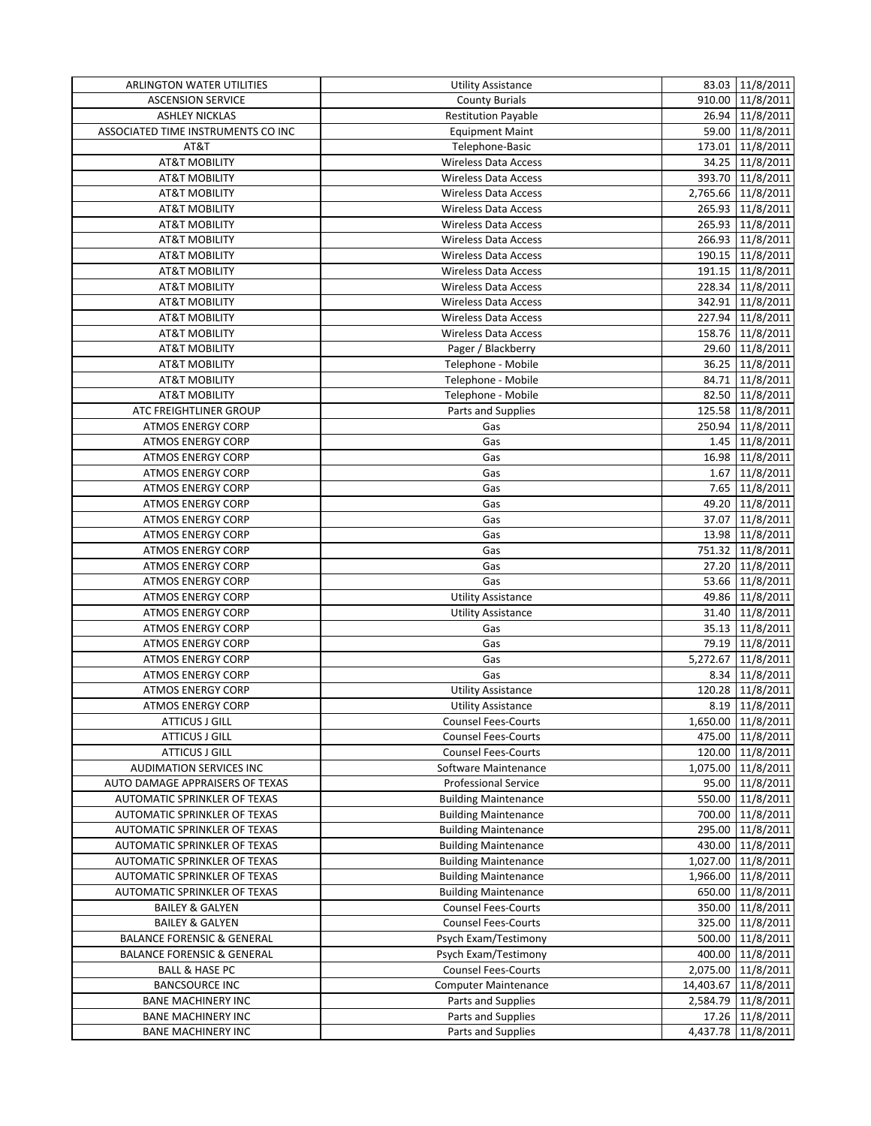| <b>ARLINGTON WATER UTILITIES</b>                     | Utility Assistance                                     | 83.03 11/8/2011     |
|------------------------------------------------------|--------------------------------------------------------|---------------------|
| <b>ASCENSION SERVICE</b>                             | <b>County Burials</b>                                  | 910.00 11/8/2011    |
| <b>ASHLEY NICKLAS</b>                                | <b>Restitution Payable</b>                             | 26.94 11/8/2011     |
| ASSOCIATED TIME INSTRUMENTS CO INC                   | <b>Equipment Maint</b>                                 | 59.00 11/8/2011     |
| AT&T                                                 | Telephone-Basic                                        | 173.01 11/8/2011    |
| <b>AT&amp;T MOBILITY</b>                             | <b>Wireless Data Access</b>                            | 34.25 11/8/2011     |
| <b>AT&amp;T MOBILITY</b>                             | <b>Wireless Data Access</b>                            | 393.70 11/8/2011    |
| <b>AT&amp;T MOBILITY</b>                             | <b>Wireless Data Access</b>                            | 2,765.66 11/8/2011  |
| <b>AT&amp;T MOBILITY</b>                             | <b>Wireless Data Access</b>                            | 265.93 11/8/2011    |
| AT&T MOBILITY                                        | <b>Wireless Data Access</b>                            | 265.93 11/8/2011    |
| <b>AT&amp;T MOBILITY</b>                             | <b>Wireless Data Access</b>                            | 266.93 11/8/2011    |
| <b>AT&amp;T MOBILITY</b>                             | <b>Wireless Data Access</b>                            | 190.15 11/8/2011    |
| <b>AT&amp;T MOBILITY</b>                             | <b>Wireless Data Access</b>                            | 191.15 11/8/2011    |
| <b>AT&amp;T MOBILITY</b>                             | <b>Wireless Data Access</b>                            | 228.34 11/8/2011    |
| <b>AT&amp;T MOBILITY</b>                             | <b>Wireless Data Access</b>                            | 342.91 11/8/2011    |
| <b>AT&amp;T MOBILITY</b>                             | <b>Wireless Data Access</b>                            | 227.94 11/8/2011    |
| <b>AT&amp;T MOBILITY</b>                             | <b>Wireless Data Access</b>                            | 158.76 11/8/2011    |
| <b>AT&amp;T MOBILITY</b>                             | Pager / Blackberry                                     | 29.60 11/8/2011     |
| <b>AT&amp;T MOBILITY</b>                             | Telephone - Mobile                                     | 36.25 11/8/2011     |
| <b>AT&amp;T MOBILITY</b>                             | Telephone - Mobile                                     | 84.71 11/8/2011     |
| <b>AT&amp;T MOBILITY</b>                             | Telephone - Mobile                                     | 82.50 11/8/2011     |
| ATC FREIGHTLINER GROUP                               | Parts and Supplies                                     | 125.58 11/8/2011    |
| <b>ATMOS ENERGY CORP</b>                             | Gas                                                    | 250.94 11/8/2011    |
| <b>ATMOS ENERGY CORP</b>                             | Gas                                                    | 1.45 11/8/2011      |
| <b>ATMOS ENERGY CORP</b>                             | Gas                                                    | 16.98 11/8/2011     |
| <b>ATMOS ENERGY CORP</b>                             | Gas                                                    | 1.67 11/8/2011      |
| <b>ATMOS ENERGY CORP</b>                             | Gas                                                    | 7.65 11/8/2011      |
| <b>ATMOS ENERGY CORP</b>                             | Gas                                                    | 49.20 11/8/2011     |
| <b>ATMOS ENERGY CORP</b>                             | Gas                                                    | 37.07 11/8/2011     |
|                                                      | Gas                                                    | 13.98 11/8/2011     |
| <b>ATMOS ENERGY CORP</b>                             |                                                        |                     |
| <b>ATMOS ENERGY CORP</b>                             | Gas                                                    | 751.32 11/8/2011    |
| <b>ATMOS ENERGY CORP</b>                             | Gas                                                    | 27.20 11/8/2011     |
| <b>ATMOS ENERGY CORP</b>                             | Gas                                                    | 53.66 11/8/2011     |
| <b>ATMOS ENERGY CORP</b><br><b>ATMOS ENERGY CORP</b> | <b>Utility Assistance</b><br><b>Utility Assistance</b> | 49.86 11/8/2011     |
|                                                      |                                                        | 31.40 11/8/2011     |
| <b>ATMOS ENERGY CORP</b>                             | Gas                                                    | 35.13 11/8/2011     |
| <b>ATMOS ENERGY CORP</b>                             | Gas                                                    | 79.19 11/8/2011     |
| <b>ATMOS ENERGY CORP</b>                             | Gas                                                    | 5,272.67 11/8/2011  |
| <b>ATMOS ENERGY CORP</b>                             | Gas                                                    | 8.34 11/8/2011      |
| <b>ATMOS ENERGY CORP</b>                             | <b>Utility Assistance</b>                              | 120.28 11/8/2011    |
| <b>ATMOS ENERGY CORP</b>                             | <b>Utility Assistance</b>                              | 8.19 11/8/2011      |
| <b>ATTICUS J GILL</b>                                | <b>Counsel Fees-Courts</b>                             | 1,650.00 11/8/2011  |
| <b>ATTICUS J GILL</b>                                | <b>Counsel Fees-Courts</b>                             | 475.00 11/8/2011    |
| <b>ATTICUS J GILL</b>                                | <b>Counsel Fees-Courts</b>                             | 120.00 11/8/2011    |
| AUDIMATION SERVICES INC                              | Software Maintenance                                   | 1,075.00 11/8/2011  |
| AUTO DAMAGE APPRAISERS OF TEXAS                      | <b>Professional Service</b>                            | 95.00 11/8/2011     |
| AUTOMATIC SPRINKLER OF TEXAS                         | <b>Building Maintenance</b>                            | 550.00 11/8/2011    |
| AUTOMATIC SPRINKLER OF TEXAS                         | <b>Building Maintenance</b>                            | 700.00 11/8/2011    |
| AUTOMATIC SPRINKLER OF TEXAS                         | <b>Building Maintenance</b>                            | 295.00 11/8/2011    |
| AUTOMATIC SPRINKLER OF TEXAS                         | <b>Building Maintenance</b>                            | 430.00 11/8/2011    |
| AUTOMATIC SPRINKLER OF TEXAS                         | <b>Building Maintenance</b>                            | 1,027.00 11/8/2011  |
| AUTOMATIC SPRINKLER OF TEXAS                         | <b>Building Maintenance</b>                            | 1,966.00 11/8/2011  |
| AUTOMATIC SPRINKLER OF TEXAS                         | <b>Building Maintenance</b>                            | 650.00 11/8/2011    |
| <b>BAILEY &amp; GALYEN</b>                           | <b>Counsel Fees-Courts</b>                             | 350.00 11/8/2011    |
| <b>BAILEY &amp; GALYEN</b>                           | <b>Counsel Fees-Courts</b>                             | 325.00 11/8/2011    |
| <b>BALANCE FORENSIC &amp; GENERAL</b>                | Psych Exam/Testimony                                   | 500.00 11/8/2011    |
| <b>BALANCE FORENSIC &amp; GENERAL</b>                | Psych Exam/Testimony                                   | 400.00 11/8/2011    |
| <b>BALL &amp; HASE PC</b>                            | Counsel Fees-Courts                                    | 2,075.00 11/8/2011  |
| <b>BANCSOURCE INC</b>                                | <b>Computer Maintenance</b>                            | 14,403.67 11/8/2011 |
| <b>BANE MACHINERY INC</b>                            | Parts and Supplies                                     | 2,584.79 11/8/2011  |
| <b>BANE MACHINERY INC</b>                            | Parts and Supplies                                     | 17.26 11/8/2011     |
| <b>BANE MACHINERY INC</b>                            | Parts and Supplies                                     | 4,437.78 11/8/2011  |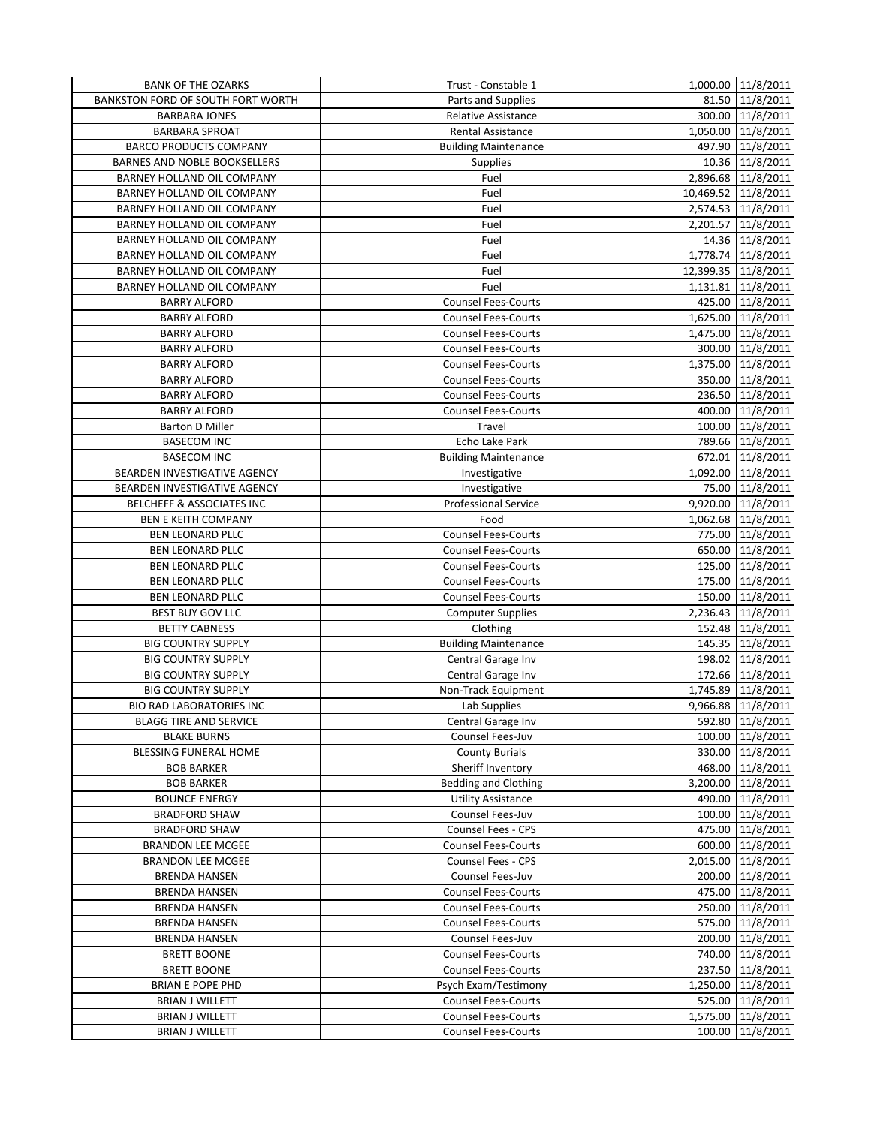| <b>BANK OF THE OZARKS</b>                | Trust - Constable 1         | 1,000.00 11/8/2011  |
|------------------------------------------|-----------------------------|---------------------|
| <b>BANKSTON FORD OF SOUTH FORT WORTH</b> | Parts and Supplies          | 81.50 11/8/2011     |
| <b>BARBARA JONES</b>                     | <b>Relative Assistance</b>  | 300.00 11/8/2011    |
| <b>BARBARA SPROAT</b>                    | <b>Rental Assistance</b>    | 1,050.00 11/8/2011  |
| <b>BARCO PRODUCTS COMPANY</b>            | <b>Building Maintenance</b> | 497.90 11/8/2011    |
| BARNES AND NOBLE BOOKSELLERS             | <b>Supplies</b>             | 10.36 11/8/2011     |
| BARNEY HOLLAND OIL COMPANY               | Fuel                        | 2,896.68 11/8/2011  |
| BARNEY HOLLAND OIL COMPANY               | Fuel                        | 10,469.52 11/8/2011 |
| BARNEY HOLLAND OIL COMPANY               | Fuel                        | 2,574.53 11/8/2011  |
| BARNEY HOLLAND OIL COMPANY               | Fuel                        | 2,201.57 11/8/2011  |
| BARNEY HOLLAND OIL COMPANY               | Fuel                        | 14.36 11/8/2011     |
| BARNEY HOLLAND OIL COMPANY               | Fuel                        | 1,778.74 11/8/2011  |
| BARNEY HOLLAND OIL COMPANY               | Fuel                        | 12,399.35 11/8/2011 |
| BARNEY HOLLAND OIL COMPANY               | Fuel                        | 1,131.81 11/8/2011  |
| <b>BARRY ALFORD</b>                      | Counsel Fees-Courts         | 425.00 11/8/2011    |
| <b>BARRY ALFORD</b>                      | <b>Counsel Fees-Courts</b>  | 1,625.00 11/8/2011  |
| <b>BARRY ALFORD</b>                      | <b>Counsel Fees-Courts</b>  | 1,475.00 11/8/2011  |
| <b>BARRY ALFORD</b>                      | <b>Counsel Fees-Courts</b>  | 300.00 11/8/2011    |
| <b>BARRY ALFORD</b>                      | <b>Counsel Fees-Courts</b>  | 1,375.00 11/8/2011  |
| <b>BARRY ALFORD</b>                      | <b>Counsel Fees-Courts</b>  | 350.00 11/8/2011    |
| <b>BARRY ALFORD</b>                      | <b>Counsel Fees-Courts</b>  | 236.50 11/8/2011    |
| <b>BARRY ALFORD</b>                      | <b>Counsel Fees-Courts</b>  | 400.00 11/8/2011    |
| <b>Barton D Miller</b>                   | Travel                      | 100.00 11/8/2011    |
| <b>BASECOM INC</b>                       | Echo Lake Park              | 789.66 11/8/2011    |
| <b>BASECOM INC</b>                       | <b>Building Maintenance</b> | 672.01 11/8/2011    |
| BEARDEN INVESTIGATIVE AGENCY             | Investigative               | 1,092.00 11/8/2011  |
| BEARDEN INVESTIGATIVE AGENCY             | Investigative               | 75.00 11/8/2011     |
| BELCHEFF & ASSOCIATES INC                | Professional Service        | 9,920.00 11/8/2011  |
| <b>BEN E KEITH COMPANY</b>               | Food                        | 1,062.68 11/8/2011  |
| <b>BEN LEONARD PLLC</b>                  | <b>Counsel Fees-Courts</b>  | 775.00 11/8/2011    |
| <b>BEN LEONARD PLLC</b>                  | <b>Counsel Fees-Courts</b>  | 650.00 11/8/2011    |
| <b>BEN LEONARD PLLC</b>                  | <b>Counsel Fees-Courts</b>  | 125.00 11/8/2011    |
| <b>BEN LEONARD PLLC</b>                  | <b>Counsel Fees-Courts</b>  | 175.00 11/8/2011    |
| <b>BEN LEONARD PLLC</b>                  | Counsel Fees-Courts         | 150.00 11/8/2011    |
| <b>BEST BUY GOV LLC</b>                  | <b>Computer Supplies</b>    | 2,236.43 11/8/2011  |
| <b>BETTY CABNESS</b>                     | Clothing                    | 152.48 11/8/2011    |
| <b>BIG COUNTRY SUPPLY</b>                | <b>Building Maintenance</b> | 145.35 11/8/2011    |
| <b>BIG COUNTRY SUPPLY</b>                | Central Garage Inv          | 198.02 11/8/2011    |
| <b>BIG COUNTRY SUPPLY</b>                | Central Garage Inv          | 172.66 11/8/2011    |
| <b>BIG COUNTRY SUPPLY</b>                | Non-Track Equipment         | 1,745.89 11/8/2011  |
| <b>BIO RAD LABORATORIES INC</b>          | Lab Supplies                | 9,966.88 11/8/2011  |
| <b>BLAGG TIRE AND SERVICE</b>            | Central Garage Inv          | 592.80 11/8/2011    |
| <b>BLAKE BURNS</b>                       | Counsel Fees-Juv            | 100.00 11/8/2011    |
| BLESSING FUNERAL HOME                    | <b>County Burials</b>       | 330.00 11/8/2011    |
| <b>BOB BARKER</b>                        | Sheriff Inventory           | 468.00 11/8/2011    |
| <b>BOB BARKER</b>                        | <b>Bedding and Clothing</b> | 3,200.00 11/8/2011  |
| <b>BOUNCE ENERGY</b>                     | <b>Utility Assistance</b>   | 490.00 11/8/2011    |
| <b>BRADFORD SHAW</b>                     | Counsel Fees-Juv            | 100.00 11/8/2011    |
| <b>BRADFORD SHAW</b>                     | Counsel Fees - CPS          | 475.00 11/8/2011    |
| <b>BRANDON LEE MCGEE</b>                 | <b>Counsel Fees-Courts</b>  | 600.00 11/8/2011    |
| <b>BRANDON LEE MCGEE</b>                 | Counsel Fees - CPS          | 2,015.00 11/8/2011  |
| <b>BRENDA HANSEN</b>                     | Counsel Fees-Juv            | 200.00 11/8/2011    |
| <b>BRENDA HANSEN</b>                     | <b>Counsel Fees-Courts</b>  | 475.00 11/8/2011    |
| <b>BRENDA HANSEN</b>                     | <b>Counsel Fees-Courts</b>  | 250.00 11/8/2011    |
| <b>BRENDA HANSEN</b>                     | <b>Counsel Fees-Courts</b>  | 575.00 11/8/2011    |
| <b>BRENDA HANSEN</b>                     | Counsel Fees-Juv            | 200.00 11/8/2011    |
| <b>BRETT BOONE</b>                       | <b>Counsel Fees-Courts</b>  | 740.00 11/8/2011    |
| <b>BRETT BOONE</b>                       | <b>Counsel Fees-Courts</b>  | 237.50 11/8/2011    |
| <b>BRIAN E POPE PHD</b>                  | Psych Exam/Testimony        | 1,250.00 11/8/2011  |
| <b>BRIAN J WILLETT</b>                   | <b>Counsel Fees-Courts</b>  | 525.00 11/8/2011    |
| <b>BRIAN J WILLETT</b>                   | <b>Counsel Fees-Courts</b>  | 1,575.00 11/8/2011  |
| <b>BRIAN J WILLETT</b>                   | <b>Counsel Fees-Courts</b>  | 100.00 11/8/2011    |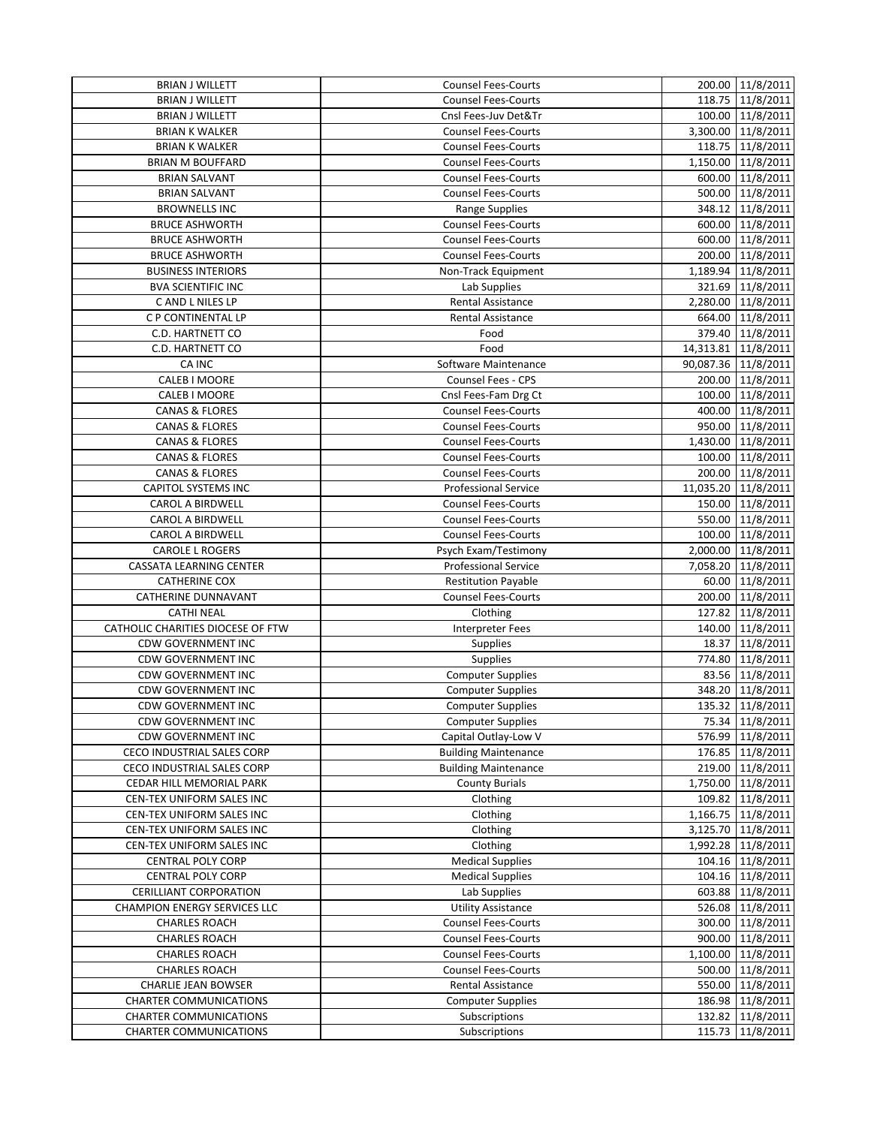| <b>BRIAN J WILLETT</b>              | Counsel Fees-Courts         | 200.00 11/8/2011    |
|-------------------------------------|-----------------------------|---------------------|
| <b>BRIAN J WILLETT</b>              | <b>Counsel Fees-Courts</b>  | 118.75 11/8/2011    |
| <b>BRIAN J WILLETT</b>              | Cnsl Fees-Juv Det&Tr        | 100.00 11/8/2011    |
| <b>BRIAN K WALKER</b>               | <b>Counsel Fees-Courts</b>  | 3,300.00 11/8/2011  |
| <b>BRIAN K WALKER</b>               | <b>Counsel Fees-Courts</b>  | 118.75 11/8/2011    |
| <b>BRIAN M BOUFFARD</b>             | <b>Counsel Fees-Courts</b>  | 1,150.00 11/8/2011  |
| <b>BRIAN SALVANT</b>                | <b>Counsel Fees-Courts</b>  | 600.00 11/8/2011    |
| <b>BRIAN SALVANT</b>                | <b>Counsel Fees-Courts</b>  | 500.00 11/8/2011    |
| <b>BROWNELLS INC</b>                | Range Supplies              | 348.12 11/8/2011    |
| <b>BRUCE ASHWORTH</b>               | <b>Counsel Fees-Courts</b>  | 600.00 11/8/2011    |
| <b>BRUCE ASHWORTH</b>               | <b>Counsel Fees-Courts</b>  | 600.00 11/8/2011    |
| <b>BRUCE ASHWORTH</b>               | <b>Counsel Fees-Courts</b>  | 200.00 11/8/2011    |
| <b>BUSINESS INTERIORS</b>           | Non-Track Equipment         | 1,189.94 11/8/2011  |
| <b>BVA SCIENTIFIC INC</b>           | Lab Supplies                | 321.69 11/8/2011    |
| C AND L NILES LP                    | Rental Assistance           | 2,280.00 11/8/2011  |
| C P CONTINENTAL LP                  | <b>Rental Assistance</b>    | 664.00 11/8/2011    |
| C.D. HARTNETT CO                    | Food                        | 379.40 11/8/2011    |
| C.D. HARTNETT CO                    | Food                        | 14,313.81 11/8/2011 |
| CA INC                              | Software Maintenance        | 90,087.36 11/8/2011 |
| CALEB I MOORE                       | Counsel Fees - CPS          | 200.00 11/8/2011    |
| CALEB I MOORE                       | Cnsl Fees-Fam Drg Ct        | 100.00 11/8/2011    |
| <b>CANAS &amp; FLORES</b>           | <b>Counsel Fees-Courts</b>  | 400.00 11/8/2011    |
| <b>CANAS &amp; FLORES</b>           | <b>Counsel Fees-Courts</b>  | 950.00 11/8/2011    |
| <b>CANAS &amp; FLORES</b>           | <b>Counsel Fees-Courts</b>  | 1,430.00 11/8/2011  |
| <b>CANAS &amp; FLORES</b>           | <b>Counsel Fees-Courts</b>  | 100.00 11/8/2011    |
| <b>CANAS &amp; FLORES</b>           | <b>Counsel Fees-Courts</b>  | 200.00 11/8/2011    |
| <b>CAPITOL SYSTEMS INC</b>          | <b>Professional Service</b> | 11,035.20 11/8/2011 |
| <b>CAROL A BIRDWELL</b>             | <b>Counsel Fees-Courts</b>  | 150.00 11/8/2011    |
| <b>CAROL A BIRDWELL</b>             | <b>Counsel Fees-Courts</b>  | 550.00 11/8/2011    |
| <b>CAROL A BIRDWELL</b>             | <b>Counsel Fees-Courts</b>  | 100.00 11/8/2011    |
| <b>CAROLE L ROGERS</b>              | Psych Exam/Testimony        | 2,000.00 11/8/2011  |
| CASSATA LEARNING CENTER             | <b>Professional Service</b> | 7,058.20 11/8/2011  |
| <b>CATHERINE COX</b>                | <b>Restitution Payable</b>  | 60.00 11/8/2011     |
| CATHERINE DUNNAVANT                 | <b>Counsel Fees-Courts</b>  | 200.00 11/8/2011    |
| <b>CATHI NEAL</b>                   | Clothing                    | 127.82 11/8/2011    |
| CATHOLIC CHARITIES DIOCESE OF FTW   | <b>Interpreter Fees</b>     | 140.00 11/8/2011    |
| <b>CDW GOVERNMENT INC</b>           | <b>Supplies</b>             | 18.37 11/8/2011     |
| CDW GOVERNMENT INC                  | Supplies                    | 774.80 11/8/2011    |
| <b>CDW GOVERNMENT INC</b>           | <b>Computer Supplies</b>    | 83.56 11/8/2011     |
| <b>CDW GOVERNMENT INC</b>           | <b>Computer Supplies</b>    | 348.20 11/8/2011    |
| <b>CDW GOVERNMENT INC</b>           | <b>Computer Supplies</b>    | 135.32 11/8/2011    |
| <b>CDW GOVERNMENT INC</b>           | <b>Computer Supplies</b>    | 75.34 11/8/2011     |
| <b>CDW GOVERNMENT INC</b>           | Capital Outlay-Low V        | 576.99 11/8/2011    |
| CECO INDUSTRIAL SALES CORP          | <b>Building Maintenance</b> | 176.85 11/8/2011    |
| CECO INDUSTRIAL SALES CORP          | <b>Building Maintenance</b> | 219.00 11/8/2011    |
| CEDAR HILL MEMORIAL PARK            | <b>County Burials</b>       | 1,750.00 11/8/2011  |
| CEN-TEX UNIFORM SALES INC           | Clothing                    | 109.82 11/8/2011    |
| CEN-TEX UNIFORM SALES INC           | Clothing                    | 1,166.75 11/8/2011  |
| CEN-TEX UNIFORM SALES INC           | Clothing                    | 3,125.70 11/8/2011  |
| CEN-TEX UNIFORM SALES INC           | Clothing                    | 1,992.28 11/8/2011  |
| <b>CENTRAL POLY CORP</b>            | <b>Medical Supplies</b>     | 104.16 11/8/2011    |
| <b>CENTRAL POLY CORP</b>            | <b>Medical Supplies</b>     | 104.16 11/8/2011    |
| <b>CERILLIANT CORPORATION</b>       | Lab Supplies                | 603.88 11/8/2011    |
| <b>CHAMPION ENERGY SERVICES LLC</b> | <b>Utility Assistance</b>   | 526.08 11/8/2011    |
| <b>CHARLES ROACH</b>                | <b>Counsel Fees-Courts</b>  | 300.00 11/8/2011    |
| <b>CHARLES ROACH</b>                | <b>Counsel Fees-Courts</b>  | 900.00 11/8/2011    |
| <b>CHARLES ROACH</b>                | <b>Counsel Fees-Courts</b>  | 1,100.00 11/8/2011  |
| <b>CHARLES ROACH</b>                | <b>Counsel Fees-Courts</b>  | 500.00 11/8/2011    |
| <b>CHARLIE JEAN BOWSER</b>          | <b>Rental Assistance</b>    | 550.00 11/8/2011    |
| <b>CHARTER COMMUNICATIONS</b>       | <b>Computer Supplies</b>    | 186.98 11/8/2011    |
| <b>CHARTER COMMUNICATIONS</b>       | Subscriptions               | 132.82 11/8/2011    |
| <b>CHARTER COMMUNICATIONS</b>       | Subscriptions               | 115.73 11/8/2011    |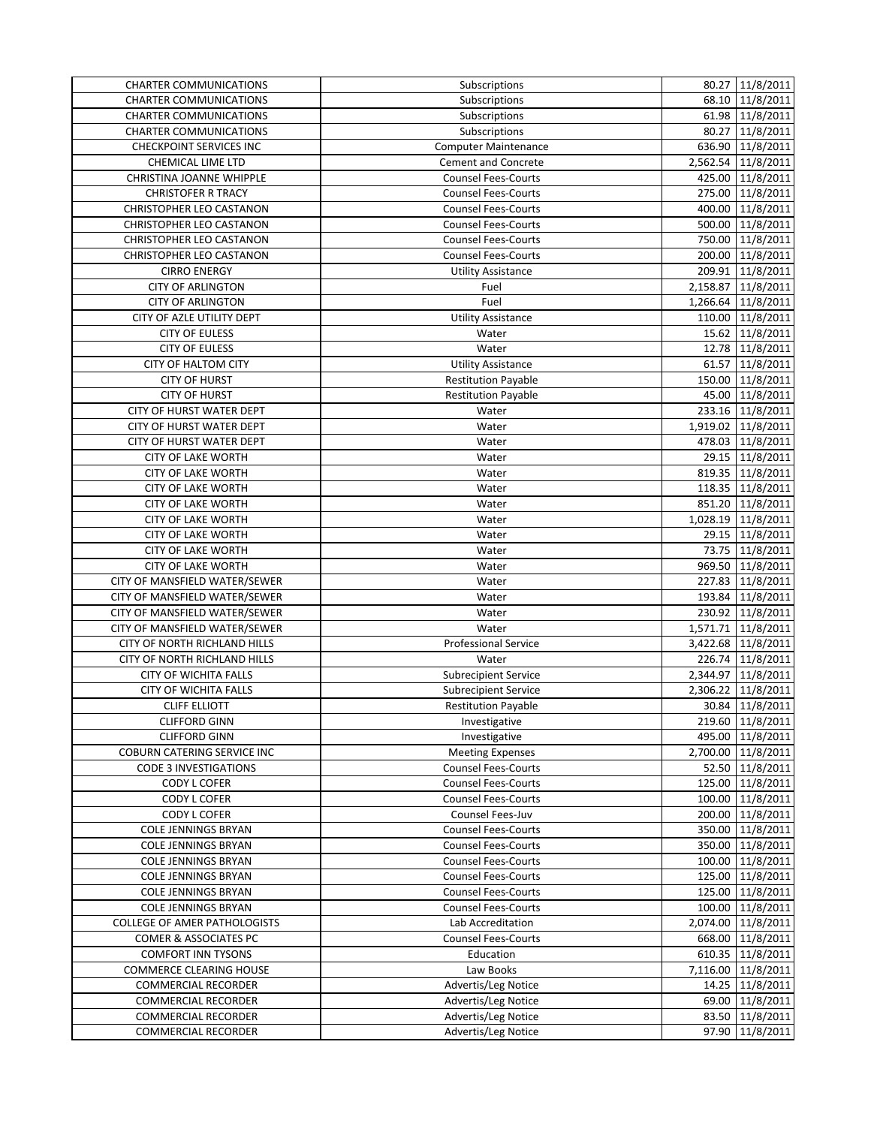| <b>CHARTER COMMUNICATIONS</b>       | Subscriptions               | 80.27 11/8/2011    |
|-------------------------------------|-----------------------------|--------------------|
| <b>CHARTER COMMUNICATIONS</b>       | Subscriptions               | 68.10 11/8/2011    |
| <b>CHARTER COMMUNICATIONS</b>       | Subscriptions               | 61.98 11/8/2011    |
| <b>CHARTER COMMUNICATIONS</b>       | Subscriptions               | 80.27 11/8/2011    |
| <b>CHECKPOINT SERVICES INC</b>      | <b>Computer Maintenance</b> | 636.90 11/8/2011   |
| <b>CHEMICAL LIME LTD</b>            | <b>Cement and Concrete</b>  | 2,562.54 11/8/2011 |
| CHRISTINA JOANNE WHIPPLE            | <b>Counsel Fees-Courts</b>  | 425.00 11/8/2011   |
| <b>CHRISTOFER R TRACY</b>           | <b>Counsel Fees-Courts</b>  | 275.00 11/8/2011   |
| CHRISTOPHER LEO CASTANON            | <b>Counsel Fees-Courts</b>  | 400.00 11/8/2011   |
| CHRISTOPHER LEO CASTANON            | <b>Counsel Fees-Courts</b>  | 500.00 11/8/2011   |
| <b>CHRISTOPHER LEO CASTANON</b>     | <b>Counsel Fees-Courts</b>  | 750.00 11/8/2011   |
| <b>CHRISTOPHER LEO CASTANON</b>     | <b>Counsel Fees-Courts</b>  | 200.00 11/8/2011   |
| <b>CIRRO ENERGY</b>                 | <b>Utility Assistance</b>   | 209.91 11/8/2011   |
| <b>CITY OF ARLINGTON</b>            | Fuel                        | 2,158.87 11/8/2011 |
| <b>CITY OF ARLINGTON</b>            | Fuel                        | 1,266.64 11/8/2011 |
| CITY OF AZLE UTILITY DEPT           | <b>Utility Assistance</b>   | 110.00 11/8/2011   |
| <b>CITY OF EULESS</b>               | Water                       | 15.62 11/8/2011    |
| <b>CITY OF EULESS</b>               | Water                       | 12.78 11/8/2011    |
| CITY OF HALTOM CITY                 | <b>Utility Assistance</b>   | 61.57 11/8/2011    |
| <b>CITY OF HURST</b>                | <b>Restitution Payable</b>  | 150.00 11/8/2011   |
| <b>CITY OF HURST</b>                | <b>Restitution Payable</b>  | 45.00 11/8/2011    |
| CITY OF HURST WATER DEPT            | Water                       | 233.16 11/8/2011   |
| CITY OF HURST WATER DEPT            | Water                       | 1,919.02 11/8/2011 |
| CITY OF HURST WATER DEPT            | Water                       | 478.03 11/8/2011   |
| <b>CITY OF LAKE WORTH</b>           | Water                       | 29.15 11/8/2011    |
| <b>CITY OF LAKE WORTH</b>           | Water                       | 819.35 11/8/2011   |
| <b>CITY OF LAKE WORTH</b>           |                             |                    |
|                                     | Water                       | 118.35 11/8/2011   |
| <b>CITY OF LAKE WORTH</b>           | Water                       | 851.20 11/8/2011   |
| <b>CITY OF LAKE WORTH</b>           | Water                       | 1,028.19 11/8/2011 |
| <b>CITY OF LAKE WORTH</b>           | Water                       | 29.15 11/8/2011    |
| <b>CITY OF LAKE WORTH</b>           | Water                       | 73.75 11/8/2011    |
| <b>CITY OF LAKE WORTH</b>           | Water                       | 969.50 11/8/2011   |
| CITY OF MANSFIELD WATER/SEWER       | Water                       | 227.83 11/8/2011   |
| CITY OF MANSFIELD WATER/SEWER       | Water                       | 193.84 11/8/2011   |
| CITY OF MANSFIELD WATER/SEWER       | Water                       | 230.92 11/8/2011   |
| CITY OF MANSFIELD WATER/SEWER       | Water                       | 1,571.71 11/8/2011 |
| CITY OF NORTH RICHLAND HILLS        | <b>Professional Service</b> | 3,422.68 11/8/2011 |
| CITY OF NORTH RICHLAND HILLS        | Water                       | 226.74 11/8/2011   |
| <b>CITY OF WICHITA FALLS</b>        | <b>Subrecipient Service</b> | 2,344.97 11/8/2011 |
| <b>CITY OF WICHITA FALLS</b>        | <b>Subrecipient Service</b> | 2,306.22 11/8/2011 |
| <b>CLIFF ELLIOTT</b>                | <b>Restitution Payable</b>  | 30.84 11/8/2011    |
| <b>CLIFFORD GINN</b>                | Investigative               | 219.60 11/8/2011   |
| <b>CLIFFORD GINN</b>                | Investigative               | 495.00 11/8/2011   |
| <b>COBURN CATERING SERVICE INC</b>  | <b>Meeting Expenses</b>     | 2,700.00 11/8/2011 |
| <b>CODE 3 INVESTIGATIONS</b>        | <b>Counsel Fees-Courts</b>  | 52.50 11/8/2011    |
| CODY L COFER                        | <b>Counsel Fees-Courts</b>  | 125.00 11/8/2011   |
| CODY L COFER                        | <b>Counsel Fees-Courts</b>  | 100.00 11/8/2011   |
| CODY L COFER                        | Counsel Fees-Juv            | 200.00 11/8/2011   |
| <b>COLE JENNINGS BRYAN</b>          | <b>Counsel Fees-Courts</b>  | 350.00 11/8/2011   |
| <b>COLE JENNINGS BRYAN</b>          | <b>Counsel Fees-Courts</b>  | 350.00 11/8/2011   |
| <b>COLE JENNINGS BRYAN</b>          | <b>Counsel Fees-Courts</b>  | 100.00 11/8/2011   |
| <b>COLE JENNINGS BRYAN</b>          | <b>Counsel Fees-Courts</b>  | 125.00 11/8/2011   |
| <b>COLE JENNINGS BRYAN</b>          | <b>Counsel Fees-Courts</b>  | 125.00 11/8/2011   |
| <b>COLE JENNINGS BRYAN</b>          | <b>Counsel Fees-Courts</b>  | 100.00 11/8/2011   |
| <b>COLLEGE OF AMER PATHOLOGISTS</b> | Lab Accreditation           | 2,074.00 11/8/2011 |
| COMER & ASSOCIATES PC               | <b>Counsel Fees-Courts</b>  | 668.00 11/8/2011   |
| <b>COMFORT INN TYSONS</b>           | Education                   | 610.35 11/8/2011   |
| <b>COMMERCE CLEARING HOUSE</b>      | Law Books                   | 7,116.00 11/8/2011 |
| <b>COMMERCIAL RECORDER</b>          | Advertis/Leg Notice         | 14.25 11/8/2011    |
| <b>COMMERCIAL RECORDER</b>          | Advertis/Leg Notice         | 69.00 11/8/2011    |
| <b>COMMERCIAL RECORDER</b>          | <b>Advertis/Leg Notice</b>  | 83.50 11/8/2011    |
| <b>COMMERCIAL RECORDER</b>          | Advertis/Leg Notice         | 97.90 11/8/2011    |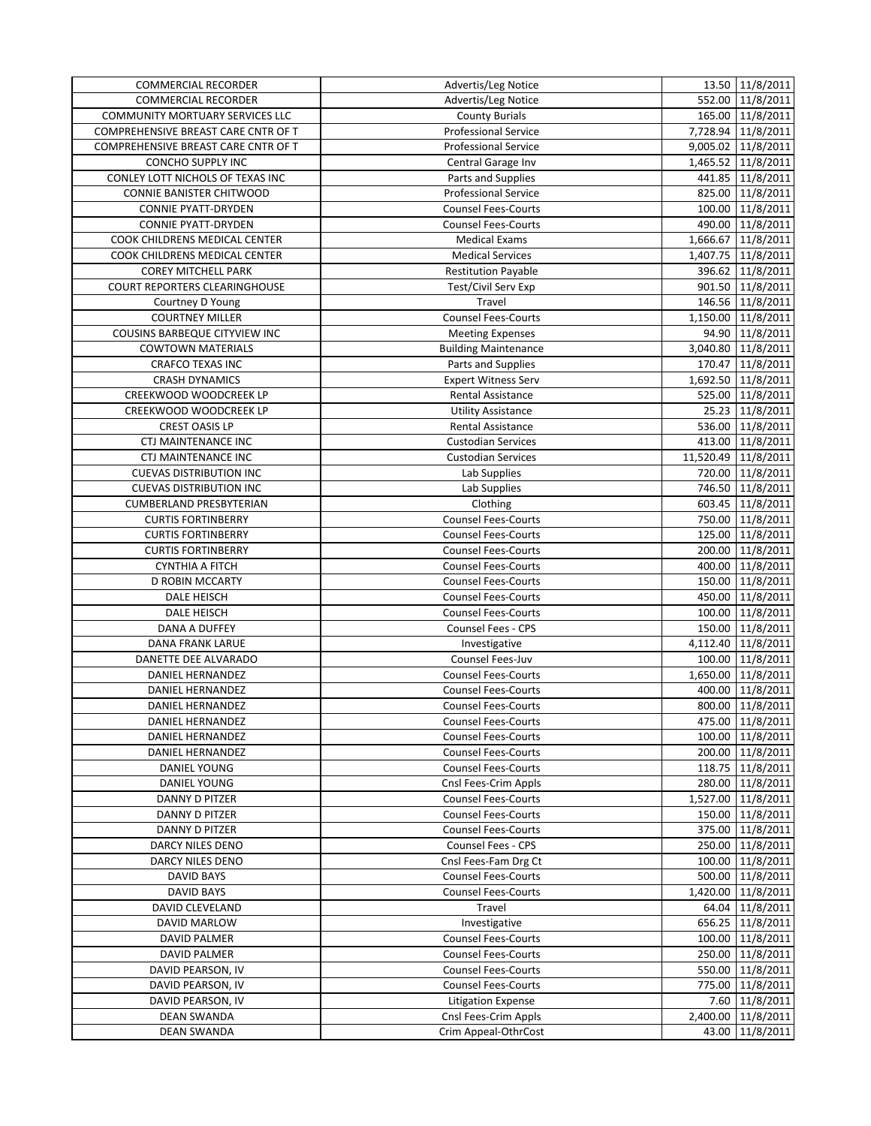| <b>COMMERCIAL RECORDER</b>          | Advertis/Leg Notice         | 13.50 11/8/2011     |
|-------------------------------------|-----------------------------|---------------------|
| <b>COMMERCIAL RECORDER</b>          | Advertis/Leg Notice         | 552.00 11/8/2011    |
| COMMUNITY MORTUARY SERVICES LLC     | <b>County Burials</b>       | 165.00 11/8/2011    |
| COMPREHENSIVE BREAST CARE CNTR OF T | <b>Professional Service</b> | 7,728.94 11/8/2011  |
| COMPREHENSIVE BREAST CARE CNTR OF T | <b>Professional Service</b> | 9,005.02 11/8/2011  |
| CONCHO SUPPLY INC                   | Central Garage Inv          | 1,465.52 11/8/2011  |
| CONLEY LOTT NICHOLS OF TEXAS INC    | Parts and Supplies          | 441.85 11/8/2011    |
| CONNIE BANISTER CHITWOOD            | <b>Professional Service</b> | 825.00 11/8/2011    |
| <b>CONNIE PYATT-DRYDEN</b>          | <b>Counsel Fees-Courts</b>  | 100.00 11/8/2011    |
| <b>CONNIE PYATT-DRYDEN</b>          | <b>Counsel Fees-Courts</b>  | 490.00 11/8/2011    |
| COOK CHILDRENS MEDICAL CENTER       | <b>Medical Exams</b>        | 1,666.67 11/8/2011  |
| COOK CHILDRENS MEDICAL CENTER       | <b>Medical Services</b>     | 1,407.75 11/8/2011  |
| <b>COREY MITCHELL PARK</b>          | <b>Restitution Payable</b>  | 396.62 11/8/2011    |
| COURT REPORTERS CLEARINGHOUSE       | Test/Civil Serv Exp         | 901.50 11/8/2011    |
| Courtney D Young                    | Travel                      | 146.56 11/8/2011    |
| <b>COURTNEY MILLER</b>              | <b>Counsel Fees-Courts</b>  | 1,150.00 11/8/2011  |
| COUSINS BARBEQUE CITYVIEW INC       | <b>Meeting Expenses</b>     | 94.90 11/8/2011     |
| <b>COWTOWN MATERIALS</b>            | <b>Building Maintenance</b> | 3,040.80 11/8/2011  |
| <b>CRAFCO TEXAS INC</b>             | Parts and Supplies          | 170.47 11/8/2011    |
| <b>CRASH DYNAMICS</b>               | <b>Expert Witness Serv</b>  | 1,692.50 11/8/2011  |
| CREEKWOOD WOODCREEK LP              | Rental Assistance           | 525.00 11/8/2011    |
| CREEKWOOD WOODCREEK LP              | <b>Utility Assistance</b>   | 25.23 11/8/2011     |
| <b>CREST OASIS LP</b>               | Rental Assistance           | 536.00 11/8/2011    |
|                                     |                             |                     |
| <b>CTJ MAINTENANCE INC</b>          | <b>Custodian Services</b>   | 413.00 11/8/2011    |
| CTJ MAINTENANCE INC                 | <b>Custodian Services</b>   | 11,520.49 11/8/2011 |
| <b>CUEVAS DISTRIBUTION INC</b>      | Lab Supplies                | 720.00 11/8/2011    |
| <b>CUEVAS DISTRIBUTION INC</b>      | Lab Supplies                | 746.50 11/8/2011    |
| <b>CUMBERLAND PRESBYTERIAN</b>      | Clothing                    | 603.45 11/8/2011    |
| <b>CURTIS FORTINBERRY</b>           | <b>Counsel Fees-Courts</b>  | 750.00 11/8/2011    |
| <b>CURTIS FORTINBERRY</b>           | <b>Counsel Fees-Courts</b>  | 125.00 11/8/2011    |
| <b>CURTIS FORTINBERRY</b>           | <b>Counsel Fees-Courts</b>  | 200.00 11/8/2011    |
| <b>CYNTHIA A FITCH</b>              | <b>Counsel Fees-Courts</b>  | 400.00 11/8/2011    |
| D ROBIN MCCARTY                     | <b>Counsel Fees-Courts</b>  | 150.00 11/8/2011    |
| DALE HEISCH                         | <b>Counsel Fees-Courts</b>  | 450.00 11/8/2011    |
| DALE HEISCH                         | <b>Counsel Fees-Courts</b>  | 100.00 11/8/2011    |
| DANA A DUFFEY                       | Counsel Fees - CPS          | 150.00 11/8/2011    |
| <b>DANA FRANK LARUE</b>             | Investigative               | 4,112.40 11/8/2011  |
| DANETTE DEE ALVARADO                | Counsel Fees-Juv            | 100.00 11/8/2011    |
| DANIEL HERNANDEZ                    | <b>Counsel Fees-Courts</b>  | 1,650.00 11/8/2011  |
| DANIEL HERNANDEZ                    | <b>Counsel Fees-Courts</b>  | 400.00 11/8/2011    |
| DANIEL HERNANDEZ                    | <b>Counsel Fees-Courts</b>  | 800.00 11/8/2011    |
| DANIEL HERNANDEZ                    | <b>Counsel Fees-Courts</b>  | 475.00 11/8/2011    |
| DANIEL HERNANDEZ                    | <b>Counsel Fees-Courts</b>  | 100.00 11/8/2011    |
| DANIEL HERNANDEZ                    | <b>Counsel Fees-Courts</b>  | 200.00 11/8/2011    |
| DANIEL YOUNG                        | <b>Counsel Fees-Courts</b>  | 118.75 11/8/2011    |
| DANIEL YOUNG                        | Cnsl Fees-Crim Appls        | 280.00 11/8/2011    |
| DANNY D PITZER                      | <b>Counsel Fees-Courts</b>  | 1,527.00 11/8/2011  |
| DANNY D PITZER                      | <b>Counsel Fees-Courts</b>  | 150.00 11/8/2011    |
| DANNY D PITZER                      | <b>Counsel Fees-Courts</b>  | 375.00 11/8/2011    |
| DARCY NILES DENO                    | Counsel Fees - CPS          | 250.00 11/8/2011    |
| DARCY NILES DENO                    | Cnsl Fees-Fam Drg Ct        | 100.00 11/8/2011    |
| DAVID BAYS                          | <b>Counsel Fees-Courts</b>  | 500.00 11/8/2011    |
| <b>DAVID BAYS</b>                   | <b>Counsel Fees-Courts</b>  | 1,420.00 11/8/2011  |
| DAVID CLEVELAND                     | Travel                      | 64.04 11/8/2011     |
| DAVID MARLOW                        | Investigative               | 656.25 11/8/2011    |
| DAVID PALMER                        | <b>Counsel Fees-Courts</b>  | 100.00 11/8/2011    |
| <b>DAVID PALMER</b>                 | <b>Counsel Fees-Courts</b>  | 250.00 11/8/2011    |
| DAVID PEARSON, IV                   | <b>Counsel Fees-Courts</b>  | 550.00 11/8/2011    |
| DAVID PEARSON, IV                   | <b>Counsel Fees-Courts</b>  | 775.00 11/8/2011    |
| DAVID PEARSON, IV                   |                             |                     |
|                                     | <b>Litigation Expense</b>   | 7.60 11/8/2011      |
| <b>DEAN SWANDA</b>                  | Cnsl Fees-Crim Appls        | 2,400.00 11/8/2011  |
| <b>DEAN SWANDA</b>                  | Crim Appeal-OthrCost        | 43.00 11/8/2011     |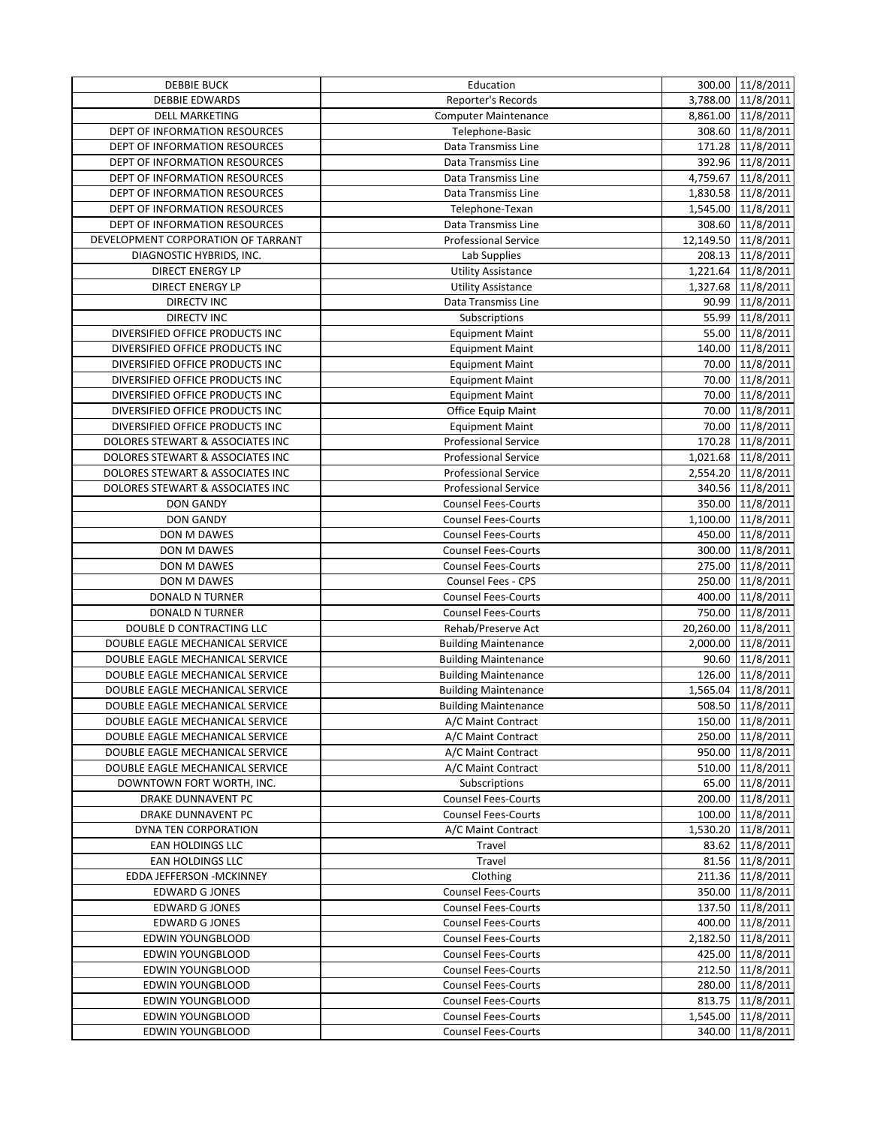| <b>DEBBIE BUCK</b>                 | Education                   | 300.00 11/8/2011     |
|------------------------------------|-----------------------------|----------------------|
| <b>DEBBIE EDWARDS</b>              | Reporter's Records          | 3,788.00 11/8/2011   |
| <b>DELL MARKETING</b>              | <b>Computer Maintenance</b> | 8,861.00 11/8/2011   |
| DEPT OF INFORMATION RESOURCES      | Telephone-Basic             | 308.60 11/8/2011     |
| DEPT OF INFORMATION RESOURCES      | Data Transmiss Line         | 171.28 11/8/2011     |
| DEPT OF INFORMATION RESOURCES      | Data Transmiss Line         | 392.96 11/8/2011     |
| DEPT OF INFORMATION RESOURCES      | Data Transmiss Line         | 4,759.67 11/8/2011   |
| DEPT OF INFORMATION RESOURCES      | Data Transmiss Line         | 1,830.58 11/8/2011   |
| DEPT OF INFORMATION RESOURCES      | Telephone-Texan             | 1,545.00 11/8/2011   |
| DEPT OF INFORMATION RESOURCES      | Data Transmiss Line         | 308.60 11/8/2011     |
| DEVELOPMENT CORPORATION OF TARRANT | <b>Professional Service</b> | 12,149.50 11/8/2011  |
| DIAGNOSTIC HYBRIDS, INC.           | Lab Supplies                | 208.13 11/8/2011     |
| <b>DIRECT ENERGY LP</b>            | <b>Utility Assistance</b>   | 1,221.64 11/8/2011   |
| <b>DIRECT ENERGY LP</b>            | <b>Utility Assistance</b>   | 1,327.68 11/8/2011   |
| <b>DIRECTV INC</b>                 | Data Transmiss Line         | 90.99 11/8/2011      |
| <b>DIRECTV INC</b>                 | Subscriptions               | 55.99 11/8/2011      |
| DIVERSIFIED OFFICE PRODUCTS INC    | <b>Equipment Maint</b>      | 55.00 11/8/2011      |
| DIVERSIFIED OFFICE PRODUCTS INC    | <b>Equipment Maint</b>      | 140.00 11/8/2011     |
| DIVERSIFIED OFFICE PRODUCTS INC    | <b>Equipment Maint</b>      | 70.00 11/8/2011      |
| DIVERSIFIED OFFICE PRODUCTS INC    | <b>Equipment Maint</b>      | 70.00 11/8/2011      |
| DIVERSIFIED OFFICE PRODUCTS INC    | <b>Equipment Maint</b>      | 70.00 11/8/2011      |
| DIVERSIFIED OFFICE PRODUCTS INC    | Office Equip Maint          | 70.00 11/8/2011      |
| DIVERSIFIED OFFICE PRODUCTS INC    | <b>Equipment Maint</b>      | 70.00 11/8/2011      |
| DOLORES STEWART & ASSOCIATES INC   | <b>Professional Service</b> | 170.28 11/8/2011     |
| DOLORES STEWART & ASSOCIATES INC   | <b>Professional Service</b> | 1,021.68 11/8/2011   |
| DOLORES STEWART & ASSOCIATES INC   | <b>Professional Service</b> | 2,554.20 11/8/2011   |
| DOLORES STEWART & ASSOCIATES INC   | <b>Professional Service</b> | 340.56 11/8/2011     |
| <b>DON GANDY</b>                   | <b>Counsel Fees-Courts</b>  | 350.00 11/8/2011     |
| <b>DON GANDY</b>                   | <b>Counsel Fees-Courts</b>  | 1,100.00 11/8/2011   |
| DON M DAWES                        | <b>Counsel Fees-Courts</b>  | 450.00 11/8/2011     |
| DON M DAWES                        | <b>Counsel Fees-Courts</b>  | 300.00 11/8/2011     |
| DON M DAWES                        | <b>Counsel Fees-Courts</b>  | 275.00 11/8/2011     |
| DON M DAWES                        | Counsel Fees - CPS          | 250.00 11/8/2011     |
| <b>DONALD N TURNER</b>             | Counsel Fees-Courts         | 400.00 11/8/2011     |
| <b>DONALD N TURNER</b>             | <b>Counsel Fees-Courts</b>  | 750.00 11/8/2011     |
| DOUBLE D CONTRACTING LLC           | Rehab/Preserve Act          | 20,260.00 11/8/2011  |
| DOUBLE EAGLE MECHANICAL SERVICE    | <b>Building Maintenance</b> | 2,000.00 11/8/2011   |
| DOUBLE EAGLE MECHANICAL SERVICE    | <b>Building Maintenance</b> | 90.60 11/8/2011      |
| DOUBLE EAGLE MECHANICAL SERVICE    | <b>Building Maintenance</b> | 126.00 11/8/2011     |
| DOUBLE EAGLE MECHANICAL SERVICE    | <b>Building Maintenance</b> | 1,565.04 11/8/2011   |
| DOUBLE EAGLE MECHANICAL SERVICE    | <b>Building Maintenance</b> | 508.50 11/8/2011     |
| DOUBLE EAGLE MECHANICAL SERVICE    | A/C Maint Contract          | 150.00 11/8/2011     |
| DOUBLE EAGLE MECHANICAL SERVICE    | A/C Maint Contract          | 250.00 11/8/2011     |
| DOUBLE EAGLE MECHANICAL SERVICE    | A/C Maint Contract          | 950.00 11/8/2011     |
| DOUBLE EAGLE MECHANICAL SERVICE    | A/C Maint Contract          | 510.00 11/8/2011     |
| DOWNTOWN FORT WORTH, INC.          | Subscriptions               | 65.00 11/8/2011      |
| DRAKE DUNNAVENT PC                 | <b>Counsel Fees-Courts</b>  | 200.00 11/8/2011     |
| DRAKE DUNNAVENT PC                 | <b>Counsel Fees-Courts</b>  | 100.00 11/8/2011     |
| DYNA TEN CORPORATION               | A/C Maint Contract          | 1,530.20 11/8/2011   |
| EAN HOLDINGS LLC                   | Travel                      | 83.62 11/8/2011      |
| EAN HOLDINGS LLC                   | Travel                      | 81.56 11/8/2011      |
| EDDA JEFFERSON - MCKINNEY          | Clothing                    | 211.36 11/8/2011     |
| <b>EDWARD G JONES</b>              | <b>Counsel Fees-Courts</b>  | 350.00 11/8/2011     |
| <b>EDWARD G JONES</b>              | <b>Counsel Fees-Courts</b>  | 137.50 11/8/2011     |
| <b>EDWARD G JONES</b>              | <b>Counsel Fees-Courts</b>  | 400.00 11/8/2011     |
| EDWIN YOUNGBLOOD                   | <b>Counsel Fees-Courts</b>  | 2,182.50 11/8/2011   |
| EDWIN YOUNGBLOOD                   | <b>Counsel Fees-Courts</b>  | 425.00 11/8/2011     |
| EDWIN YOUNGBLOOD                   | <b>Counsel Fees-Courts</b>  | 212.50 11/8/2011     |
| <b>EDWIN YOUNGBLOOD</b>            | <b>Counsel Fees-Courts</b>  | 280.00 11/8/2011     |
| EDWIN YOUNGBLOOD                   | <b>Counsel Fees-Courts</b>  | 813.75 11/8/2011     |
| EDWIN YOUNGBLOOD                   | <b>Counsel Fees-Courts</b>  | 1,545.00   11/8/2011 |
| EDWIN YOUNGBLOOD                   | <b>Counsel Fees-Courts</b>  | 340.00 11/8/2011     |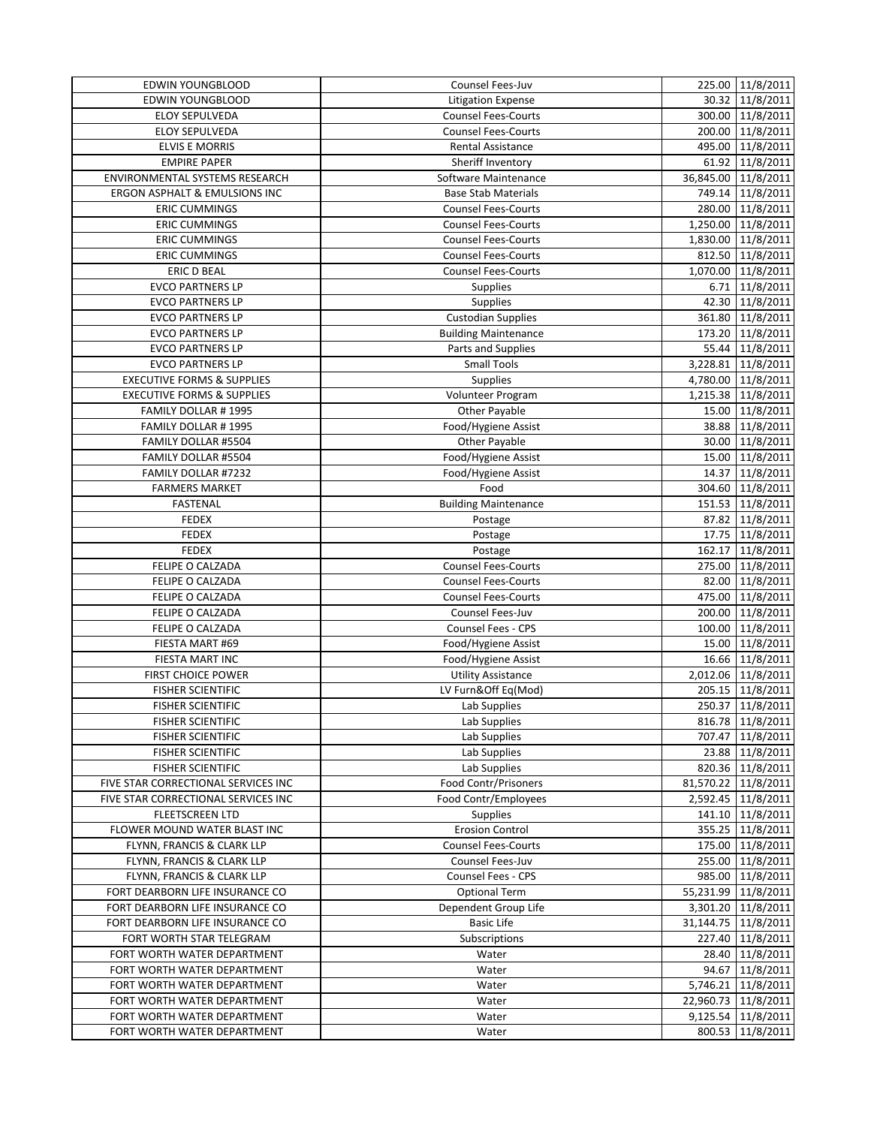| <b>EDWIN YOUNGBLOOD</b>               | Counsel Fees-Juv            | 225.00 11/8/2011     |
|---------------------------------------|-----------------------------|----------------------|
| <b>EDWIN YOUNGBLOOD</b>               | <b>Litigation Expense</b>   | 30.32 11/8/2011      |
| ELOY SEPULVEDA                        | <b>Counsel Fees-Courts</b>  | 300.00 11/8/2011     |
| ELOY SEPULVEDA                        | <b>Counsel Fees-Courts</b>  | 200.00 11/8/2011     |
| <b>ELVIS E MORRIS</b>                 | Rental Assistance           | 495.00 11/8/2011     |
| <b>EMPIRE PAPER</b>                   | Sheriff Inventory           | 61.92 11/8/2011      |
| ENVIRONMENTAL SYSTEMS RESEARCH        | Software Maintenance        | 36,845.00 11/8/2011  |
| ERGON ASPHALT & EMULSIONS INC         | <b>Base Stab Materials</b>  | 749.14 11/8/2011     |
| <b>ERIC CUMMINGS</b>                  | <b>Counsel Fees-Courts</b>  | 280.00 11/8/2011     |
| <b>ERIC CUMMINGS</b>                  | <b>Counsel Fees-Courts</b>  | 1,250.00 11/8/2011   |
| <b>ERIC CUMMINGS</b>                  | <b>Counsel Fees-Courts</b>  | 1,830.00 11/8/2011   |
| <b>ERIC CUMMINGS</b>                  | <b>Counsel Fees-Courts</b>  | 812.50 11/8/2011     |
| <b>ERIC D BEAL</b>                    | <b>Counsel Fees-Courts</b>  | 1,070.00 11/8/2011   |
| <b>EVCO PARTNERS LP</b>               | <b>Supplies</b>             | 6.71 11/8/2011       |
| <b>EVCO PARTNERS LP</b>               | <b>Supplies</b>             | 42.30 11/8/2011      |
| <b>EVCO PARTNERS LP</b>               | <b>Custodian Supplies</b>   | 361.80 11/8/2011     |
| <b>EVCO PARTNERS LP</b>               | <b>Building Maintenance</b> | 173.20 11/8/2011     |
| <b>EVCO PARTNERS LP</b>               | Parts and Supplies          | 55.44 11/8/2011      |
| <b>EVCO PARTNERS LP</b>               | <b>Small Tools</b>          | 3,228.81 11/8/2011   |
| <b>EXECUTIVE FORMS &amp; SUPPLIES</b> | Supplies                    | 4,780.00 11/8/2011   |
| <b>EXECUTIVE FORMS &amp; SUPPLIES</b> | Volunteer Program           | 1,215.38 11/8/2011   |
| FAMILY DOLLAR #1995                   | Other Payable               | 15.00 11/8/2011      |
| FAMILY DOLLAR #1995                   | Food/Hygiene Assist         | 38.88 11/8/2011      |
| FAMILY DOLLAR #5504                   | Other Payable               | 30.00 11/8/2011      |
| FAMILY DOLLAR #5504                   | Food/Hygiene Assist         | 15.00 11/8/2011      |
| FAMILY DOLLAR #7232                   | Food/Hygiene Assist         |                      |
|                                       |                             | 14.37 11/8/2011      |
| <b>FARMERS MARKET</b>                 | Food                        | 304.60 11/8/2011     |
| <b>FASTENAL</b>                       | <b>Building Maintenance</b> | 151.53 11/8/2011     |
| <b>FEDEX</b>                          | Postage                     | 87.82 11/8/2011      |
| <b>FEDEX</b>                          | Postage                     | 17.75 11/8/2011      |
| <b>FEDEX</b>                          | Postage                     | 162.17 11/8/2011     |
| FELIPE O CALZADA                      | Counsel Fees-Courts         | 275.00 11/8/2011     |
| FELIPE O CALZADA                      | <b>Counsel Fees-Courts</b>  | 82.00 11/8/2011      |
| FELIPE O CALZADA                      | <b>Counsel Fees-Courts</b>  | 475.00 11/8/2011     |
| FELIPE O CALZADA                      | Counsel Fees-Juv            | 200.00 11/8/2011     |
| FELIPE O CALZADA                      | Counsel Fees - CPS          | 100.00 11/8/2011     |
| FIESTA MART #69                       | Food/Hygiene Assist         | 15.00 11/8/2011      |
| FIESTA MART INC                       | Food/Hygiene Assist         | 16.66 11/8/2011      |
| <b>FIRST CHOICE POWER</b>             | <b>Utility Assistance</b>   | 2,012.06 11/8/2011   |
| <b>FISHER SCIENTIFIC</b>              | LV Furn&Off Eq(Mod)         | 205.15 11/8/2011     |
| <b>FISHER SCIENTIFIC</b>              | Lab Supplies                | 250.37 11/8/2011     |
| <b>FISHER SCIENTIFIC</b>              | Lab Supplies                | 816.78 11/8/2011     |
| <b>FISHER SCIENTIFIC</b>              | Lab Supplies                | 707.47 11/8/2011     |
| <b>FISHER SCIENTIFIC</b>              | Lab Supplies                | 23.88 11/8/2011      |
| <b>FISHER SCIENTIFIC</b>              | Lab Supplies                | 820.36 11/8/2011     |
| FIVE STAR CORRECTIONAL SERVICES INC   | Food Contr/Prisoners        | 81,570.22 11/8/2011  |
| FIVE STAR CORRECTIONAL SERVICES INC   | Food Contr/Employees        | 2,592.45   11/8/2011 |
| <b>FLEETSCREEN LTD</b>                | <b>Supplies</b>             | 141.10 11/8/2011     |
| FLOWER MOUND WATER BLAST INC          | <b>Erosion Control</b>      | 355.25 11/8/2011     |
| FLYNN, FRANCIS & CLARK LLP            | <b>Counsel Fees-Courts</b>  | 175.00 11/8/2011     |
| FLYNN, FRANCIS & CLARK LLP            | Counsel Fees-Juv            | 255.00 11/8/2011     |
| FLYNN, FRANCIS & CLARK LLP            | Counsel Fees - CPS          | 985.00 11/8/2011     |
| FORT DEARBORN LIFE INSURANCE CO       | <b>Optional Term</b>        | 55,231.99 11/8/2011  |
| FORT DEARBORN LIFE INSURANCE CO       | Dependent Group Life        | 3,301.20 11/8/2011   |
| FORT DEARBORN LIFE INSURANCE CO       | <b>Basic Life</b>           | 31,144.75 11/8/2011  |
| FORT WORTH STAR TELEGRAM              | Subscriptions               | 227.40 11/8/2011     |
| FORT WORTH WATER DEPARTMENT           | Water                       | 28.40 11/8/2011      |
| FORT WORTH WATER DEPARTMENT           | Water                       | 94.67 11/8/2011      |
| FORT WORTH WATER DEPARTMENT           | Water                       | 5,746.21 11/8/2011   |
| FORT WORTH WATER DEPARTMENT           | Water                       | 22,960.73 11/8/2011  |
| FORT WORTH WATER DEPARTMENT           | Water                       | 9,125.54 11/8/2011   |
| FORT WORTH WATER DEPARTMENT           | Water                       | 800.53 11/8/2011     |
|                                       |                             |                      |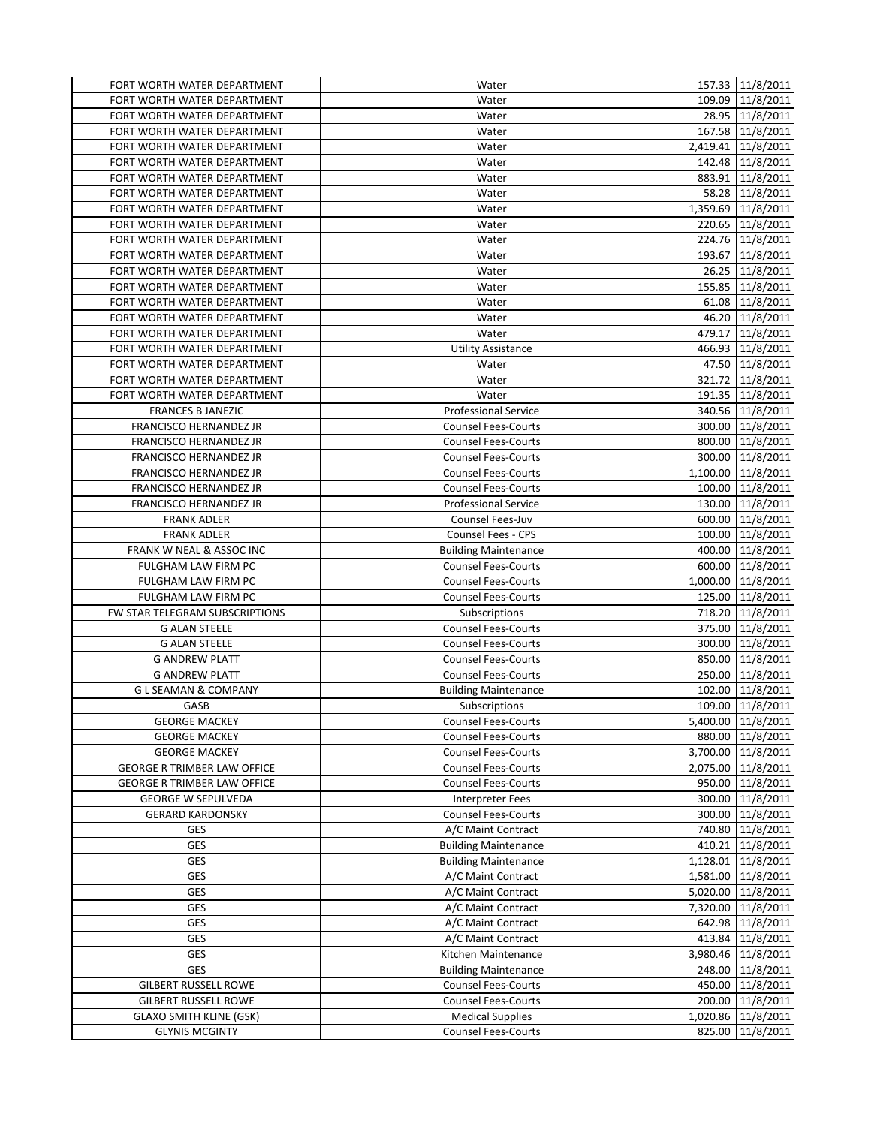| FORT WORTH WATER DEPARTMENT                                | Water                                              | 157.33 11/8/2011   |
|------------------------------------------------------------|----------------------------------------------------|--------------------|
| FORT WORTH WATER DEPARTMENT                                | Water                                              | 109.09 11/8/2011   |
| FORT WORTH WATER DEPARTMENT                                | Water                                              | 28.95 11/8/2011    |
| FORT WORTH WATER DEPARTMENT                                | Water                                              | 167.58 11/8/2011   |
| FORT WORTH WATER DEPARTMENT                                | Water                                              | 2,419.41 11/8/2011 |
| FORT WORTH WATER DEPARTMENT                                | Water                                              | 142.48 11/8/2011   |
| FORT WORTH WATER DEPARTMENT                                | Water                                              | 883.91 11/8/2011   |
| FORT WORTH WATER DEPARTMENT                                | Water                                              | 58.28 11/8/2011    |
| FORT WORTH WATER DEPARTMENT                                | Water                                              | 1,359.69 11/8/2011 |
| FORT WORTH WATER DEPARTMENT                                | Water                                              | 220.65 11/8/2011   |
| FORT WORTH WATER DEPARTMENT                                | Water                                              | 224.76 11/8/2011   |
| FORT WORTH WATER DEPARTMENT                                | Water                                              | 193.67 11/8/2011   |
| FORT WORTH WATER DEPARTMENT                                | Water                                              | 26.25 11/8/2011    |
| FORT WORTH WATER DEPARTMENT                                | Water                                              | 155.85 11/8/2011   |
| FORT WORTH WATER DEPARTMENT                                | Water                                              | 61.08 11/8/2011    |
| FORT WORTH WATER DEPARTMENT                                | Water                                              | 46.20 11/8/2011    |
| FORT WORTH WATER DEPARTMENT                                | Water                                              | 479.17 11/8/2011   |
| FORT WORTH WATER DEPARTMENT                                | <b>Utility Assistance</b>                          | 466.93 11/8/2011   |
| FORT WORTH WATER DEPARTMENT                                | Water                                              | 47.50 11/8/2011    |
| FORT WORTH WATER DEPARTMENT                                | Water                                              | 321.72 11/8/2011   |
| FORT WORTH WATER DEPARTMENT                                | Water                                              | 191.35 11/8/2011   |
| <b>FRANCES B JANEZIC</b>                                   | <b>Professional Service</b>                        | 340.56 11/8/2011   |
| FRANCISCO HERNANDEZ JR                                     | <b>Counsel Fees-Courts</b>                         | 300.00 11/8/2011   |
| FRANCISCO HERNANDEZ JR                                     | <b>Counsel Fees-Courts</b>                         | 800.00 11/8/2011   |
| FRANCISCO HERNANDEZ JR                                     | <b>Counsel Fees-Courts</b>                         | 300.00 11/8/2011   |
| FRANCISCO HERNANDEZ JR                                     | <b>Counsel Fees-Courts</b>                         | 1,100.00 11/8/2011 |
| FRANCISCO HERNANDEZ JR                                     | <b>Counsel Fees-Courts</b>                         | 100.00 11/8/2011   |
| FRANCISCO HERNANDEZ JR                                     | <b>Professional Service</b>                        | 130.00 11/8/2011   |
| <b>FRANK ADLER</b>                                         | Counsel Fees-Juv                                   | 600.00 11/8/2011   |
| <b>FRANK ADLER</b>                                         | <b>Counsel Fees - CPS</b>                          | 100.00 11/8/2011   |
| FRANK W NEAL & ASSOC INC                                   | <b>Building Maintenance</b>                        | 400.00 11/8/2011   |
| FULGHAM LAW FIRM PC                                        | <b>Counsel Fees-Courts</b>                         | 600.00 11/8/2011   |
| FULGHAM LAW FIRM PC                                        | <b>Counsel Fees-Courts</b>                         | 1,000.00 11/8/2011 |
| FULGHAM LAW FIRM PC                                        | <b>Counsel Fees-Courts</b>                         | 125.00 11/8/2011   |
| FW STAR TELEGRAM SUBSCRIPTIONS                             | Subscriptions                                      | 718.20 11/8/2011   |
| <b>G ALAN STEELE</b>                                       | <b>Counsel Fees-Courts</b>                         | 375.00 11/8/2011   |
| <b>G ALAN STEELE</b>                                       | <b>Counsel Fees-Courts</b>                         | 300.00 11/8/2011   |
| <b>G ANDREW PLATT</b>                                      | <b>Counsel Fees-Courts</b>                         | 850.00 11/8/2011   |
| <b>G ANDREW PLATT</b>                                      | <b>Counsel Fees-Courts</b>                         | 250.00 11/8/2011   |
| <b>GLSEAMAN &amp; COMPANY</b>                              | <b>Building Maintenance</b>                        | 102.00 11/8/2011   |
| GASB                                                       | Subscriptions                                      | 109.00 11/8/2011   |
| <b>GEORGE MACKEY</b>                                       | Counsel Fees-Courts                                | 5,400.00 11/8/2011 |
| <b>GEORGE MACKEY</b>                                       | <b>Counsel Fees-Courts</b>                         | 880.00 11/8/2011   |
| <b>GEORGE MACKEY</b>                                       | <b>Counsel Fees-Courts</b>                         | 3,700.00 11/8/2011 |
| <b>GEORGE R TRIMBER LAW OFFICE</b>                         | <b>Counsel Fees-Courts</b>                         | 2,075.00 11/8/2011 |
| <b>GEORGE R TRIMBER LAW OFFICE</b>                         | <b>Counsel Fees-Courts</b>                         | 950.00 11/8/2011   |
| <b>GEORGE W SEPULVEDA</b>                                  | <b>Interpreter Fees</b>                            | 300.00 11/8/2011   |
| <b>GERARD KARDONSKY</b>                                    | <b>Counsel Fees-Courts</b>                         | 300.00 11/8/2011   |
| GES                                                        | A/C Maint Contract                                 | 740.80 11/8/2011   |
| GES                                                        | <b>Building Maintenance</b>                        | 410.21 11/8/2011   |
| GES                                                        | <b>Building Maintenance</b>                        | 1,128.01 11/8/2011 |
| GES                                                        | A/C Maint Contract                                 | 1,581.00 11/8/2011 |
| GES                                                        | A/C Maint Contract                                 | 5,020.00 11/8/2011 |
| GES                                                        | A/C Maint Contract                                 | 7,320.00 11/8/2011 |
| GES                                                        | A/C Maint Contract                                 | 642.98 11/8/2011   |
| GES                                                        | A/C Maint Contract                                 | 413.84 11/8/2011   |
| GES<br>GES                                                 | Kitchen Maintenance                                | 3,980.46 11/8/2011 |
|                                                            | <b>Building Maintenance</b><br>Counsel Fees-Courts | 248.00 11/8/2011   |
| <b>GILBERT RUSSELL ROWE</b><br><b>GILBERT RUSSELL ROWE</b> | <b>Counsel Fees-Courts</b>                         | 450.00 11/8/2011   |
| <b>GLAXO SMITH KLINE (GSK)</b>                             | <b>Medical Supplies</b>                            | 200.00 11/8/2011   |
| <b>GLYNIS MCGINTY</b>                                      | <b>Counsel Fees-Courts</b>                         | 1,020.86 11/8/2011 |
|                                                            |                                                    | 825.00 11/8/2011   |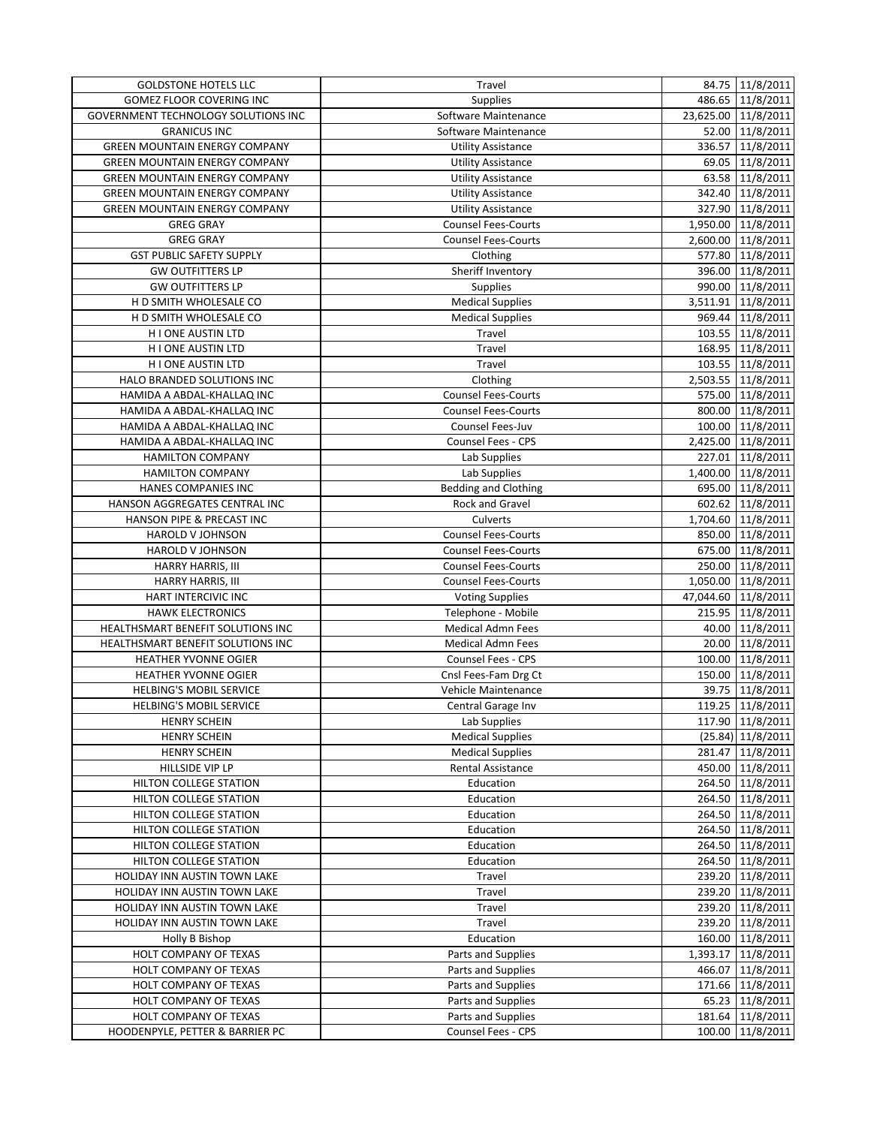| <b>GOLDSTONE HOTELS LLC</b>          | Travel                      | 84.75 11/8/2011     |
|--------------------------------------|-----------------------------|---------------------|
| <b>GOMEZ FLOOR COVERING INC</b>      | <b>Supplies</b>             | 486.65 11/8/2011    |
| GOVERNMENT TECHNOLOGY SOLUTIONS INC  | Software Maintenance        | 23,625.00 11/8/2011 |
| <b>GRANICUS INC</b>                  | Software Maintenance        | 52.00 11/8/2011     |
| <b>GREEN MOUNTAIN ENERGY COMPANY</b> | <b>Utility Assistance</b>   | 336.57 11/8/2011    |
| GREEN MOUNTAIN ENERGY COMPANY        | <b>Utility Assistance</b>   | 69.05 11/8/2011     |
| <b>GREEN MOUNTAIN ENERGY COMPANY</b> | <b>Utility Assistance</b>   | 63.58 11/8/2011     |
| <b>GREEN MOUNTAIN ENERGY COMPANY</b> | <b>Utility Assistance</b>   | 342.40 11/8/2011    |
| <b>GREEN MOUNTAIN ENERGY COMPANY</b> | <b>Utility Assistance</b>   | 327.90 11/8/2011    |
| <b>GREG GRAY</b>                     | <b>Counsel Fees-Courts</b>  | 1,950.00 11/8/2011  |
| <b>GREG GRAY</b>                     | <b>Counsel Fees-Courts</b>  | 2,600.00 11/8/2011  |
| <b>GST PUBLIC SAFETY SUPPLY</b>      | Clothing                    | 577.80 11/8/2011    |
| <b>GW OUTFITTERS LP</b>              | Sheriff Inventory           | 396.00 11/8/2011    |
| <b>GW OUTFITTERS LP</b>              | Supplies                    | 990.00 11/8/2011    |
| H D SMITH WHOLESALE CO               | <b>Medical Supplies</b>     | 3,511.91 11/8/2011  |
| H D SMITH WHOLESALE CO               | <b>Medical Supplies</b>     | 969.44 11/8/2011    |
| H I ONE AUSTIN LTD                   | Travel                      | 103.55 11/8/2011    |
| H I ONE AUSTIN LTD                   | Travel                      | 168.95 11/8/2011    |
| H I ONE AUSTIN LTD                   | Travel                      | 103.55 11/8/2011    |
| HALO BRANDED SOLUTIONS INC           | Clothing                    | 2,503.55 11/8/2011  |
| HAMIDA A ABDAL-KHALLAQ INC           | <b>Counsel Fees-Courts</b>  | 575.00 11/8/2011    |
|                                      | <b>Counsel Fees-Courts</b>  | 800.00 11/8/2011    |
| HAMIDA A ABDAL-KHALLAQ INC           |                             |                     |
| HAMIDA A ABDAL-KHALLAQ INC           | Counsel Fees-Juv            | 100.00 11/8/2011    |
| HAMIDA A ABDAL-KHALLAQ INC           | Counsel Fees - CPS          | 2,425.00 11/8/2011  |
| <b>HAMILTON COMPANY</b>              | Lab Supplies                | 227.01 11/8/2011    |
| <b>HAMILTON COMPANY</b>              | Lab Supplies                | 1,400.00 11/8/2011  |
| HANES COMPANIES INC                  | <b>Bedding and Clothing</b> | 695.00 11/8/2011    |
| HANSON AGGREGATES CENTRAL INC        | <b>Rock and Gravel</b>      | 602.62 11/8/2011    |
| HANSON PIPE & PRECAST INC            | Culverts                    | 1,704.60 11/8/2011  |
| HAROLD V JOHNSON                     | <b>Counsel Fees-Courts</b>  | 850.00 11/8/2011    |
| <b>HAROLD V JOHNSON</b>              | <b>Counsel Fees-Courts</b>  | 675.00 11/8/2011    |
| <b>HARRY HARRIS, III</b>             | <b>Counsel Fees-Courts</b>  | 250.00 11/8/2011    |
| <b>HARRY HARRIS, III</b>             | <b>Counsel Fees-Courts</b>  | 1,050.00 11/8/2011  |
| HART INTERCIVIC INC                  | <b>Voting Supplies</b>      | 47,044.60 11/8/2011 |
| <b>HAWK ELECTRONICS</b>              | Telephone - Mobile          | 215.95 11/8/2011    |
| HEALTHSMART BENEFIT SOLUTIONS INC    | <b>Medical Admn Fees</b>    | 40.00 11/8/2011     |
| HEALTHSMART BENEFIT SOLUTIONS INC    | <b>Medical Admn Fees</b>    | 20.00 11/8/2011     |
| HEATHER YVONNE OGIER                 | Counsel Fees - CPS          | 100.00 11/8/2011    |
| HEATHER YVONNE OGIER                 | Cnsl Fees-Fam Drg Ct        | 150.00 11/8/2011    |
| <b>HELBING'S MOBIL SERVICE</b>       | Vehicle Maintenance         | 39.75 11/8/2011     |
| <b>HELBING'S MOBIL SERVICE</b>       | Central Garage Inv          | 119.25 11/8/2011    |
| <b>HENRY SCHEIN</b>                  | Lab Supplies                | 117.90 11/8/2011    |
| <b>HENRY SCHEIN</b>                  | <b>Medical Supplies</b>     | $(25.84)$ 11/8/2011 |
| <b>HENRY SCHEIN</b>                  | <b>Medical Supplies</b>     | 281.47 11/8/2011    |
| HILLSIDE VIP LP                      | Rental Assistance           | 450.00 11/8/2011    |
| HILTON COLLEGE STATION               | Education                   | 264.50 11/8/2011    |
| HILTON COLLEGE STATION               | Education                   | 264.50 11/8/2011    |
| HILTON COLLEGE STATION               | Education                   | 264.50 11/8/2011    |
| HILTON COLLEGE STATION               | Education                   | 264.50 11/8/2011    |
| HILTON COLLEGE STATION               | Education                   | 264.50 11/8/2011    |
| HILTON COLLEGE STATION               | Education                   | 264.50 11/8/2011    |
| HOLIDAY INN AUSTIN TOWN LAKE         | Travel                      | 239.20 11/8/2011    |
| HOLIDAY INN AUSTIN TOWN LAKE         | Travel                      | 239.20 11/8/2011    |
| HOLIDAY INN AUSTIN TOWN LAKE         | Travel                      | 239.20 11/8/2011    |
| HOLIDAY INN AUSTIN TOWN LAKE         | Travel                      | 239.20 11/8/2011    |
| <b>Holly B Bishop</b>                | Education                   | 160.00 11/8/2011    |
| HOLT COMPANY OF TEXAS                | Parts and Supplies          | 1,393.17 11/8/2011  |
| HOLT COMPANY OF TEXAS                | Parts and Supplies          | 466.07 11/8/2011    |
| HOLT COMPANY OF TEXAS                | Parts and Supplies          | 171.66 11/8/2011    |
| HOLT COMPANY OF TEXAS                | Parts and Supplies          | 65.23 11/8/2011     |
| HOLT COMPANY OF TEXAS                | Parts and Supplies          |                     |
|                                      |                             | 181.64 11/8/2011    |
| HOODENPYLE, PETTER & BARRIER PC      | Counsel Fees - CPS          | 100.00 11/8/2011    |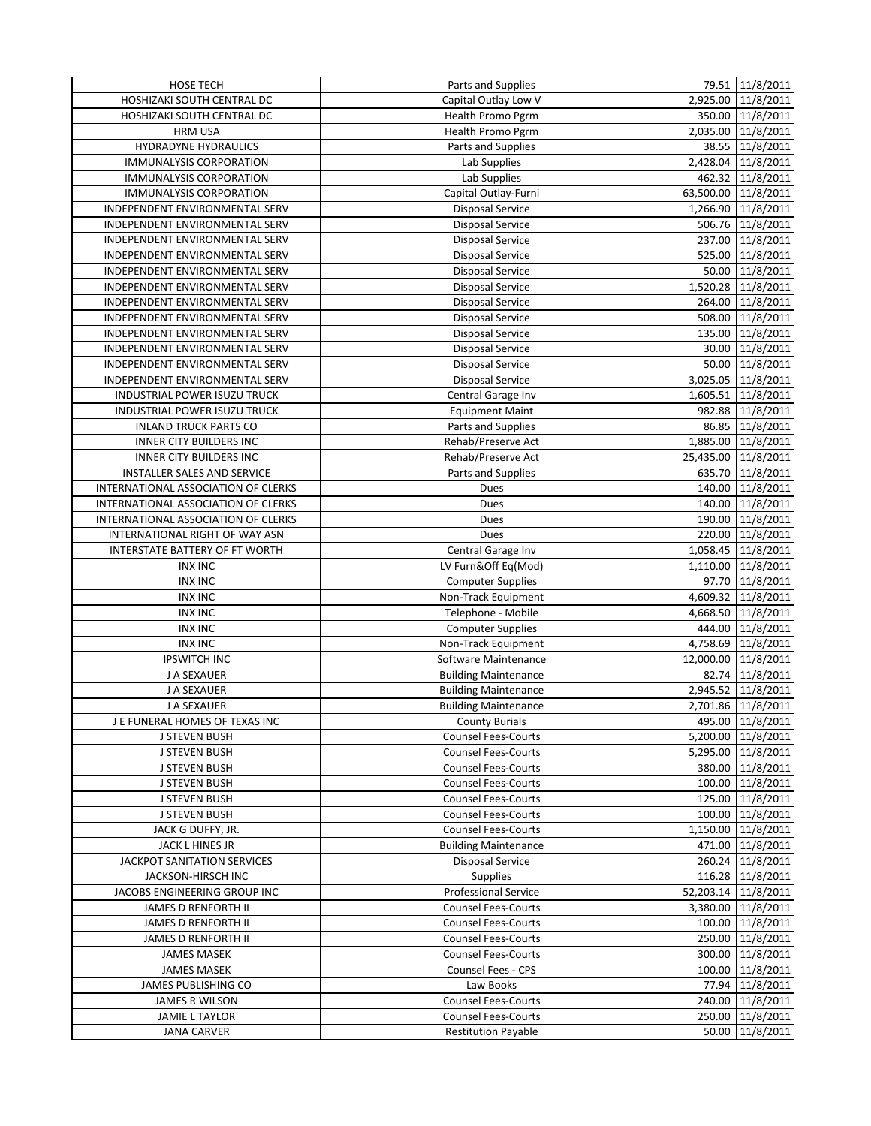| <b>HOSE TECH</b>                    | Parts and Supplies          | 79.51 11/8/2011     |
|-------------------------------------|-----------------------------|---------------------|
| HOSHIZAKI SOUTH CENTRAL DC          | Capital Outlay Low V        | 2,925.00 11/8/2011  |
| HOSHIZAKI SOUTH CENTRAL DC          | Health Promo Pgrm           | 350.00 11/8/2011    |
| <b>HRM USA</b>                      | Health Promo Pgrm           | 2,035.00 11/8/2011  |
| HYDRADYNE HYDRAULICS                | Parts and Supplies          | 38.55 11/8/2011     |
| <b>IMMUNALYSIS CORPORATION</b>      | Lab Supplies                | 2,428.04 11/8/2011  |
| <b>IMMUNALYSIS CORPORATION</b>      | Lab Supplies                | 462.32 11/8/2011    |
| <b>IMMUNALYSIS CORPORATION</b>      | Capital Outlay-Furni        | 63,500.00 11/8/2011 |
| INDEPENDENT ENVIRONMENTAL SERV      | <b>Disposal Service</b>     | 1,266.90 11/8/2011  |
| INDEPENDENT ENVIRONMENTAL SERV      | <b>Disposal Service</b>     | 506.76 11/8/2011    |
| INDEPENDENT ENVIRONMENTAL SERV      | <b>Disposal Service</b>     | 237.00 11/8/2011    |
| INDEPENDENT ENVIRONMENTAL SERV      | Disposal Service            | 525.00 11/8/2011    |
| INDEPENDENT ENVIRONMENTAL SERV      | <b>Disposal Service</b>     | 50.00 11/8/2011     |
| INDEPENDENT ENVIRONMENTAL SERV      | <b>Disposal Service</b>     | 1,520.28 11/8/2011  |
| INDEPENDENT ENVIRONMENTAL SERV      | <b>Disposal Service</b>     | 264.00 11/8/2011    |
| INDEPENDENT ENVIRONMENTAL SERV      | <b>Disposal Service</b>     | 508.00 11/8/2011    |
| INDEPENDENT ENVIRONMENTAL SERV      | <b>Disposal Service</b>     | 135.00 11/8/2011    |
| INDEPENDENT ENVIRONMENTAL SERV      | <b>Disposal Service</b>     | 30.00 11/8/2011     |
| INDEPENDENT ENVIRONMENTAL SERV      | <b>Disposal Service</b>     | 50.00 11/8/2011     |
| INDEPENDENT ENVIRONMENTAL SERV      | <b>Disposal Service</b>     | 3,025.05 11/8/2011  |
| <b>INDUSTRIAL POWER ISUZU TRUCK</b> | Central Garage Inv          | 1,605.51 11/8/2011  |
| INDUSTRIAL POWER ISUZU TRUCK        | <b>Equipment Maint</b>      | 982.88 11/8/2011    |
| <b>INLAND TRUCK PARTS CO</b>        | Parts and Supplies          | 86.85 11/8/2011     |
| <b>INNER CITY BUILDERS INC</b>      | Rehab/Preserve Act          | 1,885.00 11/8/2011  |
| <b>INNER CITY BUILDERS INC</b>      | Rehab/Preserve Act          | 25,435.00 11/8/2011 |
| <b>INSTALLER SALES AND SERVICE</b>  | Parts and Supplies          | 635.70 11/8/2011    |
| INTERNATIONAL ASSOCIATION OF CLERKS | Dues                        | 140.00 11/8/2011    |
| INTERNATIONAL ASSOCIATION OF CLERKS | Dues                        | 140.00 11/8/2011    |
| INTERNATIONAL ASSOCIATION OF CLERKS | Dues                        | 190.00 11/8/2011    |
| INTERNATIONAL RIGHT OF WAY ASN      | Dues                        | 220.00 11/8/2011    |
| INTERSTATE BATTERY OF FT WORTH      | Central Garage Inv          | 1,058.45 11/8/2011  |
| <b>INX INC</b>                      | LV Furn&Off Eq(Mod)         | 1,110.00 11/8/2011  |
| <b>INX INC</b>                      | <b>Computer Supplies</b>    | 97.70 11/8/2011     |
| <b>INX INC</b>                      | Non-Track Equipment         | 4,609.32 11/8/2011  |
| <b>INX INC</b>                      | Telephone - Mobile          | 4,668.50 11/8/2011  |
| <b>INX INC</b>                      | <b>Computer Supplies</b>    | 444.00 11/8/2011    |
| <b>INX INC</b>                      | Non-Track Equipment         | 4,758.69 11/8/2011  |
| <b>IPSWITCH INC</b>                 | Software Maintenance        | 12,000.00 11/8/2011 |
| J A SEXAUER                         | <b>Building Maintenance</b> | 82.74 11/8/2011     |
| J A SEXAUER                         | <b>Building Maintenance</b> | 2,945.52 11/8/2011  |
| J A SEXAUER                         | <b>Building Maintenance</b> | 2,701.86 11/8/2011  |
| J E FUNERAL HOMES OF TEXAS INC      | <b>County Burials</b>       | 495.00 11/8/2011    |
| <b>J STEVEN BUSH</b>                | <b>Counsel Fees-Courts</b>  | 5,200.00 11/8/2011  |
| J STEVEN BUSH                       | <b>Counsel Fees-Courts</b>  | 5,295.00 11/8/2011  |
| <b>J STEVEN BUSH</b>                | <b>Counsel Fees-Courts</b>  | 380.00 11/8/2011    |
| <b>J STEVEN BUSH</b>                | <b>Counsel Fees-Courts</b>  | 100.00 11/8/2011    |
| <b>J STEVEN BUSH</b>                | <b>Counsel Fees-Courts</b>  | 125.00 11/8/2011    |
| <b>J STEVEN BUSH</b>                | <b>Counsel Fees-Courts</b>  | 100.00 11/8/2011    |
| JACK G DUFFY, JR.                   | <b>Counsel Fees-Courts</b>  | 1,150.00 11/8/2011  |
| JACK L HINES JR                     | <b>Building Maintenance</b> | 471.00 11/8/2011    |
| <b>JACKPOT SANITATION SERVICES</b>  | <b>Disposal Service</b>     | 260.24 11/8/2011    |
| JACKSON-HIRSCH INC                  | <b>Supplies</b>             | 116.28 11/8/2011    |
| JACOBS ENGINEERING GROUP INC        | <b>Professional Service</b> | 52,203.14 11/8/2011 |
| <b>JAMES D RENFORTH II</b>          | <b>Counsel Fees-Courts</b>  | 3,380.00 11/8/2011  |
| <b>JAMES D RENFORTH II</b>          | <b>Counsel Fees-Courts</b>  | 100.00 11/8/2011    |
| JAMES D RENFORTH II                 | <b>Counsel Fees-Courts</b>  | 250.00 11/8/2011    |
| <b>JAMES MASEK</b>                  | <b>Counsel Fees-Courts</b>  | 300.00 11/8/2011    |
| <b>JAMES MASEK</b>                  | Counsel Fees - CPS          | 100.00 11/8/2011    |
| JAMES PUBLISHING CO                 | Law Books                   | 77.94 11/8/2011     |
| <b>JAMES R WILSON</b>               | <b>Counsel Fees-Courts</b>  | 240.00 11/8/2011    |
| <b>JAMIE L TAYLOR</b>               | <b>Counsel Fees-Courts</b>  | 250.00 11/8/2011    |
| <b>JANA CARVER</b>                  | <b>Restitution Payable</b>  | 50.00 11/8/2011     |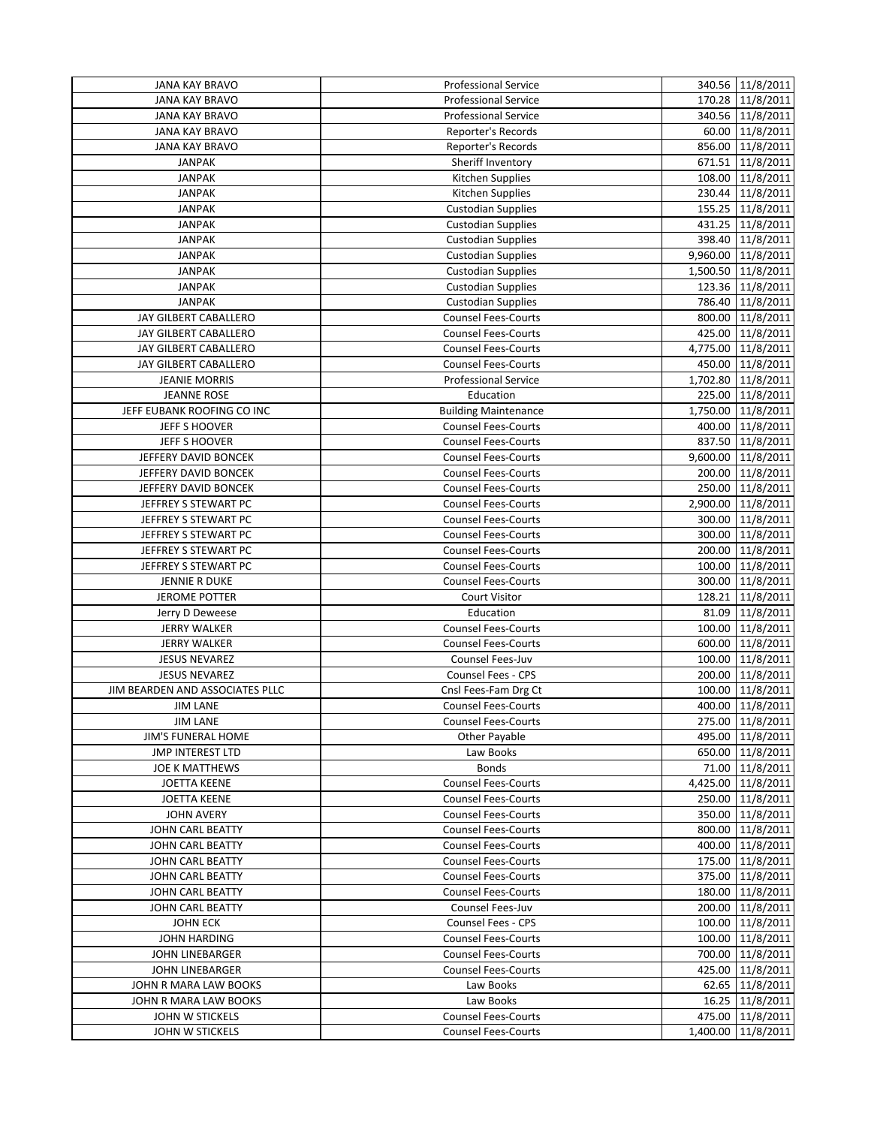| <b>JANA KAY BRAVO</b>           | <b>Professional Service</b>                              | 340.56 11/8/2011   |
|---------------------------------|----------------------------------------------------------|--------------------|
| <b>JANA KAY BRAVO</b>           | <b>Professional Service</b>                              | 170.28 11/8/2011   |
| <b>JANA KAY BRAVO</b>           | <b>Professional Service</b>                              | 340.56 11/8/2011   |
| <b>JANA KAY BRAVO</b>           | Reporter's Records                                       | 60.00 11/8/2011    |
| <b>JANA KAY BRAVO</b>           | Reporter's Records                                       | 856.00 11/8/2011   |
| <b>JANPAK</b>                   | Sheriff Inventory                                        | 671.51 11/8/2011   |
| <b>JANPAK</b>                   | Kitchen Supplies                                         | 108.00 11/8/2011   |
| <b>JANPAK</b>                   | Kitchen Supplies                                         | 230.44 11/8/2011   |
| <b>JANPAK</b>                   | <b>Custodian Supplies</b>                                | 155.25 11/8/2011   |
| <b>JANPAK</b>                   | <b>Custodian Supplies</b>                                | 431.25 11/8/2011   |
| <b>JANPAK</b>                   | <b>Custodian Supplies</b>                                | 398.40 11/8/2011   |
| <b>JANPAK</b>                   | <b>Custodian Supplies</b>                                | 9,960.00 11/8/2011 |
| <b>JANPAK</b>                   | <b>Custodian Supplies</b>                                | 1,500.50 11/8/2011 |
| <b>JANPAK</b>                   | <b>Custodian Supplies</b>                                | 123.36 11/8/2011   |
| <b>JANPAK</b>                   | <b>Custodian Supplies</b>                                | 786.40 11/8/2011   |
| JAY GILBERT CABALLERO           | <b>Counsel Fees-Courts</b>                               | 800.00 11/8/2011   |
| JAY GILBERT CABALLERO           | <b>Counsel Fees-Courts</b>                               | 425.00 11/8/2011   |
| JAY GILBERT CABALLERO           | Counsel Fees-Courts                                      | 4,775.00 11/8/2011 |
| JAY GILBERT CABALLERO           | <b>Counsel Fees-Courts</b>                               | 450.00 11/8/2011   |
| <b>JEANIE MORRIS</b>            | Professional Service                                     | 1,702.80 11/8/2011 |
| <b>JEANNE ROSE</b>              | Education                                                | 225.00 11/8/2011   |
| JEFF EUBANK ROOFING CO INC      | <b>Building Maintenance</b>                              | 1,750.00 11/8/2011 |
| JEFF S HOOVER                   | <b>Counsel Fees-Courts</b>                               | 400.00 11/8/2011   |
| JEFF S HOOVER                   | <b>Counsel Fees-Courts</b>                               | 837.50 11/8/2011   |
| JEFFERY DAVID BONCEK            | <b>Counsel Fees-Courts</b>                               | 9,600.00 11/8/2011 |
| JEFFERY DAVID BONCEK            | <b>Counsel Fees-Courts</b>                               | 200.00 11/8/2011   |
| JEFFERY DAVID BONCEK            | <b>Counsel Fees-Courts</b>                               | 250.00 11/8/2011   |
| JEFFREY S STEWART PC            | <b>Counsel Fees-Courts</b>                               | 2,900.00 11/8/2011 |
| JEFFREY S STEWART PC            | <b>Counsel Fees-Courts</b>                               | 300.00 11/8/2011   |
| JEFFREY S STEWART PC            |                                                          | 300.00 11/8/2011   |
| JEFFREY S STEWART PC            | <b>Counsel Fees-Courts</b><br><b>Counsel Fees-Courts</b> | 200.00 11/8/2011   |
| JEFFREY S STEWART PC            | <b>Counsel Fees-Courts</b>                               | 100.00 11/8/2011   |
|                                 | <b>Counsel Fees-Courts</b>                               |                    |
| JENNIE R DUKE                   | Court Visitor                                            | 300.00 11/8/2011   |
| <b>JEROME POTTER</b>            | Education                                                | 128.21 11/8/2011   |
| Jerry D Deweese                 |                                                          | 81.09 11/8/2011    |
| <b>JERRY WALKER</b>             | <b>Counsel Fees-Courts</b>                               | 100.00 11/8/2011   |
| <b>JERRY WALKER</b>             | <b>Counsel Fees-Courts</b>                               | 600.00 11/8/2011   |
| <b>JESUS NEVAREZ</b>            | Counsel Fees-Juv                                         | 100.00 11/8/2011   |
| <b>JESUS NEVAREZ</b>            | Counsel Fees - CPS                                       | 200.00 11/8/2011   |
| JIM BEARDEN AND ASSOCIATES PLLC | Cnsl Fees-Fam Drg Ct                                     | 100.00 11/8/2011   |
| <b>JIM LANE</b>                 | <b>Counsel Fees-Courts</b>                               | 400.00 11/8/2011   |
| <b>JIM LANE</b>                 | <b>Counsel Fees-Courts</b>                               | 275.00 11/8/2011   |
| <b>JIM'S FUNERAL HOME</b>       | Other Payable                                            | 495.00 11/8/2011   |
| <b>JMP INTEREST LTD</b>         | Law Books                                                | 650.00 11/8/2011   |
| <b>JOE K MATTHEWS</b>           | <b>Bonds</b>                                             | 71.00 11/8/2011    |
| <b>JOETTA KEENE</b>             | <b>Counsel Fees-Courts</b>                               | 4,425.00 11/8/2011 |
| <b>JOETTA KEENE</b>             | <b>Counsel Fees-Courts</b>                               | 250.00 11/8/2011   |
| <b>JOHN AVERY</b>               | <b>Counsel Fees-Courts</b>                               | 350.00 11/8/2011   |
| JOHN CARL BEATTY                | <b>Counsel Fees-Courts</b>                               | 800.00 11/8/2011   |
| JOHN CARL BEATTY                | <b>Counsel Fees-Courts</b>                               | 400.00 11/8/2011   |
| JOHN CARL BEATTY                | <b>Counsel Fees-Courts</b>                               | 175.00 11/8/2011   |
| JOHN CARL BEATTY                | <b>Counsel Fees-Courts</b>                               | 375.00 11/8/2011   |
| JOHN CARL BEATTY                | <b>Counsel Fees-Courts</b>                               | 180.00 11/8/2011   |
| JOHN CARL BEATTY                | Counsel Fees-Juv                                         | 200.00 11/8/2011   |
| <b>JOHN ECK</b>                 | Counsel Fees - CPS                                       | 100.00 11/8/2011   |
| <b>JOHN HARDING</b>             | <b>Counsel Fees-Courts</b>                               | 100.00 11/8/2011   |
| JOHN LINEBARGER                 | <b>Counsel Fees-Courts</b>                               | 700.00 11/8/2011   |
| JOHN LINEBARGER                 | <b>Counsel Fees-Courts</b>                               | 425.00 11/8/2011   |
| JOHN R MARA LAW BOOKS           | Law Books                                                | 62.65 11/8/2011    |
| JOHN R MARA LAW BOOKS           | Law Books                                                | 16.25 11/8/2011    |
| JOHN W STICKELS                 | <b>Counsel Fees-Courts</b>                               | 475.00 11/8/2011   |
| <b>JOHN W STICKELS</b>          | <b>Counsel Fees-Courts</b>                               | 1,400.00 11/8/2011 |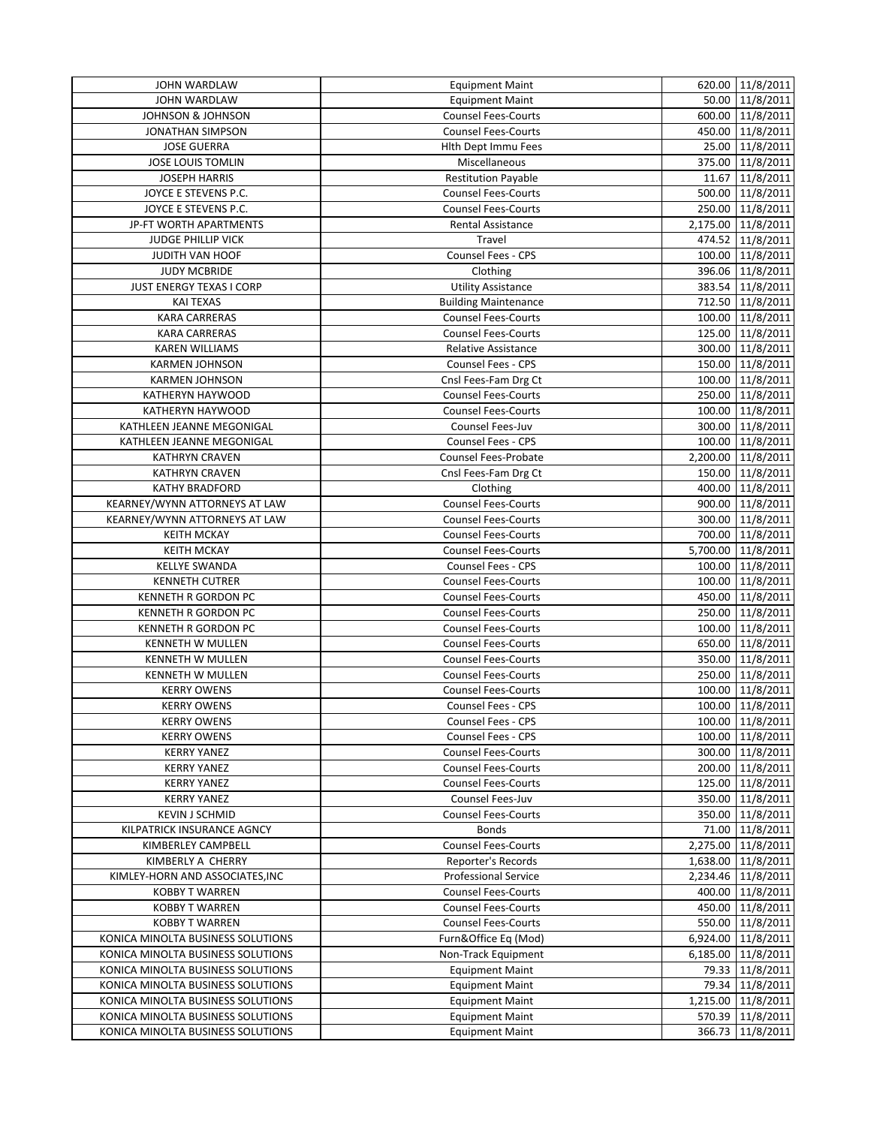| JOHN WARDLAW                      | <b>Equipment Maint</b>      | 620.00 11/8/2011   |
|-----------------------------------|-----------------------------|--------------------|
| <b>JOHN WARDLAW</b>               | <b>Equipment Maint</b>      | 50.00 11/8/2011    |
| <b>JOHNSON &amp; JOHNSON</b>      | <b>Counsel Fees-Courts</b>  | 600.00 11/8/2011   |
| <b>JONATHAN SIMPSON</b>           | <b>Counsel Fees-Courts</b>  | 450.00 11/8/2011   |
| <b>JOSE GUERRA</b>                | Hith Dept Immu Fees         | 25.00 11/8/2011    |
| <b>JOSE LOUIS TOMLIN</b>          | Miscellaneous               | 375.00 11/8/2011   |
| <b>JOSEPH HARRIS</b>              | <b>Restitution Payable</b>  | 11.67 11/8/2011    |
| JOYCE E STEVENS P.C.              | <b>Counsel Fees-Courts</b>  | 500.00 11/8/2011   |
| JOYCE E STEVENS P.C.              | <b>Counsel Fees-Courts</b>  | 250.00 11/8/2011   |
| JP-FT WORTH APARTMENTS            | Rental Assistance           | 2,175.00 11/8/2011 |
| <b>JUDGE PHILLIP VICK</b>         | Travel                      | 474.52 11/8/2011   |
| JUDITH VAN HOOF                   | Counsel Fees - CPS          | 100.00 11/8/2011   |
| <b>JUDY MCBRIDE</b>               | Clothing                    | 396.06 11/8/2011   |
| JUST ENERGY TEXAS I CORP          | <b>Utility Assistance</b>   | 383.54 11/8/2011   |
| <b>KAI TEXAS</b>                  | <b>Building Maintenance</b> | 712.50 11/8/2011   |
| <b>KARA CARRERAS</b>              | <b>Counsel Fees-Courts</b>  | 100.00 11/8/2011   |
| <b>KARA CARRERAS</b>              | <b>Counsel Fees-Courts</b>  | 125.00 11/8/2011   |
| <b>KAREN WILLIAMS</b>             | <b>Relative Assistance</b>  | 300.00 11/8/2011   |
| <b>KARMEN JOHNSON</b>             | Counsel Fees - CPS          | 150.00 11/8/2011   |
| <b>KARMEN JOHNSON</b>             | Cnsl Fees-Fam Drg Ct        | 100.00 11/8/2011   |
| KATHERYN HAYWOOD                  | <b>Counsel Fees-Courts</b>  | 250.00 11/8/2011   |
| KATHERYN HAYWOOD                  | <b>Counsel Fees-Courts</b>  | 100.00 11/8/2011   |
| KATHLEEN JEANNE MEGONIGAL         | Counsel Fees-Juv            | 300.00 11/8/2011   |
| KATHLEEN JEANNE MEGONIGAL         | <b>Counsel Fees - CPS</b>   | 100.00 11/8/2011   |
|                                   |                             | 2,200.00 11/8/2011 |
| <b>KATHRYN CRAVEN</b>             | <b>Counsel Fees-Probate</b> |                    |
| <b>KATHRYN CRAVEN</b>             | Cnsl Fees-Fam Drg Ct        | 150.00 11/8/2011   |
| <b>KATHY BRADFORD</b>             | Clothing                    | 400.00 11/8/2011   |
| KEARNEY/WYNN ATTORNEYS AT LAW     | <b>Counsel Fees-Courts</b>  | 900.00 11/8/2011   |
| KEARNEY/WYNN ATTORNEYS AT LAW     | <b>Counsel Fees-Courts</b>  | 300.00 11/8/2011   |
| <b>KEITH MCKAY</b>                | <b>Counsel Fees-Courts</b>  | 700.00 11/8/2011   |
| <b>KEITH MCKAY</b>                | <b>Counsel Fees-Courts</b>  | 5,700.00 11/8/2011 |
| <b>KELLYE SWANDA</b>              | <b>Counsel Fees - CPS</b>   | 100.00 11/8/2011   |
| <b>KENNETH CUTRER</b>             | <b>Counsel Fees-Courts</b>  | 100.00 11/8/2011   |
| <b>KENNETH R GORDON PC</b>        | Counsel Fees-Courts         | 450.00 11/8/2011   |
| <b>KENNETH R GORDON PC</b>        | Counsel Fees-Courts         | 250.00 11/8/2011   |
| KENNETH R GORDON PC               | <b>Counsel Fees-Courts</b>  | 100.00 11/8/2011   |
| <b>KENNETH W MULLEN</b>           | <b>Counsel Fees-Courts</b>  | 650.00 11/8/2011   |
| KENNETH W MULLEN                  | <b>Counsel Fees-Courts</b>  | 350.00 11/8/2011   |
| KENNETH W MULLEN                  | <b>Counsel Fees-Courts</b>  | 250.00 11/8/2011   |
| <b>KERRY OWENS</b>                | <b>Counsel Fees-Courts</b>  | 100.00 11/8/2011   |
| <b>KERRY OWENS</b>                | <b>Counsel Fees - CPS</b>   | 100.00 11/8/2011   |
| <b>KERRY OWENS</b>                | Counsel Fees - CPS          | 100.00 11/8/2011   |
| <b>KERRY OWENS</b>                | Counsel Fees - CPS          | 100.00 11/8/2011   |
| <b>KERRY YANEZ</b>                | <b>Counsel Fees-Courts</b>  | 300.00 11/8/2011   |
| <b>KERRY YANEZ</b>                | <b>Counsel Fees-Courts</b>  | 200.00 11/8/2011   |
| <b>KERRY YANEZ</b>                | <b>Counsel Fees-Courts</b>  | 125.00 11/8/2011   |
| <b>KERRY YANEZ</b>                | Counsel Fees-Juv            | 350.00 11/8/2011   |
| <b>KEVIN J SCHMID</b>             | <b>Counsel Fees-Courts</b>  | 350.00 11/8/2011   |
| KILPATRICK INSURANCE AGNCY        | <b>Bonds</b>                | 71.00 11/8/2011    |
| KIMBERLEY CAMPBELL                | <b>Counsel Fees-Courts</b>  | 2,275.00 11/8/2011 |
| KIMBERLY A CHERRY                 | Reporter's Records          | 1,638.00 11/8/2011 |
| KIMLEY-HORN AND ASSOCIATES, INC   | <b>Professional Service</b> | 2,234.46 11/8/2011 |
| <b>KOBBY T WARREN</b>             | <b>Counsel Fees-Courts</b>  | 400.00 11/8/2011   |
| <b>KOBBY T WARREN</b>             | <b>Counsel Fees-Courts</b>  | 450.00 11/8/2011   |
| <b>KOBBY T WARREN</b>             | <b>Counsel Fees-Courts</b>  | 550.00 11/8/2011   |
| KONICA MINOLTA BUSINESS SOLUTIONS | Furn&Office Eq (Mod)        | 6,924.00 11/8/2011 |
| KONICA MINOLTA BUSINESS SOLUTIONS | Non-Track Equipment         | 6,185.00 11/8/2011 |
| KONICA MINOLTA BUSINESS SOLUTIONS | <b>Equipment Maint</b>      | 79.33 11/8/2011    |
| KONICA MINOLTA BUSINESS SOLUTIONS | <b>Equipment Maint</b>      | 79.34 11/8/2011    |
| KONICA MINOLTA BUSINESS SOLUTIONS | <b>Equipment Maint</b>      | 1,215.00 11/8/2011 |
| KONICA MINOLTA BUSINESS SOLUTIONS | <b>Equipment Maint</b>      | 570.39 11/8/2011   |
| KONICA MINOLTA BUSINESS SOLUTIONS |                             |                    |
|                                   | <b>Equipment Maint</b>      | 366.73 11/8/2011   |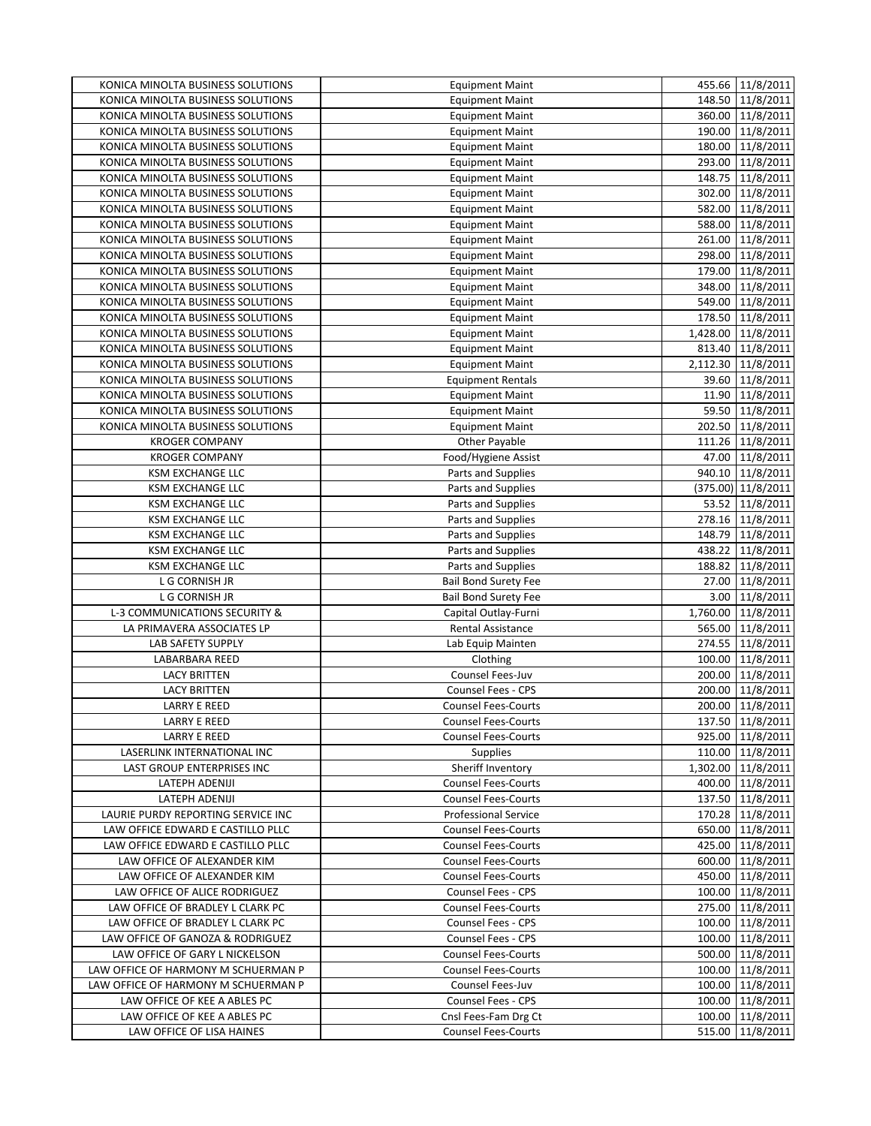| KONICA MINOLTA BUSINESS SOLUTIONS   | <b>Equipment Maint</b>      | 455.66 11/8/2011    |
|-------------------------------------|-----------------------------|---------------------|
| KONICA MINOLTA BUSINESS SOLUTIONS   | <b>Equipment Maint</b>      | 148.50 11/8/2011    |
| KONICA MINOLTA BUSINESS SOLUTIONS   | <b>Equipment Maint</b>      | 360.00 11/8/2011    |
| KONICA MINOLTA BUSINESS SOLUTIONS   | <b>Equipment Maint</b>      | 190.00 11/8/2011    |
| KONICA MINOLTA BUSINESS SOLUTIONS   | <b>Equipment Maint</b>      | 180.00 11/8/2011    |
| KONICA MINOLTA BUSINESS SOLUTIONS   | <b>Equipment Maint</b>      | 293.00 11/8/2011    |
| KONICA MINOLTA BUSINESS SOLUTIONS   | <b>Equipment Maint</b>      | 11/8/2011<br>148.75 |
| KONICA MINOLTA BUSINESS SOLUTIONS   | <b>Equipment Maint</b>      | 302.00 11/8/2011    |
| KONICA MINOLTA BUSINESS SOLUTIONS   | <b>Equipment Maint</b>      | 582.00 11/8/2011    |
| KONICA MINOLTA BUSINESS SOLUTIONS   | <b>Equipment Maint</b>      | 588.00 11/8/2011    |
| KONICA MINOLTA BUSINESS SOLUTIONS   | <b>Equipment Maint</b>      | 261.00 11/8/2011    |
| KONICA MINOLTA BUSINESS SOLUTIONS   | <b>Equipment Maint</b>      | 298.00 11/8/2011    |
| KONICA MINOLTA BUSINESS SOLUTIONS   | <b>Equipment Maint</b>      | 179.00 11/8/2011    |
| KONICA MINOLTA BUSINESS SOLUTIONS   | <b>Equipment Maint</b>      | 348.00 11/8/2011    |
| KONICA MINOLTA BUSINESS SOLUTIONS   | <b>Equipment Maint</b>      | 549.00 11/8/2011    |
| KONICA MINOLTA BUSINESS SOLUTIONS   | <b>Equipment Maint</b>      | 178.50 11/8/2011    |
| KONICA MINOLTA BUSINESS SOLUTIONS   | <b>Equipment Maint</b>      | 1,428.00 11/8/2011  |
| KONICA MINOLTA BUSINESS SOLUTIONS   | <b>Equipment Maint</b>      | 813.40 11/8/2011    |
| KONICA MINOLTA BUSINESS SOLUTIONS   | <b>Equipment Maint</b>      | 2,112.30 11/8/2011  |
| KONICA MINOLTA BUSINESS SOLUTIONS   | <b>Equipment Rentals</b>    | 39.60 11/8/2011     |
| KONICA MINOLTA BUSINESS SOLUTIONS   | <b>Equipment Maint</b>      | 11.90 11/8/2011     |
| KONICA MINOLTA BUSINESS SOLUTIONS   | <b>Equipment Maint</b>      | 59.50 11/8/2011     |
| KONICA MINOLTA BUSINESS SOLUTIONS   | <b>Equipment Maint</b>      | 202.50 11/8/2011    |
| <b>KROGER COMPANY</b>               | Other Payable               | 111.26 11/8/2011    |
| <b>KROGER COMPANY</b>               | Food/Hygiene Assist         | 47.00 11/8/2011     |
| <b>KSM EXCHANGE LLC</b>             | Parts and Supplies          | 940.10 11/8/2011    |
| <b>KSM EXCHANGE LLC</b>             | Parts and Supplies          | (375.00) 11/8/2011  |
| <b>KSM EXCHANGE LLC</b>             | Parts and Supplies          | 53.52 11/8/2011     |
| <b>KSM EXCHANGE LLC</b>             | Parts and Supplies          | 278.16 11/8/2011    |
| <b>KSM EXCHANGE LLC</b>             | Parts and Supplies          | 148.79 11/8/2011    |
| <b>KSM EXCHANGE LLC</b>             | Parts and Supplies          | 438.22 11/8/2011    |
| <b>KSM EXCHANGE LLC</b>             | Parts and Supplies          | 188.82 11/8/2011    |
| L G CORNISH JR                      | <b>Bail Bond Surety Fee</b> | 27.00 11/8/2011     |
| L G CORNISH JR                      | Bail Bond Surety Fee        | 3.00 11/8/2011      |
| L-3 COMMUNICATIONS SECURITY &       | Capital Outlay-Furni        | 1,760.00 11/8/2011  |
| LA PRIMAVERA ASSOCIATES LP          | Rental Assistance           | 565.00 11/8/2011    |
| <b>LAB SAFETY SUPPLY</b>            | Lab Equip Mainten           | 11/8/2011<br>274.55 |
| LABARBARA REED                      | Clothing                    | 100.00 11/8/2011    |
| <b>LACY BRITTEN</b>                 | Counsel Fees-Juv            | 11/8/2011<br>200.00 |
| <b>LACY BRITTEN</b>                 | <b>Counsel Fees - CPS</b>   | 200.00<br>11/8/2011 |
| <b>LARRY E REED</b>                 | <b>Counsel Fees-Courts</b>  | 11/8/2011<br>200.00 |
| <b>LARRY E REED</b>                 | <b>Counsel Fees-Courts</b>  | 137.50 11/8/2011    |
| <b>LARRY E REED</b>                 | <b>Counsel Fees-Courts</b>  | 925.00 11/8/2011    |
| LASERLINK INTERNATIONAL INC         | <b>Supplies</b>             | 110.00 11/8/2011    |
| LAST GROUP ENTERPRISES INC          | Sheriff Inventory           | 1,302.00 11/8/2011  |
| LATEPH ADENIJI                      | <b>Counsel Fees-Courts</b>  | 400.00 11/8/2011    |
| LATEPH ADENIJI                      | <b>Counsel Fees-Courts</b>  | 137.50 11/8/2011    |
| LAURIE PURDY REPORTING SERVICE INC  | <b>Professional Service</b> | 170.28 11/8/2011    |
| LAW OFFICE EDWARD E CASTILLO PLLC   | <b>Counsel Fees-Courts</b>  | 650.00 11/8/2011    |
| LAW OFFICE EDWARD E CASTILLO PLLC   | <b>Counsel Fees-Courts</b>  | 425.00 11/8/2011    |
| LAW OFFICE OF ALEXANDER KIM         | <b>Counsel Fees-Courts</b>  | 600.00 11/8/2011    |
| LAW OFFICE OF ALEXANDER KIM         | <b>Counsel Fees-Courts</b>  | 450.00 11/8/2011    |
| LAW OFFICE OF ALICE RODRIGUEZ       | Counsel Fees - CPS          | 100.00 11/8/2011    |
| LAW OFFICE OF BRADLEY L CLARK PC    | <b>Counsel Fees-Courts</b>  | 275.00 11/8/2011    |
| LAW OFFICE OF BRADLEY L CLARK PC    | Counsel Fees - CPS          | 100.00 11/8/2011    |
| LAW OFFICE OF GANOZA & RODRIGUEZ    | Counsel Fees - CPS          | 100.00 11/8/2011    |
| LAW OFFICE OF GARY L NICKELSON      | <b>Counsel Fees-Courts</b>  | 500.00 11/8/2011    |
| LAW OFFICE OF HARMONY M SCHUERMAN P | <b>Counsel Fees-Courts</b>  | 100.00 11/8/2011    |
| LAW OFFICE OF HARMONY M SCHUERMAN P | Counsel Fees-Juv            | 100.00 11/8/2011    |
| LAW OFFICE OF KEE A ABLES PC        | Counsel Fees - CPS          | 100.00 11/8/2011    |
| LAW OFFICE OF KEE A ABLES PC        | Cnsl Fees-Fam Drg Ct        | 100.00 11/8/2011    |
| LAW OFFICE OF LISA HAINES           | <b>Counsel Fees-Courts</b>  | 515.00 11/8/2011    |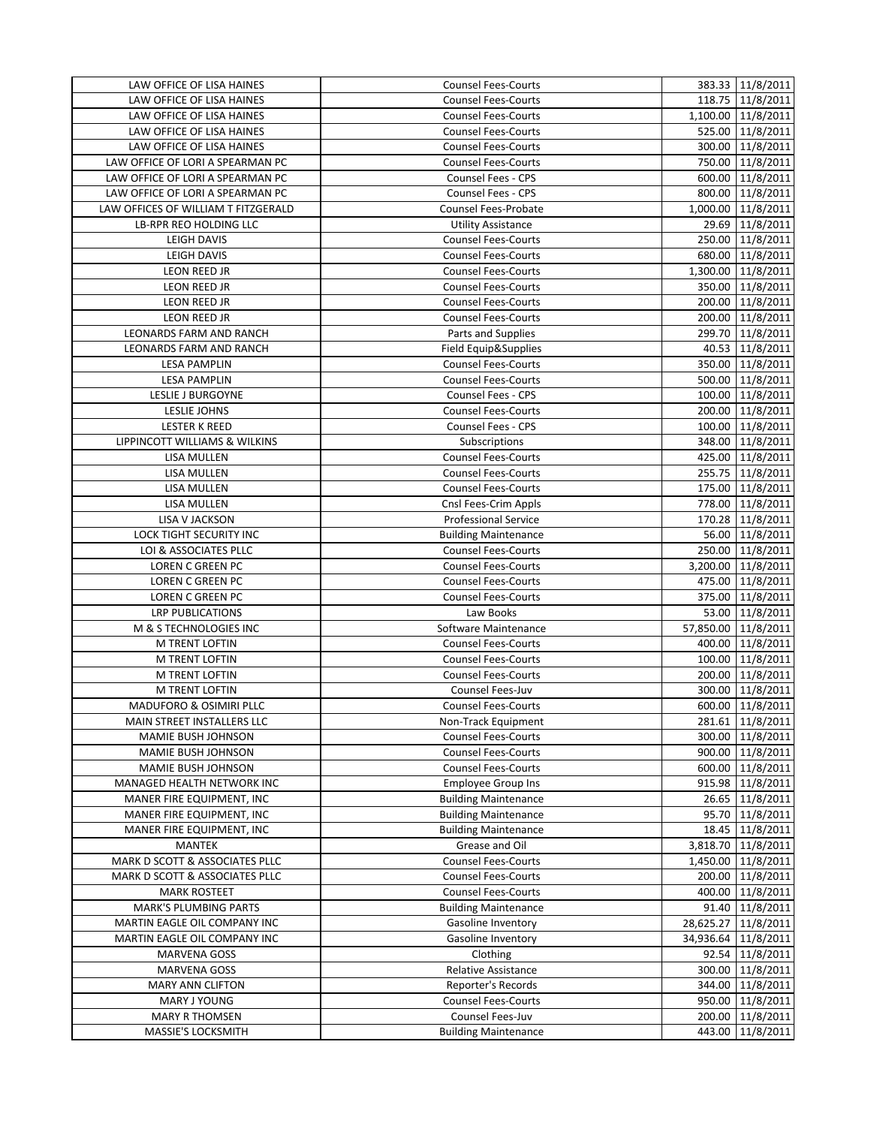| LAW OFFICE OF LISA HAINES           | <b>Counsel Fees-Courts</b>  | 383.33 11/8/2011                     |
|-------------------------------------|-----------------------------|--------------------------------------|
| LAW OFFICE OF LISA HAINES           | <b>Counsel Fees-Courts</b>  | 118.75 11/8/2011                     |
| LAW OFFICE OF LISA HAINES           | <b>Counsel Fees-Courts</b>  | 1,100.00 11/8/2011                   |
| LAW OFFICE OF LISA HAINES           | <b>Counsel Fees-Courts</b>  | 525.00 11/8/2011                     |
| LAW OFFICE OF LISA HAINES           | <b>Counsel Fees-Courts</b>  | 300.00 11/8/2011                     |
| LAW OFFICE OF LORI A SPEARMAN PC    | <b>Counsel Fees-Courts</b>  | 750.00 11/8/2011                     |
| LAW OFFICE OF LORI A SPEARMAN PC    | Counsel Fees - CPS          | 600.00 11/8/2011                     |
| LAW OFFICE OF LORI A SPEARMAN PC    | Counsel Fees - CPS          | 800.00 11/8/2011                     |
| LAW OFFICES OF WILLIAM T FITZGERALD | Counsel Fees-Probate        | 1,000.00 11/8/2011                   |
| LB-RPR REO HOLDING LLC              | <b>Utility Assistance</b>   | 29.69 11/8/2011                      |
| <b>LEIGH DAVIS</b>                  | <b>Counsel Fees-Courts</b>  | 250.00 11/8/2011                     |
| <b>LEIGH DAVIS</b>                  | <b>Counsel Fees-Courts</b>  | 680.00 11/8/2011                     |
| <b>LEON REED JR</b>                 | <b>Counsel Fees-Courts</b>  | 1,300.00 11/8/2011                   |
| LEON REED JR                        | <b>Counsel Fees-Courts</b>  | 350.00 11/8/2011                     |
| LEON REED JR                        | <b>Counsel Fees-Courts</b>  | 200.00 11/8/2011                     |
| LEON REED JR                        | <b>Counsel Fees-Courts</b>  | 200.00 11/8/2011                     |
| LEONARDS FARM AND RANCH             | Parts and Supplies          | 299.70 11/8/2011                     |
| LEONARDS FARM AND RANCH             | Field Equip&Supplies        | 40.53 11/8/2011                      |
| <b>LESA PAMPLIN</b>                 | <b>Counsel Fees-Courts</b>  | 350.00 11/8/2011                     |
| <b>LESA PAMPLIN</b>                 | <b>Counsel Fees-Courts</b>  | 500.00 11/8/2011                     |
| LESLIE J BURGOYNE                   | Counsel Fees - CPS          | 100.00 11/8/2011                     |
| <b>LESLIE JOHNS</b>                 | <b>Counsel Fees-Courts</b>  | 200.00 11/8/2011                     |
| <b>LESTER K REED</b>                | Counsel Fees - CPS          | 100.00 11/8/2011                     |
| LIPPINCOTT WILLIAMS & WILKINS       | Subscriptions               | 348.00 11/8/2011                     |
| <b>LISA MULLEN</b>                  | <b>Counsel Fees-Courts</b>  | 425.00 11/8/2011                     |
| LISA MULLEN                         | <b>Counsel Fees-Courts</b>  | 255.75 11/8/2011                     |
| LISA MULLEN                         | Counsel Fees-Courts         | 175.00 11/8/2011                     |
| LISA MULLEN                         | Cnsl Fees-Crim Appls        | 778.00 11/8/2011                     |
| LISA V JACKSON                      | <b>Professional Service</b> | 170.28 11/8/2011                     |
| LOCK TIGHT SECURITY INC             | <b>Building Maintenance</b> | 56.00 11/8/2011                      |
| LOI & ASSOCIATES PLLC               | <b>Counsel Fees-Courts</b>  | 250.00 11/8/2011                     |
| LOREN C GREEN PC                    | <b>Counsel Fees-Courts</b>  | 3,200.00 11/8/2011                   |
| <b>LOREN C GREEN PC</b>             | <b>Counsel Fees-Courts</b>  |                                      |
| LOREN C GREEN PC                    | <b>Counsel Fees-Courts</b>  | 475.00 11/8/2011<br>375.00 11/8/2011 |
| <b>LRP PUBLICATIONS</b>             | Law Books                   |                                      |
|                                     |                             | 53.00 11/8/2011                      |
| M & S TECHNOLOGIES INC              | Software Maintenance        | 57,850.00 11/8/2011                  |
| M TRENT LOFTIN                      | <b>Counsel Fees-Courts</b>  | 400.00 11/8/2011                     |
| M TRENT LOFTIN                      | <b>Counsel Fees-Courts</b>  | 100.00 11/8/2011                     |
| M TRENT LOFTIN                      | <b>Counsel Fees-Courts</b>  | 200.00 11/8/2011                     |
| M TRENT LOFTIN                      | Counsel Fees-Juv            | 300.00 11/8/2011                     |
| <b>MADUFORO &amp; OSIMIRI PLLC</b>  | <b>Counsel Fees-Courts</b>  | 600.00 11/8/2011                     |
| MAIN STREET INSTALLERS LLC          | Non-Track Equipment         | 281.61 11/8/2011                     |
| MAMIE BUSH JOHNSON                  | <b>Counsel Fees-Courts</b>  | 300.00 11/8/2011                     |
| MAMIE BUSH JOHNSON                  | <b>Counsel Fees-Courts</b>  | 900.00 11/8/2011                     |
| MAMIE BUSH JOHNSON                  | <b>Counsel Fees-Courts</b>  | 600.00 11/8/2011                     |
| MANAGED HEALTH NETWORK INC          | <b>Employee Group Ins</b>   | 915.98 11/8/2011                     |
| MANER FIRE EQUIPMENT, INC           | <b>Building Maintenance</b> | 26.65 11/8/2011                      |
| MANER FIRE EQUIPMENT, INC           | <b>Building Maintenance</b> | 95.70 11/8/2011                      |
| MANER FIRE EQUIPMENT, INC           | <b>Building Maintenance</b> | 18.45 11/8/2011                      |
| MANTEK                              | Grease and Oil              | 3,818.70 11/8/2011                   |
| MARK D SCOTT & ASSOCIATES PLLC      | <b>Counsel Fees-Courts</b>  | 1,450.00 11/8/2011                   |
| MARK D SCOTT & ASSOCIATES PLLC      | <b>Counsel Fees-Courts</b>  | 200.00 11/8/2011                     |
| <b>MARK ROSTEET</b>                 | <b>Counsel Fees-Courts</b>  | 400.00 11/8/2011                     |
| <b>MARK'S PLUMBING PARTS</b>        | <b>Building Maintenance</b> | 91.40 11/8/2011                      |
| MARTIN EAGLE OIL COMPANY INC        | Gasoline Inventory          | 28,625.27 11/8/2011                  |
| MARTIN EAGLE OIL COMPANY INC        | Gasoline Inventory          | 34,936.64 11/8/2011                  |
| MARVENA GOSS                        | Clothing                    | 92.54 11/8/2011                      |
| MARVENA GOSS                        | <b>Relative Assistance</b>  | 300.00 11/8/2011                     |
| <b>MARY ANN CLIFTON</b>             | Reporter's Records          | 344.00 11/8/2011                     |
| MARY J YOUNG                        | <b>Counsel Fees-Courts</b>  | 950.00 11/8/2011                     |
| <b>MARY R THOMSEN</b>               | Counsel Fees-Juv            | 200.00 11/8/2011                     |
| MASSIE'S LOCKSMITH                  | <b>Building Maintenance</b> | 443.00 11/8/2011                     |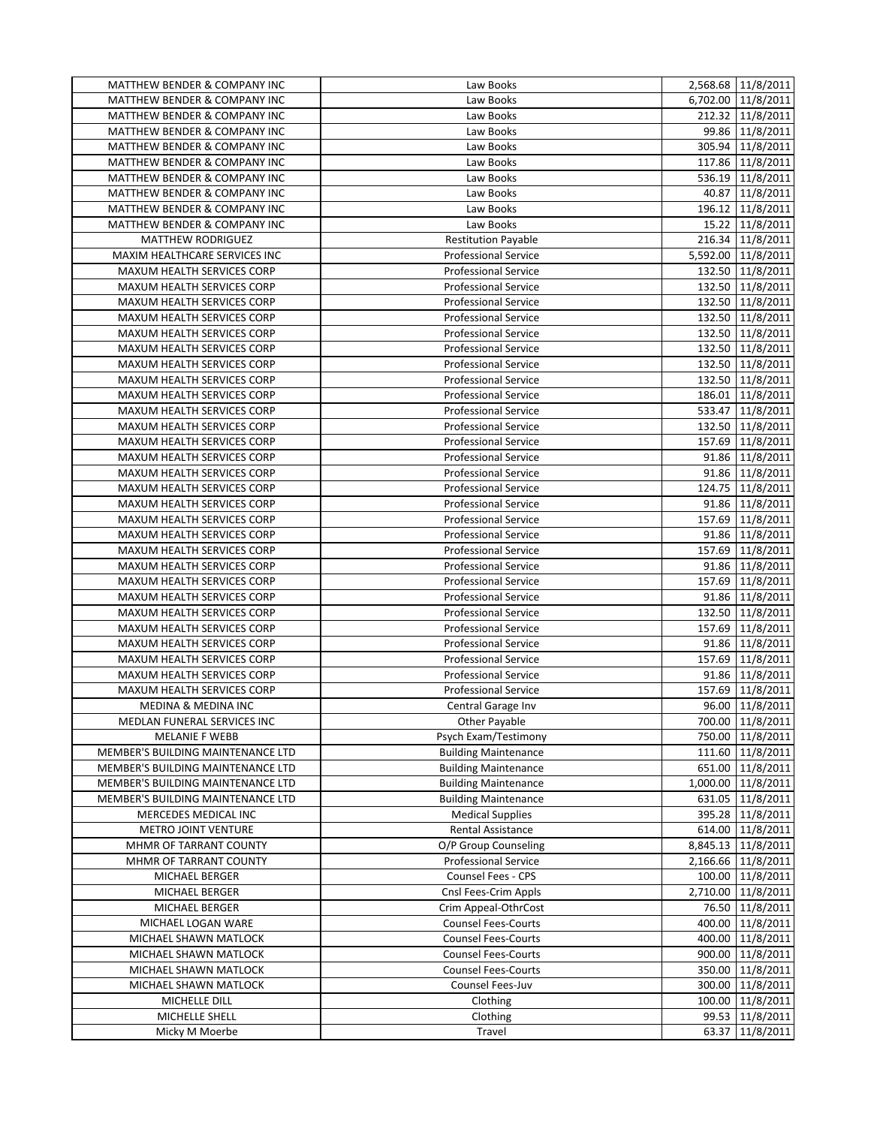| <b>MATTHEW BENDER &amp; COMPANY INC</b>                                | Law Books                                                  | 2,568.68 11/8/2011                     |
|------------------------------------------------------------------------|------------------------------------------------------------|----------------------------------------|
| <b>MATTHEW BENDER &amp; COMPANY INC</b>                                | Law Books                                                  | 6,702.00 11/8/2011                     |
| MATTHEW BENDER & COMPANY INC                                           | Law Books                                                  | 212.32 11/8/2011                       |
| MATTHEW BENDER & COMPANY INC                                           | Law Books                                                  | 99.86 11/8/2011                        |
| MATTHEW BENDER & COMPANY INC                                           | Law Books                                                  | 305.94 11/8/2011                       |
| MATTHEW BENDER & COMPANY INC                                           | Law Books                                                  | 117.86 11/8/2011                       |
| MATTHEW BENDER & COMPANY INC                                           | Law Books                                                  | 536.19 11/8/2011                       |
| MATTHEW BENDER & COMPANY INC                                           | Law Books                                                  | 40.87 11/8/2011                        |
| MATTHEW BENDER & COMPANY INC                                           | Law Books                                                  | 196.12 11/8/2011                       |
| MATTHEW BENDER & COMPANY INC                                           | Law Books                                                  | 15.22 11/8/2011                        |
| <b>MATTHEW RODRIGUEZ</b>                                               | <b>Restitution Payable</b>                                 | 216.34 11/8/2011                       |
| MAXIM HEALTHCARE SERVICES INC                                          | <b>Professional Service</b>                                | 5,592.00 11/8/2011                     |
| MAXUM HEALTH SERVICES CORP                                             | <b>Professional Service</b>                                | 132.50 11/8/2011                       |
| MAXUM HEALTH SERVICES CORP                                             | <b>Professional Service</b>                                | 132.50 11/8/2011                       |
| MAXUM HEALTH SERVICES CORP                                             | <b>Professional Service</b>                                | 132.50 11/8/2011                       |
| MAXUM HEALTH SERVICES CORP                                             | <b>Professional Service</b>                                | 132.50 11/8/2011                       |
| MAXUM HEALTH SERVICES CORP                                             | <b>Professional Service</b>                                | 132.50 11/8/2011                       |
| MAXUM HEALTH SERVICES CORP                                             | <b>Professional Service</b>                                | 132.50 11/8/2011                       |
| MAXUM HEALTH SERVICES CORP                                             | <b>Professional Service</b>                                | 132.50 11/8/2011                       |
| MAXUM HEALTH SERVICES CORP                                             | <b>Professional Service</b>                                | 132.50 11/8/2011                       |
| MAXUM HEALTH SERVICES CORP                                             | <b>Professional Service</b>                                | 186.01 11/8/2011                       |
| MAXUM HEALTH SERVICES CORP                                             | <b>Professional Service</b>                                | 533.47 11/8/2011                       |
| MAXUM HEALTH SERVICES CORP                                             | <b>Professional Service</b>                                | 132.50   11/8/2011                     |
| MAXUM HEALTH SERVICES CORP                                             | <b>Professional Service</b>                                | 157.69 11/8/2011                       |
| MAXUM HEALTH SERVICES CORP                                             | <b>Professional Service</b>                                | 91.86 11/8/2011                        |
| MAXUM HEALTH SERVICES CORP                                             | <b>Professional Service</b>                                | 91.86 11/8/2011                        |
| MAXUM HEALTH SERVICES CORP                                             | <b>Professional Service</b>                                | 124.75 11/8/2011                       |
| MAXUM HEALTH SERVICES CORP                                             | <b>Professional Service</b>                                | 91.86 11/8/2011                        |
| MAXUM HEALTH SERVICES CORP                                             | <b>Professional Service</b>                                | 157.69 11/8/2011                       |
| MAXUM HEALTH SERVICES CORP                                             | <b>Professional Service</b>                                | 91.86 11/8/2011                        |
| MAXUM HEALTH SERVICES CORP                                             | <b>Professional Service</b>                                | 157.69 11/8/2011                       |
| MAXUM HEALTH SERVICES CORP                                             | <b>Professional Service</b>                                | 91.86 11/8/2011                        |
| MAXUM HEALTH SERVICES CORP                                             | <b>Professional Service</b>                                | 157.69 11/8/2011                       |
| MAXUM HEALTH SERVICES CORP                                             | <b>Professional Service</b>                                | 91.86 11/8/2011                        |
| MAXUM HEALTH SERVICES CORP                                             | <b>Professional Service</b>                                | 132.50 11/8/2011                       |
| MAXUM HEALTH SERVICES CORP                                             | <b>Professional Service</b>                                | 157.69 11/8/2011                       |
| MAXUM HEALTH SERVICES CORP                                             | <b>Professional Service</b>                                | 91.86 11/8/2011                        |
| MAXUM HEALTH SERVICES CORP                                             | <b>Professional Service</b>                                | 157.69 11/8/2011                       |
| MAXUM HEALTH SERVICES CORP                                             | <b>Professional Service</b>                                | 91.86 11/8/2011                        |
| MAXUM HEALTH SERVICES CORP                                             | <b>Professional Service</b>                                | 157.69 11/8/2011                       |
| <b>MEDINA &amp; MEDINA INC</b>                                         | Central Garage Inv                                         | 96.00 11/8/2011                        |
| MEDLAN FUNERAL SERVICES INC                                            | Other Payable<br>Psych Exam/Testimony                      | 700.00 11/8/2011                       |
| <b>MELANIE F WEBB</b>                                                  |                                                            | 750.00 11/8/2011                       |
| MEMBER'S BUILDING MAINTENANCE LTD<br>MEMBER'S BUILDING MAINTENANCE LTD | <b>Building Maintenance</b><br><b>Building Maintenance</b> | 111.60 11/8/2011                       |
| MEMBER'S BUILDING MAINTENANCE LTD                                      | <b>Building Maintenance</b>                                | 651.00 11/8/2011<br>1,000.00 11/8/2011 |
| MEMBER'S BUILDING MAINTENANCE LTD                                      | <b>Building Maintenance</b>                                | 631.05 11/8/2011                       |
| MERCEDES MEDICAL INC                                                   | <b>Medical Supplies</b>                                    | 395.28 11/8/2011                       |
| <b>METRO JOINT VENTURE</b>                                             | Rental Assistance                                          | 614.00 11/8/2011                       |
| MHMR OF TARRANT COUNTY                                                 | O/P Group Counseling                                       | 8,845.13 11/8/2011                     |
| MHMR OF TARRANT COUNTY                                                 | <b>Professional Service</b>                                | 2,166.66 11/8/2011                     |
| MICHAEL BERGER                                                         | Counsel Fees - CPS                                         | 100.00 11/8/2011                       |
| MICHAEL BERGER                                                         | Cnsl Fees-Crim Appls                                       | 2,710.00 11/8/2011                     |
| MICHAEL BERGER                                                         | Crim Appeal-OthrCost                                       | 76.50 11/8/2011                        |
| MICHAEL LOGAN WARE                                                     | <b>Counsel Fees-Courts</b>                                 | 400.00 11/8/2011                       |
| MICHAEL SHAWN MATLOCK                                                  | <b>Counsel Fees-Courts</b>                                 | 400.00 11/8/2011                       |
| MICHAEL SHAWN MATLOCK                                                  | <b>Counsel Fees-Courts</b>                                 | 900.00 11/8/2011                       |
| MICHAEL SHAWN MATLOCK                                                  | <b>Counsel Fees-Courts</b>                                 | 350.00 11/8/2011                       |
| MICHAEL SHAWN MATLOCK                                                  | Counsel Fees-Juv                                           | 300.00 11/8/2011                       |
| MICHELLE DILL                                                          | Clothing                                                   | 100.00 11/8/2011                       |
| MICHELLE SHELL                                                         | Clothing                                                   | 99.53 11/8/2011                        |
| Micky M Moerbe                                                         | Travel                                                     | 63.37 11/8/2011                        |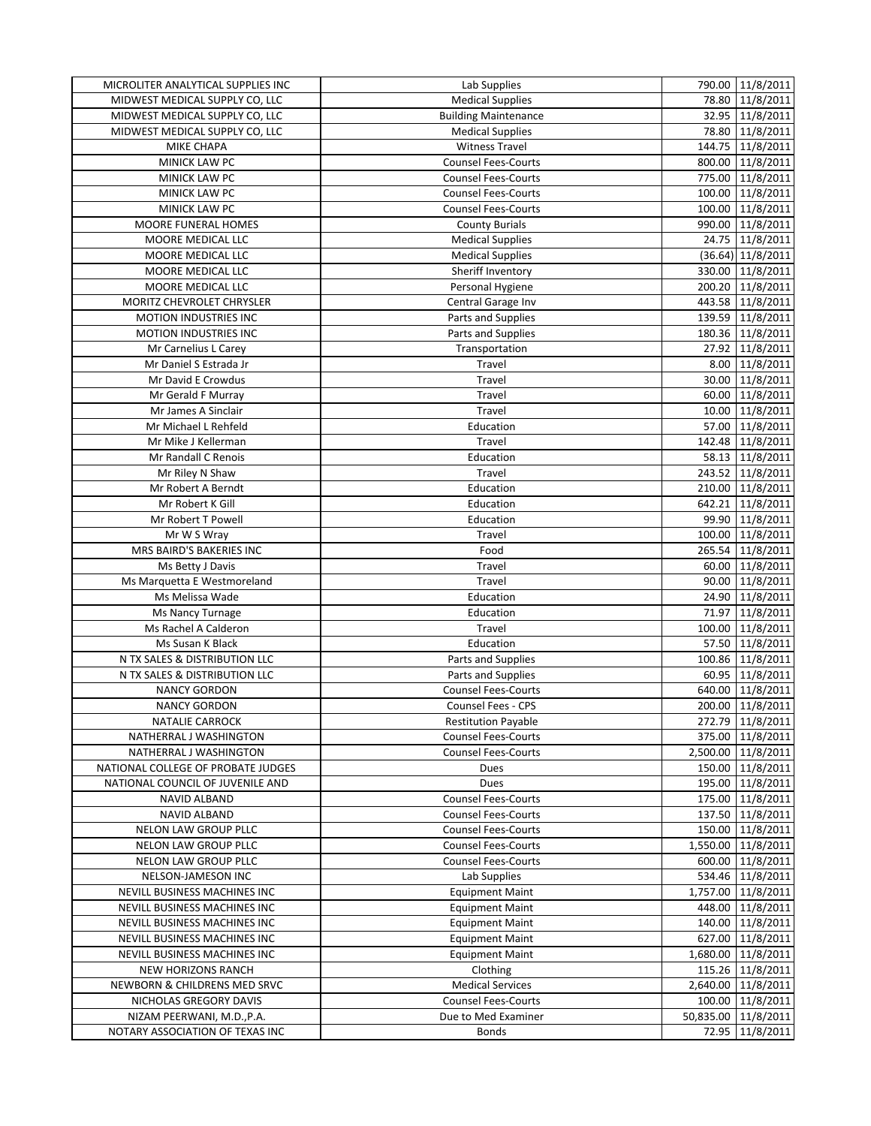| MICROLITER ANALYTICAL SUPPLIES INC | Lab Supplies                | 790.00 11/8/2011    |
|------------------------------------|-----------------------------|---------------------|
| MIDWEST MEDICAL SUPPLY CO, LLC     | <b>Medical Supplies</b>     | 78.80 11/8/2011     |
| MIDWEST MEDICAL SUPPLY CO, LLC     | <b>Building Maintenance</b> | 32.95 11/8/2011     |
| MIDWEST MEDICAL SUPPLY CO, LLC     | <b>Medical Supplies</b>     | 78.80 11/8/2011     |
| <b>MIKE CHAPA</b>                  | <b>Witness Travel</b>       | 144.75 11/8/2011    |
| MINICK LAW PC                      | <b>Counsel Fees-Courts</b>  | 800.00 11/8/2011    |
| MINICK LAW PC                      | <b>Counsel Fees-Courts</b>  | 775.00 11/8/2011    |
| MINICK LAW PC                      | <b>Counsel Fees-Courts</b>  | 100.00 11/8/2011    |
| <b>MINICK LAW PC</b>               | <b>Counsel Fees-Courts</b>  | 100.00 11/8/2011    |
| <b>MOORE FUNERAL HOMES</b>         | <b>County Burials</b>       | 990.00 11/8/2011    |
| MOORE MEDICAL LLC                  | <b>Medical Supplies</b>     | 24.75 11/8/2011     |
| MOORE MEDICAL LLC                  | <b>Medical Supplies</b>     | $(36.64)$ 11/8/2011 |
| <b>MOORE MEDICAL LLC</b>           | Sheriff Inventory           | 330.00 11/8/2011    |
| MOORE MEDICAL LLC                  | Personal Hygiene            | 200.20 11/8/2011    |
| MORITZ CHEVROLET CHRYSLER          | Central Garage Inv          | 443.58 11/8/2011    |
| <b>MOTION INDUSTRIES INC</b>       | Parts and Supplies          | 139.59 11/8/2011    |
| <b>MOTION INDUSTRIES INC</b>       | Parts and Supplies          | 180.36 11/8/2011    |
| Mr Carnelius L Carey               | Transportation              | 27.92 11/8/2011     |
| Mr Daniel S Estrada Jr             | Travel                      | 8.00 11/8/2011      |
| Mr David E Crowdus                 | Travel                      | 30.00 11/8/2011     |
| Mr Gerald F Murray                 | Travel                      | 60.00 11/8/2011     |
| Mr James A Sinclair                | Travel                      | 10.00 11/8/2011     |
| Mr Michael L Rehfeld               | Education                   | 57.00 11/8/2011     |
| Mr Mike J Kellerman                | Travel                      | 142.48 11/8/2011    |
| Mr Randall C Renois                | Education                   | 58.13 11/8/2011     |
| Mr Riley N Shaw                    | Travel                      | 243.52 11/8/2011    |
| Mr Robert A Berndt                 |                             | 210.00 11/8/2011    |
|                                    | Education                   |                     |
| Mr Robert K Gill                   | Education                   | 642.21 11/8/2011    |
| Mr Robert T Powell                 | Education                   | 99.90 11/8/2011     |
| Mr W S Wray                        | Travel                      | 100.00 11/8/2011    |
| MRS BAIRD'S BAKERIES INC           | Food                        | 265.54 11/8/2011    |
| Ms Betty J Davis                   | Travel                      | 60.00 11/8/2011     |
| Ms Marquetta E Westmoreland        | Travel                      | 90.00 11/8/2011     |
| Ms Melissa Wade                    | Education                   | 24.90 11/8/2011     |
| Ms Nancy Turnage                   | Education                   | 71.97 11/8/2011     |
| Ms Rachel A Calderon               | Travel                      | 100.00 11/8/2011    |
| Ms Susan K Black                   | Education                   | 57.50 11/8/2011     |
| N TX SALES & DISTRIBUTION LLC      | Parts and Supplies          | 100.86 11/8/2011    |
| N TX SALES & DISTRIBUTION LLC      | Parts and Supplies          | 60.95 11/8/2011     |
| <b>NANCY GORDON</b>                | <b>Counsel Fees-Courts</b>  | 640.00 11/8/2011    |
| <b>NANCY GORDON</b>                | Counsel Fees - CPS          | 200.00 11/8/2011    |
| <b>NATALIE CARROCK</b>             | <b>Restitution Payable</b>  | 272.79 11/8/2011    |
| NATHERRAL J WASHINGTON             | <b>Counsel Fees-Courts</b>  | 375.00 11/8/2011    |
| NATHERRAL J WASHINGTON             | <b>Counsel Fees-Courts</b>  | 2,500.00 11/8/2011  |
| NATIONAL COLLEGE OF PROBATE JUDGES | Dues                        | 150.00 11/8/2011    |
| NATIONAL COUNCIL OF JUVENILE AND   | Dues                        | 195.00 11/8/2011    |
| NAVID ALBAND                       | <b>Counsel Fees-Courts</b>  | 175.00 11/8/2011    |
| NAVID ALBAND                       | <b>Counsel Fees-Courts</b>  | 137.50 11/8/2011    |
| NELON LAW GROUP PLLC               | <b>Counsel Fees-Courts</b>  | 150.00 11/8/2011    |
| NELON LAW GROUP PLLC               | <b>Counsel Fees-Courts</b>  | 1,550.00 11/8/2011  |
| NELON LAW GROUP PLLC               | <b>Counsel Fees-Courts</b>  | 600.00 11/8/2011    |
| NELSON-JAMESON INC                 | Lab Supplies                | 534.46 11/8/2011    |
| NEVILL BUSINESS MACHINES INC       | <b>Equipment Maint</b>      | 1,757.00 11/8/2011  |
| NEVILL BUSINESS MACHINES INC       | <b>Equipment Maint</b>      | 448.00 11/8/2011    |
| NEVILL BUSINESS MACHINES INC       | <b>Equipment Maint</b>      | 140.00 11/8/2011    |
| NEVILL BUSINESS MACHINES INC       | <b>Equipment Maint</b>      | 627.00 11/8/2011    |
| NEVILL BUSINESS MACHINES INC       | <b>Equipment Maint</b>      | 1,680.00 11/8/2011  |
| <b>NEW HORIZONS RANCH</b>          | Clothing                    | 115.26 11/8/2011    |
| NEWBORN & CHILDRENS MED SRVC       | <b>Medical Services</b>     | 2,640.00 11/8/2011  |
| NICHOLAS GREGORY DAVIS             | <b>Counsel Fees-Courts</b>  | 100.00 11/8/2011    |
| NIZAM PEERWANI, M.D., P.A.         | Due to Med Examiner         | 50,835.00 11/8/2011 |
| NOTARY ASSOCIATION OF TEXAS INC    | <b>Bonds</b>                | 72.95 11/8/2011     |
|                                    |                             |                     |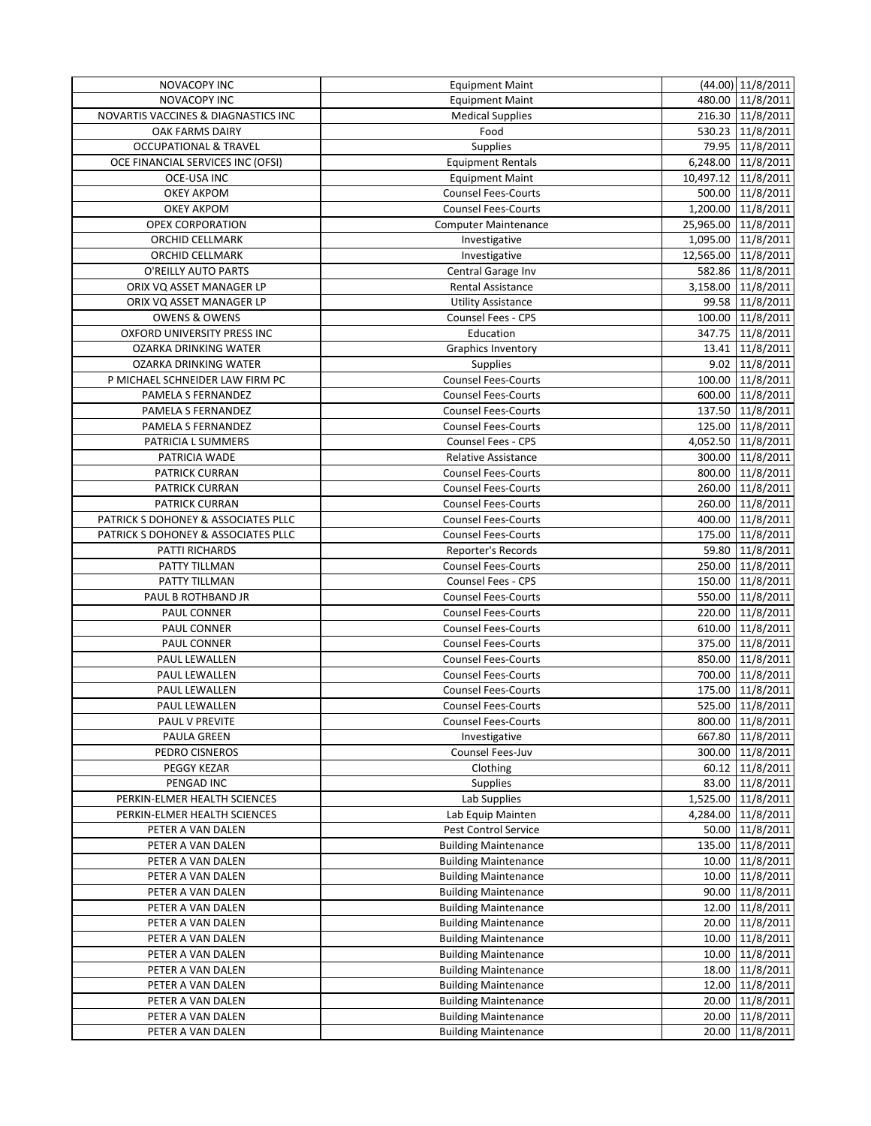| NOVACOPY INC                        | <b>Equipment Maint</b>      | $(44.00)$ 11/8/2011 |
|-------------------------------------|-----------------------------|---------------------|
| <b>NOVACOPY INC</b>                 | <b>Equipment Maint</b>      | 480.00 11/8/2011    |
| NOVARTIS VACCINES & DIAGNASTICS INC | <b>Medical Supplies</b>     | 216.30 11/8/2011    |
| <b>OAK FARMS DAIRY</b>              | Food                        | 530.23 11/8/2011    |
| <b>OCCUPATIONAL &amp; TRAVEL</b>    | <b>Supplies</b>             | 79.95 11/8/2011     |
| OCE FINANCIAL SERVICES INC (OFSI)   | <b>Equipment Rentals</b>    | 6,248.00 11/8/2011  |
| <b>OCE-USA INC</b>                  | <b>Equipment Maint</b>      | 10,497.12 11/8/2011 |
| <b>OKEY AKPOM</b>                   | <b>Counsel Fees-Courts</b>  | 500.00 11/8/2011    |
| <b>OKEY AKPOM</b>                   | <b>Counsel Fees-Courts</b>  | 1,200.00 11/8/2011  |
| <b>OPEX CORPORATION</b>             | <b>Computer Maintenance</b> | 25,965.00 11/8/2011 |
| ORCHID CELLMARK                     | Investigative               | 1,095.00 11/8/2011  |
| ORCHID CELLMARK                     | Investigative               | 12,565.00 11/8/2011 |
| O'REILLY AUTO PARTS                 | Central Garage Inv          | 582.86 11/8/2011    |
| ORIX VQ ASSET MANAGER LP            | Rental Assistance           | 3,158.00 11/8/2011  |
| ORIX VQ ASSET MANAGER LP            | <b>Utility Assistance</b>   | 99.58 11/8/2011     |
| <b>OWENS &amp; OWENS</b>            | Counsel Fees - CPS          | 100.00 11/8/2011    |
| OXFORD UNIVERSITY PRESS INC         | Education                   | 347.75 11/8/2011    |
| OZARKA DRINKING WATER               | Graphics Inventory          | 13.41 11/8/2011     |
| OZARKA DRINKING WATER               | Supplies                    | 9.02 11/8/2011      |
| P MICHAEL SCHNEIDER LAW FIRM PC     | Counsel Fees-Courts         | 100.00 11/8/2011    |
| PAMELA S FERNANDEZ                  | <b>Counsel Fees-Courts</b>  | 600.00 11/8/2011    |
| PAMELA S FERNANDEZ                  | <b>Counsel Fees-Courts</b>  | 137.50 11/8/2011    |
| PAMELA S FERNANDEZ                  | <b>Counsel Fees-Courts</b>  | 125.00 11/8/2011    |
| PATRICIA L SUMMERS                  | Counsel Fees - CPS          | 4,052.50 11/8/2011  |
| PATRICIA WADE                       | <b>Relative Assistance</b>  | 300.00 11/8/2011    |
| <b>PATRICK CURRAN</b>               | <b>Counsel Fees-Courts</b>  | 800.00 11/8/2011    |
| PATRICK CURRAN                      | <b>Counsel Fees-Courts</b>  | 260.00 11/8/2011    |
| <b>PATRICK CURRAN</b>               | <b>Counsel Fees-Courts</b>  | 260.00 11/8/2011    |
| PATRICK S DOHONEY & ASSOCIATES PLLC | <b>Counsel Fees-Courts</b>  | 400.00 11/8/2011    |
| PATRICK S DOHONEY & ASSOCIATES PLLC | <b>Counsel Fees-Courts</b>  | 175.00 11/8/2011    |
| PATTI RICHARDS                      | Reporter's Records          | 59.80 11/8/2011     |
| PATTY TILLMAN                       | <b>Counsel Fees-Courts</b>  | 250.00 11/8/2011    |
| PATTY TILLMAN                       | Counsel Fees - CPS          | 150.00 11/8/2011    |
| PAUL B ROTHBAND JR                  | Counsel Fees-Courts         | 550.00 11/8/2011    |
| PAUL CONNER                         | <b>Counsel Fees-Courts</b>  | 220.00 11/8/2011    |
| PAUL CONNER                         | <b>Counsel Fees-Courts</b>  | 610.00 11/8/2011    |
| PAUL CONNER                         | <b>Counsel Fees-Courts</b>  | 375.00 11/8/2011    |
| PAUL LEWALLEN                       | <b>Counsel Fees-Courts</b>  | 850.00 11/8/2011    |
| PAUL LEWALLEN                       | <b>Counsel Fees-Courts</b>  | 700.00 11/8/2011    |
| PAUL LEWALLEN                       | <b>Counsel Fees-Courts</b>  | 175.00 11/8/2011    |
| PAUL LEWALLEN                       | <b>Counsel Fees-Courts</b>  | 525.00 11/8/2011    |
| PAUL V PREVITE                      | <b>Counsel Fees-Courts</b>  | 800.00 11/8/2011    |
| PAULA GREEN                         | Investigative               | 667.80 11/8/2011    |
| PEDRO CISNEROS                      | Counsel Fees-Juv            | 300.00 11/8/2011    |
| PEGGY KEZAR                         | Clothing                    | 60.12 11/8/2011     |
| PENGAD INC                          | Supplies                    | 83.00 11/8/2011     |
| PERKIN-ELMER HEALTH SCIENCES        | Lab Supplies                | 1,525.00 11/8/2011  |
| PERKIN-ELMER HEALTH SCIENCES        | Lab Equip Mainten           | 4,284.00 11/8/2011  |
| PETER A VAN DALEN                   | Pest Control Service        | 50.00 11/8/2011     |
| PETER A VAN DALEN                   | <b>Building Maintenance</b> | 135.00 11/8/2011    |
| PETER A VAN DALEN                   | <b>Building Maintenance</b> | 10.00 11/8/2011     |
| PETER A VAN DALEN                   | <b>Building Maintenance</b> | 10.00 11/8/2011     |
| PETER A VAN DALEN                   | <b>Building Maintenance</b> | 90.00 11/8/2011     |
| PETER A VAN DALEN                   | <b>Building Maintenance</b> | 12.00 11/8/2011     |
| PETER A VAN DALEN                   | <b>Building Maintenance</b> | 20.00 11/8/2011     |
| PETER A VAN DALEN                   | <b>Building Maintenance</b> | 10.00 11/8/2011     |
| PETER A VAN DALEN                   | <b>Building Maintenance</b> | 10.00 11/8/2011     |
| PETER A VAN DALEN                   | <b>Building Maintenance</b> | 18.00 11/8/2011     |
| PETER A VAN DALEN                   | <b>Building Maintenance</b> | 12.00 11/8/2011     |
| PETER A VAN DALEN                   | <b>Building Maintenance</b> | 20.00 11/8/2011     |
| PETER A VAN DALEN                   | <b>Building Maintenance</b> | 20.00 11/8/2011     |
| PETER A VAN DALEN                   | <b>Building Maintenance</b> | 11/8/2011<br>20.00  |
|                                     |                             |                     |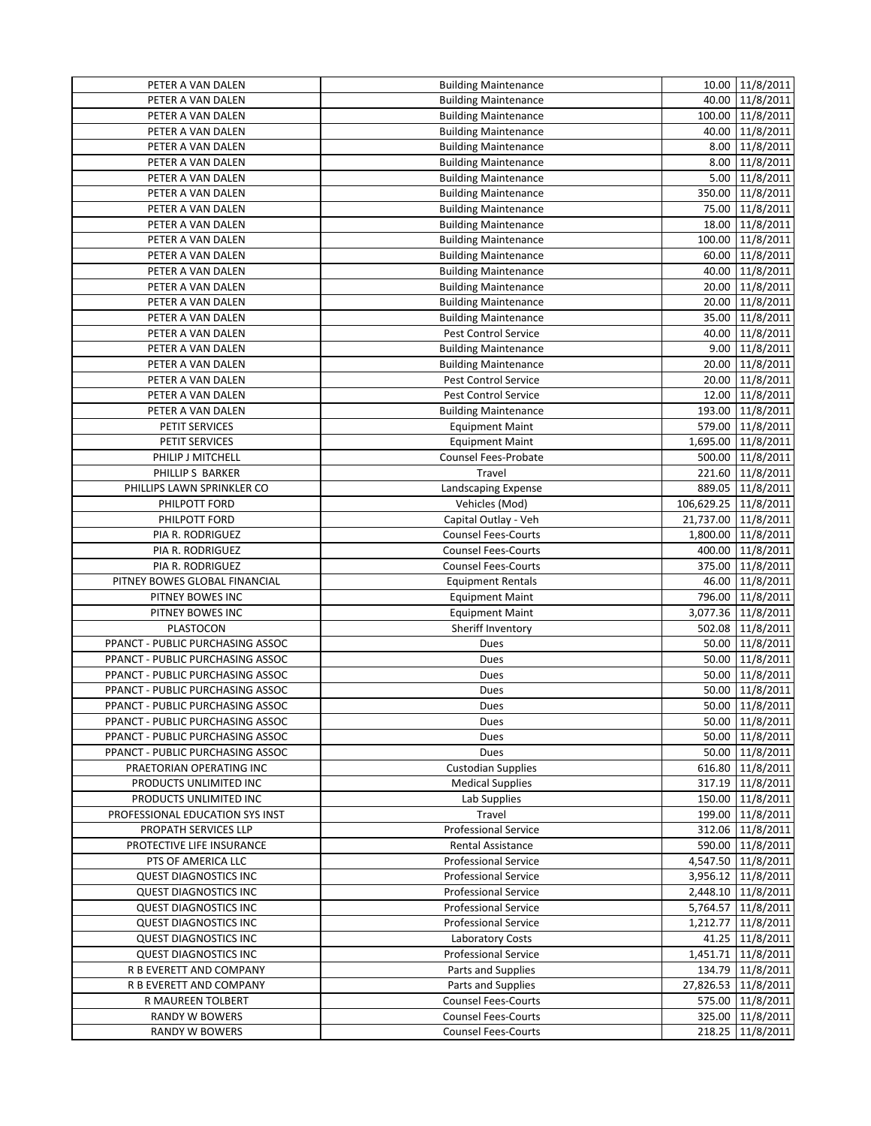| PETER A VAN DALEN                | <b>Building Maintenance</b> |                      | 10.00 11/8/2011     |
|----------------------------------|-----------------------------|----------------------|---------------------|
| PETER A VAN DALEN                | <b>Building Maintenance</b> |                      | 40.00 11/8/2011     |
| PETER A VAN DALEN                | <b>Building Maintenance</b> |                      | 100.00 11/8/2011    |
| PETER A VAN DALEN                | <b>Building Maintenance</b> |                      | 40.00 11/8/2011     |
| PETER A VAN DALEN                | <b>Building Maintenance</b> |                      | 8.00 11/8/2011      |
| PETER A VAN DALEN                | <b>Building Maintenance</b> |                      | 8.00 11/8/2011      |
| PETER A VAN DALEN                | <b>Building Maintenance</b> |                      | 5.00 11/8/2011      |
| PETER A VAN DALEN                | <b>Building Maintenance</b> |                      | 350.00 11/8/2011    |
| PETER A VAN DALEN                | <b>Building Maintenance</b> |                      | 75.00 11/8/2011     |
| PETER A VAN DALEN                | <b>Building Maintenance</b> |                      | 18.00 11/8/2011     |
| PETER A VAN DALEN                | <b>Building Maintenance</b> |                      | 100.00 11/8/2011    |
| PETER A VAN DALEN                | <b>Building Maintenance</b> |                      | 60.00 11/8/2011     |
| PETER A VAN DALEN                | <b>Building Maintenance</b> |                      | 40.00 11/8/2011     |
| PETER A VAN DALEN                | <b>Building Maintenance</b> |                      | 20.00 11/8/2011     |
| PETER A VAN DALEN                | <b>Building Maintenance</b> |                      | 20.00 11/8/2011     |
| PETER A VAN DALEN                | <b>Building Maintenance</b> |                      | 35.00 11/8/2011     |
| PETER A VAN DALEN                | <b>Pest Control Service</b> |                      | 40.00 11/8/2011     |
| PETER A VAN DALEN                | <b>Building Maintenance</b> |                      | 9.00 11/8/2011      |
| PETER A VAN DALEN                | <b>Building Maintenance</b> |                      | 20.00 11/8/2011     |
| PETER A VAN DALEN                | <b>Pest Control Service</b> |                      | 20.00 11/8/2011     |
| PETER A VAN DALEN                | Pest Control Service        |                      | 12.00 11/8/2011     |
| PETER A VAN DALEN                | <b>Building Maintenance</b> |                      | 193.00 11/8/2011    |
| PETIT SERVICES                   | <b>Equipment Maint</b>      |                      | 579.00 11/8/2011    |
| PETIT SERVICES                   | <b>Equipment Maint</b>      |                      | 1,695.00 11/8/2011  |
| PHILIP J MITCHELL                | Counsel Fees-Probate        |                      | 500.00 11/8/2011    |
| PHILLIP S BARKER                 | Travel                      |                      | 221.60 11/8/2011    |
| PHILLIPS LAWN SPRINKLER CO       | Landscaping Expense         |                      | 889.05 11/8/2011    |
| PHILPOTT FORD                    | Vehicles (Mod)              | 106,629.25 11/8/2011 |                     |
| PHILPOTT FORD                    | Capital Outlay - Veh        |                      | 21,737.00 11/8/2011 |
| PIA R. RODRIGUEZ                 | <b>Counsel Fees-Courts</b>  |                      | 1,800.00 11/8/2011  |
| PIA R. RODRIGUEZ                 | <b>Counsel Fees-Courts</b>  |                      | 400.00 11/8/2011    |
| PIA R. RODRIGUEZ                 | <b>Counsel Fees-Courts</b>  |                      | 375.00 11/8/2011    |
| PITNEY BOWES GLOBAL FINANCIAL    | <b>Equipment Rentals</b>    |                      | 46.00 11/8/2011     |
| PITNEY BOWES INC                 | <b>Equipment Maint</b>      |                      | 796.00 11/8/2011    |
| PITNEY BOWES INC                 | <b>Equipment Maint</b>      |                      | 3,077.36 11/8/2011  |
| PLASTOCON                        | Sheriff Inventory           |                      | 502.08 11/8/2011    |
| PPANCT - PUBLIC PURCHASING ASSOC | Dues                        |                      | 50.00 11/8/2011     |
| PPANCT - PUBLIC PURCHASING ASSOC | Dues                        |                      | 50.00 11/8/2011     |
| PPANCT - PUBLIC PURCHASING ASSOC | Dues                        |                      | 50.00 11/8/2011     |
| PPANCT - PUBLIC PURCHASING ASSOC | Dues                        |                      | 50.00 11/8/2011     |
| PPANCT - PUBLIC PURCHASING ASSOC | Dues                        |                      | 50.00 11/8/2011     |
| PPANCT - PUBLIC PURCHASING ASSOC | Dues                        |                      | 50.00 11/8/2011     |
| PPANCT - PUBLIC PURCHASING ASSOC | Dues                        |                      | 50.00 11/8/2011     |
| PPANCT - PUBLIC PURCHASING ASSOC | Dues                        |                      | 50.00 11/8/2011     |
| PRAETORIAN OPERATING INC         | <b>Custodian Supplies</b>   |                      | 616.80 11/8/2011    |
| PRODUCTS UNLIMITED INC           | <b>Medical Supplies</b>     |                      | 317.19 11/8/2011    |
| PRODUCTS UNLIMITED INC           | Lab Supplies                |                      | 150.00 11/8/2011    |
| PROFESSIONAL EDUCATION SYS INST  | Travel                      |                      | 199.00 11/8/2011    |
| PROPATH SERVICES LLP             | <b>Professional Service</b> |                      | 312.06 11/8/2011    |
| PROTECTIVE LIFE INSURANCE        | Rental Assistance           |                      | 590.00 11/8/2011    |
| PTS OF AMERICA LLC               | <b>Professional Service</b> |                      | 4,547.50 11/8/2011  |
| <b>QUEST DIAGNOSTICS INC</b>     | <b>Professional Service</b> |                      | 3,956.12 11/8/2011  |
| <b>QUEST DIAGNOSTICS INC</b>     | <b>Professional Service</b> |                      | 2,448.10 11/8/2011  |
| <b>QUEST DIAGNOSTICS INC</b>     | <b>Professional Service</b> |                      | 5,764.57 11/8/2011  |
| <b>QUEST DIAGNOSTICS INC</b>     | <b>Professional Service</b> |                      | 1,212.77 11/8/2011  |
| <b>QUEST DIAGNOSTICS INC</b>     | <b>Laboratory Costs</b>     |                      | 41.25 11/8/2011     |
| <b>QUEST DIAGNOSTICS INC</b>     | <b>Professional Service</b> |                      | 1,451.71 11/8/2011  |
| R B EVERETT AND COMPANY          | Parts and Supplies          |                      | 134.79 11/8/2011    |
| R B EVERETT AND COMPANY          | Parts and Supplies          |                      | 27,826.53 11/8/2011 |
| R MAUREEN TOLBERT                | <b>Counsel Fees-Courts</b>  |                      | 575.00 11/8/2011    |
| RANDY W BOWERS                   | <b>Counsel Fees-Courts</b>  |                      | 325.00 11/8/2011    |
| <b>RANDY W BOWERS</b>            | <b>Counsel Fees-Courts</b>  |                      | 218.25 11/8/2011    |
|                                  |                             |                      |                     |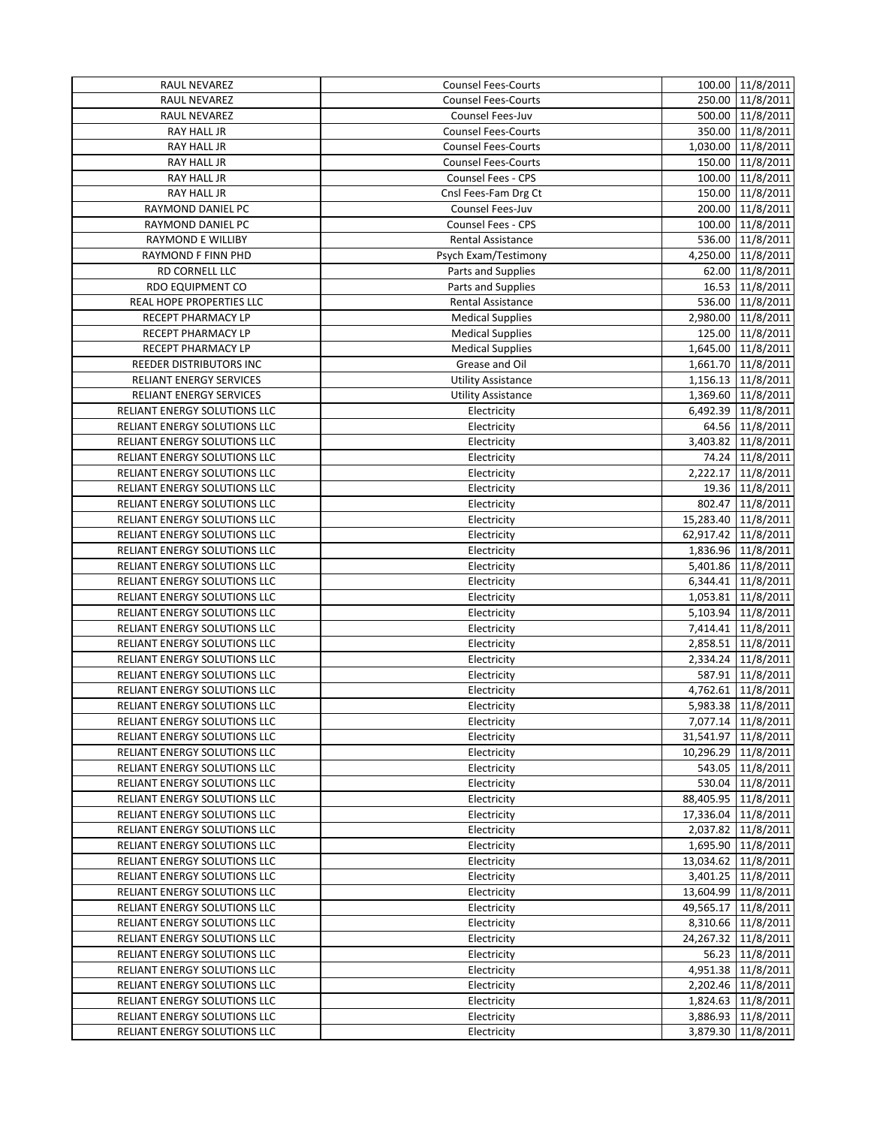| RAUL NEVAREZ                        | <b>Counsel Fees-Courts</b> | 100.00 11/8/2011        |
|-------------------------------------|----------------------------|-------------------------|
| RAUL NEVAREZ                        | <b>Counsel Fees-Courts</b> | 250.00 11/8/2011        |
| RAUL NEVAREZ                        | Counsel Fees-Juv           | 500.00 11/8/2011        |
| RAY HALL JR                         | <b>Counsel Fees-Courts</b> | 350.00 11/8/2011        |
| RAY HALL JR                         | <b>Counsel Fees-Courts</b> | 1,030.00 11/8/2011      |
| RAY HALL JR                         | <b>Counsel Fees-Courts</b> | 150.00 11/8/2011        |
| RAY HALL JR                         | Counsel Fees - CPS         | 100.00 11/8/2011        |
| RAY HALL JR                         | Cnsl Fees-Fam Drg Ct       | 150.00 11/8/2011        |
| RAYMOND DANIEL PC                   | Counsel Fees-Juv           | 200.00 11/8/2011        |
| RAYMOND DANIEL PC                   | Counsel Fees - CPS         | 100.00 11/8/2011        |
| <b>RAYMOND E WILLIBY</b>            | <b>Rental Assistance</b>   | 536.00 11/8/2011        |
| RAYMOND F FINN PHD                  | Psych Exam/Testimony       | 4,250.00 11/8/2011      |
| RD CORNELL LLC                      | Parts and Supplies         | 62.00 11/8/2011         |
| <b>RDO EQUIPMENT CO</b>             | Parts and Supplies         | 16.53 11/8/2011         |
| REAL HOPE PROPERTIES LLC            | Rental Assistance          | 536.00 11/8/2011        |
| <b>RECEPT PHARMACY LP</b>           | <b>Medical Supplies</b>    | 2,980.00 11/8/2011      |
| RECEPT PHARMACY LP                  | <b>Medical Supplies</b>    | 125.00 11/8/2011        |
| RECEPT PHARMACY LP                  | <b>Medical Supplies</b>    | 1,645.00 11/8/2011      |
| REEDER DISTRIBUTORS INC             | Grease and Oil             | 1,661.70 11/8/2011      |
| <b>RELIANT ENERGY SERVICES</b>      | <b>Utility Assistance</b>  | 1,156.13 11/8/2011      |
| <b>RELIANT ENERGY SERVICES</b>      | <b>Utility Assistance</b>  | 1,369.60 11/8/2011      |
| RELIANT ENERGY SOLUTIONS LLC        | Electricity                | 6,492.39 11/8/2011      |
| RELIANT ENERGY SOLUTIONS LLC        | Electricity                | 64.56 11/8/2011         |
| RELIANT ENERGY SOLUTIONS LLC        | Electricity                | 3,403.82 11/8/2011      |
| RELIANT ENERGY SOLUTIONS LLC        | Electricity                | 74.24 11/8/2011         |
| RELIANT ENERGY SOLUTIONS LLC        | Electricity                | 2,222.17 11/8/2011      |
| RELIANT ENERGY SOLUTIONS LLC        | Electricity                | 19.36 11/8/2011         |
| RELIANT ENERGY SOLUTIONS LLC        | Electricity                | 802.47 11/8/2011        |
| RELIANT ENERGY SOLUTIONS LLC        | Electricity                | 15,283.40 11/8/2011     |
| RELIANT ENERGY SOLUTIONS LLC        | Electricity                | 62,917.42 11/8/2011     |
| RELIANT ENERGY SOLUTIONS LLC        | Electricity                | 1,836.96 11/8/2011      |
| RELIANT ENERGY SOLUTIONS LLC        | Electricity                | 5,401.86 11/8/2011      |
| RELIANT ENERGY SOLUTIONS LLC        | Electricity                | 6,344.41 11/8/2011      |
| RELIANT ENERGY SOLUTIONS LLC        | Electricity                | 1,053.81 11/8/2011      |
| RELIANT ENERGY SOLUTIONS LLC        | Electricity                | 5,103.94 11/8/2011      |
| RELIANT ENERGY SOLUTIONS LLC        | Electricity                | 7,414.41 11/8/2011      |
| RELIANT ENERGY SOLUTIONS LLC        | Electricity                | 2,858.51 11/8/2011      |
| RELIANT ENERGY SOLUTIONS LLC        | Electricity                | 2,334.24 11/8/2011      |
| RELIANT ENERGY SOLUTIONS LLC        | Electricity                | 587.91 11/8/2011        |
| RELIANT ENERGY SOLUTIONS LLC        | Electricity                | 4,762.61 11/8/2011      |
| <b>RELIANT ENERGY SOLUTIONS LLC</b> | Electricity                | 5,983.38 11/8/2011      |
| RELIANT ENERGY SOLUTIONS LLC        | Electricity                | 7,077.14 11/8/2011      |
| RELIANT ENERGY SOLUTIONS LLC        | Electricity                | 31,541.97 11/8/2011     |
| RELIANT ENERGY SOLUTIONS LLC        | Electricity                | 10,296.29 11/8/2011     |
| RELIANT ENERGY SOLUTIONS LLC        | Electricity                | 543.05 11/8/2011        |
| RELIANT ENERGY SOLUTIONS LLC        | Electricity                | 530.04 11/8/2011        |
| RELIANT ENERGY SOLUTIONS LLC        | Electricity                | 88,405.95 11/8/2011     |
| RELIANT ENERGY SOLUTIONS LLC        | Electricity                | 17,336.04 11/8/2011     |
| RELIANT ENERGY SOLUTIONS LLC        | Electricity                | 2,037.82 11/8/2011      |
| RELIANT ENERGY SOLUTIONS LLC        | Electricity                | 1,695.90 11/8/2011      |
| RELIANT ENERGY SOLUTIONS LLC        | Electricity                | 13,034.62   11/8/2011   |
| RELIANT ENERGY SOLUTIONS LLC        | Electricity                | 3,401.25 11/8/2011      |
| RELIANT ENERGY SOLUTIONS LLC        | Electricity                | 13,604.99 11/8/2011     |
| RELIANT ENERGY SOLUTIONS LLC        | Electricity                | 49,565.17 11/8/2011     |
| RELIANT ENERGY SOLUTIONS LLC        | Electricity                | 8,310.66 11/8/2011      |
| RELIANT ENERGY SOLUTIONS LLC        | Electricity                | 24, 267. 32   11/8/2011 |
| RELIANT ENERGY SOLUTIONS LLC        | Electricity                | 56.23 11/8/2011         |
| RELIANT ENERGY SOLUTIONS LLC        | Electricity                | 4,951.38 11/8/2011      |
| RELIANT ENERGY SOLUTIONS LLC        | Electricity                | 2,202.46 11/8/2011      |
| RELIANT ENERGY SOLUTIONS LLC        | Electricity                | 1,824.63 11/8/2011      |
|                                     |                            |                         |
| RELIANT ENERGY SOLUTIONS LLC        | Electricity                | 3,886.93 11/8/2011      |
| RELIANT ENERGY SOLUTIONS LLC        | Electricity                | 3,879.30   11/8/2011    |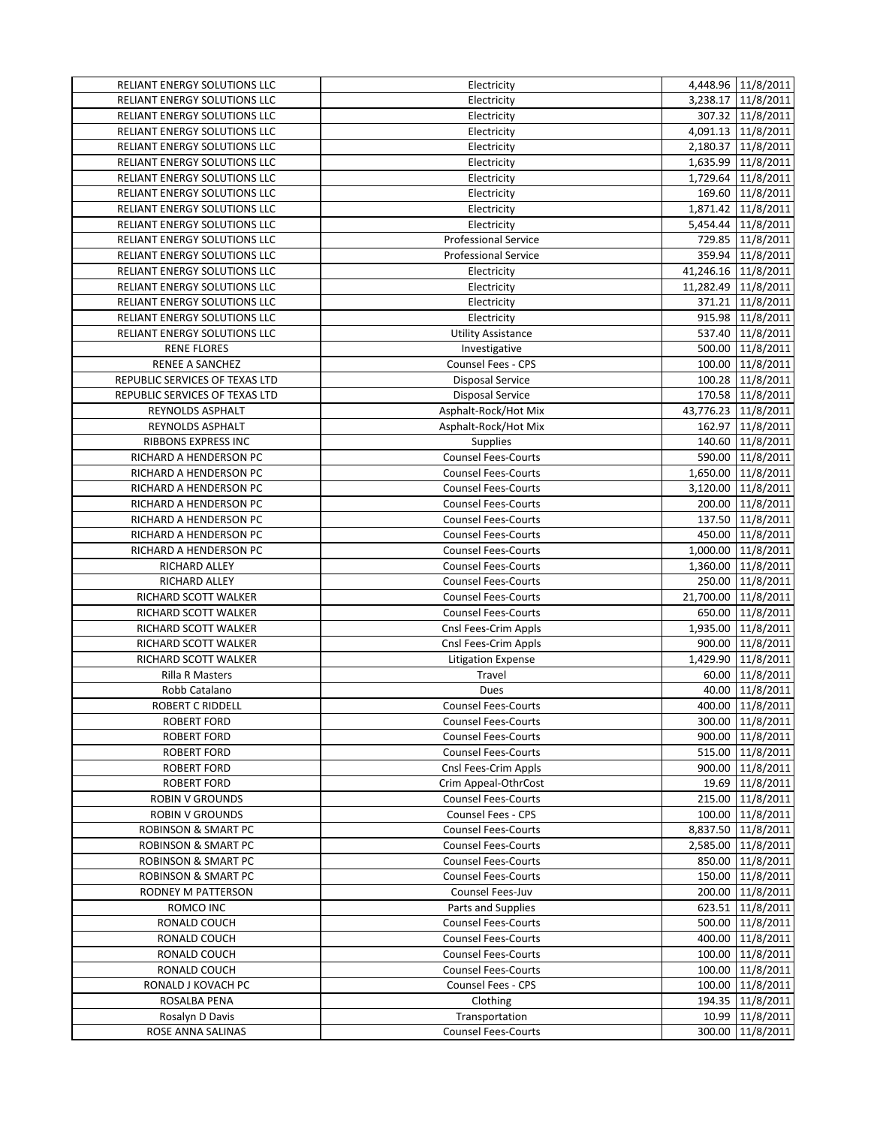| RELIANT ENERGY SOLUTIONS LLC   | Electricity                 | 4,448.96 11/8/2011  |
|--------------------------------|-----------------------------|---------------------|
| RELIANT ENERGY SOLUTIONS LLC   | Electricity                 | 3,238.17 11/8/2011  |
| RELIANT ENERGY SOLUTIONS LLC   | Electricity                 | 307.32 11/8/2011    |
| RELIANT ENERGY SOLUTIONS LLC   | Electricity                 | 4,091.13 11/8/2011  |
| RELIANT ENERGY SOLUTIONS LLC   | Electricity                 | 2,180.37 11/8/2011  |
| RELIANT ENERGY SOLUTIONS LLC   | Electricity                 | 1,635.99 11/8/2011  |
| RELIANT ENERGY SOLUTIONS LLC   | Electricity                 | 1,729.64 11/8/2011  |
| RELIANT ENERGY SOLUTIONS LLC   | Electricity                 | 169.60 11/8/2011    |
| RELIANT ENERGY SOLUTIONS LLC   | Electricity                 | 1,871.42 11/8/2011  |
| RELIANT ENERGY SOLUTIONS LLC   | Electricity                 | 5,454.44 11/8/2011  |
| RELIANT ENERGY SOLUTIONS LLC   | <b>Professional Service</b> | 729.85 11/8/2011    |
| RELIANT ENERGY SOLUTIONS LLC   | <b>Professional Service</b> | 359.94 11/8/2011    |
| RELIANT ENERGY SOLUTIONS LLC   | Electricity                 | 41,246.16 11/8/2011 |
| RELIANT ENERGY SOLUTIONS LLC   | Electricity                 | 11,282.49 11/8/2011 |
| RELIANT ENERGY SOLUTIONS LLC   | Electricity                 | 371.21 11/8/2011    |
| RELIANT ENERGY SOLUTIONS LLC   | Electricity                 | 915.98 11/8/2011    |
| RELIANT ENERGY SOLUTIONS LLC   | <b>Utility Assistance</b>   | 537.40 11/8/2011    |
| <b>RENE FLORES</b>             | Investigative               | 500.00 11/8/2011    |
| RENEE A SANCHEZ                | <b>Counsel Fees - CPS</b>   | 100.00 11/8/2011    |
| REPUBLIC SERVICES OF TEXAS LTD | <b>Disposal Service</b>     | 100.28 11/8/2011    |
| REPUBLIC SERVICES OF TEXAS LTD | <b>Disposal Service</b>     | 170.58 11/8/2011    |
| REYNOLDS ASPHALT               | Asphalt-Rock/Hot Mix        | 43,776.23 11/8/2011 |
| REYNOLDS ASPHALT               | Asphalt-Rock/Hot Mix        | 162.97 11/8/2011    |
| RIBBONS EXPRESS INC            | <b>Supplies</b>             | 140.60 11/8/2011    |
| RICHARD A HENDERSON PC         | Counsel Fees-Courts         | 590.00 11/8/2011    |
| RICHARD A HENDERSON PC         | <b>Counsel Fees-Courts</b>  | 1,650.00 11/8/2011  |
| RICHARD A HENDERSON PC         | <b>Counsel Fees-Courts</b>  | 3,120.00 11/8/2011  |
|                                | <b>Counsel Fees-Courts</b>  | 200.00 11/8/2011    |
| RICHARD A HENDERSON PC         | Counsel Fees-Courts         |                     |
| RICHARD A HENDERSON PC         | <b>Counsel Fees-Courts</b>  | 137.50 11/8/2011    |
| RICHARD A HENDERSON PC         |                             | 450.00 11/8/2011    |
| RICHARD A HENDERSON PC         | <b>Counsel Fees-Courts</b>  | 1,000.00 11/8/2011  |
| RICHARD ALLEY                  | <b>Counsel Fees-Courts</b>  | 1,360.00 11/8/2011  |
| RICHARD ALLEY                  | <b>Counsel Fees-Courts</b>  | 250.00 11/8/2011    |
| RICHARD SCOTT WALKER           | <b>Counsel Fees-Courts</b>  | 21,700.00 11/8/2011 |
| RICHARD SCOTT WALKER           | Counsel Fees-Courts         | 650.00 11/8/2011    |
| RICHARD SCOTT WALKER           | Cnsl Fees-Crim Appls        | 1,935.00 11/8/2011  |
| RICHARD SCOTT WALKER           | Cnsl Fees-Crim Appls        | 900.00 11/8/2011    |
| RICHARD SCOTT WALKER           | <b>Litigation Expense</b>   | 1,429.90 11/8/2011  |
| <b>Rilla R Masters</b>         | Travel                      | 60.00 11/8/2011     |
| Robb Catalano                  | Dues                        | 40.00 11/8/2011     |
| <b>ROBERT C RIDDELL</b>        | <b>Counsel Fees-Courts</b>  | 400.00 11/8/2011    |
| ROBERT FORD                    | <b>Counsel Fees-Courts</b>  | 300.00 11/8/2011    |
| <b>ROBERT FORD</b>             | <b>Counsel Fees-Courts</b>  | 900.00 11/8/2011    |
| <b>ROBERT FORD</b>             | <b>Counsel Fees-Courts</b>  | 515.00 11/8/2011    |
| <b>ROBERT FORD</b>             | Cnsl Fees-Crim Appls        | 900.00 11/8/2011    |
| <b>ROBERT FORD</b>             | Crim Appeal-OthrCost        | 19.69 11/8/2011     |
| <b>ROBIN V GROUNDS</b>         | <b>Counsel Fees-Courts</b>  | 215.00 11/8/2011    |
| <b>ROBIN V GROUNDS</b>         | <b>Counsel Fees - CPS</b>   | 100.00 11/8/2011    |
| <b>ROBINSON &amp; SMART PC</b> | <b>Counsel Fees-Courts</b>  | 8,837.50 11/8/2011  |
| <b>ROBINSON &amp; SMART PC</b> | <b>Counsel Fees-Courts</b>  | 2,585.00 11/8/2011  |
| <b>ROBINSON &amp; SMART PC</b> | <b>Counsel Fees-Courts</b>  | 850.00 11/8/2011    |
| <b>ROBINSON &amp; SMART PC</b> | <b>Counsel Fees-Courts</b>  | 150.00 11/8/2011    |
| RODNEY M PATTERSON             | Counsel Fees-Juv            | 200.00 11/8/2011    |
| ROMCO INC                      | Parts and Supplies          | 623.51 11/8/2011    |
| RONALD COUCH                   | <b>Counsel Fees-Courts</b>  | 500.00 11/8/2011    |
| RONALD COUCH                   | <b>Counsel Fees-Courts</b>  | 400.00 11/8/2011    |
| RONALD COUCH                   | <b>Counsel Fees-Courts</b>  | 100.00 11/8/2011    |
| RONALD COUCH                   | <b>Counsel Fees-Courts</b>  | 100.00 11/8/2011    |
| RONALD J KOVACH PC             | Counsel Fees - CPS          | 100.00 11/8/2011    |
| ROSALBA PENA                   | Clothing                    | 194.35 11/8/2011    |
| Rosalyn D Davis                | Transportation              | 10.99 11/8/2011     |
| ROSE ANNA SALINAS              | <b>Counsel Fees-Courts</b>  | 300.00 11/8/2011    |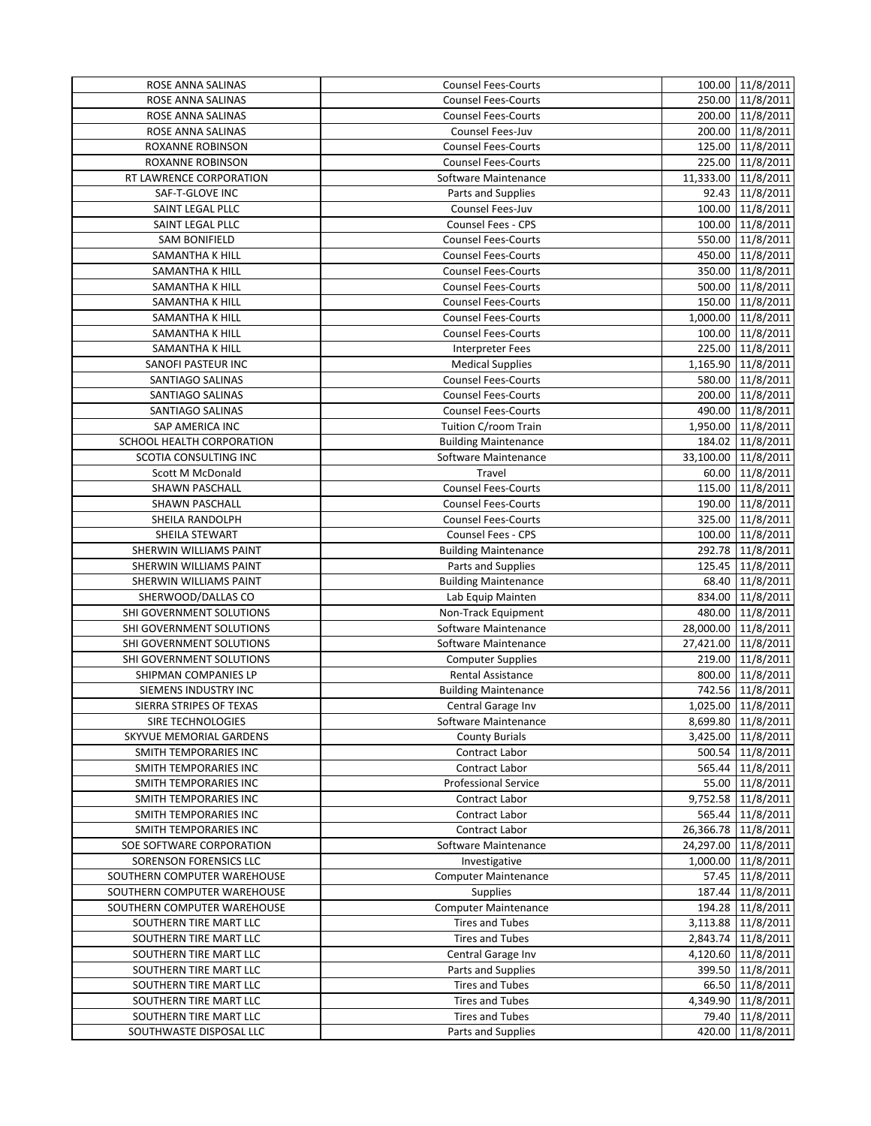| <b>Counsel Fees-Courts</b><br>250.00 11/8/2011<br>ROSE ANNA SALINAS<br>200.00 11/8/2011<br>ROSE ANNA SALINAS<br><b>Counsel Fees-Courts</b><br>200.00 11/8/2011<br>ROSE ANNA SALINAS<br>Counsel Fees-Juv<br>125.00 11/8/2011<br><b>Counsel Fees-Courts</b><br>ROXANNE ROBINSON<br>225.00 11/8/2011<br>ROXANNE ROBINSON<br><b>Counsel Fees-Courts</b><br>11,333.00 11/8/2011<br>RT LAWRENCE CORPORATION<br>Software Maintenance<br>92.43 11/8/2011<br>SAF-T-GLOVE INC<br>Parts and Supplies<br>100.00 11/8/2011<br>SAINT LEGAL PLLC<br>Counsel Fees-Juv<br>SAINT LEGAL PLLC<br>Counsel Fees - CPS<br>100.00 11/8/2011<br>550.00 11/8/2011<br><b>Counsel Fees-Courts</b><br><b>SAM BONIFIELD</b><br>450.00 11/8/2011<br><b>Counsel Fees-Courts</b><br>SAMANTHA K HILL<br>350.00 11/8/2011<br><b>Counsel Fees-Courts</b><br>SAMANTHA K HILL<br>500.00 11/8/2011<br>SAMANTHA K HILL<br><b>Counsel Fees-Courts</b><br>150.00 11/8/2011<br><b>Counsel Fees-Courts</b><br>SAMANTHA K HILL<br>1,000.00 11/8/2011<br>SAMANTHA K HILL<br><b>Counsel Fees-Courts</b><br>100.00 11/8/2011<br>Counsel Fees-Courts<br>SAMANTHA K HILL<br>225.00 11/8/2011<br>SAMANTHA K HILL<br><b>Interpreter Fees</b><br>1,165.90 11/8/2011<br>SANOFI PASTEUR INC<br><b>Medical Supplies</b><br>580.00 11/8/2011<br>SANTIAGO SALINAS<br><b>Counsel Fees-Courts</b><br>Counsel Fees-Courts<br>200.00 11/8/2011<br>SANTIAGO SALINAS<br>490.00 11/8/2011<br><b>Counsel Fees-Courts</b><br>SANTIAGO SALINAS<br>Tuition C/room Train<br>1,950.00 11/8/2011<br>SAP AMERICA INC<br>184.02 11/8/2011<br>SCHOOL HEALTH CORPORATION<br><b>Building Maintenance</b><br>33,100.00 11/8/2011<br>SCOTIA CONSULTING INC<br>Software Maintenance<br>60.00 11/8/2011<br>Scott M McDonald<br>Travel<br>115.00 11/8/2011<br>SHAWN PASCHALL<br><b>Counsel Fees-Courts</b><br>190.00 11/8/2011<br><b>Counsel Fees-Courts</b><br>SHAWN PASCHALL<br>325.00 11/8/2011<br>SHEILA RANDOLPH<br><b>Counsel Fees-Courts</b><br>100.00 11/8/2011<br>SHEILA STEWART<br><b>Counsel Fees - CPS</b><br>292.78 11/8/2011<br>SHERWIN WILLIAMS PAINT<br><b>Building Maintenance</b><br>125.45 11/8/2011<br>SHERWIN WILLIAMS PAINT<br>Parts and Supplies<br>68.40 11/8/2011<br><b>Building Maintenance</b><br>SHERWIN WILLIAMS PAINT<br>834.00 11/8/2011<br>Lab Equip Mainten<br>SHERWOOD/DALLAS CO<br>480.00 11/8/2011<br>SHI GOVERNMENT SOLUTIONS<br>Non-Track Equipment<br>28,000.00 11/8/2011<br>SHI GOVERNMENT SOLUTIONS<br>Software Maintenance<br>27,421.00 11/8/2011<br>SHI GOVERNMENT SOLUTIONS<br>Software Maintenance<br>SHI GOVERNMENT SOLUTIONS<br>219.00 11/8/2011<br><b>Computer Supplies</b><br>800.00 11/8/2011<br>SHIPMAN COMPANIES LP<br><b>Rental Assistance</b><br>742.56 11/8/2011<br>SIEMENS INDUSTRY INC<br><b>Building Maintenance</b><br>1,025.00 11/8/2011<br>SIERRA STRIPES OF TEXAS<br>Central Garage Inv<br>8,699.80 11/8/2011<br>SIRE TECHNOLOGIES<br>Software Maintenance<br>SKYVUE MEMORIAL GARDENS<br>3,425.00 11/8/2011<br><b>County Burials</b><br>500.54 11/8/2011<br>SMITH TEMPORARIES INC<br>Contract Labor<br>Contract Labor<br>565.44 11/8/2011<br>SMITH TEMPORARIES INC<br>SMITH TEMPORARIES INC<br>55.00 11/8/2011<br><b>Professional Service</b><br>SMITH TEMPORARIES INC<br>9,752.58 11/8/2011<br>Contract Labor<br>565.44 11/8/2011<br>SMITH TEMPORARIES INC<br>Contract Labor<br>SMITH TEMPORARIES INC<br><b>Contract Labor</b><br>26,366.78 11/8/2011<br>SOE SOFTWARE CORPORATION<br>24,297.00 11/8/2011<br>Software Maintenance<br>SORENSON FORENSICS LLC<br>1,000.00 11/8/2011<br>Investigative<br>SOUTHERN COMPUTER WAREHOUSE<br>57.45 11/8/2011<br><b>Computer Maintenance</b><br>187.44 11/8/2011<br>SOUTHERN COMPUTER WAREHOUSE<br><b>Supplies</b><br>SOUTHERN COMPUTER WAREHOUSE<br>194.28 11/8/2011<br><b>Computer Maintenance</b><br>SOUTHERN TIRE MART LLC<br><b>Tires and Tubes</b><br>3,113.88 11/8/2011<br><b>Tires and Tubes</b><br>2,843.74 11/8/2011<br>SOUTHERN TIRE MART LLC<br>SOUTHERN TIRE MART LLC<br>4,120.60 11/8/2011<br>Central Garage Inv<br>SOUTHERN TIRE MART LLC<br>399.50 11/8/2011<br>Parts and Supplies<br>SOUTHERN TIRE MART LLC<br><b>Tires and Tubes</b><br>66.50 11/8/2011<br>SOUTHERN TIRE MART LLC<br><b>Tires and Tubes</b><br>4,349.90 11/8/2011<br>SOUTHERN TIRE MART LLC<br><b>Tires and Tubes</b><br>79.40 11/8/2011<br>SOUTHWASTE DISPOSAL LLC<br>Parts and Supplies<br>420.00 11/8/2011 | ROSE ANNA SALINAS | <b>Counsel Fees-Courts</b> | 100.00 11/8/2011 |
|--------------------------------------------------------------------------------------------------------------------------------------------------------------------------------------------------------------------------------------------------------------------------------------------------------------------------------------------------------------------------------------------------------------------------------------------------------------------------------------------------------------------------------------------------------------------------------------------------------------------------------------------------------------------------------------------------------------------------------------------------------------------------------------------------------------------------------------------------------------------------------------------------------------------------------------------------------------------------------------------------------------------------------------------------------------------------------------------------------------------------------------------------------------------------------------------------------------------------------------------------------------------------------------------------------------------------------------------------------------------------------------------------------------------------------------------------------------------------------------------------------------------------------------------------------------------------------------------------------------------------------------------------------------------------------------------------------------------------------------------------------------------------------------------------------------------------------------------------------------------------------------------------------------------------------------------------------------------------------------------------------------------------------------------------------------------------------------------------------------------------------------------------------------------------------------------------------------------------------------------------------------------------------------------------------------------------------------------------------------------------------------------------------------------------------------------------------------------------------------------------------------------------------------------------------------------------------------------------------------------------------------------------------------------------------------------------------------------------------------------------------------------------------------------------------------------------------------------------------------------------------------------------------------------------------------------------------------------------------------------------------------------------------------------------------------------------------------------------------------------------------------------------------------------------------------------------------------------------------------------------------------------------------------------------------------------------------------------------------------------------------------------------------------------------------------------------------------------------------------------------------------------------------------------------------------------------------------------------------------------------------------------------------------------------------------------------------------------------------------------------------------------------------------------------------------------------------------------------------------------------------------------------------------------------------------------------------------------------------------------------------------------------------------------------------------------------------------------------------------------------------------------------------------------------------------------------------------------------------------------------------------------------------------------------------------------------------------------------------------------------------------------------------------------|-------------------|----------------------------|------------------|
|                                                                                                                                                                                                                                                                                                                                                                                                                                                                                                                                                                                                                                                                                                                                                                                                                                                                                                                                                                                                                                                                                                                                                                                                                                                                                                                                                                                                                                                                                                                                                                                                                                                                                                                                                                                                                                                                                                                                                                                                                                                                                                                                                                                                                                                                                                                                                                                                                                                                                                                                                                                                                                                                                                                                                                                                                                                                                                                                                                                                                                                                                                                                                                                                                                                                                                                                                                                                                                                                                                                                                                                                                                                                                                                                                                                                                                                                                                                                                                                                                                                                                                                                                                                                                                                                                                                                                                                                                    |                   |                            |                  |
|                                                                                                                                                                                                                                                                                                                                                                                                                                                                                                                                                                                                                                                                                                                                                                                                                                                                                                                                                                                                                                                                                                                                                                                                                                                                                                                                                                                                                                                                                                                                                                                                                                                                                                                                                                                                                                                                                                                                                                                                                                                                                                                                                                                                                                                                                                                                                                                                                                                                                                                                                                                                                                                                                                                                                                                                                                                                                                                                                                                                                                                                                                                                                                                                                                                                                                                                                                                                                                                                                                                                                                                                                                                                                                                                                                                                                                                                                                                                                                                                                                                                                                                                                                                                                                                                                                                                                                                                                    |                   |                            |                  |
|                                                                                                                                                                                                                                                                                                                                                                                                                                                                                                                                                                                                                                                                                                                                                                                                                                                                                                                                                                                                                                                                                                                                                                                                                                                                                                                                                                                                                                                                                                                                                                                                                                                                                                                                                                                                                                                                                                                                                                                                                                                                                                                                                                                                                                                                                                                                                                                                                                                                                                                                                                                                                                                                                                                                                                                                                                                                                                                                                                                                                                                                                                                                                                                                                                                                                                                                                                                                                                                                                                                                                                                                                                                                                                                                                                                                                                                                                                                                                                                                                                                                                                                                                                                                                                                                                                                                                                                                                    |                   |                            |                  |
|                                                                                                                                                                                                                                                                                                                                                                                                                                                                                                                                                                                                                                                                                                                                                                                                                                                                                                                                                                                                                                                                                                                                                                                                                                                                                                                                                                                                                                                                                                                                                                                                                                                                                                                                                                                                                                                                                                                                                                                                                                                                                                                                                                                                                                                                                                                                                                                                                                                                                                                                                                                                                                                                                                                                                                                                                                                                                                                                                                                                                                                                                                                                                                                                                                                                                                                                                                                                                                                                                                                                                                                                                                                                                                                                                                                                                                                                                                                                                                                                                                                                                                                                                                                                                                                                                                                                                                                                                    |                   |                            |                  |
|                                                                                                                                                                                                                                                                                                                                                                                                                                                                                                                                                                                                                                                                                                                                                                                                                                                                                                                                                                                                                                                                                                                                                                                                                                                                                                                                                                                                                                                                                                                                                                                                                                                                                                                                                                                                                                                                                                                                                                                                                                                                                                                                                                                                                                                                                                                                                                                                                                                                                                                                                                                                                                                                                                                                                                                                                                                                                                                                                                                                                                                                                                                                                                                                                                                                                                                                                                                                                                                                                                                                                                                                                                                                                                                                                                                                                                                                                                                                                                                                                                                                                                                                                                                                                                                                                                                                                                                                                    |                   |                            |                  |
|                                                                                                                                                                                                                                                                                                                                                                                                                                                                                                                                                                                                                                                                                                                                                                                                                                                                                                                                                                                                                                                                                                                                                                                                                                                                                                                                                                                                                                                                                                                                                                                                                                                                                                                                                                                                                                                                                                                                                                                                                                                                                                                                                                                                                                                                                                                                                                                                                                                                                                                                                                                                                                                                                                                                                                                                                                                                                                                                                                                                                                                                                                                                                                                                                                                                                                                                                                                                                                                                                                                                                                                                                                                                                                                                                                                                                                                                                                                                                                                                                                                                                                                                                                                                                                                                                                                                                                                                                    |                   |                            |                  |
|                                                                                                                                                                                                                                                                                                                                                                                                                                                                                                                                                                                                                                                                                                                                                                                                                                                                                                                                                                                                                                                                                                                                                                                                                                                                                                                                                                                                                                                                                                                                                                                                                                                                                                                                                                                                                                                                                                                                                                                                                                                                                                                                                                                                                                                                                                                                                                                                                                                                                                                                                                                                                                                                                                                                                                                                                                                                                                                                                                                                                                                                                                                                                                                                                                                                                                                                                                                                                                                                                                                                                                                                                                                                                                                                                                                                                                                                                                                                                                                                                                                                                                                                                                                                                                                                                                                                                                                                                    |                   |                            |                  |
|                                                                                                                                                                                                                                                                                                                                                                                                                                                                                                                                                                                                                                                                                                                                                                                                                                                                                                                                                                                                                                                                                                                                                                                                                                                                                                                                                                                                                                                                                                                                                                                                                                                                                                                                                                                                                                                                                                                                                                                                                                                                                                                                                                                                                                                                                                                                                                                                                                                                                                                                                                                                                                                                                                                                                                                                                                                                                                                                                                                                                                                                                                                                                                                                                                                                                                                                                                                                                                                                                                                                                                                                                                                                                                                                                                                                                                                                                                                                                                                                                                                                                                                                                                                                                                                                                                                                                                                                                    |                   |                            |                  |
|                                                                                                                                                                                                                                                                                                                                                                                                                                                                                                                                                                                                                                                                                                                                                                                                                                                                                                                                                                                                                                                                                                                                                                                                                                                                                                                                                                                                                                                                                                                                                                                                                                                                                                                                                                                                                                                                                                                                                                                                                                                                                                                                                                                                                                                                                                                                                                                                                                                                                                                                                                                                                                                                                                                                                                                                                                                                                                                                                                                                                                                                                                                                                                                                                                                                                                                                                                                                                                                                                                                                                                                                                                                                                                                                                                                                                                                                                                                                                                                                                                                                                                                                                                                                                                                                                                                                                                                                                    |                   |                            |                  |
|                                                                                                                                                                                                                                                                                                                                                                                                                                                                                                                                                                                                                                                                                                                                                                                                                                                                                                                                                                                                                                                                                                                                                                                                                                                                                                                                                                                                                                                                                                                                                                                                                                                                                                                                                                                                                                                                                                                                                                                                                                                                                                                                                                                                                                                                                                                                                                                                                                                                                                                                                                                                                                                                                                                                                                                                                                                                                                                                                                                                                                                                                                                                                                                                                                                                                                                                                                                                                                                                                                                                                                                                                                                                                                                                                                                                                                                                                                                                                                                                                                                                                                                                                                                                                                                                                                                                                                                                                    |                   |                            |                  |
|                                                                                                                                                                                                                                                                                                                                                                                                                                                                                                                                                                                                                                                                                                                                                                                                                                                                                                                                                                                                                                                                                                                                                                                                                                                                                                                                                                                                                                                                                                                                                                                                                                                                                                                                                                                                                                                                                                                                                                                                                                                                                                                                                                                                                                                                                                                                                                                                                                                                                                                                                                                                                                                                                                                                                                                                                                                                                                                                                                                                                                                                                                                                                                                                                                                                                                                                                                                                                                                                                                                                                                                                                                                                                                                                                                                                                                                                                                                                                                                                                                                                                                                                                                                                                                                                                                                                                                                                                    |                   |                            |                  |
|                                                                                                                                                                                                                                                                                                                                                                                                                                                                                                                                                                                                                                                                                                                                                                                                                                                                                                                                                                                                                                                                                                                                                                                                                                                                                                                                                                                                                                                                                                                                                                                                                                                                                                                                                                                                                                                                                                                                                                                                                                                                                                                                                                                                                                                                                                                                                                                                                                                                                                                                                                                                                                                                                                                                                                                                                                                                                                                                                                                                                                                                                                                                                                                                                                                                                                                                                                                                                                                                                                                                                                                                                                                                                                                                                                                                                                                                                                                                                                                                                                                                                                                                                                                                                                                                                                                                                                                                                    |                   |                            |                  |
|                                                                                                                                                                                                                                                                                                                                                                                                                                                                                                                                                                                                                                                                                                                                                                                                                                                                                                                                                                                                                                                                                                                                                                                                                                                                                                                                                                                                                                                                                                                                                                                                                                                                                                                                                                                                                                                                                                                                                                                                                                                                                                                                                                                                                                                                                                                                                                                                                                                                                                                                                                                                                                                                                                                                                                                                                                                                                                                                                                                                                                                                                                                                                                                                                                                                                                                                                                                                                                                                                                                                                                                                                                                                                                                                                                                                                                                                                                                                                                                                                                                                                                                                                                                                                                                                                                                                                                                                                    |                   |                            |                  |
|                                                                                                                                                                                                                                                                                                                                                                                                                                                                                                                                                                                                                                                                                                                                                                                                                                                                                                                                                                                                                                                                                                                                                                                                                                                                                                                                                                                                                                                                                                                                                                                                                                                                                                                                                                                                                                                                                                                                                                                                                                                                                                                                                                                                                                                                                                                                                                                                                                                                                                                                                                                                                                                                                                                                                                                                                                                                                                                                                                                                                                                                                                                                                                                                                                                                                                                                                                                                                                                                                                                                                                                                                                                                                                                                                                                                                                                                                                                                                                                                                                                                                                                                                                                                                                                                                                                                                                                                                    |                   |                            |                  |
|                                                                                                                                                                                                                                                                                                                                                                                                                                                                                                                                                                                                                                                                                                                                                                                                                                                                                                                                                                                                                                                                                                                                                                                                                                                                                                                                                                                                                                                                                                                                                                                                                                                                                                                                                                                                                                                                                                                                                                                                                                                                                                                                                                                                                                                                                                                                                                                                                                                                                                                                                                                                                                                                                                                                                                                                                                                                                                                                                                                                                                                                                                                                                                                                                                                                                                                                                                                                                                                                                                                                                                                                                                                                                                                                                                                                                                                                                                                                                                                                                                                                                                                                                                                                                                                                                                                                                                                                                    |                   |                            |                  |
|                                                                                                                                                                                                                                                                                                                                                                                                                                                                                                                                                                                                                                                                                                                                                                                                                                                                                                                                                                                                                                                                                                                                                                                                                                                                                                                                                                                                                                                                                                                                                                                                                                                                                                                                                                                                                                                                                                                                                                                                                                                                                                                                                                                                                                                                                                                                                                                                                                                                                                                                                                                                                                                                                                                                                                                                                                                                                                                                                                                                                                                                                                                                                                                                                                                                                                                                                                                                                                                                                                                                                                                                                                                                                                                                                                                                                                                                                                                                                                                                                                                                                                                                                                                                                                                                                                                                                                                                                    |                   |                            |                  |
|                                                                                                                                                                                                                                                                                                                                                                                                                                                                                                                                                                                                                                                                                                                                                                                                                                                                                                                                                                                                                                                                                                                                                                                                                                                                                                                                                                                                                                                                                                                                                                                                                                                                                                                                                                                                                                                                                                                                                                                                                                                                                                                                                                                                                                                                                                                                                                                                                                                                                                                                                                                                                                                                                                                                                                                                                                                                                                                                                                                                                                                                                                                                                                                                                                                                                                                                                                                                                                                                                                                                                                                                                                                                                                                                                                                                                                                                                                                                                                                                                                                                                                                                                                                                                                                                                                                                                                                                                    |                   |                            |                  |
|                                                                                                                                                                                                                                                                                                                                                                                                                                                                                                                                                                                                                                                                                                                                                                                                                                                                                                                                                                                                                                                                                                                                                                                                                                                                                                                                                                                                                                                                                                                                                                                                                                                                                                                                                                                                                                                                                                                                                                                                                                                                                                                                                                                                                                                                                                                                                                                                                                                                                                                                                                                                                                                                                                                                                                                                                                                                                                                                                                                                                                                                                                                                                                                                                                                                                                                                                                                                                                                                                                                                                                                                                                                                                                                                                                                                                                                                                                                                                                                                                                                                                                                                                                                                                                                                                                                                                                                                                    |                   |                            |                  |
|                                                                                                                                                                                                                                                                                                                                                                                                                                                                                                                                                                                                                                                                                                                                                                                                                                                                                                                                                                                                                                                                                                                                                                                                                                                                                                                                                                                                                                                                                                                                                                                                                                                                                                                                                                                                                                                                                                                                                                                                                                                                                                                                                                                                                                                                                                                                                                                                                                                                                                                                                                                                                                                                                                                                                                                                                                                                                                                                                                                                                                                                                                                                                                                                                                                                                                                                                                                                                                                                                                                                                                                                                                                                                                                                                                                                                                                                                                                                                                                                                                                                                                                                                                                                                                                                                                                                                                                                                    |                   |                            |                  |
|                                                                                                                                                                                                                                                                                                                                                                                                                                                                                                                                                                                                                                                                                                                                                                                                                                                                                                                                                                                                                                                                                                                                                                                                                                                                                                                                                                                                                                                                                                                                                                                                                                                                                                                                                                                                                                                                                                                                                                                                                                                                                                                                                                                                                                                                                                                                                                                                                                                                                                                                                                                                                                                                                                                                                                                                                                                                                                                                                                                                                                                                                                                                                                                                                                                                                                                                                                                                                                                                                                                                                                                                                                                                                                                                                                                                                                                                                                                                                                                                                                                                                                                                                                                                                                                                                                                                                                                                                    |                   |                            |                  |
|                                                                                                                                                                                                                                                                                                                                                                                                                                                                                                                                                                                                                                                                                                                                                                                                                                                                                                                                                                                                                                                                                                                                                                                                                                                                                                                                                                                                                                                                                                                                                                                                                                                                                                                                                                                                                                                                                                                                                                                                                                                                                                                                                                                                                                                                                                                                                                                                                                                                                                                                                                                                                                                                                                                                                                                                                                                                                                                                                                                                                                                                                                                                                                                                                                                                                                                                                                                                                                                                                                                                                                                                                                                                                                                                                                                                                                                                                                                                                                                                                                                                                                                                                                                                                                                                                                                                                                                                                    |                   |                            |                  |
|                                                                                                                                                                                                                                                                                                                                                                                                                                                                                                                                                                                                                                                                                                                                                                                                                                                                                                                                                                                                                                                                                                                                                                                                                                                                                                                                                                                                                                                                                                                                                                                                                                                                                                                                                                                                                                                                                                                                                                                                                                                                                                                                                                                                                                                                                                                                                                                                                                                                                                                                                                                                                                                                                                                                                                                                                                                                                                                                                                                                                                                                                                                                                                                                                                                                                                                                                                                                                                                                                                                                                                                                                                                                                                                                                                                                                                                                                                                                                                                                                                                                                                                                                                                                                                                                                                                                                                                                                    |                   |                            |                  |
|                                                                                                                                                                                                                                                                                                                                                                                                                                                                                                                                                                                                                                                                                                                                                                                                                                                                                                                                                                                                                                                                                                                                                                                                                                                                                                                                                                                                                                                                                                                                                                                                                                                                                                                                                                                                                                                                                                                                                                                                                                                                                                                                                                                                                                                                                                                                                                                                                                                                                                                                                                                                                                                                                                                                                                                                                                                                                                                                                                                                                                                                                                                                                                                                                                                                                                                                                                                                                                                                                                                                                                                                                                                                                                                                                                                                                                                                                                                                                                                                                                                                                                                                                                                                                                                                                                                                                                                                                    |                   |                            |                  |
|                                                                                                                                                                                                                                                                                                                                                                                                                                                                                                                                                                                                                                                                                                                                                                                                                                                                                                                                                                                                                                                                                                                                                                                                                                                                                                                                                                                                                                                                                                                                                                                                                                                                                                                                                                                                                                                                                                                                                                                                                                                                                                                                                                                                                                                                                                                                                                                                                                                                                                                                                                                                                                                                                                                                                                                                                                                                                                                                                                                                                                                                                                                                                                                                                                                                                                                                                                                                                                                                                                                                                                                                                                                                                                                                                                                                                                                                                                                                                                                                                                                                                                                                                                                                                                                                                                                                                                                                                    |                   |                            |                  |
|                                                                                                                                                                                                                                                                                                                                                                                                                                                                                                                                                                                                                                                                                                                                                                                                                                                                                                                                                                                                                                                                                                                                                                                                                                                                                                                                                                                                                                                                                                                                                                                                                                                                                                                                                                                                                                                                                                                                                                                                                                                                                                                                                                                                                                                                                                                                                                                                                                                                                                                                                                                                                                                                                                                                                                                                                                                                                                                                                                                                                                                                                                                                                                                                                                                                                                                                                                                                                                                                                                                                                                                                                                                                                                                                                                                                                                                                                                                                                                                                                                                                                                                                                                                                                                                                                                                                                                                                                    |                   |                            |                  |
|                                                                                                                                                                                                                                                                                                                                                                                                                                                                                                                                                                                                                                                                                                                                                                                                                                                                                                                                                                                                                                                                                                                                                                                                                                                                                                                                                                                                                                                                                                                                                                                                                                                                                                                                                                                                                                                                                                                                                                                                                                                                                                                                                                                                                                                                                                                                                                                                                                                                                                                                                                                                                                                                                                                                                                                                                                                                                                                                                                                                                                                                                                                                                                                                                                                                                                                                                                                                                                                                                                                                                                                                                                                                                                                                                                                                                                                                                                                                                                                                                                                                                                                                                                                                                                                                                                                                                                                                                    |                   |                            |                  |
|                                                                                                                                                                                                                                                                                                                                                                                                                                                                                                                                                                                                                                                                                                                                                                                                                                                                                                                                                                                                                                                                                                                                                                                                                                                                                                                                                                                                                                                                                                                                                                                                                                                                                                                                                                                                                                                                                                                                                                                                                                                                                                                                                                                                                                                                                                                                                                                                                                                                                                                                                                                                                                                                                                                                                                                                                                                                                                                                                                                                                                                                                                                                                                                                                                                                                                                                                                                                                                                                                                                                                                                                                                                                                                                                                                                                                                                                                                                                                                                                                                                                                                                                                                                                                                                                                                                                                                                                                    |                   |                            |                  |
|                                                                                                                                                                                                                                                                                                                                                                                                                                                                                                                                                                                                                                                                                                                                                                                                                                                                                                                                                                                                                                                                                                                                                                                                                                                                                                                                                                                                                                                                                                                                                                                                                                                                                                                                                                                                                                                                                                                                                                                                                                                                                                                                                                                                                                                                                                                                                                                                                                                                                                                                                                                                                                                                                                                                                                                                                                                                                                                                                                                                                                                                                                                                                                                                                                                                                                                                                                                                                                                                                                                                                                                                                                                                                                                                                                                                                                                                                                                                                                                                                                                                                                                                                                                                                                                                                                                                                                                                                    |                   |                            |                  |
|                                                                                                                                                                                                                                                                                                                                                                                                                                                                                                                                                                                                                                                                                                                                                                                                                                                                                                                                                                                                                                                                                                                                                                                                                                                                                                                                                                                                                                                                                                                                                                                                                                                                                                                                                                                                                                                                                                                                                                                                                                                                                                                                                                                                                                                                                                                                                                                                                                                                                                                                                                                                                                                                                                                                                                                                                                                                                                                                                                                                                                                                                                                                                                                                                                                                                                                                                                                                                                                                                                                                                                                                                                                                                                                                                                                                                                                                                                                                                                                                                                                                                                                                                                                                                                                                                                                                                                                                                    |                   |                            |                  |
|                                                                                                                                                                                                                                                                                                                                                                                                                                                                                                                                                                                                                                                                                                                                                                                                                                                                                                                                                                                                                                                                                                                                                                                                                                                                                                                                                                                                                                                                                                                                                                                                                                                                                                                                                                                                                                                                                                                                                                                                                                                                                                                                                                                                                                                                                                                                                                                                                                                                                                                                                                                                                                                                                                                                                                                                                                                                                                                                                                                                                                                                                                                                                                                                                                                                                                                                                                                                                                                                                                                                                                                                                                                                                                                                                                                                                                                                                                                                                                                                                                                                                                                                                                                                                                                                                                                                                                                                                    |                   |                            |                  |
|                                                                                                                                                                                                                                                                                                                                                                                                                                                                                                                                                                                                                                                                                                                                                                                                                                                                                                                                                                                                                                                                                                                                                                                                                                                                                                                                                                                                                                                                                                                                                                                                                                                                                                                                                                                                                                                                                                                                                                                                                                                                                                                                                                                                                                                                                                                                                                                                                                                                                                                                                                                                                                                                                                                                                                                                                                                                                                                                                                                                                                                                                                                                                                                                                                                                                                                                                                                                                                                                                                                                                                                                                                                                                                                                                                                                                                                                                                                                                                                                                                                                                                                                                                                                                                                                                                                                                                                                                    |                   |                            |                  |
|                                                                                                                                                                                                                                                                                                                                                                                                                                                                                                                                                                                                                                                                                                                                                                                                                                                                                                                                                                                                                                                                                                                                                                                                                                                                                                                                                                                                                                                                                                                                                                                                                                                                                                                                                                                                                                                                                                                                                                                                                                                                                                                                                                                                                                                                                                                                                                                                                                                                                                                                                                                                                                                                                                                                                                                                                                                                                                                                                                                                                                                                                                                                                                                                                                                                                                                                                                                                                                                                                                                                                                                                                                                                                                                                                                                                                                                                                                                                                                                                                                                                                                                                                                                                                                                                                                                                                                                                                    |                   |                            |                  |
|                                                                                                                                                                                                                                                                                                                                                                                                                                                                                                                                                                                                                                                                                                                                                                                                                                                                                                                                                                                                                                                                                                                                                                                                                                                                                                                                                                                                                                                                                                                                                                                                                                                                                                                                                                                                                                                                                                                                                                                                                                                                                                                                                                                                                                                                                                                                                                                                                                                                                                                                                                                                                                                                                                                                                                                                                                                                                                                                                                                                                                                                                                                                                                                                                                                                                                                                                                                                                                                                                                                                                                                                                                                                                                                                                                                                                                                                                                                                                                                                                                                                                                                                                                                                                                                                                                                                                                                                                    |                   |                            |                  |
|                                                                                                                                                                                                                                                                                                                                                                                                                                                                                                                                                                                                                                                                                                                                                                                                                                                                                                                                                                                                                                                                                                                                                                                                                                                                                                                                                                                                                                                                                                                                                                                                                                                                                                                                                                                                                                                                                                                                                                                                                                                                                                                                                                                                                                                                                                                                                                                                                                                                                                                                                                                                                                                                                                                                                                                                                                                                                                                                                                                                                                                                                                                                                                                                                                                                                                                                                                                                                                                                                                                                                                                                                                                                                                                                                                                                                                                                                                                                                                                                                                                                                                                                                                                                                                                                                                                                                                                                                    |                   |                            |                  |
|                                                                                                                                                                                                                                                                                                                                                                                                                                                                                                                                                                                                                                                                                                                                                                                                                                                                                                                                                                                                                                                                                                                                                                                                                                                                                                                                                                                                                                                                                                                                                                                                                                                                                                                                                                                                                                                                                                                                                                                                                                                                                                                                                                                                                                                                                                                                                                                                                                                                                                                                                                                                                                                                                                                                                                                                                                                                                                                                                                                                                                                                                                                                                                                                                                                                                                                                                                                                                                                                                                                                                                                                                                                                                                                                                                                                                                                                                                                                                                                                                                                                                                                                                                                                                                                                                                                                                                                                                    |                   |                            |                  |
|                                                                                                                                                                                                                                                                                                                                                                                                                                                                                                                                                                                                                                                                                                                                                                                                                                                                                                                                                                                                                                                                                                                                                                                                                                                                                                                                                                                                                                                                                                                                                                                                                                                                                                                                                                                                                                                                                                                                                                                                                                                                                                                                                                                                                                                                                                                                                                                                                                                                                                                                                                                                                                                                                                                                                                                                                                                                                                                                                                                                                                                                                                                                                                                                                                                                                                                                                                                                                                                                                                                                                                                                                                                                                                                                                                                                                                                                                                                                                                                                                                                                                                                                                                                                                                                                                                                                                                                                                    |                   |                            |                  |
|                                                                                                                                                                                                                                                                                                                                                                                                                                                                                                                                                                                                                                                                                                                                                                                                                                                                                                                                                                                                                                                                                                                                                                                                                                                                                                                                                                                                                                                                                                                                                                                                                                                                                                                                                                                                                                                                                                                                                                                                                                                                                                                                                                                                                                                                                                                                                                                                                                                                                                                                                                                                                                                                                                                                                                                                                                                                                                                                                                                                                                                                                                                                                                                                                                                                                                                                                                                                                                                                                                                                                                                                                                                                                                                                                                                                                                                                                                                                                                                                                                                                                                                                                                                                                                                                                                                                                                                                                    |                   |                            |                  |
|                                                                                                                                                                                                                                                                                                                                                                                                                                                                                                                                                                                                                                                                                                                                                                                                                                                                                                                                                                                                                                                                                                                                                                                                                                                                                                                                                                                                                                                                                                                                                                                                                                                                                                                                                                                                                                                                                                                                                                                                                                                                                                                                                                                                                                                                                                                                                                                                                                                                                                                                                                                                                                                                                                                                                                                                                                                                                                                                                                                                                                                                                                                                                                                                                                                                                                                                                                                                                                                                                                                                                                                                                                                                                                                                                                                                                                                                                                                                                                                                                                                                                                                                                                                                                                                                                                                                                                                                                    |                   |                            |                  |
|                                                                                                                                                                                                                                                                                                                                                                                                                                                                                                                                                                                                                                                                                                                                                                                                                                                                                                                                                                                                                                                                                                                                                                                                                                                                                                                                                                                                                                                                                                                                                                                                                                                                                                                                                                                                                                                                                                                                                                                                                                                                                                                                                                                                                                                                                                                                                                                                                                                                                                                                                                                                                                                                                                                                                                                                                                                                                                                                                                                                                                                                                                                                                                                                                                                                                                                                                                                                                                                                                                                                                                                                                                                                                                                                                                                                                                                                                                                                                                                                                                                                                                                                                                                                                                                                                                                                                                                                                    |                   |                            |                  |
|                                                                                                                                                                                                                                                                                                                                                                                                                                                                                                                                                                                                                                                                                                                                                                                                                                                                                                                                                                                                                                                                                                                                                                                                                                                                                                                                                                                                                                                                                                                                                                                                                                                                                                                                                                                                                                                                                                                                                                                                                                                                                                                                                                                                                                                                                                                                                                                                                                                                                                                                                                                                                                                                                                                                                                                                                                                                                                                                                                                                                                                                                                                                                                                                                                                                                                                                                                                                                                                                                                                                                                                                                                                                                                                                                                                                                                                                                                                                                                                                                                                                                                                                                                                                                                                                                                                                                                                                                    |                   |                            |                  |
|                                                                                                                                                                                                                                                                                                                                                                                                                                                                                                                                                                                                                                                                                                                                                                                                                                                                                                                                                                                                                                                                                                                                                                                                                                                                                                                                                                                                                                                                                                                                                                                                                                                                                                                                                                                                                                                                                                                                                                                                                                                                                                                                                                                                                                                                                                                                                                                                                                                                                                                                                                                                                                                                                                                                                                                                                                                                                                                                                                                                                                                                                                                                                                                                                                                                                                                                                                                                                                                                                                                                                                                                                                                                                                                                                                                                                                                                                                                                                                                                                                                                                                                                                                                                                                                                                                                                                                                                                    |                   |                            |                  |
|                                                                                                                                                                                                                                                                                                                                                                                                                                                                                                                                                                                                                                                                                                                                                                                                                                                                                                                                                                                                                                                                                                                                                                                                                                                                                                                                                                                                                                                                                                                                                                                                                                                                                                                                                                                                                                                                                                                                                                                                                                                                                                                                                                                                                                                                                                                                                                                                                                                                                                                                                                                                                                                                                                                                                                                                                                                                                                                                                                                                                                                                                                                                                                                                                                                                                                                                                                                                                                                                                                                                                                                                                                                                                                                                                                                                                                                                                                                                                                                                                                                                                                                                                                                                                                                                                                                                                                                                                    |                   |                            |                  |
|                                                                                                                                                                                                                                                                                                                                                                                                                                                                                                                                                                                                                                                                                                                                                                                                                                                                                                                                                                                                                                                                                                                                                                                                                                                                                                                                                                                                                                                                                                                                                                                                                                                                                                                                                                                                                                                                                                                                                                                                                                                                                                                                                                                                                                                                                                                                                                                                                                                                                                                                                                                                                                                                                                                                                                                                                                                                                                                                                                                                                                                                                                                                                                                                                                                                                                                                                                                                                                                                                                                                                                                                                                                                                                                                                                                                                                                                                                                                                                                                                                                                                                                                                                                                                                                                                                                                                                                                                    |                   |                            |                  |
|                                                                                                                                                                                                                                                                                                                                                                                                                                                                                                                                                                                                                                                                                                                                                                                                                                                                                                                                                                                                                                                                                                                                                                                                                                                                                                                                                                                                                                                                                                                                                                                                                                                                                                                                                                                                                                                                                                                                                                                                                                                                                                                                                                                                                                                                                                                                                                                                                                                                                                                                                                                                                                                                                                                                                                                                                                                                                                                                                                                                                                                                                                                                                                                                                                                                                                                                                                                                                                                                                                                                                                                                                                                                                                                                                                                                                                                                                                                                                                                                                                                                                                                                                                                                                                                                                                                                                                                                                    |                   |                            |                  |
|                                                                                                                                                                                                                                                                                                                                                                                                                                                                                                                                                                                                                                                                                                                                                                                                                                                                                                                                                                                                                                                                                                                                                                                                                                                                                                                                                                                                                                                                                                                                                                                                                                                                                                                                                                                                                                                                                                                                                                                                                                                                                                                                                                                                                                                                                                                                                                                                                                                                                                                                                                                                                                                                                                                                                                                                                                                                                                                                                                                                                                                                                                                                                                                                                                                                                                                                                                                                                                                                                                                                                                                                                                                                                                                                                                                                                                                                                                                                                                                                                                                                                                                                                                                                                                                                                                                                                                                                                    |                   |                            |                  |
|                                                                                                                                                                                                                                                                                                                                                                                                                                                                                                                                                                                                                                                                                                                                                                                                                                                                                                                                                                                                                                                                                                                                                                                                                                                                                                                                                                                                                                                                                                                                                                                                                                                                                                                                                                                                                                                                                                                                                                                                                                                                                                                                                                                                                                                                                                                                                                                                                                                                                                                                                                                                                                                                                                                                                                                                                                                                                                                                                                                                                                                                                                                                                                                                                                                                                                                                                                                                                                                                                                                                                                                                                                                                                                                                                                                                                                                                                                                                                                                                                                                                                                                                                                                                                                                                                                                                                                                                                    |                   |                            |                  |
|                                                                                                                                                                                                                                                                                                                                                                                                                                                                                                                                                                                                                                                                                                                                                                                                                                                                                                                                                                                                                                                                                                                                                                                                                                                                                                                                                                                                                                                                                                                                                                                                                                                                                                                                                                                                                                                                                                                                                                                                                                                                                                                                                                                                                                                                                                                                                                                                                                                                                                                                                                                                                                                                                                                                                                                                                                                                                                                                                                                                                                                                                                                                                                                                                                                                                                                                                                                                                                                                                                                                                                                                                                                                                                                                                                                                                                                                                                                                                                                                                                                                                                                                                                                                                                                                                                                                                                                                                    |                   |                            |                  |
|                                                                                                                                                                                                                                                                                                                                                                                                                                                                                                                                                                                                                                                                                                                                                                                                                                                                                                                                                                                                                                                                                                                                                                                                                                                                                                                                                                                                                                                                                                                                                                                                                                                                                                                                                                                                                                                                                                                                                                                                                                                                                                                                                                                                                                                                                                                                                                                                                                                                                                                                                                                                                                                                                                                                                                                                                                                                                                                                                                                                                                                                                                                                                                                                                                                                                                                                                                                                                                                                                                                                                                                                                                                                                                                                                                                                                                                                                                                                                                                                                                                                                                                                                                                                                                                                                                                                                                                                                    |                   |                            |                  |
|                                                                                                                                                                                                                                                                                                                                                                                                                                                                                                                                                                                                                                                                                                                                                                                                                                                                                                                                                                                                                                                                                                                                                                                                                                                                                                                                                                                                                                                                                                                                                                                                                                                                                                                                                                                                                                                                                                                                                                                                                                                                                                                                                                                                                                                                                                                                                                                                                                                                                                                                                                                                                                                                                                                                                                                                                                                                                                                                                                                                                                                                                                                                                                                                                                                                                                                                                                                                                                                                                                                                                                                                                                                                                                                                                                                                                                                                                                                                                                                                                                                                                                                                                                                                                                                                                                                                                                                                                    |                   |                            |                  |
|                                                                                                                                                                                                                                                                                                                                                                                                                                                                                                                                                                                                                                                                                                                                                                                                                                                                                                                                                                                                                                                                                                                                                                                                                                                                                                                                                                                                                                                                                                                                                                                                                                                                                                                                                                                                                                                                                                                                                                                                                                                                                                                                                                                                                                                                                                                                                                                                                                                                                                                                                                                                                                                                                                                                                                                                                                                                                                                                                                                                                                                                                                                                                                                                                                                                                                                                                                                                                                                                                                                                                                                                                                                                                                                                                                                                                                                                                                                                                                                                                                                                                                                                                                                                                                                                                                                                                                                                                    |                   |                            |                  |
|                                                                                                                                                                                                                                                                                                                                                                                                                                                                                                                                                                                                                                                                                                                                                                                                                                                                                                                                                                                                                                                                                                                                                                                                                                                                                                                                                                                                                                                                                                                                                                                                                                                                                                                                                                                                                                                                                                                                                                                                                                                                                                                                                                                                                                                                                                                                                                                                                                                                                                                                                                                                                                                                                                                                                                                                                                                                                                                                                                                                                                                                                                                                                                                                                                                                                                                                                                                                                                                                                                                                                                                                                                                                                                                                                                                                                                                                                                                                                                                                                                                                                                                                                                                                                                                                                                                                                                                                                    |                   |                            |                  |
|                                                                                                                                                                                                                                                                                                                                                                                                                                                                                                                                                                                                                                                                                                                                                                                                                                                                                                                                                                                                                                                                                                                                                                                                                                                                                                                                                                                                                                                                                                                                                                                                                                                                                                                                                                                                                                                                                                                                                                                                                                                                                                                                                                                                                                                                                                                                                                                                                                                                                                                                                                                                                                                                                                                                                                                                                                                                                                                                                                                                                                                                                                                                                                                                                                                                                                                                                                                                                                                                                                                                                                                                                                                                                                                                                                                                                                                                                                                                                                                                                                                                                                                                                                                                                                                                                                                                                                                                                    |                   |                            |                  |
|                                                                                                                                                                                                                                                                                                                                                                                                                                                                                                                                                                                                                                                                                                                                                                                                                                                                                                                                                                                                                                                                                                                                                                                                                                                                                                                                                                                                                                                                                                                                                                                                                                                                                                                                                                                                                                                                                                                                                                                                                                                                                                                                                                                                                                                                                                                                                                                                                                                                                                                                                                                                                                                                                                                                                                                                                                                                                                                                                                                                                                                                                                                                                                                                                                                                                                                                                                                                                                                                                                                                                                                                                                                                                                                                                                                                                                                                                                                                                                                                                                                                                                                                                                                                                                                                                                                                                                                                                    |                   |                            |                  |
|                                                                                                                                                                                                                                                                                                                                                                                                                                                                                                                                                                                                                                                                                                                                                                                                                                                                                                                                                                                                                                                                                                                                                                                                                                                                                                                                                                                                                                                                                                                                                                                                                                                                                                                                                                                                                                                                                                                                                                                                                                                                                                                                                                                                                                                                                                                                                                                                                                                                                                                                                                                                                                                                                                                                                                                                                                                                                                                                                                                                                                                                                                                                                                                                                                                                                                                                                                                                                                                                                                                                                                                                                                                                                                                                                                                                                                                                                                                                                                                                                                                                                                                                                                                                                                                                                                                                                                                                                    |                   |                            |                  |
|                                                                                                                                                                                                                                                                                                                                                                                                                                                                                                                                                                                                                                                                                                                                                                                                                                                                                                                                                                                                                                                                                                                                                                                                                                                                                                                                                                                                                                                                                                                                                                                                                                                                                                                                                                                                                                                                                                                                                                                                                                                                                                                                                                                                                                                                                                                                                                                                                                                                                                                                                                                                                                                                                                                                                                                                                                                                                                                                                                                                                                                                                                                                                                                                                                                                                                                                                                                                                                                                                                                                                                                                                                                                                                                                                                                                                                                                                                                                                                                                                                                                                                                                                                                                                                                                                                                                                                                                                    |                   |                            |                  |
|                                                                                                                                                                                                                                                                                                                                                                                                                                                                                                                                                                                                                                                                                                                                                                                                                                                                                                                                                                                                                                                                                                                                                                                                                                                                                                                                                                                                                                                                                                                                                                                                                                                                                                                                                                                                                                                                                                                                                                                                                                                                                                                                                                                                                                                                                                                                                                                                                                                                                                                                                                                                                                                                                                                                                                                                                                                                                                                                                                                                                                                                                                                                                                                                                                                                                                                                                                                                                                                                                                                                                                                                                                                                                                                                                                                                                                                                                                                                                                                                                                                                                                                                                                                                                                                                                                                                                                                                                    |                   |                            |                  |
|                                                                                                                                                                                                                                                                                                                                                                                                                                                                                                                                                                                                                                                                                                                                                                                                                                                                                                                                                                                                                                                                                                                                                                                                                                                                                                                                                                                                                                                                                                                                                                                                                                                                                                                                                                                                                                                                                                                                                                                                                                                                                                                                                                                                                                                                                                                                                                                                                                                                                                                                                                                                                                                                                                                                                                                                                                                                                                                                                                                                                                                                                                                                                                                                                                                                                                                                                                                                                                                                                                                                                                                                                                                                                                                                                                                                                                                                                                                                                                                                                                                                                                                                                                                                                                                                                                                                                                                                                    |                   |                            |                  |
|                                                                                                                                                                                                                                                                                                                                                                                                                                                                                                                                                                                                                                                                                                                                                                                                                                                                                                                                                                                                                                                                                                                                                                                                                                                                                                                                                                                                                                                                                                                                                                                                                                                                                                                                                                                                                                                                                                                                                                                                                                                                                                                                                                                                                                                                                                                                                                                                                                                                                                                                                                                                                                                                                                                                                                                                                                                                                                                                                                                                                                                                                                                                                                                                                                                                                                                                                                                                                                                                                                                                                                                                                                                                                                                                                                                                                                                                                                                                                                                                                                                                                                                                                                                                                                                                                                                                                                                                                    |                   |                            |                  |
|                                                                                                                                                                                                                                                                                                                                                                                                                                                                                                                                                                                                                                                                                                                                                                                                                                                                                                                                                                                                                                                                                                                                                                                                                                                                                                                                                                                                                                                                                                                                                                                                                                                                                                                                                                                                                                                                                                                                                                                                                                                                                                                                                                                                                                                                                                                                                                                                                                                                                                                                                                                                                                                                                                                                                                                                                                                                                                                                                                                                                                                                                                                                                                                                                                                                                                                                                                                                                                                                                                                                                                                                                                                                                                                                                                                                                                                                                                                                                                                                                                                                                                                                                                                                                                                                                                                                                                                                                    |                   |                            |                  |
|                                                                                                                                                                                                                                                                                                                                                                                                                                                                                                                                                                                                                                                                                                                                                                                                                                                                                                                                                                                                                                                                                                                                                                                                                                                                                                                                                                                                                                                                                                                                                                                                                                                                                                                                                                                                                                                                                                                                                                                                                                                                                                                                                                                                                                                                                                                                                                                                                                                                                                                                                                                                                                                                                                                                                                                                                                                                                                                                                                                                                                                                                                                                                                                                                                                                                                                                                                                                                                                                                                                                                                                                                                                                                                                                                                                                                                                                                                                                                                                                                                                                                                                                                                                                                                                                                                                                                                                                                    |                   |                            |                  |
|                                                                                                                                                                                                                                                                                                                                                                                                                                                                                                                                                                                                                                                                                                                                                                                                                                                                                                                                                                                                                                                                                                                                                                                                                                                                                                                                                                                                                                                                                                                                                                                                                                                                                                                                                                                                                                                                                                                                                                                                                                                                                                                                                                                                                                                                                                                                                                                                                                                                                                                                                                                                                                                                                                                                                                                                                                                                                                                                                                                                                                                                                                                                                                                                                                                                                                                                                                                                                                                                                                                                                                                                                                                                                                                                                                                                                                                                                                                                                                                                                                                                                                                                                                                                                                                                                                                                                                                                                    |                   |                            |                  |
|                                                                                                                                                                                                                                                                                                                                                                                                                                                                                                                                                                                                                                                                                                                                                                                                                                                                                                                                                                                                                                                                                                                                                                                                                                                                                                                                                                                                                                                                                                                                                                                                                                                                                                                                                                                                                                                                                                                                                                                                                                                                                                                                                                                                                                                                                                                                                                                                                                                                                                                                                                                                                                                                                                                                                                                                                                                                                                                                                                                                                                                                                                                                                                                                                                                                                                                                                                                                                                                                                                                                                                                                                                                                                                                                                                                                                                                                                                                                                                                                                                                                                                                                                                                                                                                                                                                                                                                                                    |                   |                            |                  |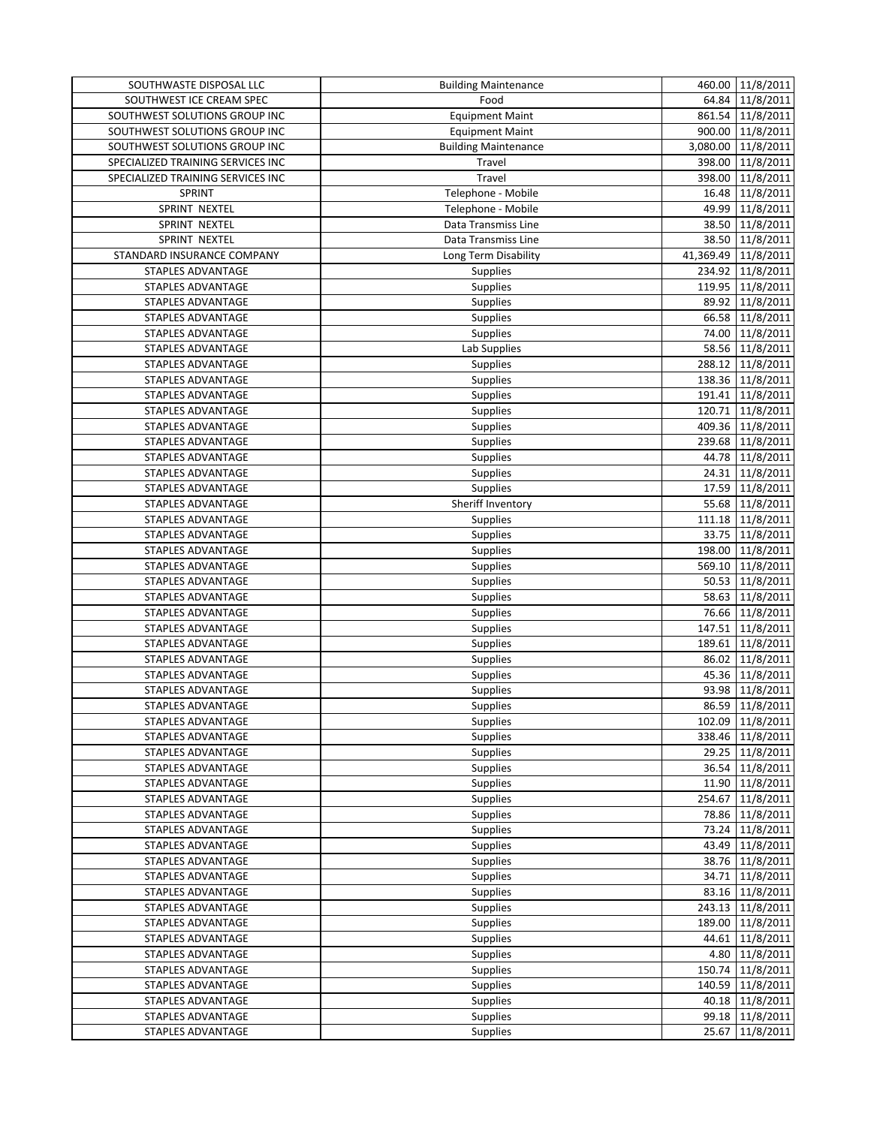| 64.84 11/8/2011<br>SOUTHWEST ICE CREAM SPEC<br>Food<br>861.54 11/8/2011<br>SOUTHWEST SOLUTIONS GROUP INC<br><b>Equipment Maint</b><br>SOUTHWEST SOLUTIONS GROUP INC<br>900.00 11/8/2011<br><b>Equipment Maint</b><br>3,080.00 11/8/2011<br>SOUTHWEST SOLUTIONS GROUP INC<br><b>Building Maintenance</b><br><b>Travel</b><br>398.00 11/8/2011<br>SPECIALIZED TRAINING SERVICES INC<br>Travel<br>11/8/2011<br>SPECIALIZED TRAINING SERVICES INC<br>398.00<br>16.48 11/8/2011<br>SPRINT<br>Telephone - Mobile<br>SPRINT NEXTEL<br>11/8/2011<br>Telephone - Mobile<br>49.99<br>SPRINT NEXTEL<br>Data Transmiss Line<br>38.50 11/8/2011<br>38.50 11/8/2011<br>SPRINT NEXTEL<br>Data Transmiss Line<br>41,369.49<br>11/8/2011<br>STANDARD INSURANCE COMPANY<br>Long Term Disability<br>234.92 11/8/2011<br>STAPLES ADVANTAGE<br>Supplies<br>119.95 11/8/2011<br>STAPLES ADVANTAGE<br>Supplies<br>89.92 11/8/2011<br>STAPLES ADVANTAGE<br>Supplies<br>66.58 11/8/2011<br><b>Supplies</b><br>STAPLES ADVANTAGE<br>Supplies<br>74.00 11/8/2011<br>STAPLES ADVANTAGE<br>Lab Supplies<br>58.56 11/8/2011<br>STAPLES ADVANTAGE<br>288.12 11/8/2011<br><b>STAPLES ADVANTAGE</b><br>Supplies<br>138.36 11/8/2011<br>STAPLES ADVANTAGE<br><b>Supplies</b><br>Supplies<br>191.41 11/8/2011<br>STAPLES ADVANTAGE<br><b>Supplies</b><br>120.71 11/8/2011<br>STAPLES ADVANTAGE<br>409.36 11/8/2011<br>Supplies<br>STAPLES ADVANTAGE<br>239.68 11/8/2011<br>STAPLES ADVANTAGE<br>Supplies<br>44.78 11/8/2011<br>STAPLES ADVANTAGE<br>Supplies<br>24.31 11/8/2011<br>STAPLES ADVANTAGE<br>Supplies<br>Supplies<br>17.59 11/8/2011<br>STAPLES ADVANTAGE<br>Sheriff Inventory<br>55.68 11/8/2011<br>STAPLES ADVANTAGE<br>111.18 11/8/2011<br>STAPLES ADVANTAGE<br>Supplies<br>33.75 11/8/2011<br>STAPLES ADVANTAGE<br>Supplies<br>198.00 11/8/2011<br>STAPLES ADVANTAGE<br><b>Supplies</b><br>Supplies<br>569.10 11/8/2011<br>STAPLES ADVANTAGE<br>50.53 11/8/2011<br>STAPLES ADVANTAGE<br>Supplies<br>58.63 11/8/2011<br>Supplies<br>STAPLES ADVANTAGE<br>76.66 11/8/2011<br>STAPLES ADVANTAGE<br>Supplies<br>147.51 11/8/2011<br>STAPLES ADVANTAGE<br>Supplies<br>11/8/2011<br>STAPLES ADVANTAGE<br>Supplies<br>189.61<br><b>Supplies</b><br>86.02 11/8/2011<br>STAPLES ADVANTAGE<br>Supplies<br>45.36 11/8/2011<br>STAPLES ADVANTAGE<br>93.98 11/8/2011<br>STAPLES ADVANTAGE<br>Supplies<br>86.59 11/8/2011<br>STAPLES ADVANTAGE<br>Supplies<br>102.09 11/8/2011<br>STAPLES ADVANTAGE<br>Supplies<br>338.46<br>11/8/2011<br>STAPLES ADVANTAGE<br><b>Supplies</b><br>29.25 11/8/2011<br>STAPLES ADVANTAGE<br><b>Supplies</b><br>Supplies<br>36.54 11/8/2011<br>STAPLES ADVANTAGE<br>11.90 11/8/2011<br>STAPLES ADVANTAGE<br><b>Supplies</b><br>STAPLES ADVANTAGE<br>254.67 11/8/2011<br><b>Supplies</b><br>78.86 11/8/2011<br>STAPLES ADVANTAGE<br><b>Supplies</b><br>Supplies<br>73.24 11/8/2011<br><b>STAPLES ADVANTAGE</b><br>Supplies<br>43.49 11/8/2011<br>STAPLES ADVANTAGE<br>38.76 11/8/2011<br>STAPLES ADVANTAGE<br><b>Supplies</b><br>Supplies<br>34.71 11/8/2011<br>STAPLES ADVANTAGE<br>STAPLES ADVANTAGE<br>Supplies<br>83.16 11/8/2011<br>243.13 11/8/2011<br>STAPLES ADVANTAGE<br><b>Supplies</b><br>189.00 11/8/2011<br>STAPLES ADVANTAGE<br><b>Supplies</b><br>Supplies<br>44.61 11/8/2011<br>STAPLES ADVANTAGE<br>4.80 11/8/2011<br>STAPLES ADVANTAGE<br><b>Supplies</b><br>STAPLES ADVANTAGE<br>150.74<br>11/8/2011<br><b>Supplies</b><br>STAPLES ADVANTAGE<br>140.59<br>11/8/2011<br><b>Supplies</b><br>Supplies<br>STAPLES ADVANTAGE<br>40.18 11/8/2011<br>99.18 11/8/2011<br>STAPLES ADVANTAGE<br><b>Supplies</b><br>STAPLES ADVANTAGE<br>Supplies<br>11/8/2011<br>25.67 | SOUTHWASTE DISPOSAL LLC | <b>Building Maintenance</b> | 460.00 11/8/2011 |
|---------------------------------------------------------------------------------------------------------------------------------------------------------------------------------------------------------------------------------------------------------------------------------------------------------------------------------------------------------------------------------------------------------------------------------------------------------------------------------------------------------------------------------------------------------------------------------------------------------------------------------------------------------------------------------------------------------------------------------------------------------------------------------------------------------------------------------------------------------------------------------------------------------------------------------------------------------------------------------------------------------------------------------------------------------------------------------------------------------------------------------------------------------------------------------------------------------------------------------------------------------------------------------------------------------------------------------------------------------------------------------------------------------------------------------------------------------------------------------------------------------------------------------------------------------------------------------------------------------------------------------------------------------------------------------------------------------------------------------------------------------------------------------------------------------------------------------------------------------------------------------------------------------------------------------------------------------------------------------------------------------------------------------------------------------------------------------------------------------------------------------------------------------------------------------------------------------------------------------------------------------------------------------------------------------------------------------------------------------------------------------------------------------------------------------------------------------------------------------------------------------------------------------------------------------------------------------------------------------------------------------------------------------------------------------------------------------------------------------------------------------------------------------------------------------------------------------------------------------------------------------------------------------------------------------------------------------------------------------------------------------------------------------------------------------------------------------------------------------------------------------------------------------------------------------------------------------------------------------------------------------------------------------------------------------------------------------------------------------------------------------------------------------------------------------------------------------------------------------------------------------------------------------------------------------------------------------------------------------------------------------------------------------------------------|-------------------------|-----------------------------|------------------|
|                                                                                                                                                                                                                                                                                                                                                                                                                                                                                                                                                                                                                                                                                                                                                                                                                                                                                                                                                                                                                                                                                                                                                                                                                                                                                                                                                                                                                                                                                                                                                                                                                                                                                                                                                                                                                                                                                                                                                                                                                                                                                                                                                                                                                                                                                                                                                                                                                                                                                                                                                                                                                                                                                                                                                                                                                                                                                                                                                                                                                                                                                                                                                                                                                                                                                                                                                                                                                                                                                                                                                                                                                                                                           |                         |                             |                  |
|                                                                                                                                                                                                                                                                                                                                                                                                                                                                                                                                                                                                                                                                                                                                                                                                                                                                                                                                                                                                                                                                                                                                                                                                                                                                                                                                                                                                                                                                                                                                                                                                                                                                                                                                                                                                                                                                                                                                                                                                                                                                                                                                                                                                                                                                                                                                                                                                                                                                                                                                                                                                                                                                                                                                                                                                                                                                                                                                                                                                                                                                                                                                                                                                                                                                                                                                                                                                                                                                                                                                                                                                                                                                           |                         |                             |                  |
|                                                                                                                                                                                                                                                                                                                                                                                                                                                                                                                                                                                                                                                                                                                                                                                                                                                                                                                                                                                                                                                                                                                                                                                                                                                                                                                                                                                                                                                                                                                                                                                                                                                                                                                                                                                                                                                                                                                                                                                                                                                                                                                                                                                                                                                                                                                                                                                                                                                                                                                                                                                                                                                                                                                                                                                                                                                                                                                                                                                                                                                                                                                                                                                                                                                                                                                                                                                                                                                                                                                                                                                                                                                                           |                         |                             |                  |
|                                                                                                                                                                                                                                                                                                                                                                                                                                                                                                                                                                                                                                                                                                                                                                                                                                                                                                                                                                                                                                                                                                                                                                                                                                                                                                                                                                                                                                                                                                                                                                                                                                                                                                                                                                                                                                                                                                                                                                                                                                                                                                                                                                                                                                                                                                                                                                                                                                                                                                                                                                                                                                                                                                                                                                                                                                                                                                                                                                                                                                                                                                                                                                                                                                                                                                                                                                                                                                                                                                                                                                                                                                                                           |                         |                             |                  |
|                                                                                                                                                                                                                                                                                                                                                                                                                                                                                                                                                                                                                                                                                                                                                                                                                                                                                                                                                                                                                                                                                                                                                                                                                                                                                                                                                                                                                                                                                                                                                                                                                                                                                                                                                                                                                                                                                                                                                                                                                                                                                                                                                                                                                                                                                                                                                                                                                                                                                                                                                                                                                                                                                                                                                                                                                                                                                                                                                                                                                                                                                                                                                                                                                                                                                                                                                                                                                                                                                                                                                                                                                                                                           |                         |                             |                  |
|                                                                                                                                                                                                                                                                                                                                                                                                                                                                                                                                                                                                                                                                                                                                                                                                                                                                                                                                                                                                                                                                                                                                                                                                                                                                                                                                                                                                                                                                                                                                                                                                                                                                                                                                                                                                                                                                                                                                                                                                                                                                                                                                                                                                                                                                                                                                                                                                                                                                                                                                                                                                                                                                                                                                                                                                                                                                                                                                                                                                                                                                                                                                                                                                                                                                                                                                                                                                                                                                                                                                                                                                                                                                           |                         |                             |                  |
|                                                                                                                                                                                                                                                                                                                                                                                                                                                                                                                                                                                                                                                                                                                                                                                                                                                                                                                                                                                                                                                                                                                                                                                                                                                                                                                                                                                                                                                                                                                                                                                                                                                                                                                                                                                                                                                                                                                                                                                                                                                                                                                                                                                                                                                                                                                                                                                                                                                                                                                                                                                                                                                                                                                                                                                                                                                                                                                                                                                                                                                                                                                                                                                                                                                                                                                                                                                                                                                                                                                                                                                                                                                                           |                         |                             |                  |
|                                                                                                                                                                                                                                                                                                                                                                                                                                                                                                                                                                                                                                                                                                                                                                                                                                                                                                                                                                                                                                                                                                                                                                                                                                                                                                                                                                                                                                                                                                                                                                                                                                                                                                                                                                                                                                                                                                                                                                                                                                                                                                                                                                                                                                                                                                                                                                                                                                                                                                                                                                                                                                                                                                                                                                                                                                                                                                                                                                                                                                                                                                                                                                                                                                                                                                                                                                                                                                                                                                                                                                                                                                                                           |                         |                             |                  |
|                                                                                                                                                                                                                                                                                                                                                                                                                                                                                                                                                                                                                                                                                                                                                                                                                                                                                                                                                                                                                                                                                                                                                                                                                                                                                                                                                                                                                                                                                                                                                                                                                                                                                                                                                                                                                                                                                                                                                                                                                                                                                                                                                                                                                                                                                                                                                                                                                                                                                                                                                                                                                                                                                                                                                                                                                                                                                                                                                                                                                                                                                                                                                                                                                                                                                                                                                                                                                                                                                                                                                                                                                                                                           |                         |                             |                  |
|                                                                                                                                                                                                                                                                                                                                                                                                                                                                                                                                                                                                                                                                                                                                                                                                                                                                                                                                                                                                                                                                                                                                                                                                                                                                                                                                                                                                                                                                                                                                                                                                                                                                                                                                                                                                                                                                                                                                                                                                                                                                                                                                                                                                                                                                                                                                                                                                                                                                                                                                                                                                                                                                                                                                                                                                                                                                                                                                                                                                                                                                                                                                                                                                                                                                                                                                                                                                                                                                                                                                                                                                                                                                           |                         |                             |                  |
|                                                                                                                                                                                                                                                                                                                                                                                                                                                                                                                                                                                                                                                                                                                                                                                                                                                                                                                                                                                                                                                                                                                                                                                                                                                                                                                                                                                                                                                                                                                                                                                                                                                                                                                                                                                                                                                                                                                                                                                                                                                                                                                                                                                                                                                                                                                                                                                                                                                                                                                                                                                                                                                                                                                                                                                                                                                                                                                                                                                                                                                                                                                                                                                                                                                                                                                                                                                                                                                                                                                                                                                                                                                                           |                         |                             |                  |
|                                                                                                                                                                                                                                                                                                                                                                                                                                                                                                                                                                                                                                                                                                                                                                                                                                                                                                                                                                                                                                                                                                                                                                                                                                                                                                                                                                                                                                                                                                                                                                                                                                                                                                                                                                                                                                                                                                                                                                                                                                                                                                                                                                                                                                                                                                                                                                                                                                                                                                                                                                                                                                                                                                                                                                                                                                                                                                                                                                                                                                                                                                                                                                                                                                                                                                                                                                                                                                                                                                                                                                                                                                                                           |                         |                             |                  |
|                                                                                                                                                                                                                                                                                                                                                                                                                                                                                                                                                                                                                                                                                                                                                                                                                                                                                                                                                                                                                                                                                                                                                                                                                                                                                                                                                                                                                                                                                                                                                                                                                                                                                                                                                                                                                                                                                                                                                                                                                                                                                                                                                                                                                                                                                                                                                                                                                                                                                                                                                                                                                                                                                                                                                                                                                                                                                                                                                                                                                                                                                                                                                                                                                                                                                                                                                                                                                                                                                                                                                                                                                                                                           |                         |                             |                  |
|                                                                                                                                                                                                                                                                                                                                                                                                                                                                                                                                                                                                                                                                                                                                                                                                                                                                                                                                                                                                                                                                                                                                                                                                                                                                                                                                                                                                                                                                                                                                                                                                                                                                                                                                                                                                                                                                                                                                                                                                                                                                                                                                                                                                                                                                                                                                                                                                                                                                                                                                                                                                                                                                                                                                                                                                                                                                                                                                                                                                                                                                                                                                                                                                                                                                                                                                                                                                                                                                                                                                                                                                                                                                           |                         |                             |                  |
|                                                                                                                                                                                                                                                                                                                                                                                                                                                                                                                                                                                                                                                                                                                                                                                                                                                                                                                                                                                                                                                                                                                                                                                                                                                                                                                                                                                                                                                                                                                                                                                                                                                                                                                                                                                                                                                                                                                                                                                                                                                                                                                                                                                                                                                                                                                                                                                                                                                                                                                                                                                                                                                                                                                                                                                                                                                                                                                                                                                                                                                                                                                                                                                                                                                                                                                                                                                                                                                                                                                                                                                                                                                                           |                         |                             |                  |
|                                                                                                                                                                                                                                                                                                                                                                                                                                                                                                                                                                                                                                                                                                                                                                                                                                                                                                                                                                                                                                                                                                                                                                                                                                                                                                                                                                                                                                                                                                                                                                                                                                                                                                                                                                                                                                                                                                                                                                                                                                                                                                                                                                                                                                                                                                                                                                                                                                                                                                                                                                                                                                                                                                                                                                                                                                                                                                                                                                                                                                                                                                                                                                                                                                                                                                                                                                                                                                                                                                                                                                                                                                                                           |                         |                             |                  |
|                                                                                                                                                                                                                                                                                                                                                                                                                                                                                                                                                                                                                                                                                                                                                                                                                                                                                                                                                                                                                                                                                                                                                                                                                                                                                                                                                                                                                                                                                                                                                                                                                                                                                                                                                                                                                                                                                                                                                                                                                                                                                                                                                                                                                                                                                                                                                                                                                                                                                                                                                                                                                                                                                                                                                                                                                                                                                                                                                                                                                                                                                                                                                                                                                                                                                                                                                                                                                                                                                                                                                                                                                                                                           |                         |                             |                  |
|                                                                                                                                                                                                                                                                                                                                                                                                                                                                                                                                                                                                                                                                                                                                                                                                                                                                                                                                                                                                                                                                                                                                                                                                                                                                                                                                                                                                                                                                                                                                                                                                                                                                                                                                                                                                                                                                                                                                                                                                                                                                                                                                                                                                                                                                                                                                                                                                                                                                                                                                                                                                                                                                                                                                                                                                                                                                                                                                                                                                                                                                                                                                                                                                                                                                                                                                                                                                                                                                                                                                                                                                                                                                           |                         |                             |                  |
|                                                                                                                                                                                                                                                                                                                                                                                                                                                                                                                                                                                                                                                                                                                                                                                                                                                                                                                                                                                                                                                                                                                                                                                                                                                                                                                                                                                                                                                                                                                                                                                                                                                                                                                                                                                                                                                                                                                                                                                                                                                                                                                                                                                                                                                                                                                                                                                                                                                                                                                                                                                                                                                                                                                                                                                                                                                                                                                                                                                                                                                                                                                                                                                                                                                                                                                                                                                                                                                                                                                                                                                                                                                                           |                         |                             |                  |
|                                                                                                                                                                                                                                                                                                                                                                                                                                                                                                                                                                                                                                                                                                                                                                                                                                                                                                                                                                                                                                                                                                                                                                                                                                                                                                                                                                                                                                                                                                                                                                                                                                                                                                                                                                                                                                                                                                                                                                                                                                                                                                                                                                                                                                                                                                                                                                                                                                                                                                                                                                                                                                                                                                                                                                                                                                                                                                                                                                                                                                                                                                                                                                                                                                                                                                                                                                                                                                                                                                                                                                                                                                                                           |                         |                             |                  |
|                                                                                                                                                                                                                                                                                                                                                                                                                                                                                                                                                                                                                                                                                                                                                                                                                                                                                                                                                                                                                                                                                                                                                                                                                                                                                                                                                                                                                                                                                                                                                                                                                                                                                                                                                                                                                                                                                                                                                                                                                                                                                                                                                                                                                                                                                                                                                                                                                                                                                                                                                                                                                                                                                                                                                                                                                                                                                                                                                                                                                                                                                                                                                                                                                                                                                                                                                                                                                                                                                                                                                                                                                                                                           |                         |                             |                  |
|                                                                                                                                                                                                                                                                                                                                                                                                                                                                                                                                                                                                                                                                                                                                                                                                                                                                                                                                                                                                                                                                                                                                                                                                                                                                                                                                                                                                                                                                                                                                                                                                                                                                                                                                                                                                                                                                                                                                                                                                                                                                                                                                                                                                                                                                                                                                                                                                                                                                                                                                                                                                                                                                                                                                                                                                                                                                                                                                                                                                                                                                                                                                                                                                                                                                                                                                                                                                                                                                                                                                                                                                                                                                           |                         |                             |                  |
|                                                                                                                                                                                                                                                                                                                                                                                                                                                                                                                                                                                                                                                                                                                                                                                                                                                                                                                                                                                                                                                                                                                                                                                                                                                                                                                                                                                                                                                                                                                                                                                                                                                                                                                                                                                                                                                                                                                                                                                                                                                                                                                                                                                                                                                                                                                                                                                                                                                                                                                                                                                                                                                                                                                                                                                                                                                                                                                                                                                                                                                                                                                                                                                                                                                                                                                                                                                                                                                                                                                                                                                                                                                                           |                         |                             |                  |
|                                                                                                                                                                                                                                                                                                                                                                                                                                                                                                                                                                                                                                                                                                                                                                                                                                                                                                                                                                                                                                                                                                                                                                                                                                                                                                                                                                                                                                                                                                                                                                                                                                                                                                                                                                                                                                                                                                                                                                                                                                                                                                                                                                                                                                                                                                                                                                                                                                                                                                                                                                                                                                                                                                                                                                                                                                                                                                                                                                                                                                                                                                                                                                                                                                                                                                                                                                                                                                                                                                                                                                                                                                                                           |                         |                             |                  |
|                                                                                                                                                                                                                                                                                                                                                                                                                                                                                                                                                                                                                                                                                                                                                                                                                                                                                                                                                                                                                                                                                                                                                                                                                                                                                                                                                                                                                                                                                                                                                                                                                                                                                                                                                                                                                                                                                                                                                                                                                                                                                                                                                                                                                                                                                                                                                                                                                                                                                                                                                                                                                                                                                                                                                                                                                                                                                                                                                                                                                                                                                                                                                                                                                                                                                                                                                                                                                                                                                                                                                                                                                                                                           |                         |                             |                  |
|                                                                                                                                                                                                                                                                                                                                                                                                                                                                                                                                                                                                                                                                                                                                                                                                                                                                                                                                                                                                                                                                                                                                                                                                                                                                                                                                                                                                                                                                                                                                                                                                                                                                                                                                                                                                                                                                                                                                                                                                                                                                                                                                                                                                                                                                                                                                                                                                                                                                                                                                                                                                                                                                                                                                                                                                                                                                                                                                                                                                                                                                                                                                                                                                                                                                                                                                                                                                                                                                                                                                                                                                                                                                           |                         |                             |                  |
|                                                                                                                                                                                                                                                                                                                                                                                                                                                                                                                                                                                                                                                                                                                                                                                                                                                                                                                                                                                                                                                                                                                                                                                                                                                                                                                                                                                                                                                                                                                                                                                                                                                                                                                                                                                                                                                                                                                                                                                                                                                                                                                                                                                                                                                                                                                                                                                                                                                                                                                                                                                                                                                                                                                                                                                                                                                                                                                                                                                                                                                                                                                                                                                                                                                                                                                                                                                                                                                                                                                                                                                                                                                                           |                         |                             |                  |
|                                                                                                                                                                                                                                                                                                                                                                                                                                                                                                                                                                                                                                                                                                                                                                                                                                                                                                                                                                                                                                                                                                                                                                                                                                                                                                                                                                                                                                                                                                                                                                                                                                                                                                                                                                                                                                                                                                                                                                                                                                                                                                                                                                                                                                                                                                                                                                                                                                                                                                                                                                                                                                                                                                                                                                                                                                                                                                                                                                                                                                                                                                                                                                                                                                                                                                                                                                                                                                                                                                                                                                                                                                                                           |                         |                             |                  |
|                                                                                                                                                                                                                                                                                                                                                                                                                                                                                                                                                                                                                                                                                                                                                                                                                                                                                                                                                                                                                                                                                                                                                                                                                                                                                                                                                                                                                                                                                                                                                                                                                                                                                                                                                                                                                                                                                                                                                                                                                                                                                                                                                                                                                                                                                                                                                                                                                                                                                                                                                                                                                                                                                                                                                                                                                                                                                                                                                                                                                                                                                                                                                                                                                                                                                                                                                                                                                                                                                                                                                                                                                                                                           |                         |                             |                  |
|                                                                                                                                                                                                                                                                                                                                                                                                                                                                                                                                                                                                                                                                                                                                                                                                                                                                                                                                                                                                                                                                                                                                                                                                                                                                                                                                                                                                                                                                                                                                                                                                                                                                                                                                                                                                                                                                                                                                                                                                                                                                                                                                                                                                                                                                                                                                                                                                                                                                                                                                                                                                                                                                                                                                                                                                                                                                                                                                                                                                                                                                                                                                                                                                                                                                                                                                                                                                                                                                                                                                                                                                                                                                           |                         |                             |                  |
|                                                                                                                                                                                                                                                                                                                                                                                                                                                                                                                                                                                                                                                                                                                                                                                                                                                                                                                                                                                                                                                                                                                                                                                                                                                                                                                                                                                                                                                                                                                                                                                                                                                                                                                                                                                                                                                                                                                                                                                                                                                                                                                                                                                                                                                                                                                                                                                                                                                                                                                                                                                                                                                                                                                                                                                                                                                                                                                                                                                                                                                                                                                                                                                                                                                                                                                                                                                                                                                                                                                                                                                                                                                                           |                         |                             |                  |
|                                                                                                                                                                                                                                                                                                                                                                                                                                                                                                                                                                                                                                                                                                                                                                                                                                                                                                                                                                                                                                                                                                                                                                                                                                                                                                                                                                                                                                                                                                                                                                                                                                                                                                                                                                                                                                                                                                                                                                                                                                                                                                                                                                                                                                                                                                                                                                                                                                                                                                                                                                                                                                                                                                                                                                                                                                                                                                                                                                                                                                                                                                                                                                                                                                                                                                                                                                                                                                                                                                                                                                                                                                                                           |                         |                             |                  |
|                                                                                                                                                                                                                                                                                                                                                                                                                                                                                                                                                                                                                                                                                                                                                                                                                                                                                                                                                                                                                                                                                                                                                                                                                                                                                                                                                                                                                                                                                                                                                                                                                                                                                                                                                                                                                                                                                                                                                                                                                                                                                                                                                                                                                                                                                                                                                                                                                                                                                                                                                                                                                                                                                                                                                                                                                                                                                                                                                                                                                                                                                                                                                                                                                                                                                                                                                                                                                                                                                                                                                                                                                                                                           |                         |                             |                  |
|                                                                                                                                                                                                                                                                                                                                                                                                                                                                                                                                                                                                                                                                                                                                                                                                                                                                                                                                                                                                                                                                                                                                                                                                                                                                                                                                                                                                                                                                                                                                                                                                                                                                                                                                                                                                                                                                                                                                                                                                                                                                                                                                                                                                                                                                                                                                                                                                                                                                                                                                                                                                                                                                                                                                                                                                                                                                                                                                                                                                                                                                                                                                                                                                                                                                                                                                                                                                                                                                                                                                                                                                                                                                           |                         |                             |                  |
|                                                                                                                                                                                                                                                                                                                                                                                                                                                                                                                                                                                                                                                                                                                                                                                                                                                                                                                                                                                                                                                                                                                                                                                                                                                                                                                                                                                                                                                                                                                                                                                                                                                                                                                                                                                                                                                                                                                                                                                                                                                                                                                                                                                                                                                                                                                                                                                                                                                                                                                                                                                                                                                                                                                                                                                                                                                                                                                                                                                                                                                                                                                                                                                                                                                                                                                                                                                                                                                                                                                                                                                                                                                                           |                         |                             |                  |
|                                                                                                                                                                                                                                                                                                                                                                                                                                                                                                                                                                                                                                                                                                                                                                                                                                                                                                                                                                                                                                                                                                                                                                                                                                                                                                                                                                                                                                                                                                                                                                                                                                                                                                                                                                                                                                                                                                                                                                                                                                                                                                                                                                                                                                                                                                                                                                                                                                                                                                                                                                                                                                                                                                                                                                                                                                                                                                                                                                                                                                                                                                                                                                                                                                                                                                                                                                                                                                                                                                                                                                                                                                                                           |                         |                             |                  |
|                                                                                                                                                                                                                                                                                                                                                                                                                                                                                                                                                                                                                                                                                                                                                                                                                                                                                                                                                                                                                                                                                                                                                                                                                                                                                                                                                                                                                                                                                                                                                                                                                                                                                                                                                                                                                                                                                                                                                                                                                                                                                                                                                                                                                                                                                                                                                                                                                                                                                                                                                                                                                                                                                                                                                                                                                                                                                                                                                                                                                                                                                                                                                                                                                                                                                                                                                                                                                                                                                                                                                                                                                                                                           |                         |                             |                  |
|                                                                                                                                                                                                                                                                                                                                                                                                                                                                                                                                                                                                                                                                                                                                                                                                                                                                                                                                                                                                                                                                                                                                                                                                                                                                                                                                                                                                                                                                                                                                                                                                                                                                                                                                                                                                                                                                                                                                                                                                                                                                                                                                                                                                                                                                                                                                                                                                                                                                                                                                                                                                                                                                                                                                                                                                                                                                                                                                                                                                                                                                                                                                                                                                                                                                                                                                                                                                                                                                                                                                                                                                                                                                           |                         |                             |                  |
|                                                                                                                                                                                                                                                                                                                                                                                                                                                                                                                                                                                                                                                                                                                                                                                                                                                                                                                                                                                                                                                                                                                                                                                                                                                                                                                                                                                                                                                                                                                                                                                                                                                                                                                                                                                                                                                                                                                                                                                                                                                                                                                                                                                                                                                                                                                                                                                                                                                                                                                                                                                                                                                                                                                                                                                                                                                                                                                                                                                                                                                                                                                                                                                                                                                                                                                                                                                                                                                                                                                                                                                                                                                                           |                         |                             |                  |
|                                                                                                                                                                                                                                                                                                                                                                                                                                                                                                                                                                                                                                                                                                                                                                                                                                                                                                                                                                                                                                                                                                                                                                                                                                                                                                                                                                                                                                                                                                                                                                                                                                                                                                                                                                                                                                                                                                                                                                                                                                                                                                                                                                                                                                                                                                                                                                                                                                                                                                                                                                                                                                                                                                                                                                                                                                                                                                                                                                                                                                                                                                                                                                                                                                                                                                                                                                                                                                                                                                                                                                                                                                                                           |                         |                             |                  |
|                                                                                                                                                                                                                                                                                                                                                                                                                                                                                                                                                                                                                                                                                                                                                                                                                                                                                                                                                                                                                                                                                                                                                                                                                                                                                                                                                                                                                                                                                                                                                                                                                                                                                                                                                                                                                                                                                                                                                                                                                                                                                                                                                                                                                                                                                                                                                                                                                                                                                                                                                                                                                                                                                                                                                                                                                                                                                                                                                                                                                                                                                                                                                                                                                                                                                                                                                                                                                                                                                                                                                                                                                                                                           |                         |                             |                  |
|                                                                                                                                                                                                                                                                                                                                                                                                                                                                                                                                                                                                                                                                                                                                                                                                                                                                                                                                                                                                                                                                                                                                                                                                                                                                                                                                                                                                                                                                                                                                                                                                                                                                                                                                                                                                                                                                                                                                                                                                                                                                                                                                                                                                                                                                                                                                                                                                                                                                                                                                                                                                                                                                                                                                                                                                                                                                                                                                                                                                                                                                                                                                                                                                                                                                                                                                                                                                                                                                                                                                                                                                                                                                           |                         |                             |                  |
|                                                                                                                                                                                                                                                                                                                                                                                                                                                                                                                                                                                                                                                                                                                                                                                                                                                                                                                                                                                                                                                                                                                                                                                                                                                                                                                                                                                                                                                                                                                                                                                                                                                                                                                                                                                                                                                                                                                                                                                                                                                                                                                                                                                                                                                                                                                                                                                                                                                                                                                                                                                                                                                                                                                                                                                                                                                                                                                                                                                                                                                                                                                                                                                                                                                                                                                                                                                                                                                                                                                                                                                                                                                                           |                         |                             |                  |
|                                                                                                                                                                                                                                                                                                                                                                                                                                                                                                                                                                                                                                                                                                                                                                                                                                                                                                                                                                                                                                                                                                                                                                                                                                                                                                                                                                                                                                                                                                                                                                                                                                                                                                                                                                                                                                                                                                                                                                                                                                                                                                                                                                                                                                                                                                                                                                                                                                                                                                                                                                                                                                                                                                                                                                                                                                                                                                                                                                                                                                                                                                                                                                                                                                                                                                                                                                                                                                                                                                                                                                                                                                                                           |                         |                             |                  |
|                                                                                                                                                                                                                                                                                                                                                                                                                                                                                                                                                                                                                                                                                                                                                                                                                                                                                                                                                                                                                                                                                                                                                                                                                                                                                                                                                                                                                                                                                                                                                                                                                                                                                                                                                                                                                                                                                                                                                                                                                                                                                                                                                                                                                                                                                                                                                                                                                                                                                                                                                                                                                                                                                                                                                                                                                                                                                                                                                                                                                                                                                                                                                                                                                                                                                                                                                                                                                                                                                                                                                                                                                                                                           |                         |                             |                  |
|                                                                                                                                                                                                                                                                                                                                                                                                                                                                                                                                                                                                                                                                                                                                                                                                                                                                                                                                                                                                                                                                                                                                                                                                                                                                                                                                                                                                                                                                                                                                                                                                                                                                                                                                                                                                                                                                                                                                                                                                                                                                                                                                                                                                                                                                                                                                                                                                                                                                                                                                                                                                                                                                                                                                                                                                                                                                                                                                                                                                                                                                                                                                                                                                                                                                                                                                                                                                                                                                                                                                                                                                                                                                           |                         |                             |                  |
|                                                                                                                                                                                                                                                                                                                                                                                                                                                                                                                                                                                                                                                                                                                                                                                                                                                                                                                                                                                                                                                                                                                                                                                                                                                                                                                                                                                                                                                                                                                                                                                                                                                                                                                                                                                                                                                                                                                                                                                                                                                                                                                                                                                                                                                                                                                                                                                                                                                                                                                                                                                                                                                                                                                                                                                                                                                                                                                                                                                                                                                                                                                                                                                                                                                                                                                                                                                                                                                                                                                                                                                                                                                                           |                         |                             |                  |
|                                                                                                                                                                                                                                                                                                                                                                                                                                                                                                                                                                                                                                                                                                                                                                                                                                                                                                                                                                                                                                                                                                                                                                                                                                                                                                                                                                                                                                                                                                                                                                                                                                                                                                                                                                                                                                                                                                                                                                                                                                                                                                                                                                                                                                                                                                                                                                                                                                                                                                                                                                                                                                                                                                                                                                                                                                                                                                                                                                                                                                                                                                                                                                                                                                                                                                                                                                                                                                                                                                                                                                                                                                                                           |                         |                             |                  |
|                                                                                                                                                                                                                                                                                                                                                                                                                                                                                                                                                                                                                                                                                                                                                                                                                                                                                                                                                                                                                                                                                                                                                                                                                                                                                                                                                                                                                                                                                                                                                                                                                                                                                                                                                                                                                                                                                                                                                                                                                                                                                                                                                                                                                                                                                                                                                                                                                                                                                                                                                                                                                                                                                                                                                                                                                                                                                                                                                                                                                                                                                                                                                                                                                                                                                                                                                                                                                                                                                                                                                                                                                                                                           |                         |                             |                  |
|                                                                                                                                                                                                                                                                                                                                                                                                                                                                                                                                                                                                                                                                                                                                                                                                                                                                                                                                                                                                                                                                                                                                                                                                                                                                                                                                                                                                                                                                                                                                                                                                                                                                                                                                                                                                                                                                                                                                                                                                                                                                                                                                                                                                                                                                                                                                                                                                                                                                                                                                                                                                                                                                                                                                                                                                                                                                                                                                                                                                                                                                                                                                                                                                                                                                                                                                                                                                                                                                                                                                                                                                                                                                           |                         |                             |                  |
|                                                                                                                                                                                                                                                                                                                                                                                                                                                                                                                                                                                                                                                                                                                                                                                                                                                                                                                                                                                                                                                                                                                                                                                                                                                                                                                                                                                                                                                                                                                                                                                                                                                                                                                                                                                                                                                                                                                                                                                                                                                                                                                                                                                                                                                                                                                                                                                                                                                                                                                                                                                                                                                                                                                                                                                                                                                                                                                                                                                                                                                                                                                                                                                                                                                                                                                                                                                                                                                                                                                                                                                                                                                                           |                         |                             |                  |
|                                                                                                                                                                                                                                                                                                                                                                                                                                                                                                                                                                                                                                                                                                                                                                                                                                                                                                                                                                                                                                                                                                                                                                                                                                                                                                                                                                                                                                                                                                                                                                                                                                                                                                                                                                                                                                                                                                                                                                                                                                                                                                                                                                                                                                                                                                                                                                                                                                                                                                                                                                                                                                                                                                                                                                                                                                                                                                                                                                                                                                                                                                                                                                                                                                                                                                                                                                                                                                                                                                                                                                                                                                                                           |                         |                             |                  |
|                                                                                                                                                                                                                                                                                                                                                                                                                                                                                                                                                                                                                                                                                                                                                                                                                                                                                                                                                                                                                                                                                                                                                                                                                                                                                                                                                                                                                                                                                                                                                                                                                                                                                                                                                                                                                                                                                                                                                                                                                                                                                                                                                                                                                                                                                                                                                                                                                                                                                                                                                                                                                                                                                                                                                                                                                                                                                                                                                                                                                                                                                                                                                                                                                                                                                                                                                                                                                                                                                                                                                                                                                                                                           |                         |                             |                  |
|                                                                                                                                                                                                                                                                                                                                                                                                                                                                                                                                                                                                                                                                                                                                                                                                                                                                                                                                                                                                                                                                                                                                                                                                                                                                                                                                                                                                                                                                                                                                                                                                                                                                                                                                                                                                                                                                                                                                                                                                                                                                                                                                                                                                                                                                                                                                                                                                                                                                                                                                                                                                                                                                                                                                                                                                                                                                                                                                                                                                                                                                                                                                                                                                                                                                                                                                                                                                                                                                                                                                                                                                                                                                           |                         |                             |                  |
|                                                                                                                                                                                                                                                                                                                                                                                                                                                                                                                                                                                                                                                                                                                                                                                                                                                                                                                                                                                                                                                                                                                                                                                                                                                                                                                                                                                                                                                                                                                                                                                                                                                                                                                                                                                                                                                                                                                                                                                                                                                                                                                                                                                                                                                                                                                                                                                                                                                                                                                                                                                                                                                                                                                                                                                                                                                                                                                                                                                                                                                                                                                                                                                                                                                                                                                                                                                                                                                                                                                                                                                                                                                                           |                         |                             |                  |
|                                                                                                                                                                                                                                                                                                                                                                                                                                                                                                                                                                                                                                                                                                                                                                                                                                                                                                                                                                                                                                                                                                                                                                                                                                                                                                                                                                                                                                                                                                                                                                                                                                                                                                                                                                                                                                                                                                                                                                                                                                                                                                                                                                                                                                                                                                                                                                                                                                                                                                                                                                                                                                                                                                                                                                                                                                                                                                                                                                                                                                                                                                                                                                                                                                                                                                                                                                                                                                                                                                                                                                                                                                                                           |                         |                             |                  |
|                                                                                                                                                                                                                                                                                                                                                                                                                                                                                                                                                                                                                                                                                                                                                                                                                                                                                                                                                                                                                                                                                                                                                                                                                                                                                                                                                                                                                                                                                                                                                                                                                                                                                                                                                                                                                                                                                                                                                                                                                                                                                                                                                                                                                                                                                                                                                                                                                                                                                                                                                                                                                                                                                                                                                                                                                                                                                                                                                                                                                                                                                                                                                                                                                                                                                                                                                                                                                                                                                                                                                                                                                                                                           |                         |                             |                  |
|                                                                                                                                                                                                                                                                                                                                                                                                                                                                                                                                                                                                                                                                                                                                                                                                                                                                                                                                                                                                                                                                                                                                                                                                                                                                                                                                                                                                                                                                                                                                                                                                                                                                                                                                                                                                                                                                                                                                                                                                                                                                                                                                                                                                                                                                                                                                                                                                                                                                                                                                                                                                                                                                                                                                                                                                                                                                                                                                                                                                                                                                                                                                                                                                                                                                                                                                                                                                                                                                                                                                                                                                                                                                           |                         |                             |                  |
|                                                                                                                                                                                                                                                                                                                                                                                                                                                                                                                                                                                                                                                                                                                                                                                                                                                                                                                                                                                                                                                                                                                                                                                                                                                                                                                                                                                                                                                                                                                                                                                                                                                                                                                                                                                                                                                                                                                                                                                                                                                                                                                                                                                                                                                                                                                                                                                                                                                                                                                                                                                                                                                                                                                                                                                                                                                                                                                                                                                                                                                                                                                                                                                                                                                                                                                                                                                                                                                                                                                                                                                                                                                                           |                         |                             |                  |
|                                                                                                                                                                                                                                                                                                                                                                                                                                                                                                                                                                                                                                                                                                                                                                                                                                                                                                                                                                                                                                                                                                                                                                                                                                                                                                                                                                                                                                                                                                                                                                                                                                                                                                                                                                                                                                                                                                                                                                                                                                                                                                                                                                                                                                                                                                                                                                                                                                                                                                                                                                                                                                                                                                                                                                                                                                                                                                                                                                                                                                                                                                                                                                                                                                                                                                                                                                                                                                                                                                                                                                                                                                                                           |                         |                             |                  |
|                                                                                                                                                                                                                                                                                                                                                                                                                                                                                                                                                                                                                                                                                                                                                                                                                                                                                                                                                                                                                                                                                                                                                                                                                                                                                                                                                                                                                                                                                                                                                                                                                                                                                                                                                                                                                                                                                                                                                                                                                                                                                                                                                                                                                                                                                                                                                                                                                                                                                                                                                                                                                                                                                                                                                                                                                                                                                                                                                                                                                                                                                                                                                                                                                                                                                                                                                                                                                                                                                                                                                                                                                                                                           |                         |                             |                  |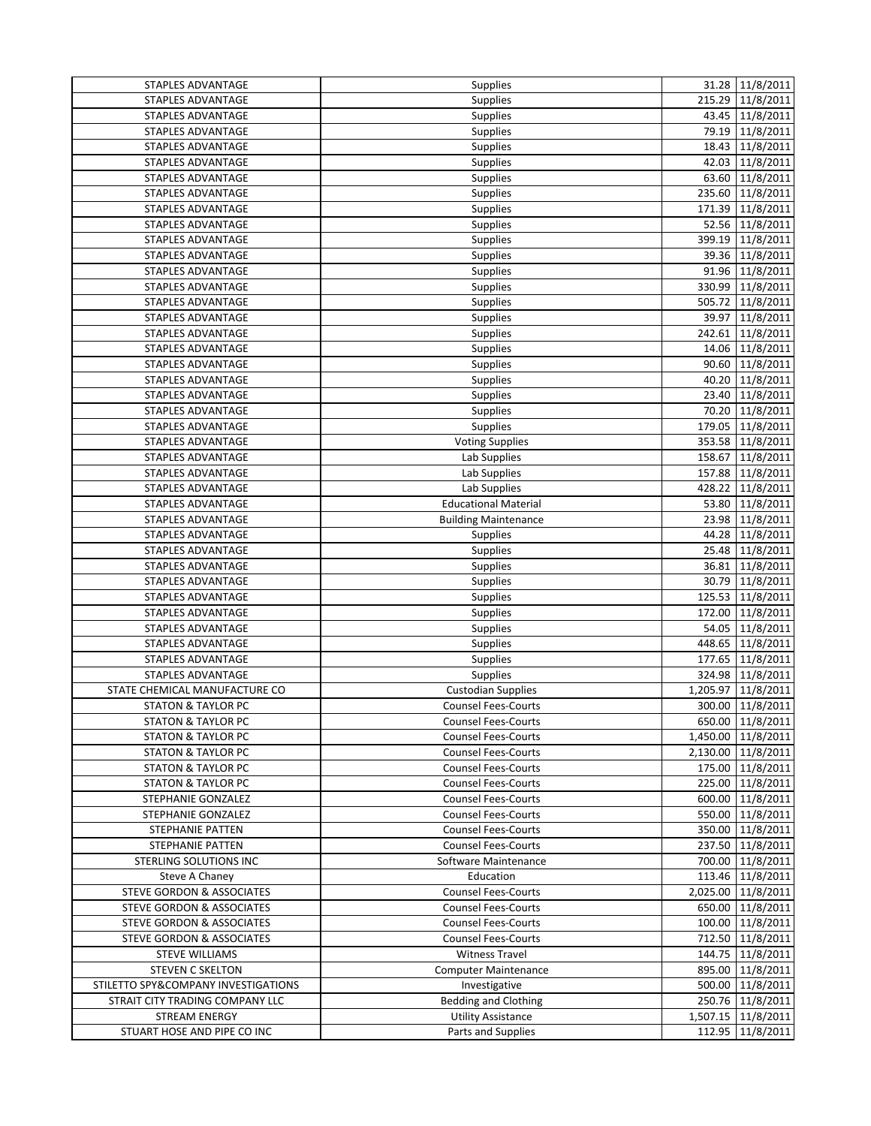| Supplies<br>215.29 11/8/2011<br>STAPLES ADVANTAGE<br>43.45 11/8/2011<br>STAPLES ADVANTAGE<br>Supplies<br>79.19 11/8/2011<br>STAPLES ADVANTAGE<br>Supplies<br>18.43 11/8/2011<br>Supplies<br>STAPLES ADVANTAGE<br>42.03 11/8/2011<br>Supplies<br>STAPLES ADVANTAGE<br>63.60 11/8/2011<br>STAPLES ADVANTAGE<br>Supplies<br>235.60 11/8/2011<br>STAPLES ADVANTAGE<br><b>Supplies</b><br>11/8/2011<br>STAPLES ADVANTAGE<br>Supplies<br>171.39<br>52.56 11/8/2011<br>STAPLES ADVANTAGE<br><b>Supplies</b><br>11/8/2011<br>399.19<br>STAPLES ADVANTAGE<br><b>Supplies</b><br>Supplies<br>39.36 11/8/2011<br>STAPLES ADVANTAGE<br>91.96 11/8/2011<br>STAPLES ADVANTAGE<br>Supplies<br>330.99 11/8/2011<br>STAPLES ADVANTAGE<br>Supplies<br>11/8/2011<br>505.72<br>STAPLES ADVANTAGE<br><b>Supplies</b><br>39.97 11/8/2011<br>STAPLES ADVANTAGE<br>Supplies<br>242.61 11/8/2011<br>Supplies<br>STAPLES ADVANTAGE<br>14.06 11/8/2011<br>STAPLES ADVANTAGE<br>Supplies<br>90.60 11/8/2011<br>STAPLES ADVANTAGE<br>Supplies<br>40.20 11/8/2011<br>STAPLES ADVANTAGE<br>Supplies<br>23.40 11/8/2011<br>STAPLES ADVANTAGE<br>Supplies<br>70.20 11/8/2011<br>STAPLES ADVANTAGE<br><b>Supplies</b><br>Supplies<br>179.05 11/8/2011<br>STAPLES ADVANTAGE<br>353.58 11/8/2011<br>Voting Supplies<br>STAPLES ADVANTAGE<br>158.67<br>11/8/2011<br>STAPLES ADVANTAGE<br>Lab Supplies<br>Lab Supplies<br>157.88<br>11/8/2011<br>STAPLES ADVANTAGE<br>11/8/2011<br>Lab Supplies<br>428.22<br>STAPLES ADVANTAGE<br>53.80 11/8/2011<br><b>Educational Material</b><br>STAPLES ADVANTAGE<br>11/8/2011<br><b>Building Maintenance</b><br>23.98<br>STAPLES ADVANTAGE<br>44.28 11/8/2011<br>STAPLES ADVANTAGE<br>Supplies<br>25.48 11/8/2011<br>STAPLES ADVANTAGE<br>Supplies<br>36.81 11/8/2011<br>STAPLES ADVANTAGE<br><b>Supplies</b><br>30.79 11/8/2011<br>STAPLES ADVANTAGE<br><b>Supplies</b><br>Supplies<br>125.53 11/8/2011<br>STAPLES ADVANTAGE<br>172.00<br>11/8/2011<br>STAPLES ADVANTAGE<br><b>Supplies</b><br>11/8/2011<br>54.05<br>STAPLES ADVANTAGE<br><b>Supplies</b><br>448.65<br>11/8/2011<br>STAPLES ADVANTAGE<br><b>Supplies</b><br>177.65<br>11/8/2011<br>STAPLES ADVANTAGE<br><b>Supplies</b><br>Supplies<br>11/8/2011<br>STAPLES ADVANTAGE<br>324.98<br>STATE CHEMICAL MANUFACTURE CO<br><b>Custodian Supplies</b><br>1,205.97<br>11/8/2011<br><b>STATON &amp; TAYLOR PC</b><br><b>Counsel Fees-Courts</b><br>300.00<br>11/8/2011<br>650.00 11/8/2011<br><b>STATON &amp; TAYLOR PC</b><br><b>Counsel Fees-Courts</b><br><b>STATON &amp; TAYLOR PC</b><br><b>Counsel Fees-Courts</b><br>1,450.00 11/8/2011<br>2,130.00 11/8/2011<br><b>STATON &amp; TAYLOR PC</b><br><b>Counsel Fees-Courts</b><br><b>STATON &amp; TAYLOR PC</b><br><b>Counsel Fees-Courts</b><br>175.00 11/8/2011<br><b>STATON &amp; TAYLOR PC</b><br><b>Counsel Fees-Courts</b><br>225.00 11/8/2011<br>STEPHANIE GONZALEZ<br>600.00 11/8/2011<br><b>Counsel Fees-Courts</b><br>550.00 11/8/2011<br>STEPHANIE GONZALEZ<br><b>Counsel Fees-Courts</b><br>STEPHANIE PATTEN<br><b>Counsel Fees-Courts</b><br>350.00 11/8/2011<br><b>STEPHANIE PATTEN</b><br><b>Counsel Fees-Courts</b><br>237.50 11/8/2011<br>STERLING SOLUTIONS INC<br>Software Maintenance<br>700.00 11/8/2011<br>Education<br>113.46 11/8/2011<br>Steve A Chaney<br>STEVE GORDON & ASSOCIATES<br>2,025.00 11/8/2011<br><b>Counsel Fees-Courts</b><br><b>STEVE GORDON &amp; ASSOCIATES</b><br><b>Counsel Fees-Courts</b><br>650.00 11/8/2011<br>100.00 11/8/2011<br>STEVE GORDON & ASSOCIATES<br><b>Counsel Fees-Courts</b><br>STEVE GORDON & ASSOCIATES<br><b>Counsel Fees-Courts</b><br>712.50 11/8/2011<br><b>STEVE WILLIAMS</b><br>144.75 11/8/2011<br><b>Witness Travel</b><br><b>STEVEN C SKELTON</b><br>895.00 11/8/2011<br><b>Computer Maintenance</b><br>STILETTO SPY&COMPANY INVESTIGATIONS<br>Investigative<br>500.00 11/8/2011<br>STRAIT CITY TRADING COMPANY LLC<br><b>Bedding and Clothing</b><br>250.76 11/8/2011<br><b>STREAM ENERGY</b><br><b>Utility Assistance</b><br>1,507.15 11/8/2011<br>STUART HOSE AND PIPE CO INC<br>Parts and Supplies<br>112.95 11/8/2011 | STAPLES ADVANTAGE | Supplies | 31.28 11/8/2011 |
|----------------------------------------------------------------------------------------------------------------------------------------------------------------------------------------------------------------------------------------------------------------------------------------------------------------------------------------------------------------------------------------------------------------------------------------------------------------------------------------------------------------------------------------------------------------------------------------------------------------------------------------------------------------------------------------------------------------------------------------------------------------------------------------------------------------------------------------------------------------------------------------------------------------------------------------------------------------------------------------------------------------------------------------------------------------------------------------------------------------------------------------------------------------------------------------------------------------------------------------------------------------------------------------------------------------------------------------------------------------------------------------------------------------------------------------------------------------------------------------------------------------------------------------------------------------------------------------------------------------------------------------------------------------------------------------------------------------------------------------------------------------------------------------------------------------------------------------------------------------------------------------------------------------------------------------------------------------------------------------------------------------------------------------------------------------------------------------------------------------------------------------------------------------------------------------------------------------------------------------------------------------------------------------------------------------------------------------------------------------------------------------------------------------------------------------------------------------------------------------------------------------------------------------------------------------------------------------------------------------------------------------------------------------------------------------------------------------------------------------------------------------------------------------------------------------------------------------------------------------------------------------------------------------------------------------------------------------------------------------------------------------------------------------------------------------------------------------------------------------------------------------------------------------------------------------------------------------------------------------------------------------------------------------------------------------------------------------------------------------------------------------------------------------------------------------------------------------------------------------------------------------------------------------------------------------------------------------------------------------------------------------------------------------------------------------------------------------------------------------------------------------------------------------------------------------------------------------------------------------------------------------------------------------------------------------------------------------------------------------------------------------------------------------------------------------------------------------------------------------|-------------------|----------|-----------------|
|                                                                                                                                                                                                                                                                                                                                                                                                                                                                                                                                                                                                                                                                                                                                                                                                                                                                                                                                                                                                                                                                                                                                                                                                                                                                                                                                                                                                                                                                                                                                                                                                                                                                                                                                                                                                                                                                                                                                                                                                                                                                                                                                                                                                                                                                                                                                                                                                                                                                                                                                                                                                                                                                                                                                                                                                                                                                                                                                                                                                                                                                                                                                                                                                                                                                                                                                                                                                                                                                                                                                                                                                                                                                                                                                                                                                                                                                                                                                                                                                                                                                                                                |                   |          |                 |
|                                                                                                                                                                                                                                                                                                                                                                                                                                                                                                                                                                                                                                                                                                                                                                                                                                                                                                                                                                                                                                                                                                                                                                                                                                                                                                                                                                                                                                                                                                                                                                                                                                                                                                                                                                                                                                                                                                                                                                                                                                                                                                                                                                                                                                                                                                                                                                                                                                                                                                                                                                                                                                                                                                                                                                                                                                                                                                                                                                                                                                                                                                                                                                                                                                                                                                                                                                                                                                                                                                                                                                                                                                                                                                                                                                                                                                                                                                                                                                                                                                                                                                                |                   |          |                 |
|                                                                                                                                                                                                                                                                                                                                                                                                                                                                                                                                                                                                                                                                                                                                                                                                                                                                                                                                                                                                                                                                                                                                                                                                                                                                                                                                                                                                                                                                                                                                                                                                                                                                                                                                                                                                                                                                                                                                                                                                                                                                                                                                                                                                                                                                                                                                                                                                                                                                                                                                                                                                                                                                                                                                                                                                                                                                                                                                                                                                                                                                                                                                                                                                                                                                                                                                                                                                                                                                                                                                                                                                                                                                                                                                                                                                                                                                                                                                                                                                                                                                                                                |                   |          |                 |
|                                                                                                                                                                                                                                                                                                                                                                                                                                                                                                                                                                                                                                                                                                                                                                                                                                                                                                                                                                                                                                                                                                                                                                                                                                                                                                                                                                                                                                                                                                                                                                                                                                                                                                                                                                                                                                                                                                                                                                                                                                                                                                                                                                                                                                                                                                                                                                                                                                                                                                                                                                                                                                                                                                                                                                                                                                                                                                                                                                                                                                                                                                                                                                                                                                                                                                                                                                                                                                                                                                                                                                                                                                                                                                                                                                                                                                                                                                                                                                                                                                                                                                                |                   |          |                 |
|                                                                                                                                                                                                                                                                                                                                                                                                                                                                                                                                                                                                                                                                                                                                                                                                                                                                                                                                                                                                                                                                                                                                                                                                                                                                                                                                                                                                                                                                                                                                                                                                                                                                                                                                                                                                                                                                                                                                                                                                                                                                                                                                                                                                                                                                                                                                                                                                                                                                                                                                                                                                                                                                                                                                                                                                                                                                                                                                                                                                                                                                                                                                                                                                                                                                                                                                                                                                                                                                                                                                                                                                                                                                                                                                                                                                                                                                                                                                                                                                                                                                                                                |                   |          |                 |
|                                                                                                                                                                                                                                                                                                                                                                                                                                                                                                                                                                                                                                                                                                                                                                                                                                                                                                                                                                                                                                                                                                                                                                                                                                                                                                                                                                                                                                                                                                                                                                                                                                                                                                                                                                                                                                                                                                                                                                                                                                                                                                                                                                                                                                                                                                                                                                                                                                                                                                                                                                                                                                                                                                                                                                                                                                                                                                                                                                                                                                                                                                                                                                                                                                                                                                                                                                                                                                                                                                                                                                                                                                                                                                                                                                                                                                                                                                                                                                                                                                                                                                                |                   |          |                 |
|                                                                                                                                                                                                                                                                                                                                                                                                                                                                                                                                                                                                                                                                                                                                                                                                                                                                                                                                                                                                                                                                                                                                                                                                                                                                                                                                                                                                                                                                                                                                                                                                                                                                                                                                                                                                                                                                                                                                                                                                                                                                                                                                                                                                                                                                                                                                                                                                                                                                                                                                                                                                                                                                                                                                                                                                                                                                                                                                                                                                                                                                                                                                                                                                                                                                                                                                                                                                                                                                                                                                                                                                                                                                                                                                                                                                                                                                                                                                                                                                                                                                                                                |                   |          |                 |
|                                                                                                                                                                                                                                                                                                                                                                                                                                                                                                                                                                                                                                                                                                                                                                                                                                                                                                                                                                                                                                                                                                                                                                                                                                                                                                                                                                                                                                                                                                                                                                                                                                                                                                                                                                                                                                                                                                                                                                                                                                                                                                                                                                                                                                                                                                                                                                                                                                                                                                                                                                                                                                                                                                                                                                                                                                                                                                                                                                                                                                                                                                                                                                                                                                                                                                                                                                                                                                                                                                                                                                                                                                                                                                                                                                                                                                                                                                                                                                                                                                                                                                                |                   |          |                 |
|                                                                                                                                                                                                                                                                                                                                                                                                                                                                                                                                                                                                                                                                                                                                                                                                                                                                                                                                                                                                                                                                                                                                                                                                                                                                                                                                                                                                                                                                                                                                                                                                                                                                                                                                                                                                                                                                                                                                                                                                                                                                                                                                                                                                                                                                                                                                                                                                                                                                                                                                                                                                                                                                                                                                                                                                                                                                                                                                                                                                                                                                                                                                                                                                                                                                                                                                                                                                                                                                                                                                                                                                                                                                                                                                                                                                                                                                                                                                                                                                                                                                                                                |                   |          |                 |
|                                                                                                                                                                                                                                                                                                                                                                                                                                                                                                                                                                                                                                                                                                                                                                                                                                                                                                                                                                                                                                                                                                                                                                                                                                                                                                                                                                                                                                                                                                                                                                                                                                                                                                                                                                                                                                                                                                                                                                                                                                                                                                                                                                                                                                                                                                                                                                                                                                                                                                                                                                                                                                                                                                                                                                                                                                                                                                                                                                                                                                                                                                                                                                                                                                                                                                                                                                                                                                                                                                                                                                                                                                                                                                                                                                                                                                                                                                                                                                                                                                                                                                                |                   |          |                 |
|                                                                                                                                                                                                                                                                                                                                                                                                                                                                                                                                                                                                                                                                                                                                                                                                                                                                                                                                                                                                                                                                                                                                                                                                                                                                                                                                                                                                                                                                                                                                                                                                                                                                                                                                                                                                                                                                                                                                                                                                                                                                                                                                                                                                                                                                                                                                                                                                                                                                                                                                                                                                                                                                                                                                                                                                                                                                                                                                                                                                                                                                                                                                                                                                                                                                                                                                                                                                                                                                                                                                                                                                                                                                                                                                                                                                                                                                                                                                                                                                                                                                                                                |                   |          |                 |
|                                                                                                                                                                                                                                                                                                                                                                                                                                                                                                                                                                                                                                                                                                                                                                                                                                                                                                                                                                                                                                                                                                                                                                                                                                                                                                                                                                                                                                                                                                                                                                                                                                                                                                                                                                                                                                                                                                                                                                                                                                                                                                                                                                                                                                                                                                                                                                                                                                                                                                                                                                                                                                                                                                                                                                                                                                                                                                                                                                                                                                                                                                                                                                                                                                                                                                                                                                                                                                                                                                                                                                                                                                                                                                                                                                                                                                                                                                                                                                                                                                                                                                                |                   |          |                 |
|                                                                                                                                                                                                                                                                                                                                                                                                                                                                                                                                                                                                                                                                                                                                                                                                                                                                                                                                                                                                                                                                                                                                                                                                                                                                                                                                                                                                                                                                                                                                                                                                                                                                                                                                                                                                                                                                                                                                                                                                                                                                                                                                                                                                                                                                                                                                                                                                                                                                                                                                                                                                                                                                                                                                                                                                                                                                                                                                                                                                                                                                                                                                                                                                                                                                                                                                                                                                                                                                                                                                                                                                                                                                                                                                                                                                                                                                                                                                                                                                                                                                                                                |                   |          |                 |
|                                                                                                                                                                                                                                                                                                                                                                                                                                                                                                                                                                                                                                                                                                                                                                                                                                                                                                                                                                                                                                                                                                                                                                                                                                                                                                                                                                                                                                                                                                                                                                                                                                                                                                                                                                                                                                                                                                                                                                                                                                                                                                                                                                                                                                                                                                                                                                                                                                                                                                                                                                                                                                                                                                                                                                                                                                                                                                                                                                                                                                                                                                                                                                                                                                                                                                                                                                                                                                                                                                                                                                                                                                                                                                                                                                                                                                                                                                                                                                                                                                                                                                                |                   |          |                 |
|                                                                                                                                                                                                                                                                                                                                                                                                                                                                                                                                                                                                                                                                                                                                                                                                                                                                                                                                                                                                                                                                                                                                                                                                                                                                                                                                                                                                                                                                                                                                                                                                                                                                                                                                                                                                                                                                                                                                                                                                                                                                                                                                                                                                                                                                                                                                                                                                                                                                                                                                                                                                                                                                                                                                                                                                                                                                                                                                                                                                                                                                                                                                                                                                                                                                                                                                                                                                                                                                                                                                                                                                                                                                                                                                                                                                                                                                                                                                                                                                                                                                                                                |                   |          |                 |
|                                                                                                                                                                                                                                                                                                                                                                                                                                                                                                                                                                                                                                                                                                                                                                                                                                                                                                                                                                                                                                                                                                                                                                                                                                                                                                                                                                                                                                                                                                                                                                                                                                                                                                                                                                                                                                                                                                                                                                                                                                                                                                                                                                                                                                                                                                                                                                                                                                                                                                                                                                                                                                                                                                                                                                                                                                                                                                                                                                                                                                                                                                                                                                                                                                                                                                                                                                                                                                                                                                                                                                                                                                                                                                                                                                                                                                                                                                                                                                                                                                                                                                                |                   |          |                 |
|                                                                                                                                                                                                                                                                                                                                                                                                                                                                                                                                                                                                                                                                                                                                                                                                                                                                                                                                                                                                                                                                                                                                                                                                                                                                                                                                                                                                                                                                                                                                                                                                                                                                                                                                                                                                                                                                                                                                                                                                                                                                                                                                                                                                                                                                                                                                                                                                                                                                                                                                                                                                                                                                                                                                                                                                                                                                                                                                                                                                                                                                                                                                                                                                                                                                                                                                                                                                                                                                                                                                                                                                                                                                                                                                                                                                                                                                                                                                                                                                                                                                                                                |                   |          |                 |
|                                                                                                                                                                                                                                                                                                                                                                                                                                                                                                                                                                                                                                                                                                                                                                                                                                                                                                                                                                                                                                                                                                                                                                                                                                                                                                                                                                                                                                                                                                                                                                                                                                                                                                                                                                                                                                                                                                                                                                                                                                                                                                                                                                                                                                                                                                                                                                                                                                                                                                                                                                                                                                                                                                                                                                                                                                                                                                                                                                                                                                                                                                                                                                                                                                                                                                                                                                                                                                                                                                                                                                                                                                                                                                                                                                                                                                                                                                                                                                                                                                                                                                                |                   |          |                 |
|                                                                                                                                                                                                                                                                                                                                                                                                                                                                                                                                                                                                                                                                                                                                                                                                                                                                                                                                                                                                                                                                                                                                                                                                                                                                                                                                                                                                                                                                                                                                                                                                                                                                                                                                                                                                                                                                                                                                                                                                                                                                                                                                                                                                                                                                                                                                                                                                                                                                                                                                                                                                                                                                                                                                                                                                                                                                                                                                                                                                                                                                                                                                                                                                                                                                                                                                                                                                                                                                                                                                                                                                                                                                                                                                                                                                                                                                                                                                                                                                                                                                                                                |                   |          |                 |
|                                                                                                                                                                                                                                                                                                                                                                                                                                                                                                                                                                                                                                                                                                                                                                                                                                                                                                                                                                                                                                                                                                                                                                                                                                                                                                                                                                                                                                                                                                                                                                                                                                                                                                                                                                                                                                                                                                                                                                                                                                                                                                                                                                                                                                                                                                                                                                                                                                                                                                                                                                                                                                                                                                                                                                                                                                                                                                                                                                                                                                                                                                                                                                                                                                                                                                                                                                                                                                                                                                                                                                                                                                                                                                                                                                                                                                                                                                                                                                                                                                                                                                                |                   |          |                 |
|                                                                                                                                                                                                                                                                                                                                                                                                                                                                                                                                                                                                                                                                                                                                                                                                                                                                                                                                                                                                                                                                                                                                                                                                                                                                                                                                                                                                                                                                                                                                                                                                                                                                                                                                                                                                                                                                                                                                                                                                                                                                                                                                                                                                                                                                                                                                                                                                                                                                                                                                                                                                                                                                                                                                                                                                                                                                                                                                                                                                                                                                                                                                                                                                                                                                                                                                                                                                                                                                                                                                                                                                                                                                                                                                                                                                                                                                                                                                                                                                                                                                                                                |                   |          |                 |
|                                                                                                                                                                                                                                                                                                                                                                                                                                                                                                                                                                                                                                                                                                                                                                                                                                                                                                                                                                                                                                                                                                                                                                                                                                                                                                                                                                                                                                                                                                                                                                                                                                                                                                                                                                                                                                                                                                                                                                                                                                                                                                                                                                                                                                                                                                                                                                                                                                                                                                                                                                                                                                                                                                                                                                                                                                                                                                                                                                                                                                                                                                                                                                                                                                                                                                                                                                                                                                                                                                                                                                                                                                                                                                                                                                                                                                                                                                                                                                                                                                                                                                                |                   |          |                 |
|                                                                                                                                                                                                                                                                                                                                                                                                                                                                                                                                                                                                                                                                                                                                                                                                                                                                                                                                                                                                                                                                                                                                                                                                                                                                                                                                                                                                                                                                                                                                                                                                                                                                                                                                                                                                                                                                                                                                                                                                                                                                                                                                                                                                                                                                                                                                                                                                                                                                                                                                                                                                                                                                                                                                                                                                                                                                                                                                                                                                                                                                                                                                                                                                                                                                                                                                                                                                                                                                                                                                                                                                                                                                                                                                                                                                                                                                                                                                                                                                                                                                                                                |                   |          |                 |
|                                                                                                                                                                                                                                                                                                                                                                                                                                                                                                                                                                                                                                                                                                                                                                                                                                                                                                                                                                                                                                                                                                                                                                                                                                                                                                                                                                                                                                                                                                                                                                                                                                                                                                                                                                                                                                                                                                                                                                                                                                                                                                                                                                                                                                                                                                                                                                                                                                                                                                                                                                                                                                                                                                                                                                                                                                                                                                                                                                                                                                                                                                                                                                                                                                                                                                                                                                                                                                                                                                                                                                                                                                                                                                                                                                                                                                                                                                                                                                                                                                                                                                                |                   |          |                 |
|                                                                                                                                                                                                                                                                                                                                                                                                                                                                                                                                                                                                                                                                                                                                                                                                                                                                                                                                                                                                                                                                                                                                                                                                                                                                                                                                                                                                                                                                                                                                                                                                                                                                                                                                                                                                                                                                                                                                                                                                                                                                                                                                                                                                                                                                                                                                                                                                                                                                                                                                                                                                                                                                                                                                                                                                                                                                                                                                                                                                                                                                                                                                                                                                                                                                                                                                                                                                                                                                                                                                                                                                                                                                                                                                                                                                                                                                                                                                                                                                                                                                                                                |                   |          |                 |
|                                                                                                                                                                                                                                                                                                                                                                                                                                                                                                                                                                                                                                                                                                                                                                                                                                                                                                                                                                                                                                                                                                                                                                                                                                                                                                                                                                                                                                                                                                                                                                                                                                                                                                                                                                                                                                                                                                                                                                                                                                                                                                                                                                                                                                                                                                                                                                                                                                                                                                                                                                                                                                                                                                                                                                                                                                                                                                                                                                                                                                                                                                                                                                                                                                                                                                                                                                                                                                                                                                                                                                                                                                                                                                                                                                                                                                                                                                                                                                                                                                                                                                                |                   |          |                 |
|                                                                                                                                                                                                                                                                                                                                                                                                                                                                                                                                                                                                                                                                                                                                                                                                                                                                                                                                                                                                                                                                                                                                                                                                                                                                                                                                                                                                                                                                                                                                                                                                                                                                                                                                                                                                                                                                                                                                                                                                                                                                                                                                                                                                                                                                                                                                                                                                                                                                                                                                                                                                                                                                                                                                                                                                                                                                                                                                                                                                                                                                                                                                                                                                                                                                                                                                                                                                                                                                                                                                                                                                                                                                                                                                                                                                                                                                                                                                                                                                                                                                                                                |                   |          |                 |
|                                                                                                                                                                                                                                                                                                                                                                                                                                                                                                                                                                                                                                                                                                                                                                                                                                                                                                                                                                                                                                                                                                                                                                                                                                                                                                                                                                                                                                                                                                                                                                                                                                                                                                                                                                                                                                                                                                                                                                                                                                                                                                                                                                                                                                                                                                                                                                                                                                                                                                                                                                                                                                                                                                                                                                                                                                                                                                                                                                                                                                                                                                                                                                                                                                                                                                                                                                                                                                                                                                                                                                                                                                                                                                                                                                                                                                                                                                                                                                                                                                                                                                                |                   |          |                 |
|                                                                                                                                                                                                                                                                                                                                                                                                                                                                                                                                                                                                                                                                                                                                                                                                                                                                                                                                                                                                                                                                                                                                                                                                                                                                                                                                                                                                                                                                                                                                                                                                                                                                                                                                                                                                                                                                                                                                                                                                                                                                                                                                                                                                                                                                                                                                                                                                                                                                                                                                                                                                                                                                                                                                                                                                                                                                                                                                                                                                                                                                                                                                                                                                                                                                                                                                                                                                                                                                                                                                                                                                                                                                                                                                                                                                                                                                                                                                                                                                                                                                                                                |                   |          |                 |
|                                                                                                                                                                                                                                                                                                                                                                                                                                                                                                                                                                                                                                                                                                                                                                                                                                                                                                                                                                                                                                                                                                                                                                                                                                                                                                                                                                                                                                                                                                                                                                                                                                                                                                                                                                                                                                                                                                                                                                                                                                                                                                                                                                                                                                                                                                                                                                                                                                                                                                                                                                                                                                                                                                                                                                                                                                                                                                                                                                                                                                                                                                                                                                                                                                                                                                                                                                                                                                                                                                                                                                                                                                                                                                                                                                                                                                                                                                                                                                                                                                                                                                                |                   |          |                 |
|                                                                                                                                                                                                                                                                                                                                                                                                                                                                                                                                                                                                                                                                                                                                                                                                                                                                                                                                                                                                                                                                                                                                                                                                                                                                                                                                                                                                                                                                                                                                                                                                                                                                                                                                                                                                                                                                                                                                                                                                                                                                                                                                                                                                                                                                                                                                                                                                                                                                                                                                                                                                                                                                                                                                                                                                                                                                                                                                                                                                                                                                                                                                                                                                                                                                                                                                                                                                                                                                                                                                                                                                                                                                                                                                                                                                                                                                                                                                                                                                                                                                                                                |                   |          |                 |
|                                                                                                                                                                                                                                                                                                                                                                                                                                                                                                                                                                                                                                                                                                                                                                                                                                                                                                                                                                                                                                                                                                                                                                                                                                                                                                                                                                                                                                                                                                                                                                                                                                                                                                                                                                                                                                                                                                                                                                                                                                                                                                                                                                                                                                                                                                                                                                                                                                                                                                                                                                                                                                                                                                                                                                                                                                                                                                                                                                                                                                                                                                                                                                                                                                                                                                                                                                                                                                                                                                                                                                                                                                                                                                                                                                                                                                                                                                                                                                                                                                                                                                                |                   |          |                 |
|                                                                                                                                                                                                                                                                                                                                                                                                                                                                                                                                                                                                                                                                                                                                                                                                                                                                                                                                                                                                                                                                                                                                                                                                                                                                                                                                                                                                                                                                                                                                                                                                                                                                                                                                                                                                                                                                                                                                                                                                                                                                                                                                                                                                                                                                                                                                                                                                                                                                                                                                                                                                                                                                                                                                                                                                                                                                                                                                                                                                                                                                                                                                                                                                                                                                                                                                                                                                                                                                                                                                                                                                                                                                                                                                                                                                                                                                                                                                                                                                                                                                                                                |                   |          |                 |
|                                                                                                                                                                                                                                                                                                                                                                                                                                                                                                                                                                                                                                                                                                                                                                                                                                                                                                                                                                                                                                                                                                                                                                                                                                                                                                                                                                                                                                                                                                                                                                                                                                                                                                                                                                                                                                                                                                                                                                                                                                                                                                                                                                                                                                                                                                                                                                                                                                                                                                                                                                                                                                                                                                                                                                                                                                                                                                                                                                                                                                                                                                                                                                                                                                                                                                                                                                                                                                                                                                                                                                                                                                                                                                                                                                                                                                                                                                                                                                                                                                                                                                                |                   |          |                 |
|                                                                                                                                                                                                                                                                                                                                                                                                                                                                                                                                                                                                                                                                                                                                                                                                                                                                                                                                                                                                                                                                                                                                                                                                                                                                                                                                                                                                                                                                                                                                                                                                                                                                                                                                                                                                                                                                                                                                                                                                                                                                                                                                                                                                                                                                                                                                                                                                                                                                                                                                                                                                                                                                                                                                                                                                                                                                                                                                                                                                                                                                                                                                                                                                                                                                                                                                                                                                                                                                                                                                                                                                                                                                                                                                                                                                                                                                                                                                                                                                                                                                                                                |                   |          |                 |
|                                                                                                                                                                                                                                                                                                                                                                                                                                                                                                                                                                                                                                                                                                                                                                                                                                                                                                                                                                                                                                                                                                                                                                                                                                                                                                                                                                                                                                                                                                                                                                                                                                                                                                                                                                                                                                                                                                                                                                                                                                                                                                                                                                                                                                                                                                                                                                                                                                                                                                                                                                                                                                                                                                                                                                                                                                                                                                                                                                                                                                                                                                                                                                                                                                                                                                                                                                                                                                                                                                                                                                                                                                                                                                                                                                                                                                                                                                                                                                                                                                                                                                                |                   |          |                 |
|                                                                                                                                                                                                                                                                                                                                                                                                                                                                                                                                                                                                                                                                                                                                                                                                                                                                                                                                                                                                                                                                                                                                                                                                                                                                                                                                                                                                                                                                                                                                                                                                                                                                                                                                                                                                                                                                                                                                                                                                                                                                                                                                                                                                                                                                                                                                                                                                                                                                                                                                                                                                                                                                                                                                                                                                                                                                                                                                                                                                                                                                                                                                                                                                                                                                                                                                                                                                                                                                                                                                                                                                                                                                                                                                                                                                                                                                                                                                                                                                                                                                                                                |                   |          |                 |
|                                                                                                                                                                                                                                                                                                                                                                                                                                                                                                                                                                                                                                                                                                                                                                                                                                                                                                                                                                                                                                                                                                                                                                                                                                                                                                                                                                                                                                                                                                                                                                                                                                                                                                                                                                                                                                                                                                                                                                                                                                                                                                                                                                                                                                                                                                                                                                                                                                                                                                                                                                                                                                                                                                                                                                                                                                                                                                                                                                                                                                                                                                                                                                                                                                                                                                                                                                                                                                                                                                                                                                                                                                                                                                                                                                                                                                                                                                                                                                                                                                                                                                                |                   |          |                 |
|                                                                                                                                                                                                                                                                                                                                                                                                                                                                                                                                                                                                                                                                                                                                                                                                                                                                                                                                                                                                                                                                                                                                                                                                                                                                                                                                                                                                                                                                                                                                                                                                                                                                                                                                                                                                                                                                                                                                                                                                                                                                                                                                                                                                                                                                                                                                                                                                                                                                                                                                                                                                                                                                                                                                                                                                                                                                                                                                                                                                                                                                                                                                                                                                                                                                                                                                                                                                                                                                                                                                                                                                                                                                                                                                                                                                                                                                                                                                                                                                                                                                                                                |                   |          |                 |
|                                                                                                                                                                                                                                                                                                                                                                                                                                                                                                                                                                                                                                                                                                                                                                                                                                                                                                                                                                                                                                                                                                                                                                                                                                                                                                                                                                                                                                                                                                                                                                                                                                                                                                                                                                                                                                                                                                                                                                                                                                                                                                                                                                                                                                                                                                                                                                                                                                                                                                                                                                                                                                                                                                                                                                                                                                                                                                                                                                                                                                                                                                                                                                                                                                                                                                                                                                                                                                                                                                                                                                                                                                                                                                                                                                                                                                                                                                                                                                                                                                                                                                                |                   |          |                 |
|                                                                                                                                                                                                                                                                                                                                                                                                                                                                                                                                                                                                                                                                                                                                                                                                                                                                                                                                                                                                                                                                                                                                                                                                                                                                                                                                                                                                                                                                                                                                                                                                                                                                                                                                                                                                                                                                                                                                                                                                                                                                                                                                                                                                                                                                                                                                                                                                                                                                                                                                                                                                                                                                                                                                                                                                                                                                                                                                                                                                                                                                                                                                                                                                                                                                                                                                                                                                                                                                                                                                                                                                                                                                                                                                                                                                                                                                                                                                                                                                                                                                                                                |                   |          |                 |
|                                                                                                                                                                                                                                                                                                                                                                                                                                                                                                                                                                                                                                                                                                                                                                                                                                                                                                                                                                                                                                                                                                                                                                                                                                                                                                                                                                                                                                                                                                                                                                                                                                                                                                                                                                                                                                                                                                                                                                                                                                                                                                                                                                                                                                                                                                                                                                                                                                                                                                                                                                                                                                                                                                                                                                                                                                                                                                                                                                                                                                                                                                                                                                                                                                                                                                                                                                                                                                                                                                                                                                                                                                                                                                                                                                                                                                                                                                                                                                                                                                                                                                                |                   |          |                 |
|                                                                                                                                                                                                                                                                                                                                                                                                                                                                                                                                                                                                                                                                                                                                                                                                                                                                                                                                                                                                                                                                                                                                                                                                                                                                                                                                                                                                                                                                                                                                                                                                                                                                                                                                                                                                                                                                                                                                                                                                                                                                                                                                                                                                                                                                                                                                                                                                                                                                                                                                                                                                                                                                                                                                                                                                                                                                                                                                                                                                                                                                                                                                                                                                                                                                                                                                                                                                                                                                                                                                                                                                                                                                                                                                                                                                                                                                                                                                                                                                                                                                                                                |                   |          |                 |
|                                                                                                                                                                                                                                                                                                                                                                                                                                                                                                                                                                                                                                                                                                                                                                                                                                                                                                                                                                                                                                                                                                                                                                                                                                                                                                                                                                                                                                                                                                                                                                                                                                                                                                                                                                                                                                                                                                                                                                                                                                                                                                                                                                                                                                                                                                                                                                                                                                                                                                                                                                                                                                                                                                                                                                                                                                                                                                                                                                                                                                                                                                                                                                                                                                                                                                                                                                                                                                                                                                                                                                                                                                                                                                                                                                                                                                                                                                                                                                                                                                                                                                                |                   |          |                 |
|                                                                                                                                                                                                                                                                                                                                                                                                                                                                                                                                                                                                                                                                                                                                                                                                                                                                                                                                                                                                                                                                                                                                                                                                                                                                                                                                                                                                                                                                                                                                                                                                                                                                                                                                                                                                                                                                                                                                                                                                                                                                                                                                                                                                                                                                                                                                                                                                                                                                                                                                                                                                                                                                                                                                                                                                                                                                                                                                                                                                                                                                                                                                                                                                                                                                                                                                                                                                                                                                                                                                                                                                                                                                                                                                                                                                                                                                                                                                                                                                                                                                                                                |                   |          |                 |
|                                                                                                                                                                                                                                                                                                                                                                                                                                                                                                                                                                                                                                                                                                                                                                                                                                                                                                                                                                                                                                                                                                                                                                                                                                                                                                                                                                                                                                                                                                                                                                                                                                                                                                                                                                                                                                                                                                                                                                                                                                                                                                                                                                                                                                                                                                                                                                                                                                                                                                                                                                                                                                                                                                                                                                                                                                                                                                                                                                                                                                                                                                                                                                                                                                                                                                                                                                                                                                                                                                                                                                                                                                                                                                                                                                                                                                                                                                                                                                                                                                                                                                                |                   |          |                 |
|                                                                                                                                                                                                                                                                                                                                                                                                                                                                                                                                                                                                                                                                                                                                                                                                                                                                                                                                                                                                                                                                                                                                                                                                                                                                                                                                                                                                                                                                                                                                                                                                                                                                                                                                                                                                                                                                                                                                                                                                                                                                                                                                                                                                                                                                                                                                                                                                                                                                                                                                                                                                                                                                                                                                                                                                                                                                                                                                                                                                                                                                                                                                                                                                                                                                                                                                                                                                                                                                                                                                                                                                                                                                                                                                                                                                                                                                                                                                                                                                                                                                                                                |                   |          |                 |
|                                                                                                                                                                                                                                                                                                                                                                                                                                                                                                                                                                                                                                                                                                                                                                                                                                                                                                                                                                                                                                                                                                                                                                                                                                                                                                                                                                                                                                                                                                                                                                                                                                                                                                                                                                                                                                                                                                                                                                                                                                                                                                                                                                                                                                                                                                                                                                                                                                                                                                                                                                                                                                                                                                                                                                                                                                                                                                                                                                                                                                                                                                                                                                                                                                                                                                                                                                                                                                                                                                                                                                                                                                                                                                                                                                                                                                                                                                                                                                                                                                                                                                                |                   |          |                 |
|                                                                                                                                                                                                                                                                                                                                                                                                                                                                                                                                                                                                                                                                                                                                                                                                                                                                                                                                                                                                                                                                                                                                                                                                                                                                                                                                                                                                                                                                                                                                                                                                                                                                                                                                                                                                                                                                                                                                                                                                                                                                                                                                                                                                                                                                                                                                                                                                                                                                                                                                                                                                                                                                                                                                                                                                                                                                                                                                                                                                                                                                                                                                                                                                                                                                                                                                                                                                                                                                                                                                                                                                                                                                                                                                                                                                                                                                                                                                                                                                                                                                                                                |                   |          |                 |
|                                                                                                                                                                                                                                                                                                                                                                                                                                                                                                                                                                                                                                                                                                                                                                                                                                                                                                                                                                                                                                                                                                                                                                                                                                                                                                                                                                                                                                                                                                                                                                                                                                                                                                                                                                                                                                                                                                                                                                                                                                                                                                                                                                                                                                                                                                                                                                                                                                                                                                                                                                                                                                                                                                                                                                                                                                                                                                                                                                                                                                                                                                                                                                                                                                                                                                                                                                                                                                                                                                                                                                                                                                                                                                                                                                                                                                                                                                                                                                                                                                                                                                                |                   |          |                 |
|                                                                                                                                                                                                                                                                                                                                                                                                                                                                                                                                                                                                                                                                                                                                                                                                                                                                                                                                                                                                                                                                                                                                                                                                                                                                                                                                                                                                                                                                                                                                                                                                                                                                                                                                                                                                                                                                                                                                                                                                                                                                                                                                                                                                                                                                                                                                                                                                                                                                                                                                                                                                                                                                                                                                                                                                                                                                                                                                                                                                                                                                                                                                                                                                                                                                                                                                                                                                                                                                                                                                                                                                                                                                                                                                                                                                                                                                                                                                                                                                                                                                                                                |                   |          |                 |
|                                                                                                                                                                                                                                                                                                                                                                                                                                                                                                                                                                                                                                                                                                                                                                                                                                                                                                                                                                                                                                                                                                                                                                                                                                                                                                                                                                                                                                                                                                                                                                                                                                                                                                                                                                                                                                                                                                                                                                                                                                                                                                                                                                                                                                                                                                                                                                                                                                                                                                                                                                                                                                                                                                                                                                                                                                                                                                                                                                                                                                                                                                                                                                                                                                                                                                                                                                                                                                                                                                                                                                                                                                                                                                                                                                                                                                                                                                                                                                                                                                                                                                                |                   |          |                 |
|                                                                                                                                                                                                                                                                                                                                                                                                                                                                                                                                                                                                                                                                                                                                                                                                                                                                                                                                                                                                                                                                                                                                                                                                                                                                                                                                                                                                                                                                                                                                                                                                                                                                                                                                                                                                                                                                                                                                                                                                                                                                                                                                                                                                                                                                                                                                                                                                                                                                                                                                                                                                                                                                                                                                                                                                                                                                                                                                                                                                                                                                                                                                                                                                                                                                                                                                                                                                                                                                                                                                                                                                                                                                                                                                                                                                                                                                                                                                                                                                                                                                                                                |                   |          |                 |
|                                                                                                                                                                                                                                                                                                                                                                                                                                                                                                                                                                                                                                                                                                                                                                                                                                                                                                                                                                                                                                                                                                                                                                                                                                                                                                                                                                                                                                                                                                                                                                                                                                                                                                                                                                                                                                                                                                                                                                                                                                                                                                                                                                                                                                                                                                                                                                                                                                                                                                                                                                                                                                                                                                                                                                                                                                                                                                                                                                                                                                                                                                                                                                                                                                                                                                                                                                                                                                                                                                                                                                                                                                                                                                                                                                                                                                                                                                                                                                                                                                                                                                                |                   |          |                 |
|                                                                                                                                                                                                                                                                                                                                                                                                                                                                                                                                                                                                                                                                                                                                                                                                                                                                                                                                                                                                                                                                                                                                                                                                                                                                                                                                                                                                                                                                                                                                                                                                                                                                                                                                                                                                                                                                                                                                                                                                                                                                                                                                                                                                                                                                                                                                                                                                                                                                                                                                                                                                                                                                                                                                                                                                                                                                                                                                                                                                                                                                                                                                                                                                                                                                                                                                                                                                                                                                                                                                                                                                                                                                                                                                                                                                                                                                                                                                                                                                                                                                                                                |                   |          |                 |
|                                                                                                                                                                                                                                                                                                                                                                                                                                                                                                                                                                                                                                                                                                                                                                                                                                                                                                                                                                                                                                                                                                                                                                                                                                                                                                                                                                                                                                                                                                                                                                                                                                                                                                                                                                                                                                                                                                                                                                                                                                                                                                                                                                                                                                                                                                                                                                                                                                                                                                                                                                                                                                                                                                                                                                                                                                                                                                                                                                                                                                                                                                                                                                                                                                                                                                                                                                                                                                                                                                                                                                                                                                                                                                                                                                                                                                                                                                                                                                                                                                                                                                                |                   |          |                 |
|                                                                                                                                                                                                                                                                                                                                                                                                                                                                                                                                                                                                                                                                                                                                                                                                                                                                                                                                                                                                                                                                                                                                                                                                                                                                                                                                                                                                                                                                                                                                                                                                                                                                                                                                                                                                                                                                                                                                                                                                                                                                                                                                                                                                                                                                                                                                                                                                                                                                                                                                                                                                                                                                                                                                                                                                                                                                                                                                                                                                                                                                                                                                                                                                                                                                                                                                                                                                                                                                                                                                                                                                                                                                                                                                                                                                                                                                                                                                                                                                                                                                                                                |                   |          |                 |
|                                                                                                                                                                                                                                                                                                                                                                                                                                                                                                                                                                                                                                                                                                                                                                                                                                                                                                                                                                                                                                                                                                                                                                                                                                                                                                                                                                                                                                                                                                                                                                                                                                                                                                                                                                                                                                                                                                                                                                                                                                                                                                                                                                                                                                                                                                                                                                                                                                                                                                                                                                                                                                                                                                                                                                                                                                                                                                                                                                                                                                                                                                                                                                                                                                                                                                                                                                                                                                                                                                                                                                                                                                                                                                                                                                                                                                                                                                                                                                                                                                                                                                                |                   |          |                 |
|                                                                                                                                                                                                                                                                                                                                                                                                                                                                                                                                                                                                                                                                                                                                                                                                                                                                                                                                                                                                                                                                                                                                                                                                                                                                                                                                                                                                                                                                                                                                                                                                                                                                                                                                                                                                                                                                                                                                                                                                                                                                                                                                                                                                                                                                                                                                                                                                                                                                                                                                                                                                                                                                                                                                                                                                                                                                                                                                                                                                                                                                                                                                                                                                                                                                                                                                                                                                                                                                                                                                                                                                                                                                                                                                                                                                                                                                                                                                                                                                                                                                                                                |                   |          |                 |
|                                                                                                                                                                                                                                                                                                                                                                                                                                                                                                                                                                                                                                                                                                                                                                                                                                                                                                                                                                                                                                                                                                                                                                                                                                                                                                                                                                                                                                                                                                                                                                                                                                                                                                                                                                                                                                                                                                                                                                                                                                                                                                                                                                                                                                                                                                                                                                                                                                                                                                                                                                                                                                                                                                                                                                                                                                                                                                                                                                                                                                                                                                                                                                                                                                                                                                                                                                                                                                                                                                                                                                                                                                                                                                                                                                                                                                                                                                                                                                                                                                                                                                                |                   |          |                 |
|                                                                                                                                                                                                                                                                                                                                                                                                                                                                                                                                                                                                                                                                                                                                                                                                                                                                                                                                                                                                                                                                                                                                                                                                                                                                                                                                                                                                                                                                                                                                                                                                                                                                                                                                                                                                                                                                                                                                                                                                                                                                                                                                                                                                                                                                                                                                                                                                                                                                                                                                                                                                                                                                                                                                                                                                                                                                                                                                                                                                                                                                                                                                                                                                                                                                                                                                                                                                                                                                                                                                                                                                                                                                                                                                                                                                                                                                                                                                                                                                                                                                                                                |                   |          |                 |
|                                                                                                                                                                                                                                                                                                                                                                                                                                                                                                                                                                                                                                                                                                                                                                                                                                                                                                                                                                                                                                                                                                                                                                                                                                                                                                                                                                                                                                                                                                                                                                                                                                                                                                                                                                                                                                                                                                                                                                                                                                                                                                                                                                                                                                                                                                                                                                                                                                                                                                                                                                                                                                                                                                                                                                                                                                                                                                                                                                                                                                                                                                                                                                                                                                                                                                                                                                                                                                                                                                                                                                                                                                                                                                                                                                                                                                                                                                                                                                                                                                                                                                                |                   |          |                 |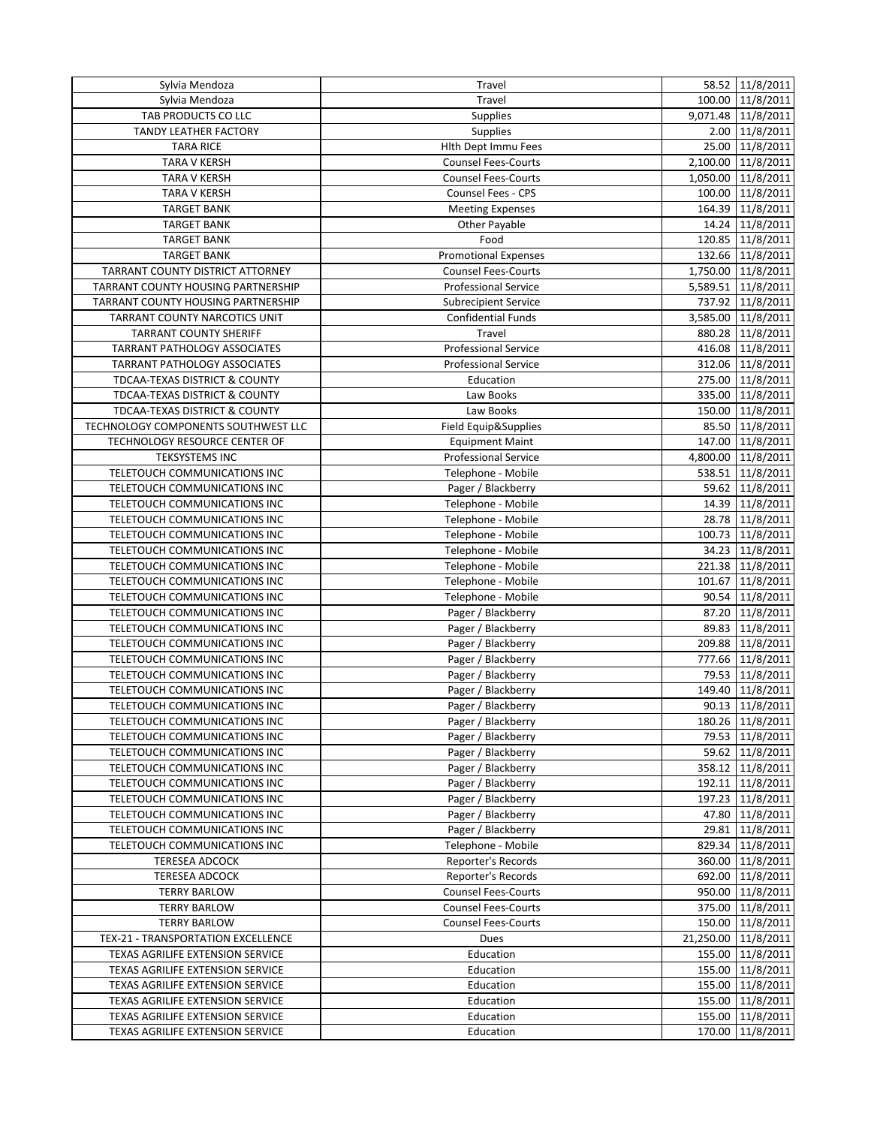| Sylvia Mendoza                                               | Travel                                   | 58.52 11/8/2011                      |
|--------------------------------------------------------------|------------------------------------------|--------------------------------------|
| Sylvia Mendoza                                               | Travel                                   | 100.00 11/8/2011                     |
| TAB PRODUCTS CO LLC                                          | Supplies                                 | 9,071.48 11/8/2011                   |
| <b>TANDY LEATHER FACTORY</b>                                 | Supplies                                 | 2.00 11/8/2011                       |
| <b>TARA RICE</b>                                             | Hith Dept Immu Fees                      | 25.00 11/8/2011                      |
| <b>TARA V KERSH</b>                                          | Counsel Fees-Courts                      | 2,100.00 11/8/2011                   |
| <b>TARA V KERSH</b>                                          | <b>Counsel Fees-Courts</b>               | 1,050.00 11/8/2011                   |
| <b>TARA V KERSH</b>                                          | Counsel Fees - CPS                       | 100.00 11/8/2011                     |
| <b>TARGET BANK</b>                                           | <b>Meeting Expenses</b>                  | 164.39 11/8/2011                     |
| <b>TARGET BANK</b>                                           | Other Payable                            | 14.24 11/8/2011                      |
| <b>TARGET BANK</b>                                           | Food                                     | 120.85 11/8/2011                     |
| <b>TARGET BANK</b>                                           | <b>Promotional Expenses</b>              | 132.66 11/8/2011                     |
| TARRANT COUNTY DISTRICT ATTORNEY                             | <b>Counsel Fees-Courts</b>               | 1,750.00 11/8/2011                   |
| TARRANT COUNTY HOUSING PARTNERSHIP                           | <b>Professional Service</b>              | 5,589.51 11/8/2011                   |
| TARRANT COUNTY HOUSING PARTNERSHIP                           | <b>Subrecipient Service</b>              | 737.92 11/8/2011                     |
| TARRANT COUNTY NARCOTICS UNIT                                | <b>Confidential Funds</b>                | 3,585.00 11/8/2011                   |
| <b>TARRANT COUNTY SHERIFF</b>                                | Travel                                   | 880.28 11/8/2011                     |
| TARRANT PATHOLOGY ASSOCIATES                                 | <b>Professional Service</b>              | 416.08 11/8/2011                     |
| TARRANT PATHOLOGY ASSOCIATES                                 | Professional Service                     | 312.06 11/8/2011                     |
| TDCAA-TEXAS DISTRICT & COUNTY                                | Education                                | 275.00 11/8/2011                     |
| TDCAA-TEXAS DISTRICT & COUNTY                                | Law Books                                | 335.00 11/8/2011                     |
| TDCAA-TEXAS DISTRICT & COUNTY                                | Law Books                                | 150.00 11/8/2011                     |
| TECHNOLOGY COMPONENTS SOUTHWEST LLC                          | Field Equip&Supplies                     | 85.50 11/8/2011                      |
| TECHNOLOGY RESOURCE CENTER OF                                | <b>Equipment Maint</b>                   | 147.00 11/8/2011                     |
| <b>TEKSYSTEMS INC</b>                                        | <b>Professional Service</b>              | 4,800.00 11/8/2011                   |
| TELETOUCH COMMUNICATIONS INC                                 | Telephone - Mobile                       | 538.51 11/8/2011                     |
| TELETOUCH COMMUNICATIONS INC                                 | Pager / Blackberry                       | 59.62 11/8/2011                      |
| TELETOUCH COMMUNICATIONS INC                                 | Telephone - Mobile                       | 14.39 11/8/2011                      |
| TELETOUCH COMMUNICATIONS INC                                 | Telephone - Mobile                       | 28.78 11/8/2011                      |
| TELETOUCH COMMUNICATIONS INC                                 | Telephone - Mobile                       | 100.73 11/8/2011                     |
| TELETOUCH COMMUNICATIONS INC                                 | Telephone - Mobile                       | 34.23 11/8/2011                      |
| TELETOUCH COMMUNICATIONS INC                                 | Telephone - Mobile                       | 221.38 11/8/2011                     |
| TELETOUCH COMMUNICATIONS INC                                 | Telephone - Mobile                       | 101.67 11/8/2011                     |
| TELETOUCH COMMUNICATIONS INC                                 | Telephone - Mobile                       | 90.54 11/8/2011                      |
| TELETOUCH COMMUNICATIONS INC                                 | Pager / Blackberry                       | 87.20 11/8/2011                      |
| TELETOUCH COMMUNICATIONS INC                                 | Pager / Blackberry                       | 89.83 11/8/2011                      |
| TELETOUCH COMMUNICATIONS INC                                 | Pager / Blackberry                       | 209.88 11/8/2011                     |
| TELETOUCH COMMUNICATIONS INC                                 | Pager / Blackberry                       | 777.66 11/8/2011                     |
| TELETOUCH COMMUNICATIONS INC                                 | Pager / Blackberry                       | 79.53 11/8/2011                      |
| TELETOUCH COMMUNICATIONS INC                                 | Pager / Blackberry                       | 149.40 11/8/2011                     |
| TELETOUCH COMMUNICATIONS INC                                 | Pager / Blackberry                       | 90.13 11/8/2011                      |
|                                                              |                                          | 180.26 11/8/2011                     |
| TELETOUCH COMMUNICATIONS INC<br>TELETOUCH COMMUNICATIONS INC | Pager / Blackberry<br>Pager / Blackberry | 79.53 11/8/2011                      |
| TELETOUCH COMMUNICATIONS INC                                 |                                          |                                      |
|                                                              | Pager / Blackberry                       | 59.62 11/8/2011                      |
| TELETOUCH COMMUNICATIONS INC                                 | Pager / Blackberry                       | 358.12 11/8/2011                     |
| TELETOUCH COMMUNICATIONS INC<br>TELETOUCH COMMUNICATIONS INC | Pager / Blackberry                       | 192.11 11/8/2011<br>197.23 11/8/2011 |
| TELETOUCH COMMUNICATIONS INC                                 | Pager / Blackberry<br>Pager / Blackberry |                                      |
|                                                              |                                          | 47.80 11/8/2011                      |
| TELETOUCH COMMUNICATIONS INC                                 | Pager / Blackberry<br>Telephone - Mobile | 29.81 11/8/2011                      |
| TELETOUCH COMMUNICATIONS INC                                 |                                          | 829.34 11/8/2011                     |
| <b>TERESEA ADCOCK</b>                                        | Reporter's Records                       | 360.00 11/8/2011                     |
| <b>TERESEA ADCOCK</b>                                        | Reporter's Records                       | 692.00 11/8/2011                     |
| <b>TERRY BARLOW</b>                                          | <b>Counsel Fees-Courts</b>               | 950.00 11/8/2011                     |
| <b>TERRY BARLOW</b>                                          | <b>Counsel Fees-Courts</b>               | 375.00 11/8/2011                     |
| <b>TERRY BARLOW</b>                                          | <b>Counsel Fees-Courts</b>               | 150.00 11/8/2011                     |
| TEX-21 - TRANSPORTATION EXCELLENCE                           | Dues                                     | 21,250.00 11/8/2011                  |
| TEXAS AGRILIFE EXTENSION SERVICE                             | Education                                | 155.00 11/8/2011                     |
| TEXAS AGRILIFE EXTENSION SERVICE                             | Education                                | 155.00 11/8/2011                     |
| TEXAS AGRILIFE EXTENSION SERVICE                             | Education                                | 155.00 11/8/2011                     |
| TEXAS AGRILIFE EXTENSION SERVICE                             | Education                                | 155.00 11/8/2011                     |
| TEXAS AGRILIFE EXTENSION SERVICE                             | Education                                | 155.00 11/8/2011                     |
| TEXAS AGRILIFE EXTENSION SERVICE                             | Education                                | 170.00 11/8/2011                     |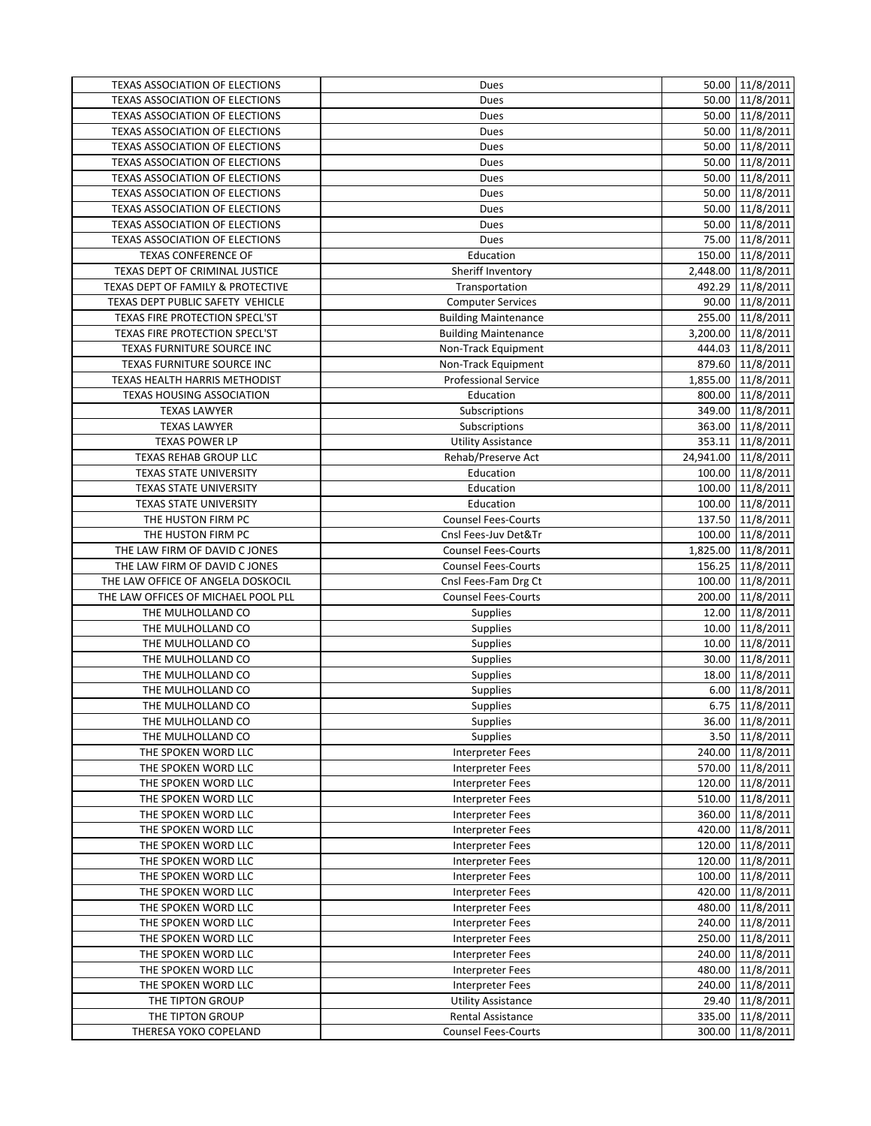| TEXAS ASSOCIATION OF ELECTIONS         | Dues                        | 50.00 11/8/2011                       |
|----------------------------------------|-----------------------------|---------------------------------------|
| <b>TEXAS ASSOCIATION OF ELECTIONS</b>  | Dues                        | 50.00 11/8/2011                       |
| TEXAS ASSOCIATION OF ELECTIONS         | Dues                        | 50.00 11/8/2011                       |
| TEXAS ASSOCIATION OF ELECTIONS         | Dues                        | 50.00 11/8/2011                       |
| TEXAS ASSOCIATION OF ELECTIONS         | Dues                        | 50.00 11/8/2011                       |
| TEXAS ASSOCIATION OF ELECTIONS         | Dues                        | 50.00 11/8/2011                       |
| <b>TEXAS ASSOCIATION OF ELECTIONS</b>  | Dues                        | 50.00 11/8/2011                       |
| TEXAS ASSOCIATION OF ELECTIONS         | Dues                        | 50.00 11/8/2011                       |
| TEXAS ASSOCIATION OF ELECTIONS         | Dues                        | 50.00 11/8/2011                       |
| <b>TEXAS ASSOCIATION OF ELECTIONS</b>  | Dues                        | 50.00 11/8/2011                       |
| TEXAS ASSOCIATION OF ELECTIONS         | Dues                        | 75.00 11/8/2011                       |
| <b>TEXAS CONFERENCE OF</b>             | Education                   | 150.00 11/8/2011                      |
| TEXAS DEPT OF CRIMINAL JUSTICE         | Sheriff Inventory           | 2,448.00 11/8/2011                    |
| TEXAS DEPT OF FAMILY & PROTECTIVE      | Transportation              | 492.29 11/8/2011                      |
| TEXAS DEPT PUBLIC SAFETY VEHICLE       | <b>Computer Services</b>    | 90.00 11/8/2011                       |
| TEXAS FIRE PROTECTION SPECL'ST         | <b>Building Maintenance</b> | 255.00 11/8/2011                      |
| TEXAS FIRE PROTECTION SPECL'ST         | <b>Building Maintenance</b> | 3,200.00 11/8/2011                    |
| TEXAS FURNITURE SOURCE INC             | Non-Track Equipment         | 444.03 11/8/2011                      |
| TEXAS FURNITURE SOURCE INC             | Non-Track Equipment         | 879.60 11/8/2011                      |
| TEXAS HEALTH HARRIS METHODIST          | <b>Professional Service</b> | 1,855.00 11/8/2011                    |
| <b>TEXAS HOUSING ASSOCIATION</b>       | Education                   | 800.00 11/8/2011                      |
| <b>TEXAS LAWYER</b>                    | Subscriptions               | 349.00 11/8/2011                      |
| <b>TEXAS LAWYER</b>                    | Subscriptions               | 363.00 11/8/2011                      |
| <b>TEXAS POWER LP</b>                  | <b>Utility Assistance</b>   | 353.11 11/8/2011                      |
| <b>TEXAS REHAB GROUP LLC</b>           | Rehab/Preserve Act          | 24,941.00 11/8/2011                   |
| TEXAS STATE UNIVERSITY                 | Education                   | 100.00 11/8/2011                      |
| TEXAS STATE UNIVERSITY                 | Education                   | 100.00 11/8/2011                      |
| <b>TEXAS STATE UNIVERSITY</b>          | Education                   | 100.00 11/8/2011                      |
| THE HUSTON FIRM PC                     | <b>Counsel Fees-Courts</b>  | 137.50 11/8/2011                      |
| THE HUSTON FIRM PC                     | Cnsl Fees-Juv Det&Tr        | 100.00 11/8/2011                      |
| THE LAW FIRM OF DAVID C JONES          | <b>Counsel Fees-Courts</b>  | 1,825.00 11/8/2011                    |
| THE LAW FIRM OF DAVID C JONES          | Counsel Fees-Courts         | 156.25 11/8/2011                      |
| THE LAW OFFICE OF ANGELA DOSKOCIL      | Cnsl Fees-Fam Drg Ct        | 100.00 11/8/2011                      |
| THE LAW OFFICES OF MICHAEL POOL PLL    | <b>Counsel Fees-Courts</b>  | 200.00 11/8/2011                      |
| THE MULHOLLAND CO                      | <b>Supplies</b>             | 12.00 11/8/2011                       |
| THE MULHOLLAND CO                      | <b>Supplies</b>             | 10.00 11/8/2011                       |
| THE MULHOLLAND CO                      | Supplies                    | 11/8/2011<br>10.00                    |
| THE MULHOLLAND CO<br>THE MULHOLLAND CO | Supplies                    | 11/8/2011<br>30.00<br>18.00 11/8/2011 |
| THE MULHOLLAND CO                      | <b>Supplies</b>             | 6.00 11/8/2011                        |
| THE MULHOLLAND CO                      | Supplies<br><b>Supplies</b> | 6.75 11/8/2011                        |
| THE MULHOLLAND CO                      | <b>Supplies</b>             | 36.00 11/8/2011                       |
| THE MULHOLLAND CO                      | <b>Supplies</b>             | 3.50 11/8/2011                        |
| THE SPOKEN WORD LLC                    | <b>Interpreter Fees</b>     | 240.00 11/8/2011                      |
| THE SPOKEN WORD LLC                    | Interpreter Fees            | 570.00 11/8/2011                      |
| THE SPOKEN WORD LLC                    | Interpreter Fees            | 120.00 11/8/2011                      |
| THE SPOKEN WORD LLC                    | <b>Interpreter Fees</b>     | 510.00 11/8/2011                      |
| THE SPOKEN WORD LLC                    | <b>Interpreter Fees</b>     | 360.00 11/8/2011                      |
| THE SPOKEN WORD LLC                    | Interpreter Fees            | 420.00 11/8/2011                      |
| THE SPOKEN WORD LLC                    | Interpreter Fees            | 120.00 11/8/2011                      |
| THE SPOKEN WORD LLC                    | Interpreter Fees            | 120.00 11/8/2011                      |
| THE SPOKEN WORD LLC                    | <b>Interpreter Fees</b>     | 11/8/2011<br>100.00                   |
| THE SPOKEN WORD LLC                    | <b>Interpreter Fees</b>     | 420.00 11/8/2011                      |
| THE SPOKEN WORD LLC                    | Interpreter Fees            | 480.00 11/8/2011                      |
| THE SPOKEN WORD LLC                    | Interpreter Fees            | 240.00 11/8/2011                      |
| THE SPOKEN WORD LLC                    | Interpreter Fees            | 250.00 11/8/2011                      |
| THE SPOKEN WORD LLC                    | Interpreter Fees            | 240.00 11/8/2011                      |
| THE SPOKEN WORD LLC                    | Interpreter Fees            | 480.00 11/8/2011                      |
| THE SPOKEN WORD LLC                    | <b>Interpreter Fees</b>     | 240.00 11/8/2011                      |
| THE TIPTON GROUP                       | <b>Utility Assistance</b>   | 29.40 11/8/2011                       |
| THE TIPTON GROUP                       | <b>Rental Assistance</b>    | 335.00 11/8/2011                      |
| THERESA YOKO COPELAND                  | <b>Counsel Fees-Courts</b>  | 11/8/2011<br>300.00                   |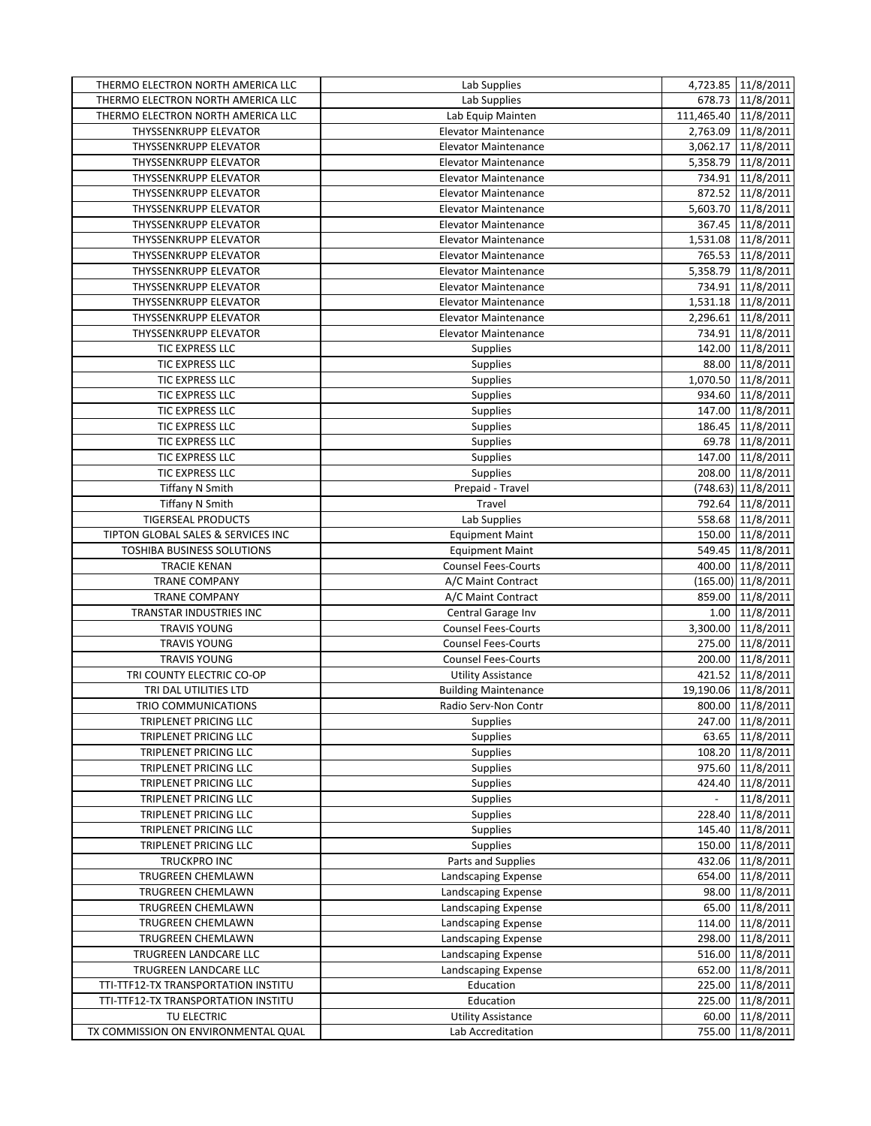| THERMO ELECTRON NORTH AMERICA LLC   | Lab Supplies                | 4,723.85 11/8/2011                    |
|-------------------------------------|-----------------------------|---------------------------------------|
| THERMO ELECTRON NORTH AMERICA LLC   | Lab Supplies                | 678.73 11/8/2011                      |
| THERMO ELECTRON NORTH AMERICA LLC   | Lab Equip Mainten           | 111,465.40 11/8/2011                  |
| THYSSENKRUPP ELEVATOR               | <b>Elevator Maintenance</b> | 2,763.09 11/8/2011                    |
| THYSSENKRUPP ELEVATOR               | <b>Elevator Maintenance</b> | 3,062.17 11/8/2011                    |
| <b>THYSSENKRUPP ELEVATOR</b>        | <b>Elevator Maintenance</b> | 5,358.79 11/8/2011                    |
| <b>THYSSENKRUPP ELEVATOR</b>        | <b>Elevator Maintenance</b> | 734.91 11/8/2011                      |
| THYSSENKRUPP ELEVATOR               | <b>Elevator Maintenance</b> | 872.52 11/8/2011                      |
| THYSSENKRUPP ELEVATOR               | <b>Elevator Maintenance</b> | 5,603.70 11/8/2011                    |
| <b>THYSSENKRUPP ELEVATOR</b>        | <b>Elevator Maintenance</b> | 367.45 11/8/2011                      |
| <b>THYSSENKRUPP ELEVATOR</b>        | <b>Elevator Maintenance</b> | 1,531.08 11/8/2011                    |
| THYSSENKRUPP ELEVATOR               | <b>Elevator Maintenance</b> | 765.53 11/8/2011                      |
| THYSSENKRUPP ELEVATOR               | <b>Elevator Maintenance</b> | 5,358.79 11/8/2011                    |
| THYSSENKRUPP ELEVATOR               | <b>Elevator Maintenance</b> | 734.91 11/8/2011                      |
| THYSSENKRUPP ELEVATOR               | <b>Elevator Maintenance</b> | 1,531.18 11/8/2011                    |
| THYSSENKRUPP ELEVATOR               | <b>Elevator Maintenance</b> | 2,296.61 11/8/2011                    |
| THYSSENKRUPP ELEVATOR               | <b>Elevator Maintenance</b> | 734.91 11/8/2011                      |
| TIC EXPRESS LLC                     | Supplies                    | 142.00 11/8/2011                      |
| TIC EXPRESS LLC                     | <b>Supplies</b>             | 88.00 11/8/2011                       |
| TIC EXPRESS LLC                     | Supplies                    | 1,070.50 11/8/2011                    |
| TIC EXPRESS LLC                     | <b>Supplies</b>             | 934.60 11/8/2011                      |
| TIC EXPRESS LLC                     | <b>Supplies</b>             | 147.00 11/8/2011                      |
| TIC EXPRESS LLC                     | Supplies                    | 186.45 11/8/2011                      |
| TIC EXPRESS LLC                     | Supplies                    | 69.78 11/8/2011                       |
| TIC EXPRESS LLC                     | Supplies                    | 147.00 11/8/2011                      |
| TIC EXPRESS LLC                     | <b>Supplies</b>             | 208.00 11/8/2011                      |
| <b>Tiffany N Smith</b>              | Prepaid - Travel            | (748.63) 11/8/2011                    |
| <b>Tiffany N Smith</b>              | Travel                      | 792.64 11/8/2011                      |
| <b>TIGERSEAL PRODUCTS</b>           | Lab Supplies                | 558.68 11/8/2011                      |
| TIPTON GLOBAL SALES & SERVICES INC  | <b>Equipment Maint</b>      | 150.00 11/8/2011                      |
| TOSHIBA BUSINESS SOLUTIONS          | <b>Equipment Maint</b>      | 549.45 11/8/2011                      |
| <b>TRACIE KENAN</b>                 | <b>Counsel Fees-Courts</b>  | 400.00 11/8/2011                      |
| <b>TRANE COMPANY</b>                | A/C Maint Contract          | (165.00) 11/8/2011                    |
| <b>TRANE COMPANY</b>                | A/C Maint Contract          | 859.00 11/8/2011                      |
| TRANSTAR INDUSTRIES INC             | Central Garage Inv          | 1.00 11/8/2011                        |
| <b>TRAVIS YOUNG</b>                 | <b>Counsel Fees-Courts</b>  | 3,300.00 11/8/2011                    |
| <b>TRAVIS YOUNG</b>                 | <b>Counsel Fees-Courts</b>  | 275.00 11/8/2011                      |
| <b>TRAVIS YOUNG</b>                 | <b>Counsel Fees-Courts</b>  | 200.00 11/8/2011                      |
| TRI COUNTY ELECTRIC CO-OP           | <b>Utility Assistance</b>   | 421.52 11/8/2011                      |
| TRI DAL UTILITIES LTD               | <b>Building Maintenance</b> | 19,190.06 11/8/2011                   |
| TRIO COMMUNICATIONS                 | Radio Serv-Non Contr        | 800.00 11/8/2011                      |
| TRIPLENET PRICING LLC               | <b>Supplies</b>             | 247.00 11/8/2011                      |
| TRIPLENET PRICING LLC               | <b>Supplies</b>             | 63.65 11/8/2011                       |
| TRIPLENET PRICING LLC               | <b>Supplies</b>             | 108.20 11/8/2011                      |
| TRIPLENET PRICING LLC               | Supplies                    | 975.60 11/8/2011                      |
| TRIPLENET PRICING LLC               | <b>Supplies</b>             | 424.40 11/8/2011                      |
| TRIPLENET PRICING LLC               | <b>Supplies</b>             | 11/8/2011<br>$\overline{\phantom{a}}$ |
| TRIPLENET PRICING LLC               | <b>Supplies</b>             | 228.40 11/8/2011                      |
| TRIPLENET PRICING LLC               | <b>Supplies</b>             | 145.40 11/8/2011                      |
| TRIPLENET PRICING LLC               | Supplies                    | 150.00 11/8/2011                      |
| TRUCKPRO INC                        | Parts and Supplies          | 432.06 11/8/2011                      |
| TRUGREEN CHEMLAWN                   | Landscaping Expense         | 654.00<br>11/8/2011                   |
| <b>TRUGREEN CHEMLAWN</b>            | Landscaping Expense         | 98.00 11/8/2011                       |
| TRUGREEN CHEMLAWN                   | Landscaping Expense         | 65.00 11/8/2011                       |
| TRUGREEN CHEMLAWN                   | Landscaping Expense         | 114.00 11/8/2011                      |
| TRUGREEN CHEMLAWN                   | Landscaping Expense         | 298.00 11/8/2011                      |
| TRUGREEN LANDCARE LLC               | Landscaping Expense         | 516.00 11/8/2011                      |
| TRUGREEN LANDCARE LLC               | Landscaping Expense         | 652.00 11/8/2011                      |
| TTI-TTF12-TX TRANSPORTATION INSTITU | Education                   | 225.00<br>11/8/2011                   |
| TTI-TTF12-TX TRANSPORTATION INSTITU | Education                   | 225.00<br>11/8/2011                   |
| TU ELECTRIC                         | <b>Utility Assistance</b>   | 11/8/2011<br>60.00                    |
| TX COMMISSION ON ENVIRONMENTAL QUAL | Lab Accreditation           | 755.00 11/8/2011                      |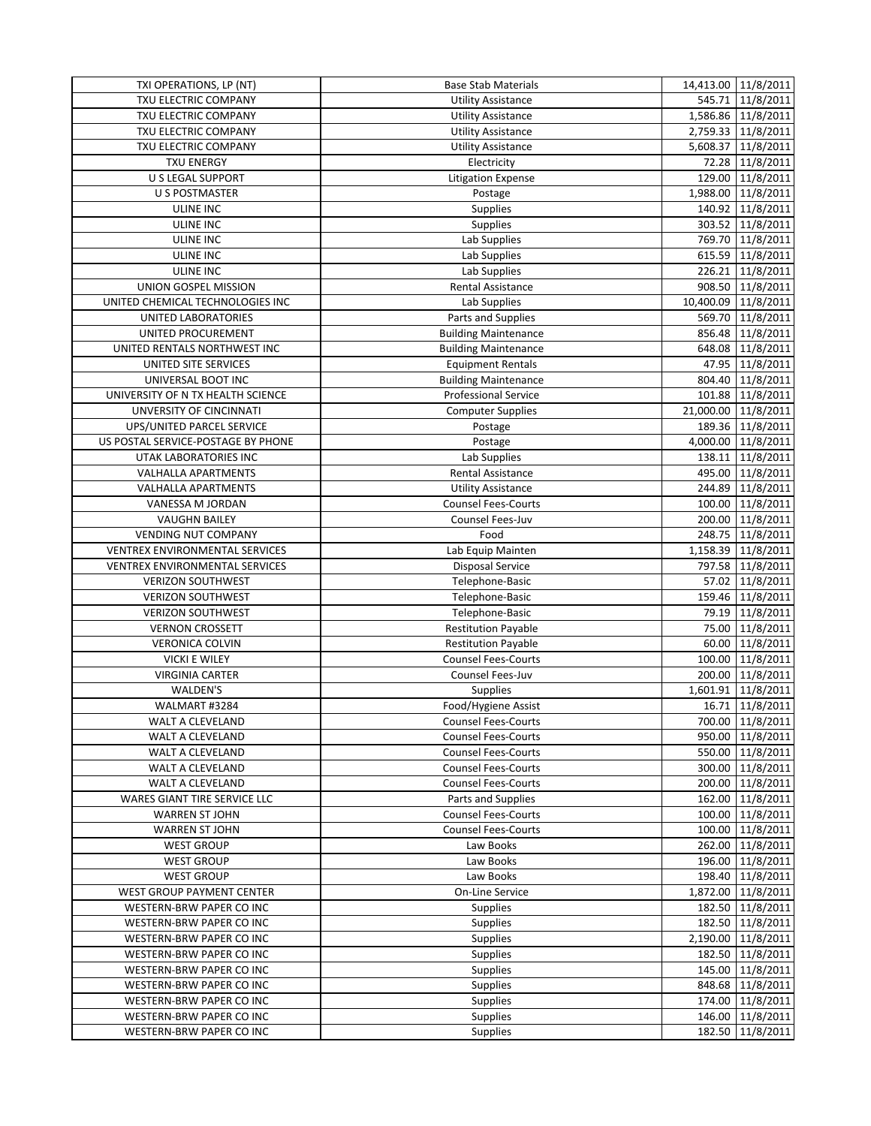| TXI OPERATIONS, LP (NT)             | <b>Base Stab Materials</b>  | 14,413.00 11/8/2011 |
|-------------------------------------|-----------------------------|---------------------|
| TXU ELECTRIC COMPANY                | <b>Utility Assistance</b>   | 545.71 11/8/2011    |
| TXU ELECTRIC COMPANY                | <b>Utility Assistance</b>   | 1,586.86 11/8/2011  |
| TXU ELECTRIC COMPANY                | <b>Utility Assistance</b>   | 2,759.33 11/8/2011  |
| TXU ELECTRIC COMPANY                | <b>Utility Assistance</b>   | 5,608.37 11/8/2011  |
| <b>TXU ENERGY</b>                   | Electricity                 | 72.28 11/8/2011     |
| <b>U S LEGAL SUPPORT</b>            | <b>Litigation Expense</b>   | 129.00 11/8/2011    |
| U S POSTMASTER                      | Postage                     | 1,988.00 11/8/2011  |
| <b>ULINE INC</b>                    | <b>Supplies</b>             | 140.92 11/8/2011    |
| <b>ULINE INC</b>                    | <b>Supplies</b>             | 303.52 11/8/2011    |
| ULINE INC                           | Lab Supplies                | 769.70 11/8/2011    |
| <b>ULINE INC</b>                    | Lab Supplies                | 615.59 11/8/2011    |
| <b>ULINE INC</b>                    | Lab Supplies                | 226.21 11/8/2011    |
| UNION GOSPEL MISSION                | Rental Assistance           | 908.50 11/8/2011    |
| UNITED CHEMICAL TECHNOLOGIES INC    | Lab Supplies                | 10,400.09 11/8/2011 |
| UNITED LABORATORIES                 | Parts and Supplies          | 569.70 11/8/2011    |
| UNITED PROCUREMENT                  | <b>Building Maintenance</b> | 856.48 11/8/2011    |
| UNITED RENTALS NORTHWEST INC        | <b>Building Maintenance</b> | 648.08 11/8/2011    |
| UNITED SITE SERVICES                | <b>Equipment Rentals</b>    | 47.95 11/8/2011     |
| UNIVERSAL BOOT INC                  | <b>Building Maintenance</b> | 804.40 11/8/2011    |
| UNIVERSITY OF N TX HEALTH SCIENCE   | <b>Professional Service</b> | 101.88 11/8/2011    |
| UNVERSITY OF CINCINNATI             | <b>Computer Supplies</b>    | 21,000.00 11/8/2011 |
| UPS/UNITED PARCEL SERVICE           | Postage                     | 189.36 11/8/2011    |
| US POSTAL SERVICE-POSTAGE BY PHONE  |                             | 4,000.00 11/8/2011  |
| <b>UTAK LABORATORIES INC</b>        | Postage                     | 138.11 11/8/2011    |
|                                     | Lab Supplies                | 495.00 11/8/2011    |
| <b>VALHALLA APARTMENTS</b>          | Rental Assistance           |                     |
| <b>VALHALLA APARTMENTS</b>          | <b>Utility Assistance</b>   | 244.89 11/8/2011    |
| VANESSA M JORDAN                    | Counsel Fees-Courts         | 100.00 11/8/2011    |
| <b>VAUGHN BAILEY</b>                | Counsel Fees-Juv            | 200.00 11/8/2011    |
| <b>VENDING NUT COMPANY</b>          | Food                        | 248.75 11/8/2011    |
| VENTREX ENVIRONMENTAL SERVICES      | Lab Equip Mainten           | 1,158.39 11/8/2011  |
| VENTREX ENVIRONMENTAL SERVICES      | <b>Disposal Service</b>     | 797.58 11/8/2011    |
| <b>VERIZON SOUTHWEST</b>            | Telephone-Basic             | 57.02 11/8/2011     |
| <b>VERIZON SOUTHWEST</b>            | Telephone-Basic             | 159.46 11/8/2011    |
| <b>VERIZON SOUTHWEST</b>            | Telephone-Basic             | 79.19 11/8/2011     |
| <b>VERNON CROSSETT</b>              | <b>Restitution Payable</b>  | 75.00 11/8/2011     |
| <b>VERONICA COLVIN</b>              | <b>Restitution Payable</b>  | 60.00 11/8/2011     |
| <b>VICKI E WILEY</b>                | <b>Counsel Fees-Courts</b>  | 100.00 11/8/2011    |
| <b>VIRGINIA CARTER</b>              | Counsel Fees-Juv            | 200.00 11/8/2011    |
| WALDEN'S                            | Supplies                    | 1,601.91 11/8/2011  |
| WALMART #3284                       | Food/Hygiene Assist         | 16.71 11/8/2011     |
| WALT A CLEVELAND                    | <b>Counsel Fees-Courts</b>  | 700.00 11/8/2011    |
| WALT A CLEVELAND                    | <b>Counsel Fees-Courts</b>  | 950.00 11/8/2011    |
| WALT A CLEVELAND                    | <b>Counsel Fees-Courts</b>  | 550.00 11/8/2011    |
| WALT A CLEVELAND                    | <b>Counsel Fees-Courts</b>  | 300.00 11/8/2011    |
| WALT A CLEVELAND                    | <b>Counsel Fees-Courts</b>  | 200.00 11/8/2011    |
| <b>WARES GIANT TIRE SERVICE LLC</b> | Parts and Supplies          | 162.00 11/8/2011    |
| <b>WARREN ST JOHN</b>               | <b>Counsel Fees-Courts</b>  | 100.00 11/8/2011    |
| <b>WARREN ST JOHN</b>               | <b>Counsel Fees-Courts</b>  | 100.00 11/8/2011    |
| <b>WEST GROUP</b>                   | Law Books                   | 262.00 11/8/2011    |
| <b>WEST GROUP</b>                   | Law Books                   | 196.00 11/8/2011    |
| <b>WEST GROUP</b>                   | Law Books                   | 198.40 11/8/2011    |
| <b>WEST GROUP PAYMENT CENTER</b>    | On-Line Service             | 1,872.00 11/8/2011  |
| WESTERN-BRW PAPER CO INC            | <b>Supplies</b>             | 182.50 11/8/2011    |
| WESTERN-BRW PAPER CO INC            | <b>Supplies</b>             | 182.50 11/8/2011    |
| WESTERN-BRW PAPER CO INC            | <b>Supplies</b>             | 2,190.00 11/8/2011  |
| WESTERN-BRW PAPER CO INC            | <b>Supplies</b>             | 182.50 11/8/2011    |
| WESTERN-BRW PAPER CO INC            | <b>Supplies</b>             | 145.00 11/8/2011    |
| WESTERN-BRW PAPER CO INC            | <b>Supplies</b>             | 848.68 11/8/2011    |
| WESTERN-BRW PAPER CO INC            | Supplies                    | 174.00 11/8/2011    |
| WESTERN-BRW PAPER CO INC            | <b>Supplies</b>             | 146.00 11/8/2011    |
| WESTERN-BRW PAPER CO INC            | <b>Supplies</b>             | 182.50 11/8/2011    |
|                                     |                             |                     |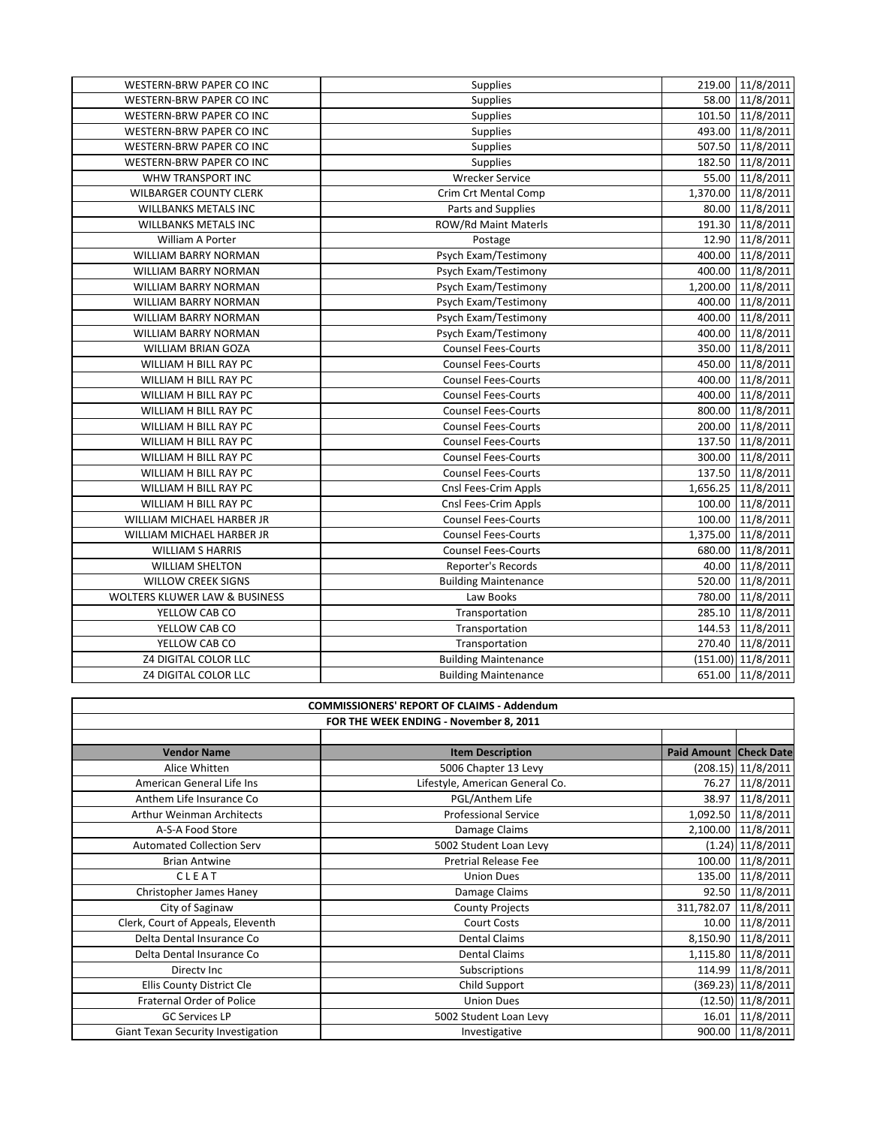| WESTERN-BRW PAPER CO INC                 | Supplies                    |          | 219.00 11/8/2011   |
|------------------------------------------|-----------------------------|----------|--------------------|
| WESTERN-BRW PAPER CO INC                 | Supplies                    |          | 58.00 11/8/2011    |
| WESTERN-BRW PAPER CO INC                 | <b>Supplies</b>             |          | 101.50 11/8/2011   |
| WESTERN-BRW PAPER CO INC                 | Supplies                    | 493.00   | 11/8/2011          |
| WESTERN-BRW PAPER CO INC                 | Supplies                    |          | 507.50 11/8/2011   |
| WESTERN-BRW PAPER CO INC                 | Supplies                    | 182.50   | 11/8/2011          |
| WHW TRANSPORT INC                        | <b>Wrecker Service</b>      |          | 55.00 11/8/2011    |
| <b>WILBARGER COUNTY CLERK</b>            | Crim Crt Mental Comp        |          | 1,370.00 11/8/2011 |
| <b>WILLBANKS METALS INC</b>              | Parts and Supplies          | 80.00    | 11/8/2011          |
| <b>WILLBANKS METALS INC</b>              | ROW/Rd Maint Materls        | 191.30   | 11/8/2011          |
| William A Porter                         | Postage                     | 12.90    | 11/8/2011          |
| WILLIAM BARRY NORMAN                     | Psych Exam/Testimony        | 400.00   | 11/8/2011          |
| <b>WILLIAM BARRY NORMAN</b>              | Psych Exam/Testimony        |          | 400.00 11/8/2011   |
| WILLIAM BARRY NORMAN                     | Psych Exam/Testimony        |          | 1,200.00 11/8/2011 |
| WILLIAM BARRY NORMAN                     | Psych Exam/Testimony        | 400.00   | 11/8/2011          |
| WILLIAM BARRY NORMAN                     | Psych Exam/Testimony        | 400.00   | 11/8/2011          |
| WILLIAM BARRY NORMAN                     | Psych Exam/Testimony        | 400.00   | 11/8/2011          |
| WILLIAM BRIAN GOZA                       | <b>Counsel Fees-Courts</b>  | 350.00   | 11/8/2011          |
| WILLIAM H BILL RAY PC                    | <b>Counsel Fees-Courts</b>  | 450.00   | 11/8/2011          |
| WILLIAM H BILL RAY PC                    | <b>Counsel Fees-Courts</b>  | 400.00   | 11/8/2011          |
| WILLIAM H BILL RAY PC                    | <b>Counsel Fees-Courts</b>  | 400.00   | 11/8/2011          |
| WILLIAM H BILL RAY PC                    | <b>Counsel Fees-Courts</b>  | 800.00   | 11/8/2011          |
| WILLIAM H BILL RAY PC                    | <b>Counsel Fees-Courts</b>  | 200.00   | 11/8/2011          |
| WILLIAM H BILL RAY PC                    | <b>Counsel Fees-Courts</b>  |          | 137.50 11/8/2011   |
| WILLIAM H BILL RAY PC                    | <b>Counsel Fees-Courts</b>  |          | 300.00 11/8/2011   |
| WILLIAM H BILL RAY PC                    | <b>Counsel Fees-Courts</b>  |          | 137.50 11/8/2011   |
| WILLIAM H BILL RAY PC                    | Cnsl Fees-Crim Appls        | 1,656.25 | 11/8/2011          |
| WILLIAM H BILL RAY PC                    | Cnsl Fees-Crim Appls        | 100.00   | 11/8/2011          |
| WILLIAM MICHAEL HARBER JR                | <b>Counsel Fees-Courts</b>  | 100.00   | 11/8/2011          |
| WILLIAM MICHAEL HARBER JR                | <b>Counsel Fees-Courts</b>  | 1,375.00 | 11/8/2011          |
| <b>WILLIAM S HARRIS</b>                  | <b>Counsel Fees-Courts</b>  | 680.00   | 11/8/2011          |
| <b>WILLIAM SHELTON</b>                   | Reporter's Records          | 40.00    | 11/8/2011          |
| <b>WILLOW CREEK SIGNS</b>                | <b>Building Maintenance</b> | 520.00   | 11/8/2011          |
| <b>WOLTERS KLUWER LAW &amp; BUSINESS</b> | Law Books                   | 780.00   | 11/8/2011          |
| YELLOW CAB CO                            | Transportation              | 285.10   | 11/8/2011          |
| YELLOW CAB CO                            | Transportation              | 144.53   | 11/8/2011          |
| YELLOW CAB CO                            | Transportation              |          | 270.40 11/8/2011   |
| <b>Z4 DIGITAL COLOR LLC</b>              | <b>Building Maintenance</b> |          | (151.00) 11/8/2011 |
| <b>Z4 DIGITAL COLOR LLC</b>              | <b>Building Maintenance</b> | 651.00   | 11/8/2011          |

| <b>COMMISSIONERS' REPORT OF CLAIMS - Addendum</b> |                                 |                               |                      |
|---------------------------------------------------|---------------------------------|-------------------------------|----------------------|
| FOR THE WEEK ENDING - November 8, 2011            |                                 |                               |                      |
|                                                   |                                 |                               |                      |
| <b>Vendor Name</b>                                | <b>Item Description</b>         | <b>Paid Amount Check Date</b> |                      |
| Alice Whitten                                     | 5006 Chapter 13 Levy            |                               | $(208.15)$ 11/8/2011 |
| American General Life Ins                         | Lifestyle, American General Co. |                               | 76.27 11/8/2011      |
| Anthem Life Insurance Co                          | PGL/Anthem Life                 |                               | 38.97 11/8/2011      |
| <b>Arthur Weinman Architects</b>                  | <b>Professional Service</b>     |                               | 1,092.50 11/8/2011   |
| A-S-A Food Store                                  | Damage Claims                   |                               | 2,100.00 11/8/2011   |
| <b>Automated Collection Serv</b>                  | 5002 Student Loan Levy          |                               | $(1.24)$ 11/8/2011   |
| <b>Brian Antwine</b>                              | <b>Pretrial Release Fee</b>     |                               | 100.00 11/8/2011     |
| <b>CLEAT</b>                                      | <b>Union Dues</b>               |                               | 135.00 11/8/2011     |
| Christopher James Haney                           | Damage Claims                   |                               | 92.50 11/8/2011      |
| City of Saginaw                                   | <b>County Projects</b>          | 311,782.07                    | 11/8/2011            |
| Clerk, Court of Appeals, Eleventh                 | <b>Court Costs</b>              |                               | 10.00 11/8/2011      |
| Delta Dental Insurance Co                         | <b>Dental Claims</b>            |                               | 8,150.90 11/8/2011   |
| Delta Dental Insurance Co                         | <b>Dental Claims</b>            | 1,115.80                      | 11/8/2011            |
| Directy Inc                                       | Subscriptions                   |                               | 114.99 11/8/2011     |
| Ellis County District Cle                         | Child Support                   |                               | (369.23) 11/8/2011   |
| Fraternal Order of Police                         | <b>Union Dues</b>               |                               | $(12.50)$ 11/8/2011  |
| <b>GC Services LP</b>                             | 5002 Student Loan Levy          |                               | 16.01 11/8/2011      |
| Giant Texan Security Investigation                | Investigative                   |                               | 900.00 11/8/2011     |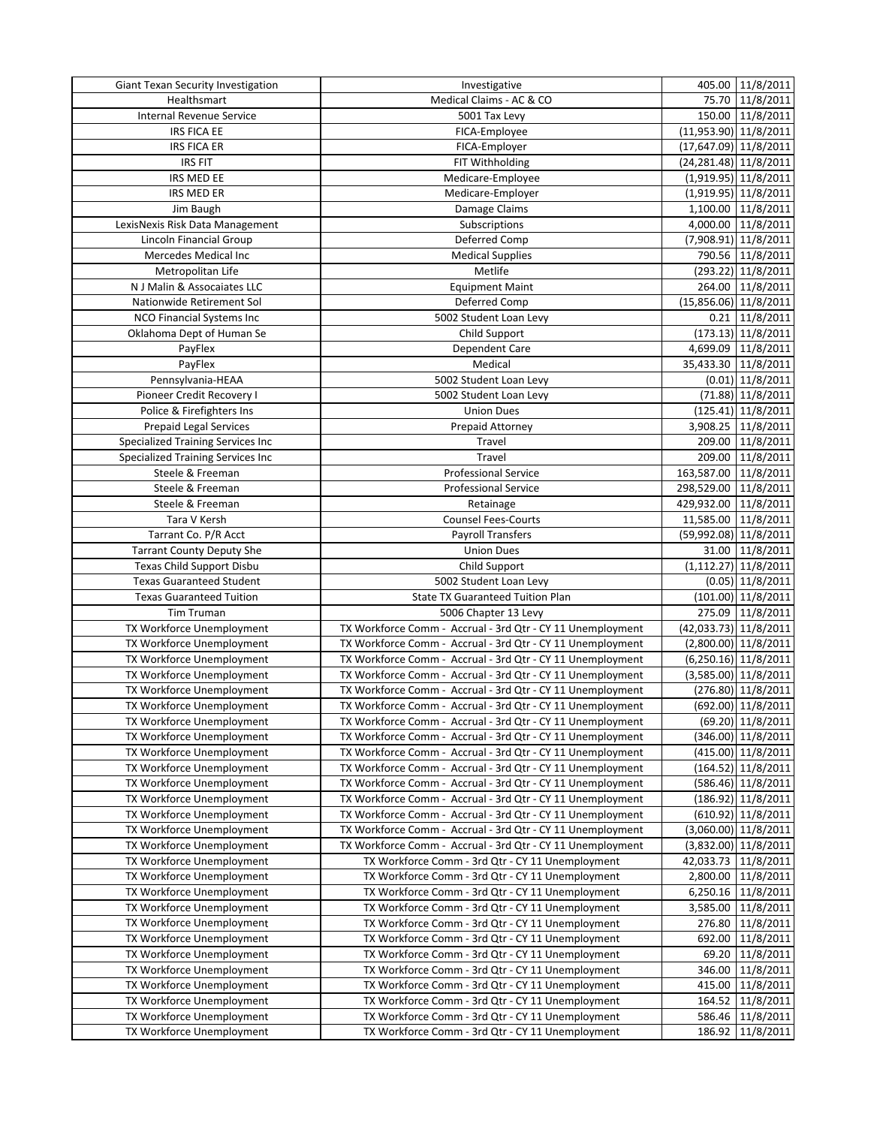| Giant Texan Security Investigation | Investigative                                              | 405.00 11/8/2011        |
|------------------------------------|------------------------------------------------------------|-------------------------|
| Healthsmart                        | Medical Claims - AC & CO                                   | 75.70 11/8/2011         |
| Internal Revenue Service           | 5001 Tax Levy                                              | 150.00 11/8/2011        |
| <b>IRS FICA EE</b>                 | FICA-Employee                                              | (11,953.90) 11/8/2011   |
| <b>IRS FICA ER</b>                 | FICA-Employer                                              | $(17,647.09)$ 11/8/2011 |
| <b>IRS FIT</b>                     | FIT Withholding                                            | (24, 281.48) 11/8/2011  |
| IRS MED EE                         | Medicare-Employee                                          | $(1,919.95)$ 11/8/2011  |
| <b>IRS MED ER</b>                  | Medicare-Employer                                          | $(1,919.95)$ 11/8/2011  |
| Jim Baugh                          | Damage Claims                                              | 1,100.00 11/8/2011      |
| LexisNexis Risk Data Management    | Subscriptions                                              | 4,000.00 11/8/2011      |
| Lincoln Financial Group            | Deferred Comp                                              | $(7,908.91)$ 11/8/2011  |
| Mercedes Medical Inc               | <b>Medical Supplies</b>                                    | 790.56 11/8/2011        |
| Metropolitan Life                  | Metlife                                                    | (293.22) 11/8/2011      |
| N J Malin & Assocaiates LLC        | <b>Equipment Maint</b>                                     | 264.00 11/8/2011        |
| Nationwide Retirement Sol          | Deferred Comp                                              | $(15,856.06)$ 11/8/2011 |
| NCO Financial Systems Inc          | 5002 Student Loan Levy                                     | $0.21$ 11/8/2011        |
| Oklahoma Dept of Human Se          | Child Support                                              | (173.13) 11/8/2011      |
| PayFlex                            | Dependent Care                                             | 4,699.09 11/8/2011      |
| PayFlex                            | Medical                                                    | 35,433.30 11/8/2011     |
| Pennsylvania-HEAA                  | 5002 Student Loan Levy                                     | $(0.01)$ 11/8/2011      |
| Pioneer Credit Recovery I          | 5002 Student Loan Levy                                     | (71.88) 11/8/2011       |
| Police & Firefighters Ins          | <b>Union Dues</b>                                          | (125.41) 11/8/2011      |
| <b>Prepaid Legal Services</b>      | Prepaid Attorney                                           | 3,908.25 11/8/2011      |
| Specialized Training Services Inc  | Travel                                                     | 209.00 11/8/2011        |
| Specialized Training Services Inc  | Travel                                                     | 209.00 11/8/2011        |
| Steele & Freeman                   | <b>Professional Service</b>                                | 163,587.00 11/8/2011    |
| Steele & Freeman                   | <b>Professional Service</b>                                | 298,529.00 11/8/2011    |
| Steele & Freeman                   | Retainage                                                  | 429,932.00 11/8/2011    |
| Tara V Kersh                       | <b>Counsel Fees-Courts</b>                                 | 11,585.00 11/8/2011     |
| Tarrant Co. P/R Acct               | Payroll Transfers                                          | (59,992.08) 11/8/2011   |
| <b>Tarrant County Deputy She</b>   | <b>Union Dues</b>                                          | 31.00 11/8/2011         |
| Texas Child Support Disbu          | Child Support                                              | $(1, 112.27)$ 11/8/2011 |
| <b>Texas Guaranteed Student</b>    | 5002 Student Loan Levy                                     | $(0.05)$ 11/8/2011      |
| <b>Texas Guaranteed Tuition</b>    | <b>State TX Guaranteed Tuition Plan</b>                    | $(101.00)$ 11/8/2011    |
| Tim Truman                         | 5006 Chapter 13 Levy                                       | 275.09 11/8/2011        |
| TX Workforce Unemployment          | TX Workforce Comm - Accrual - 3rd Qtr - CY 11 Unemployment | $(42,033.73)$ 11/8/2011 |
| TX Workforce Unemployment          | TX Workforce Comm - Accrual - 3rd Qtr - CY 11 Unemployment | $(2,800.00)$ 11/8/2011  |
| TX Workforce Unemployment          | TX Workforce Comm - Accrual - 3rd Qtr - CY 11 Unemployment | $(6,250.16)$ 11/8/2011  |
| TX Workforce Unemployment          | TX Workforce Comm - Accrual - 3rd Qtr - CY 11 Unemployment | $(3,585.00)$ 11/8/2011  |
| TX Workforce Unemployment          | TX Workforce Comm - Accrual - 3rd Qtr - CY 11 Unemployment | (276.80) 11/8/2011      |
| TX Workforce Unemployment          | TX Workforce Comm - Accrual - 3rd Qtr - CY 11 Unemployment | (692.00) 11/8/2011      |
| TX Workforce Unemployment          | TX Workforce Comm - Accrual - 3rd Qtr - CY 11 Unemployment | (69.20) 11/8/2011       |
| TX Workforce Unemployment          | TX Workforce Comm - Accrual - 3rd Qtr - CY 11 Unemployment | (346.00) 11/8/2011      |
| TX Workforce Unemployment          | TX Workforce Comm - Accrual - 3rd Qtr - CY 11 Unemployment | (415.00) 11/8/2011      |
| TX Workforce Unemployment          | TX Workforce Comm - Accrual - 3rd Qtr - CY 11 Unemployment | $(164.52)$ 11/8/2011    |
| TX Workforce Unemployment          | TX Workforce Comm - Accrual - 3rd Qtr - CY 11 Unemployment | (586.46) 11/8/2011      |
| TX Workforce Unemployment          | TX Workforce Comm - Accrual - 3rd Qtr - CY 11 Unemployment | $(186.92)$ 11/8/2011    |
| TX Workforce Unemployment          | TX Workforce Comm - Accrual - 3rd Qtr - CY 11 Unemployment | (610.92) 11/8/2011      |
| TX Workforce Unemployment          | TX Workforce Comm - Accrual - 3rd Qtr - CY 11 Unemployment | $(3,060.00)$ 11/8/2011  |
| TX Workforce Unemployment          | TX Workforce Comm - Accrual - 3rd Qtr - CY 11 Unemployment | $(3,832.00)$ 11/8/2011  |
| TX Workforce Unemployment          | TX Workforce Comm - 3rd Qtr - CY 11 Unemployment           | 42,033.73 11/8/2011     |
| TX Workforce Unemployment          | TX Workforce Comm - 3rd Qtr - CY 11 Unemployment           | 2,800.00 11/8/2011      |
| TX Workforce Unemployment          | TX Workforce Comm - 3rd Qtr - CY 11 Unemployment           | 6,250.16 11/8/2011      |
| TX Workforce Unemployment          | TX Workforce Comm - 3rd Qtr - CY 11 Unemployment           | 3,585.00 11/8/2011      |
| TX Workforce Unemployment          | TX Workforce Comm - 3rd Qtr - CY 11 Unemployment           | 276.80 11/8/2011        |
| TX Workforce Unemployment          | TX Workforce Comm - 3rd Qtr - CY 11 Unemployment           | 692.00 11/8/2011        |
| TX Workforce Unemployment          | TX Workforce Comm - 3rd Qtr - CY 11 Unemployment           | 69.20 11/8/2011         |
| TX Workforce Unemployment          | TX Workforce Comm - 3rd Qtr - CY 11 Unemployment           | 346.00   11/8/2011      |
| TX Workforce Unemployment          | TX Workforce Comm - 3rd Qtr - CY 11 Unemployment           | 415.00 11/8/2011        |
| TX Workforce Unemployment          | TX Workforce Comm - 3rd Qtr - CY 11 Unemployment           | 164.52 11/8/2011        |
| TX Workforce Unemployment          | TX Workforce Comm - 3rd Qtr - CY 11 Unemployment           | 586.46 11/8/2011        |
| TX Workforce Unemployment          | TX Workforce Comm - 3rd Qtr - CY 11 Unemployment           | 186.92 11/8/2011        |
|                                    |                                                            |                         |